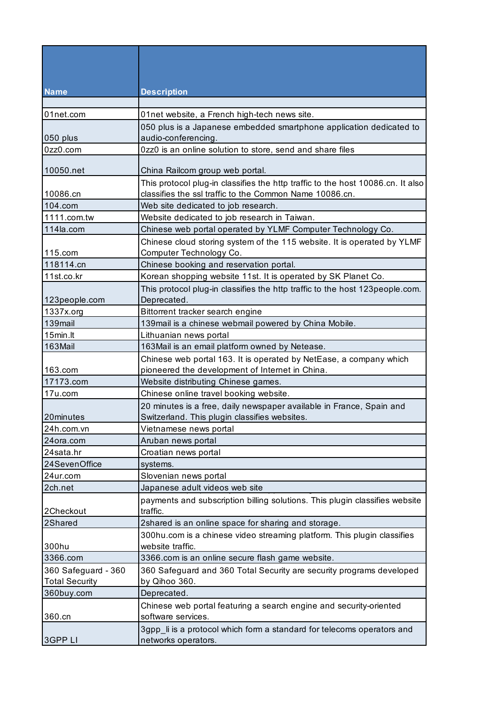| <b>Name</b>                                  | <b>Description</b>                                                                            |
|----------------------------------------------|-----------------------------------------------------------------------------------------------|
| 01net.com                                    | 01net website, a French high-tech news site.                                                  |
|                                              |                                                                                               |
| 050 plus                                     | 050 plus is a Japanese embedded smartphone application dedicated to<br>audio-conferencing.    |
| 0zz0.com                                     | 0zz0 is an online solution to store, send and share files                                     |
| 10050.net                                    | China Railcom group web portal.                                                               |
|                                              | This protocol plug-in classifies the http traffic to the host 10086.cn. It also               |
| 10086.cn                                     | classifies the ssl traffic to the Common Name 10086.cn.                                       |
| 104.com                                      | Web site dedicated to job research.                                                           |
| 1111.com.tw                                  | Website dedicated to job research in Taiwan.                                                  |
| 114la.com                                    | Chinese web portal operated by YLMF Computer Technology Co.                                   |
|                                              | Chinese cloud storing system of the 115 website. It is operated by YLMF                       |
| 115.com                                      | Computer Technology Co.                                                                       |
| 118114.cn                                    | Chinese booking and reservation portal.                                                       |
| 11st.co.kr                                   | Korean shopping website 11st. It is operated by SK Planet Co.                                 |
|                                              | This protocol plug-in classifies the http traffic to the host 123people.com.                  |
| 123people.com                                | Deprecated.                                                                                   |
| 1337x.org                                    | Bittorrent tracker search engine                                                              |
| 139mail                                      | 139 mail is a chinese webmail powered by China Mobile.                                        |
| 15min.lt                                     | Lithuanian news portal                                                                        |
| 163Mail                                      | 163Mail is an email platform owned by Netease.                                                |
|                                              | Chinese web portal 163. It is operated by NetEase, a company which                            |
| 163.com                                      | pioneered the development of Internet in China.                                               |
| 17173.com                                    | Website distributing Chinese games.                                                           |
| 17u.com                                      | Chinese online travel booking website.                                                        |
|                                              | 20 minutes is a free, daily newspaper available in France, Spain and                          |
| 20minutes                                    | Switzerland. This plugin classifies websites.                                                 |
| 24h.com.vn                                   | Vietnamese news portal                                                                        |
| 24ora.com                                    | Aruban news portal                                                                            |
| 24sata.hr                                    | Croatian news portal                                                                          |
| 24SevenOffice                                | systems.                                                                                      |
| 24ur.com                                     | Slovenian news portal                                                                         |
| 2ch.net                                      | Japanese adult videos web site                                                                |
| 2Checkout                                    | payments and subscription billing solutions. This plugin classifies website<br>traffic.       |
| 2Shared                                      | 2shared is an online space for sharing and storage.                                           |
|                                              | 300hu.com is a chinese video streaming platform. This plugin classifies                       |
| 300hu                                        | website traffic.                                                                              |
| 3366.com                                     | 3366.com is an online secure flash game website.                                              |
| 360 Safeguard - 360<br><b>Total Security</b> | 360 Safeguard and 360 Total Security are security programs developed<br>by Qihoo 360.         |
| 360buy.com                                   | Deprecated.                                                                                   |
|                                              | Chinese web portal featuring a search engine and security-oriented                            |
| 360.cn                                       | software services.                                                                            |
| 3GPP LI                                      | 3gpp_li is a protocol which form a standard for telecoms operators and<br>networks operators. |
|                                              |                                                                                               |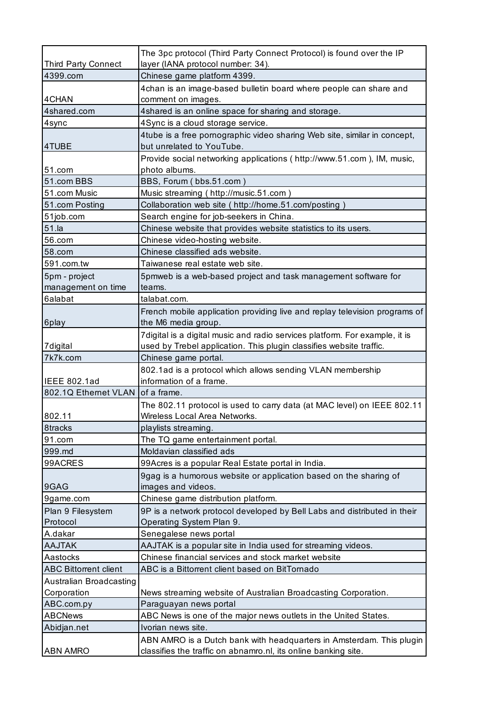| Third Party Connect              | The 3pc protocol (Third Party Connect Protocol) is found over the IP                                                                   |
|----------------------------------|----------------------------------------------------------------------------------------------------------------------------------------|
|                                  | layer (IANA protocol number: 34).                                                                                                      |
| 4399.com                         | Chinese game platform 4399.                                                                                                            |
| 4CHAN                            | 4chan is an image-based bulletin board where people can share and<br>comment on images.                                                |
| 4shared.com                      | 4shared is an online space for sharing and storage.                                                                                    |
| 4sync                            | 4Sync is a cloud storage service.                                                                                                      |
|                                  | 4tube is a free pornographic video sharing Web site, similar in concept,                                                               |
| 4TUBE                            | but unrelated to YouTube.                                                                                                              |
|                                  | Provide social networking applications ( http://www.51.com ), IM, music,                                                               |
| 51.com                           | photo albums.                                                                                                                          |
| 51.com BBS                       | BBS, Forum (bbs.51.com)                                                                                                                |
| 51.com Music                     | Music streaming (http://music.51.com)                                                                                                  |
| 51.com Posting                   | Collaboration web site ( http://home.51.com/posting )                                                                                  |
| 51job.com                        | Search engine for job-seekers in China.                                                                                                |
| 51.la                            | Chinese website that provides website statistics to its users.                                                                         |
| 56.com                           | Chinese video-hosting website.                                                                                                         |
| 58.com                           | Chinese classified ads website.                                                                                                        |
| 591.com.tw                       | Taiwanese real estate web site.                                                                                                        |
| 5pm - project                    | 5pmweb is a web-based project and task management software for                                                                         |
| management on time               | teams.                                                                                                                                 |
| 6alabat                          | talabat.com.                                                                                                                           |
|                                  | French mobile application providing live and replay television programs of                                                             |
| 6play                            | the M6 media group.                                                                                                                    |
|                                  | 7 digital is a digital music and radio services platform. For example, it is                                                           |
| 7digital                         | used by Trebel application. This plugin classifies website traffic.                                                                    |
| 7k7k.com                         | Chinese game portal.                                                                                                                   |
|                                  | 802.1ad is a protocol which allows sending VLAN membership                                                                             |
| <b>IEEE 802.1ad</b>              | information of a frame.                                                                                                                |
| 802.1Q Ethernet VLAN of a frame. |                                                                                                                                        |
|                                  | The 802.11 protocol is used to carry data (at MAC level) on IEEE 802.11                                                                |
| 802.11                           | Wireless Local Area Networks.                                                                                                          |
| 8tracks                          | playlists streaming.                                                                                                                   |
| 91.com                           | The TQ game entertainment portal.                                                                                                      |
| 999.md                           | Moldavian classified ads                                                                                                               |
| 99ACRES                          | 99Acres is a popular Real Estate portal in India.                                                                                      |
|                                  | 9gag is a humorous website or application based on the sharing of                                                                      |
| 9GAG                             | images and videos.                                                                                                                     |
| 9game.com                        | Chinese game distribution platform.                                                                                                    |
| Plan 9 Filesystem                | 9P is a network protocol developed by Bell Labs and distributed in their                                                               |
| Protocol                         | Operating System Plan 9.                                                                                                               |
| A.dakar                          | Senegalese news portal                                                                                                                 |
| <b>AAJTAK</b>                    | AAJTAK is a popular site in India used for streaming videos.                                                                           |
| Aastocks                         | Chinese financial services and stock market website                                                                                    |
| <b>ABC Bittorrent client</b>     | ABC is a Bittorrent client based on BitTornado                                                                                         |
| Australian Broadcasting          |                                                                                                                                        |
| Corporation                      | News streaming website of Australian Broadcasting Corporation.                                                                         |
| ABC.com.py                       | Paraguayan news portal                                                                                                                 |
| <b>ABCNews</b>                   | ABC News is one of the major news outlets in the United States.                                                                        |
| Abidjan.net                      | Ivorian news site.                                                                                                                     |
|                                  |                                                                                                                                        |
| <b>ABN AMRO</b>                  | ABN AMRO is a Dutch bank with headquarters in Amsterdam. This plugin<br>classifies the traffic on abnamro.nl, its online banking site. |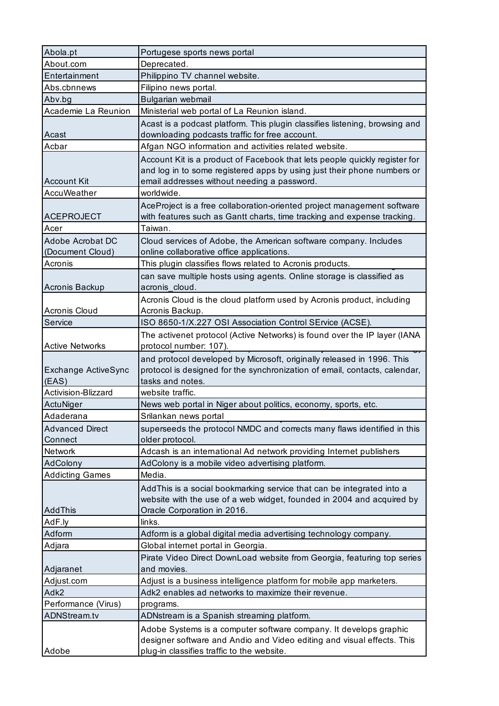| Abola.pt               | Portugese sports news portal                                                |
|------------------------|-----------------------------------------------------------------------------|
| About.com              | Deprecated.                                                                 |
| Entertainment          | Philippino TV channel website.                                              |
| Abs.cbnnews            | Filipino news portal.                                                       |
| Abv.bg                 | Bulgarian webmail                                                           |
| Academie La Reunion    | Ministerial web portal of La Reunion island.                                |
|                        | Acast is a podcast platform. This plugin classifies listening, browsing and |
| Acast                  | downloading podcasts traffic for free account.                              |
| Acbar                  | Afgan NGO information and activities related website.                       |
|                        | Account Kit is a product of Facebook that lets people quickly register for  |
|                        | and log in to some registered apps by using just their phone numbers or     |
| <b>Account Kit</b>     | email addresses without needing a password.                                 |
| AccuWeather            | worldwide.                                                                  |
|                        | AceProject is a free collaboration-oriented project management software     |
| <b>ACEPROJECT</b>      | with features such as Gantt charts, time tracking and expense tracking.     |
| Acer                   | Taiwan.                                                                     |
| Adobe Acrobat DC       | Cloud services of Adobe, the American software company. Includes            |
| (Document Cloud)       | online collaborative office applications.                                   |
| Acronis                | This plugin classifies flows related to Acronis products.                   |
|                        | can save multiple hosts using agents. Online storage is classified as       |
| Acronis Backup         | acronis cloud                                                               |
|                        | Acronis Cloud is the cloud platform used by Acronis product, including      |
| Acronis Cloud          | Acronis Backup.                                                             |
| Service                | ISO 8650-1/X.227 OSI Association Control SErvice (ACSE).                    |
|                        | The activenet protocol (Active Networks) is found over the IP layer (IANA   |
| <b>Active Networks</b> | protocol number: 107).                                                      |
|                        | and protocol developed by Microsoft, originally released in 1996. This      |
| Exchange ActiveSync    | protocol is designed for the synchronization of email, contacts, calendar,  |
| (EAS)                  | tasks and notes.                                                            |
| Activision-Blizzard    | website traffic.                                                            |
| ActuNiger              | News web portal in Niger about politics, economy, sports, etc.              |
| Adaderana              | Srilankan news portal                                                       |
| <b>Advanced Direct</b> | superseeds the protocol NMDC and corrects many flaws identified in this     |
| Connect                | older protocol.                                                             |
| Network                | Adcash is an international Ad network providing Internet publishers         |
| AdColony               | AdColony is a mobile video advertising platform.                            |
| <b>Addicting Games</b> | Media.                                                                      |
|                        | AddThis is a social bookmarking service that can be integrated into a       |
|                        | website with the use of a web widget, founded in 2004 and acquired by       |
| AddThis                | Oracle Corporation in 2016.                                                 |
| AdF.ly                 | links.                                                                      |
| Adform                 | Adform is a global digital media advertising technology company.            |
| Adjara                 | Global internet portal in Georgia.                                          |
|                        | Pirate Video Direct DownLoad website from Georgia, featuring top series     |
| Adjaranet              | and movies.                                                                 |
| Adjust.com             | Adjust is a business intelligence platform for mobile app marketers.        |
| Adk2                   | Adk2 enables ad networks to maximize their revenue.                         |
| Performance (Virus)    | programs.                                                                   |
| ADNStream.tv           | ADNstream is a Spanish streaming platform.                                  |
|                        | Adobe Systems is a computer software company. It develops graphic           |
|                        | designer software and Andio and Video editing and visual effects. This      |
| Adobe                  | plug-in classifies traffic to the website.                                  |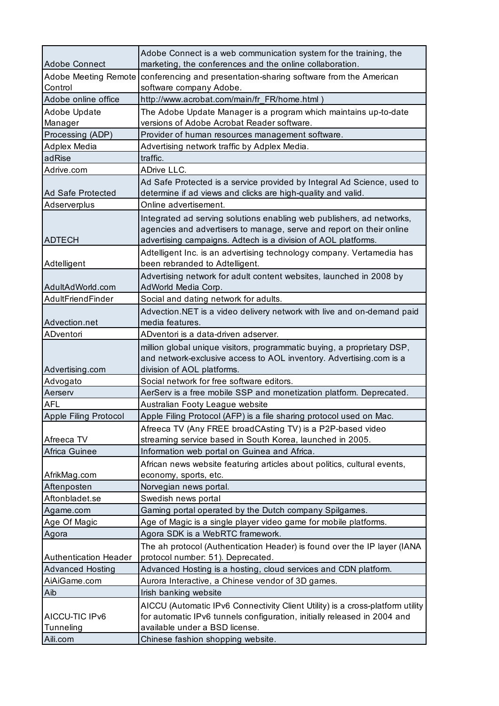|                              | Adobe Connect is a web communication system for the training, the                                                  |
|------------------------------|--------------------------------------------------------------------------------------------------------------------|
| <b>Adobe Connect</b>         | marketing, the conferences and the online collaboration.                                                           |
| Control                      | Adobe Meeting Remote   conferencing and presentation-sharing software from the American<br>software company Adobe. |
| Adobe online office          | http://www.acrobat.com/main/fr_FR/home.html)                                                                       |
| Adobe Update                 | The Adobe Update Manager is a program which maintains up-to-date                                                   |
| Manager                      | versions of Adobe Acrobat Reader software.                                                                         |
| Processing (ADP)             | Provider of human resources management software.                                                                   |
| Adplex Media                 | Advertising network traffic by Adplex Media.                                                                       |
| adRise                       | traffic.                                                                                                           |
| Adrive.com                   | ADrive LLC.                                                                                                        |
|                              | Ad Safe Protected is a service provided by Integral Ad Science, used to                                            |
| Ad Safe Protected            | determine if ad views and clicks are high-quality and valid.                                                       |
| Adserverplus                 | Online advertisement.                                                                                              |
|                              | Integrated ad serving solutions enabling web publishers, ad networks,                                              |
|                              | agencies and advertisers to manage, serve and report on their online                                               |
| <b>ADTECH</b>                | advertising campaigns. Adtech is a division of AOL platforms.                                                      |
| Adtelligent                  | Adtelligent Inc. is an advertising technology company. Vertamedia has<br>been rebranded to Adtelligent.            |
|                              | Advertising network for adult content websites, launched in 2008 by                                                |
| AdultAdWorld.com             | AdWorld Media Corp.                                                                                                |
| AdultFriendFinder            | Social and dating network for adults.                                                                              |
|                              | Advection.NET is a video delivery network with live and on-demand paid                                             |
| Advection.net                | media features.                                                                                                    |
| ADventori                    | ADventori is a data-driven adserver.                                                                               |
|                              | million global unique visitors, programmatic buying, a proprietary DSP,                                            |
|                              | and network-exclusive access to AOL inventory. Advertising.com is a                                                |
| Advertising.com              | division of AOL platforms.                                                                                         |
| Advogato                     | Social network for free software editors.                                                                          |
| Aerserv                      | AerServ is a free mobile SSP and monetization platform. Deprecated.                                                |
| <b>AFL</b>                   | Australian Footy League website                                                                                    |
| Apple Filing Protocol        | Apple Filing Protocol (AFP) is a file sharing protocol used on Mac.                                                |
|                              | Afreeca TV (Any FREE broadCAsting TV) is a P2P-based video                                                         |
| Afreeca TV                   | streaming service based in South Korea, launched in 2005.                                                          |
| Africa Guinee                | Information web portal on Guinea and Africa.                                                                       |
|                              | African news website featuring articles about politics, cultural events,                                           |
| AfrikMag.com                 | economy, sports, etc.                                                                                              |
| Aftenposten                  | Norvegian news portal.                                                                                             |
| Aftonbladet.se               | Swedish news portal                                                                                                |
| Agame.com                    | Gaming portal operated by the Dutch company Spilgames.                                                             |
| Age Of Magic                 | Age of Magic is a single player video game for mobile platforms.                                                   |
| Agora                        | Agora SDK is a WebRTC framework.                                                                                   |
|                              | The ah protocol (Authentication Header) is found over the IP layer (IANA                                           |
| <b>Authentication Header</b> | protocol number: 51). Deprecated.                                                                                  |
| <b>Advanced Hosting</b>      | Advanced Hosting is a hosting, cloud services and CDN platform.                                                    |
| AiAiGame.com                 | Aurora Interactive, a Chinese vendor of 3D games.                                                                  |
| Aib                          | Irish banking website                                                                                              |
|                              | AICCU (Automatic IPv6 Connectivity Client Utility) is a cross-platform utility                                     |
| AICCU-TIC IPv6               | for automatic IPv6 tunnels configuration, initially released in 2004 and                                           |
| Tunneling                    | available under a BSD license.                                                                                     |
| Aili.com                     | Chinese fashion shopping website.                                                                                  |
|                              |                                                                                                                    |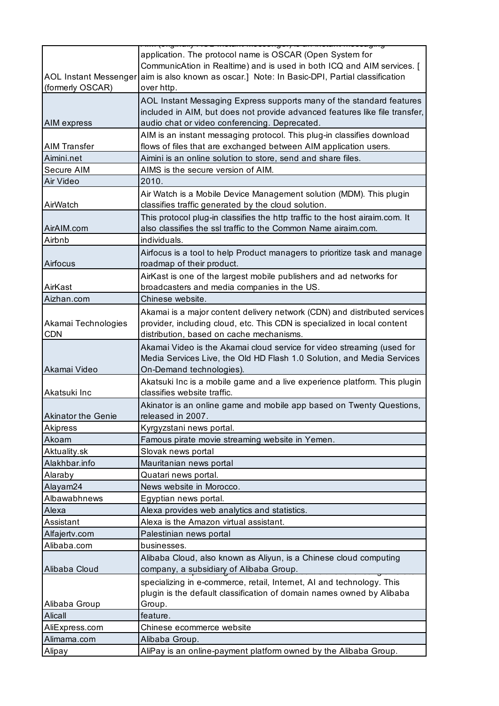| (formerly OSCAR)                  | application. The protocol name is OSCAR (Open System for<br>CommunicAtion in Realtime) and is used in both ICQ and AIM services. [<br>AOL Instant Messenger aim is also known as oscar.] Note: In Basic-DPI, Partial classification<br>over http. |
|-----------------------------------|---------------------------------------------------------------------------------------------------------------------------------------------------------------------------------------------------------------------------------------------------|
| AIM express                       | AOL Instant Messaging Express supports many of the standard features<br>included in AIM, but does not provide advanced features like file transfer,<br>audio chat or video conferencing. Deprecated.                                              |
|                                   | AIM is an instant messaging protocol. This plug-in classifies download                                                                                                                                                                            |
| <b>AIM Transfer</b>               | flows of files that are exchanged between AIM application users.                                                                                                                                                                                  |
| Aimini.net                        | Aimini is an online solution to store, send and share files.                                                                                                                                                                                      |
| Secure AIM                        | AIMS is the secure version of AIM.                                                                                                                                                                                                                |
| Air Video                         | 2010.                                                                                                                                                                                                                                             |
| AirWatch                          | Air Watch is a Mobile Device Management solution (MDM). This plugin<br>classifies traffic generated by the cloud solution.                                                                                                                        |
| AirAIM.com                        | This protocol plug-in classifies the http traffic to the host airaim.com. It<br>also classifies the ssl traffic to the Common Name airaim.com.                                                                                                    |
| Airbnb                            | individuals.                                                                                                                                                                                                                                      |
| Airfocus                          | Airfocus is a tool to help Product managers to prioritize task and manage<br>roadmap of their product.                                                                                                                                            |
| AirKast                           | AirKast is one of the largest mobile publishers and ad networks for<br>broadcasters and media companies in the US.                                                                                                                                |
| Aizhan.com                        | Chinese website.                                                                                                                                                                                                                                  |
| Akamai Technologies<br><b>CDN</b> | Akamai is a major content delivery network (CDN) and distributed services<br>provider, including cloud, etc. This CDN is specialized in local content<br>distribution, based on cache mechanisms.                                                 |
| Akamai Video                      | Akamai Video is the Akamai cloud service for video streaming (used for<br>Media Services Live, the Old HD Flash 1.0 Solution, and Media Services<br>On-Demand technologies).                                                                      |
| Akatsuki Inc                      | Akatsuki Inc is a mobile game and a live experience platform. This plugin<br>classifies website traffic.                                                                                                                                          |
| <b>Akinator the Genie</b>         | Akinator is an online game and mobile app based on Twenty Questions,<br>released in 2007.                                                                                                                                                         |
| Akipress                          | Kyrgyzstani news portal.                                                                                                                                                                                                                          |
| Akoam                             | Famous pirate movie streaming website in Yemen.                                                                                                                                                                                                   |
| Aktuality.sk                      | Slovak news portal                                                                                                                                                                                                                                |
| Alakhbar.info                     | Mauritanian news portal                                                                                                                                                                                                                           |
| Alaraby                           | Quatari news portal.                                                                                                                                                                                                                              |
| Alayam24                          | News website in Morocco.                                                                                                                                                                                                                          |
| Albawabhnews                      | Egyptian news portal.                                                                                                                                                                                                                             |
| Alexa                             | Alexa provides web analytics and statistics.                                                                                                                                                                                                      |
| Assistant                         | Alexa is the Amazon virtual assistant.                                                                                                                                                                                                            |
| Alfajertv.com                     | Palestinian news portal                                                                                                                                                                                                                           |
| Alibaba.com                       | businesses.                                                                                                                                                                                                                                       |
| Alibaba Cloud                     | Alibaba Cloud, also known as Aliyun, is a Chinese cloud computing<br>company, a subsidiary of Alibaba Group.                                                                                                                                      |
| Alibaba Group                     | specializing in e-commerce, retail, Internet, AI and technology. This<br>plugin is the default classification of domain names owned by Alibaba<br>Group.                                                                                          |
| Alicall                           | feature.                                                                                                                                                                                                                                          |
| AliExpress.com                    | Chinese ecommerce website                                                                                                                                                                                                                         |
| Alimama.com                       | Alibaba Group.                                                                                                                                                                                                                                    |
| Alipay                            | AliPay is an online-payment platform owned by the Alibaba Group.                                                                                                                                                                                  |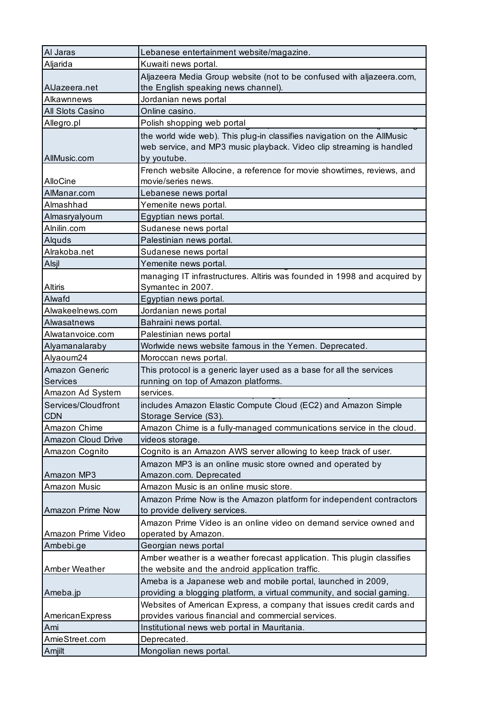| Al Jaras            | Lebanese entertainment website/magazine.                                 |
|---------------------|--------------------------------------------------------------------------|
| Aljarida            | Kuwaiti news portal.                                                     |
|                     | Aljazeera Media Group website (not to be confused with aljazeera.com,    |
| AlJazeera.net       | the English speaking news channel).                                      |
| Alkawnnews          | Jordanian news portal                                                    |
| All Slots Casino    | Online casino.                                                           |
| Allegro.pl          | Polish shopping web portal                                               |
|                     | the world wide web). This plug-in classifies navigation on the AllMusic  |
|                     | web service, and MP3 music playback. Video clip streaming is handled     |
| AllMusic.com        | by youtube.                                                              |
|                     | French website Allocine, a reference for movie showtimes, reviews, and   |
| <b>AlloCine</b>     | movie/series news.                                                       |
| AlManar.com         | Lebanese news portal                                                     |
| Almashhad           | Yemenite news portal.                                                    |
| Almasryalyoum       | Egyptian news portal.                                                    |
| Alnilin.com         | Sudanese news portal                                                     |
| Alquds              | Palestinian news portal.                                                 |
| Alrakoba.net        | Sudanese news portal                                                     |
| Alsjl               | Yemenite news portal.                                                    |
|                     | managing IT infrastructures. Altiris was founded in 1998 and acquired by |
| <b>Altiris</b>      | Symantec in 2007.                                                        |
| Alwafd              | Egyptian news portal.                                                    |
| Alwakeelnews.com    | Jordanian news portal                                                    |
| Alwasatnews         | Bahraini news portal.                                                    |
| Alwatanvoice.com    | Palestinian news portal                                                  |
| Alyamanalaraby      | Worlwide news website famous in the Yemen. Deprecated.                   |
| Alyaoum24           | Moroccan news portal.                                                    |
| Amazon Generic      | This protocol is a generic layer used as a base for all the services     |
| Services            | running on top of Amazon platforms.                                      |
| Amazon Ad System    | services.                                                                |
| Services/Cloudfront | includes Amazon Elastic Compute Cloud (EC2) and Amazon Simple            |
| <b>CDN</b>          | Storage Service (S3).                                                    |
| Amazon Chime        | Amazon Chime is a fully-managed communications service in the cloud.     |
| Amazon Cloud Drive  | videos storage.                                                          |
| Amazon Cognito      | Cognito is an Amazon AWS server allowing to keep track of user.          |
|                     | Amazon MP3 is an online music store owned and operated by                |
| Amazon MP3          | Amazon.com. Deprecated                                                   |
| Amazon Music        | Amazon Music is an online music store.                                   |
|                     | Amazon Prime Now is the Amazon platform for independent contractors      |
| Amazon Prime Now    | to provide delivery services.                                            |
|                     | Amazon Prime Video is an online video on demand service owned and        |
| Amazon Prime Video  | operated by Amazon.                                                      |
| Ambebi.ge           | Georgian news portal                                                     |
|                     | Amber weather is a weather forecast application. This plugin classifies  |
| Amber Weather       | the website and the android application traffic.                         |
|                     | Ameba is a Japanese web and mobile portal, launched in 2009,             |
| Ameba.jp            | providing a blogging platform, a virtual community, and social gaming.   |
|                     | Websites of American Express, a company that issues credit cards and     |
| AmericanExpress     | provides various financial and commercial services.                      |
| Ami                 | Institutional news web portal in Mauritania.                             |
| AmieStreet.com      | Deprecated.                                                              |
| Amjilt              | Mongolian news portal.                                                   |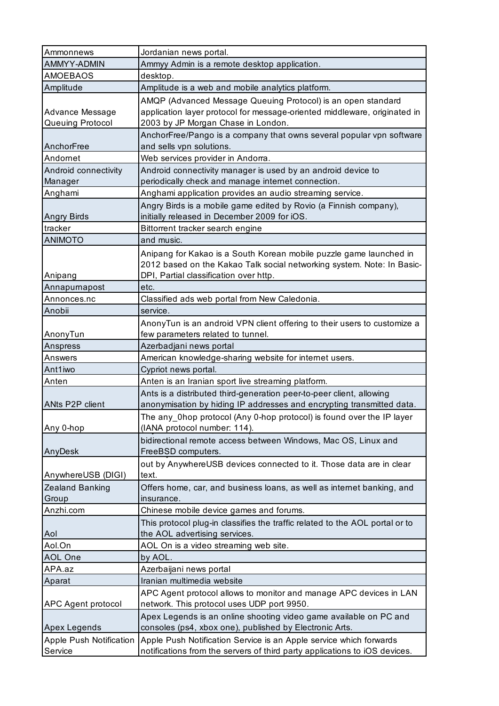| Ammonnews                           | Jordanian news portal.                                                                                                                                                                 |
|-------------------------------------|----------------------------------------------------------------------------------------------------------------------------------------------------------------------------------------|
| AMMYY-ADMIN                         | Ammyy Admin is a remote desktop application.                                                                                                                                           |
| <b>AMOEBAOS</b>                     | desktop.                                                                                                                                                                               |
| Amplitude                           | Amplitude is a web and mobile analytics platform.                                                                                                                                      |
| Advance Message<br>Queuing Protocol | AMQP (Advanced Message Queuing Protocol) is an open standard<br>application layer protocol for message-oriented middleware, originated in<br>2003 by JP Morgan Chase in London.        |
| AnchorFree                          | AnchorFree/Pango is a company that owns several popular vpn software<br>and sells vpn solutions.                                                                                       |
| Andornet                            | Web services provider in Andorra.                                                                                                                                                      |
| Android connectivity<br>Manager     | Android connectivity manager is used by an android device to<br>periodically check and manage internet connection.                                                                     |
| Anghami                             | Anghami application provides an audio streaming service.                                                                                                                               |
| Angry Birds                         | Angry Birds is a mobile game edited by Rovio (a Finnish company),<br>initially released in December 2009 for iOS.                                                                      |
| tracker                             | Bittorrent tracker search engine                                                                                                                                                       |
| <b>ANIMOTO</b>                      | and music.                                                                                                                                                                             |
| Anipang                             | Anipang for Kakao is a South Korean mobile puzzle game launched in<br>2012 based on the Kakao Talk social networking system. Note: In Basic-<br>DPI, Partial classification over http. |
| Annapurnapost                       | etc.                                                                                                                                                                                   |
| Annonces.nc                         | Classified ads web portal from New Caledonia.                                                                                                                                          |
| Anobii                              | service.                                                                                                                                                                               |
| AnonyTun                            | AnonyTun is an android VPN client offering to their users to customize a<br>few parameters related to tunnel.                                                                          |
| Anspress                            | Azerbadjani news portal                                                                                                                                                                |
| Answers                             | American knowledge-sharing website for internet users.                                                                                                                                 |
| Ant1iwo                             | Cypriot news portal.                                                                                                                                                                   |
| Anten                               | Anten is an Iranian sport live streaming platform.                                                                                                                                     |
| ANts P2P client                     | Ants is a distributed third-generation peer-to-peer client, allowing<br>anonymisation by hiding IP addresses and encrypting transmitted data.                                          |
| Any 0-hop                           | The any_0hop protocol (Any 0-hop protocol) is found over the IP layer<br>(IANA protocol number: 114).                                                                                  |
| AnyDesk                             | bidirectional remote access between Windows, Mac OS, Linux and<br>FreeBSD computers.                                                                                                   |
| AnywhereUSB (DIGI)                  | out by AnywhereUSB devices connected to it. Those data are in clear<br>text.                                                                                                           |
| Zealand Banking<br>Group            | Offers home, car, and business loans, as well as internet banking, and<br>insurance.                                                                                                   |
| Anzhi.com                           | Chinese mobile device games and forums.                                                                                                                                                |
| Aol                                 | This protocol plug-in classifies the traffic related to the AOL portal or to<br>the AOL advertising services.                                                                          |
| Aol.On                              | AOL On is a video streaming web site.                                                                                                                                                  |
| <b>AOL One</b>                      | by AOL.                                                                                                                                                                                |
| APA.az                              | Azerbaijani news portal                                                                                                                                                                |
| Aparat                              | Iranian multimedia website                                                                                                                                                             |
| APC Agent protocol                  | APC Agent protocol allows to monitor and manage APC devices in LAN<br>network. This protocol uses UDP port 9950.                                                                       |
| <b>Apex Legends</b>                 | Apex Legends is an online shooting video game available on PC and<br>consoles (ps4, xbox one), published by Electronic Arts.                                                           |
| <b>Apple Push Notification</b>      | Apple Push Notification Service is an Apple service which forwards                                                                                                                     |
| Service                             | notifications from the servers of third party applications to iOS devices.                                                                                                             |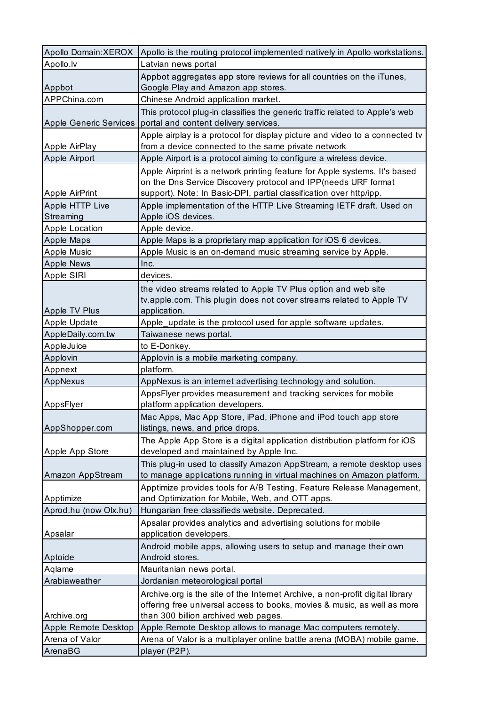| Apollo Domain: XEROX                   | Apollo is the routing protocol implemented natively in Apollo workstations.                                                                                                                                         |
|----------------------------------------|---------------------------------------------------------------------------------------------------------------------------------------------------------------------------------------------------------------------|
| Apollo.lv                              | Latvian news portal                                                                                                                                                                                                 |
| Appbot                                 | Appbot aggregates app store reviews for all countries on the iTunes,<br>Google Play and Amazon app stores.                                                                                                          |
| APPChina.com                           | Chinese Android application market.                                                                                                                                                                                 |
| Apple Generic Services                 | This protocol plug-in classifies the generic traffic related to Apple's web<br>portal and content delivery services.                                                                                                |
| Apple AirPlay                          | Apple airplay is a protocol for display picture and video to a connected tv<br>from a device connected to the same private network                                                                                  |
| Apple Airport                          | Apple Airport is a protocol aiming to configure a wireless device.                                                                                                                                                  |
| <b>Apple AirPrint</b>                  | Apple Airprint is a network printing feature for Apple systems. It's based<br>on the Dns Service Discovery protocol and IPP(needs URF format<br>support). Note: In Basic-DPI, partial classification over http/ipp. |
| Apple HTTP Live<br>Streaming           | Apple implementation of the HTTP Live Streaming IETF draft. Used on<br>Apple iOS devices.                                                                                                                           |
| <b>Apple Location</b>                  | Apple device.                                                                                                                                                                                                       |
| <b>Apple Maps</b>                      | Apple Maps is a proprietary map application for iOS 6 devices.                                                                                                                                                      |
| Apple Music                            | Apple Music is an on-demand music streaming service by Apple.                                                                                                                                                       |
| <b>Apple News</b>                      | Inc.                                                                                                                                                                                                                |
| Apple SIRI                             | devices.                                                                                                                                                                                                            |
|                                        | the video streams related to Apple TV Plus option and web site<br>tv.apple.com. This plugin does not cover streams related to Apple TV                                                                              |
| Apple TV Plus<br>Apple Update          | application.<br>Apple_update is the protocol used for apple software updates.                                                                                                                                       |
| AppleDaily.com.tw                      | Taiwanese news portal.                                                                                                                                                                                              |
| AppleJuice                             | to E-Donkey.                                                                                                                                                                                                        |
| Applovin                               | Applovin is a mobile marketing company.                                                                                                                                                                             |
| Appnext                                | platform.                                                                                                                                                                                                           |
| AppNexus                               | AppNexus is an internet advertising technology and solution.                                                                                                                                                        |
|                                        | AppsFlyer provides measurement and tracking services for mobile                                                                                                                                                     |
| AppsFlyer                              | platform application developers.                                                                                                                                                                                    |
| AppShopper.com                         | Mac Apps, Mac App Store, iPad, iPhone and iPod touch app store<br>listings, news, and price drops.                                                                                                                  |
|                                        | The Apple App Store is a digital application distribution platform for iOS                                                                                                                                          |
| Apple App Store                        | developed and maintained by Apple Inc.                                                                                                                                                                              |
| Amazon AppStream                       | This plug-in used to classify Amazon AppStream, a remote desktop uses<br>to manage applications running in virtual machines on Amazon platform.                                                                     |
|                                        | Apptimize provides tools for A/B Testing, Feature Release Management,                                                                                                                                               |
| Apptimize                              | and Optimization for Mobile, Web, and OTT apps.                                                                                                                                                                     |
| Aprod.hu (now Olx.hu)                  | Hungarian free classifieds website. Deprecated.<br>Apsalar provides analytics and advertising solutions for mobile                                                                                                  |
| Apsalar                                | application developers.<br>Android mobile apps, allowing users to setup and manage their own                                                                                                                        |
| Aptoide                                | Android stores.                                                                                                                                                                                                     |
| Aqlame                                 | Mauritanian news portal.                                                                                                                                                                                            |
| Arabiaweather                          | Jordanian meteorological portal                                                                                                                                                                                     |
|                                        | Archive.org is the site of the Internet Archive, a non-profit digital library                                                                                                                                       |
|                                        | offering free universal access to books, movies & music, as well as more                                                                                                                                            |
| Archive.org                            | than 300 billion archived web pages.                                                                                                                                                                                |
| Apple Remote Desktop<br>Arena of Valor | Apple Remote Desktop allows to manage Mac computers remotely.<br>Arena of Valor is a multiplayer online battle arena (MOBA) mobile game.                                                                            |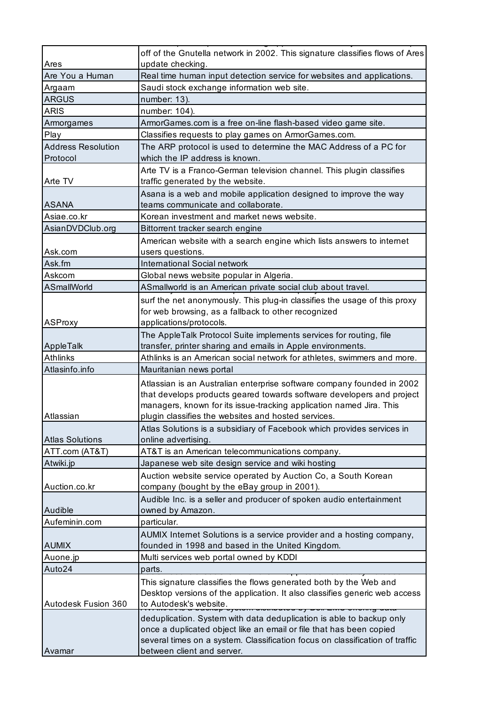|                                | off of the Gnutella network in 2002. This signature classifies flows of Ares                                                                                                                                                                                                  |
|--------------------------------|-------------------------------------------------------------------------------------------------------------------------------------------------------------------------------------------------------------------------------------------------------------------------------|
| Ares                           | update checking.                                                                                                                                                                                                                                                              |
| Are You a Human                | Real time human input detection service for websites and applications.                                                                                                                                                                                                        |
| Argaam                         | Saudi stock exchange information web site.                                                                                                                                                                                                                                    |
| <b>ARGUS</b>                   | number: 13).                                                                                                                                                                                                                                                                  |
| <b>ARIS</b>                    | number: 104).                                                                                                                                                                                                                                                                 |
| Armorgames                     | ArmorGames.com is a free on-line flash-based video game site.                                                                                                                                                                                                                 |
| Play                           | Classifies requests to play games on ArmorGames.com.                                                                                                                                                                                                                          |
| Address Resolution<br>Protocol | The ARP protocol is used to determine the MAC Address of a PC for<br>which the IP address is known.                                                                                                                                                                           |
|                                | Arte TV is a Franco-German television channel. This plugin classifies                                                                                                                                                                                                         |
| Arte TV                        | traffic generated by the website.                                                                                                                                                                                                                                             |
|                                | Asana is a web and mobile application designed to improve the way                                                                                                                                                                                                             |
| <b>ASANA</b>                   | teams communicate and collaborate.                                                                                                                                                                                                                                            |
| Asiae.co.kr                    | Korean investment and market news website.                                                                                                                                                                                                                                    |
| AsianDVDClub.org               | Bittorrent tracker search engine                                                                                                                                                                                                                                              |
|                                | American website with a search engine which lists answers to internet                                                                                                                                                                                                         |
| Ask.com                        | users questions.                                                                                                                                                                                                                                                              |
| Ask.fm                         | International Social network                                                                                                                                                                                                                                                  |
| Askcom                         | Global news website popular in Algeria.                                                                                                                                                                                                                                       |
| ASmallWorld                    | ASmallworld is an American private social club about travel.                                                                                                                                                                                                                  |
|                                | surf the net anonymously. This plug-in classifies the usage of this proxy                                                                                                                                                                                                     |
|                                | for web browsing, as a fallback to other recognized                                                                                                                                                                                                                           |
| ASProxy                        | applications/protocols.                                                                                                                                                                                                                                                       |
|                                | The AppleTalk Protocol Suite implements services for routing, file                                                                                                                                                                                                            |
| AppleTalk                      | transfer, printer sharing and emails in Apple environments.                                                                                                                                                                                                                   |
| <b>Athlinks</b>                | Athlinks is an American social network for athletes, swimmers and more.                                                                                                                                                                                                       |
| Atlasinfo.info                 | Mauritanian news portal                                                                                                                                                                                                                                                       |
| Atlassian                      | Atlassian is an Australian enterprise software company founded in 2002<br>that develops products geared towards software developers and project<br>managers, known for its issue-tracking application named Jira. This<br>plugin classifies the websites and hosted services. |
| <b>Atlas Solutions</b>         | Atlas Solutions is a subsidiary of Facebook which provides services in<br>online advertising.                                                                                                                                                                                 |
| ATT.com (AT&T)                 | AT&T is an American telecommunications company.                                                                                                                                                                                                                               |
| Atwiki.jp                      | Japanese web site design service and wiki hosting                                                                                                                                                                                                                             |
|                                | Auction website service operated by Auction Co, a South Korean                                                                                                                                                                                                                |
| Auction.co.kr                  | company (bought by the eBay group in 2001).                                                                                                                                                                                                                                   |
|                                | Audible Inc. is a seller and producer of spoken audio entertainment                                                                                                                                                                                                           |
| Audible                        | owned by Amazon.                                                                                                                                                                                                                                                              |
| Aufeminin.com                  | particular.                                                                                                                                                                                                                                                                   |
|                                | AUMIX Internet Solutions is a service provider and a hosting company,                                                                                                                                                                                                         |
| <b>AUMIX</b>                   | founded in 1998 and based in the United Kingdom.                                                                                                                                                                                                                              |
| Auone.jp                       | Multi services web portal owned by KDDI                                                                                                                                                                                                                                       |
| Auto24                         | parts.                                                                                                                                                                                                                                                                        |
| Autodesk Fusion 360            | This signature classifies the flows generated both by the Web and<br>Desktop versions of the application. It also classifies generic web access<br>to Autodesk's website.                                                                                                     |
| Avamar                         | deduplication. System with data deduplication is able to backup only<br>once a duplicated object like an email or file that has been copied<br>several times on a system. Classification focus on classification of traffic<br>between client and server.                     |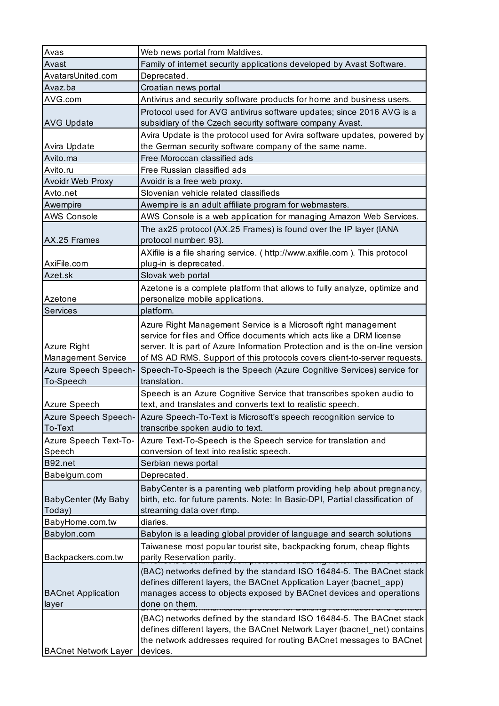| Avas                        | Web news portal from Maldives.                                                         |
|-----------------------------|----------------------------------------------------------------------------------------|
| Avast                       | Family of internet security applications developed by Avast Software.                  |
| AvatarsUnited.com           | Deprecated.                                                                            |
| Avaz.ba                     | Croatian news portal                                                                   |
| AVG.com                     | Antivirus and security software products for home and business users.                  |
|                             | Protocol used for AVG antivirus software updates; since 2016 AVG is a                  |
| <b>AVG Update</b>           | subsidiary of the Czech security software company Avast.                               |
|                             | Avira Update is the protocol used for Avira software updates, powered by               |
| Avira Update                | the German security software company of the same name.                                 |
| Avito.ma                    | Free Moroccan classified ads                                                           |
| Avito.ru                    | Free Russian classified ads                                                            |
| <b>Avoidr Web Proxy</b>     | Avoidr is a free web proxy.                                                            |
| Avto.net                    | Slovenian vehicle related classifieds                                                  |
| Awempire                    | Awempire is an adult affiliate program for webmasters.                                 |
| <b>AWS Console</b>          | AWS Console is a web application for managing Amazon Web Services.                     |
|                             | The ax25 protocol (AX.25 Frames) is found over the IP layer (IANA                      |
| AX.25 Frames                | protocol number: 93).                                                                  |
|                             | AXifile is a file sharing service. ( http://www.axifile.com ). This protocol           |
| AxiFile.com                 | plug-in is deprecated.                                                                 |
| Azet.sk                     | Slovak web portal                                                                      |
|                             | Azetone is a complete platform that allows to fully analyze, optimize and              |
| Azetone                     | personalize mobile applications.                                                       |
| Services                    | platform.                                                                              |
|                             | Azure Right Management Service is a Microsoft right management                         |
|                             | service for files and Office documents which acts like a DRM license                   |
| Azure Right                 | server. It is part of Azure Information Protection and is the on-line version          |
| <b>Management Service</b>   | of MS AD RMS. Support of this protocols covers client-to-server requests.              |
| Azure Speech Speech-        | Speech-To-Speech is the Speech (Azure Cognitive Services) service for                  |
| To-Speech                   | translation.                                                                           |
|                             | Speech is an Azure Cognitive Service that transcribes spoken audio to                  |
| Azure Speech                | text, and translates and converts text to realistic speech.                            |
|                             | Azure Speech Speech- Azure Speech-To-Text is Microsoft's speech recognition service to |
| To-Text                     | transcribe spoken audio to text.                                                       |
| Azure Speech Text-To-       | Azure Text-To-Speech is the Speech service for translation and                         |
| Speech                      | conversion of text into realistic speech.                                              |
| B92.net                     | Serbian news portal                                                                    |
| Babelgum.com                | Deprecated.                                                                            |
|                             | BabyCenter is a parenting web platform providing help about pregnancy,                 |
| BabyCenter (My Baby         | birth, etc. for future parents. Note: In Basic-DPI, Partial classification of          |
| Today)                      | streaming data over rtmp.                                                              |
| BabyHome.com.tw             | diaries.                                                                               |
| Babylon.com                 | Babylon is a leading global provider of language and search solutions                  |
|                             | Taiwanese most popular tourist site, backpacking forum, cheap flights                  |
| Backpackers.com.tw          | parity Reservation parity.<br><u>1999 tot Banang Matemation and</u>                    |
|                             | (BAC) networks defined by the standard ISO 16484-5. The BACnet stack                   |
|                             | defines different layers, the BACnet Application Layer (bacnet_app)                    |
| <b>BACnet Application</b>   | manages access to objects exposed by BACnet devices and operations                     |
| layer                       | done on them.                                                                          |
|                             | (BAC) networks defined by the standard ISO 16484-5. The BACnet stack                   |
|                             | defines different layers, the BACnet Network Layer (bacnet_net) contains               |
|                             | the network addresses required for routing BACnet messages to BACnet                   |
| <b>BACnet Network Layer</b> | devices.                                                                               |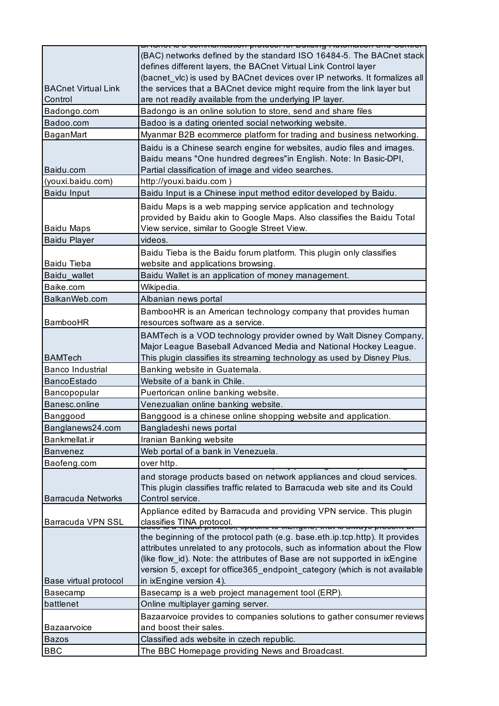|                            | היחסי אי היידומי של היידומים את היידומים היידומים היידומים היידומים או היידומים היידומים היידומים היידומים היי |
|----------------------------|----------------------------------------------------------------------------------------------------------------|
|                            | (BAC) networks defined by the standard ISO 16484-5. The BACnet stack                                           |
|                            | defines different layers, the BACnet Virtual Link Control layer                                                |
|                            | (bacnet_vlc) is used by BACnet devices over IP networks. It formalizes all                                     |
| <b>BACnet Virtual Link</b> | the services that a BACnet device might require from the link layer but                                        |
| Control                    | are not readily available from the underlying IP layer.                                                        |
| Badongo.com                | Badongo is an online solution to store, send and share files                                                   |
| Badoo.com                  | Badoo is a dating oriented social networking website.                                                          |
| BaganMart                  | Myanmar B2B ecommerce platform for trading and business networking.                                            |
|                            | Baidu is a Chinese search engine for websites, audio files and images.                                         |
|                            | Baidu means "One hundred degrees"in English. Note: In Basic-DPI,                                               |
| Baidu.com                  | Partial classification of image and video searches.                                                            |
| (youxi.baidu.com)          | http://youxi.baidu.com)                                                                                        |
| <b>Baidu Input</b>         | Baidu Input is a Chinese input method editor developed by Baidu.                                               |
|                            | Baidu Maps is a web mapping service application and technology                                                 |
|                            | provided by Baidu akin to Google Maps. Also classifies the Baidu Total                                         |
| <b>Baidu Maps</b>          | View service, similar to Google Street View.                                                                   |
| <b>Baidu Player</b>        | videos.                                                                                                        |
|                            | Baidu Tieba is the Baidu forum platform. This plugin only classifies                                           |
| <b>Baidu Tieba</b>         | website and applications browsing.                                                                             |
| Baidu wallet               | Baidu Wallet is an application of money management.                                                            |
| Baike.com                  | Wikipedia.                                                                                                     |
| BalkanWeb.com              | Albanian news portal                                                                                           |
|                            | BambooHR is an American technology company that provides human                                                 |
| <b>BambooHR</b>            | resources software as a service.                                                                               |
|                            | BAMTech is a VOD technology provider owned by Walt Disney Company,                                             |
|                            | Major League Baseball Advanced Media and National Hockey League.                                               |
| <b>BAMTech</b>             | This plugin classifies its streaming technology as used by Disney Plus.                                        |
| <b>Banco Industrial</b>    | Banking website in Guatemala.                                                                                  |
| <b>BancoEstado</b>         | Website of a bank in Chile.                                                                                    |
| Bancopopular               | Puertorican online banking website.                                                                            |
| Banesc.online              | Venezualian online banking website.                                                                            |
| Banggood                   | Banggood is a chinese online shopping website and application                                                  |
| Banglanews24.com           | Bangladeshi news portal                                                                                        |
| Bankmellat.ir              | Iranian Banking website                                                                                        |
| <b>Banvenez</b>            | Web portal of a bank in Venezuela.                                                                             |
| Baofeng.com                | over http.                                                                                                     |
|                            | and storage products based on network appliances and cloud services.                                           |
|                            | This plugin classifies traffic related to Barracuda web site and its Could                                     |
| <b>Barracuda Networks</b>  | Control service.                                                                                               |
|                            | Appliance edited by Barracuda and providing VPN service. This plugin                                           |
| Barracuda VPN SSL          | classifies TINA protocol.<br>יו.<br>טיו, סטסטווט נט וא⊏וועוווט, מומרוס מוזימץס טוססטוורמר                      |
|                            | the beginning of the protocol path (e.g. base.eth.ip.tcp.http). It provides                                    |
|                            | attributes unrelated to any protocols, such as information about the Flow                                      |
|                            | (like flow_id). Note: the attributes of Base are not supported in ixEngine                                     |
|                            | version 5, except for office365_endpoint_category (which is not available                                      |
| Base virtual protocol      | in ixEngine version 4).                                                                                        |
| Basecamp                   | Basecamp is a web project management tool (ERP).                                                               |
| battlenet                  | Online multiplayer gaming server.                                                                              |
|                            | Bazaarvoice provides to companies solutions to gather consumer reviews                                         |
| Bazaarvoice                | and boost their sales.                                                                                         |
| <b>Bazos</b>               | Classified ads website in czech republic.                                                                      |
| <b>BBC</b>                 | The BBC Homepage providing News and Broadcast.                                                                 |
|                            |                                                                                                                |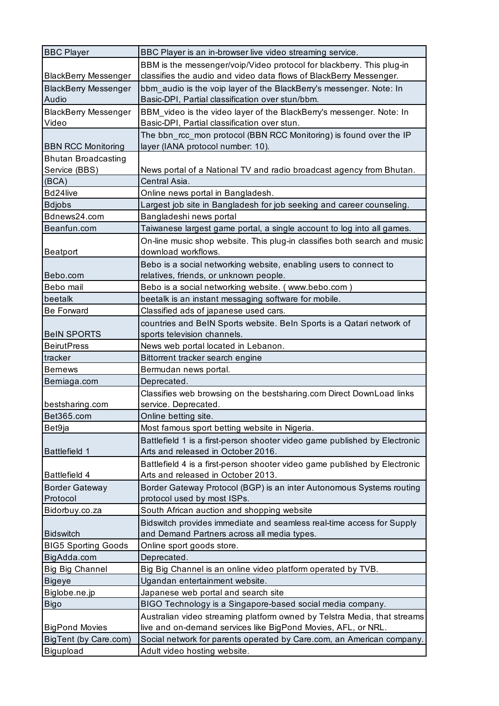| <b>BBC Player</b>           | BBC Player is an in-browser live video streaming service.                  |
|-----------------------------|----------------------------------------------------------------------------|
|                             | BBM is the messenger/voip/Video protocol for blackberry. This plug-in      |
| <b>BlackBerry Messenger</b> | classifies the audio and video data flows of BlackBerry Messenger.         |
| <b>BlackBerry Messenger</b> | bbm_audio is the voip layer of the BlackBerry's messenger. Note: In        |
| Audio                       | Basic-DPI, Partial classification over stun/bbm.                           |
| <b>BlackBerry Messenger</b> | BBM_video is the video layer of the BlackBerry's messenger. Note: In       |
| Video                       | Basic-DPI, Partial classification over stun.                               |
|                             | The bbn_rcc_mon protocol (BBN RCC Monitoring) is found over the IP         |
| <b>BBN RCC Monitoring</b>   | layer (IANA protocol number: 10).                                          |
| <b>Bhutan Broadcasting</b>  |                                                                            |
| Service (BBS)               | News portal of a National TV and radio broadcast agency from Bhutan.       |
| (BCA)                       | Central Asia.                                                              |
| Bd24live                    | Online news portal in Bangladesh.                                          |
| <b>Bdjobs</b>               | Largest job site in Bangladesh for job seeking and career counseling.      |
| Bdnews24.com                | Bangladeshi news portal                                                    |
| Beanfun.com                 | Taiwanese largest game portal, a single account to log into all games.     |
|                             | On-line music shop website. This plug-in classifies both search and music  |
| <b>Beatport</b>             | download workflows.                                                        |
|                             | Bebo is a social networking website, enabling users to connect to          |
| Bebo.com                    | relatives, friends, or unknown people.                                     |
| Bebo mail                   | Bebo is a social networking website. (www.bebo.com)                        |
| beetalk                     | beetalk is an instant messaging software for mobile.                       |
| <b>Be Forward</b>           | Classified ads of japanese used cars.                                      |
|                             | countries and BeIN Sports website. BeIn Sports is a Qatari network of      |
| <b>BeIN SPORTS</b>          | sports television channels.                                                |
| <b>BeirutPress</b>          | News web portal located in Lebanon.                                        |
| tracker                     | Bittorrent tracker search engine                                           |
| <b>Bernews</b>              | Bermudan news portal.                                                      |
| Berniaga.com                | Deprecated.                                                                |
|                             | Classifies web browsing on the bestsharing.com Direct DownLoad links       |
| bestsharing.com             | service. Deprecated.                                                       |
| Bet365.com                  | Online betting site.                                                       |
| Bet9ja                      | Most famous sport betting website in Nigeria.                              |
|                             | Battlefield 1 is a first-person shooter video game published by Electronic |
| <b>Battlefield 1</b>        | Arts and released in October 2016.                                         |
|                             | Battlefield 4 is a first-person shooter video game published by Electronic |
| <b>Battlefield 4</b>        | Arts and released in October 2013.                                         |
| <b>Border Gateway</b>       | Border Gateway Protocol (BGP) is an inter Autonomous Systems routing       |
| Protocol                    | protocol used by most ISPs.                                                |
| Bidorbuy.co.za              | South African auction and shopping website                                 |
|                             | Bidswitch provides immediate and seamless real-time access for Supply      |
| <b>Bidswitch</b>            | and Demand Partners across all media types.                                |
| <b>BIG5 Sporting Goods</b>  | Online sport goods store.                                                  |
| BigAdda.com                 | Deprecated.                                                                |
| <b>Big Big Channel</b>      | Big Big Channel is an online video platform operated by TVB.               |
| <b>Bigeye</b>               | Ugandan entertainment website.                                             |
| Biglobe.ne.jp               | Japanese web portal and search site                                        |
| <b>Bigo</b>                 | BIGO Technology is a Singapore-based social media company.                 |
|                             | Australian video streaming platform owned by Telstra Media, that streams   |
| <b>BigPond Movies</b>       | live and on-demand services like BigPond Movies, AFL, or NRL.              |
| BigTent (by Care.com)       | Social network for parents operated by Care.com, an American company.      |
| Bigupload                   | Adult video hosting website.                                               |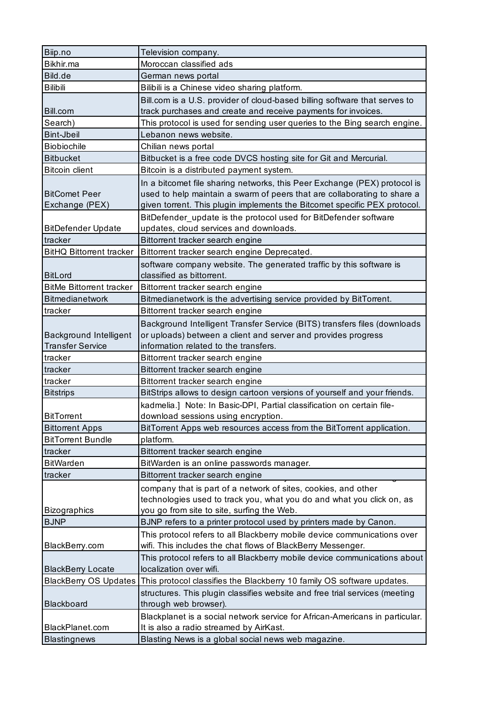| Biip.no                                                  | Television company.                                                                                    |
|----------------------------------------------------------|--------------------------------------------------------------------------------------------------------|
| Bikhir.ma                                                | Moroccan classified ads                                                                                |
| Bild.de                                                  | German news portal                                                                                     |
| <b>Bilibili</b>                                          | Bilibili is a Chinese video sharing platform.                                                          |
|                                                          | Bill.com is a U.S. provider of cloud-based billing software that serves to                             |
| Bill.com                                                 | track purchases and create and receive payments for invoices.                                          |
| Search)                                                  | This protocol is used for sending user queries to the Bing search engine.                              |
| <b>Bint-Jbeil</b>                                        | Lebanon news website.                                                                                  |
| <b>Biobiochile</b>                                       | Chilian news portal                                                                                    |
| <b>Bitbucket</b>                                         | Bitbucket is a free code DVCS hosting site for Git and Mercurial.                                      |
| <b>Bitcoin client</b>                                    | Bitcoin is a distributed payment system.                                                               |
|                                                          | In a bitcomet file sharing networks, this Peer Exchange (PEX) protocol is                              |
| <b>BitComet Peer</b>                                     | used to help maintain a swarm of peers that are collaborating to share a                               |
| Exchange (PEX)                                           | given torrent. This plugin implements the Bitcomet specific PEX protocol.                              |
|                                                          | BitDefender_update is the protocol used for BitDefender software                                       |
| <b>BitDefender Update</b>                                | updates, cloud services and downloads.                                                                 |
| tracker                                                  | Bittorrent tracker search engine                                                                       |
| <b>BitHQ Bittorrent tracker</b>                          | Bittorrent tracker search engine Deprecated.                                                           |
|                                                          | software company website. The generated traffic by this software is                                    |
| <b>BitLord</b>                                           | classified as bittorrent.                                                                              |
| <b>BitMe Bittorrent tracker</b>                          | Bittorrent tracker search engine                                                                       |
| Bitmedianetwork                                          | Bitmedianetwork is the advertising service provided by BitTorrent.                                     |
| tracker                                                  | Bittorrent tracker search engine                                                                       |
|                                                          |                                                                                                        |
|                                                          | Background Intelligent Transfer Service (BITS) transfers files (downloads                              |
| <b>Background Intelligent</b><br><b>Transfer Service</b> | or uploads) between a client and server and provides progress<br>information related to the transfers. |
| tracker                                                  | Bittorrent tracker search engine                                                                       |
|                                                          |                                                                                                        |
| tracker                                                  | Bittorrent tracker search engine                                                                       |
| tracker                                                  | Bittorrent tracker search engine                                                                       |
| <b>Bitstrips</b>                                         | BitStrips allows to design cartoon versions of yourself and your friends.                              |
|                                                          | kadmelia.] Note: In Basic-DPI, Partial classification on certain file-                                 |
| <b>BitTorrent</b>                                        | download sessions using encryption.                                                                    |
| <b>Bittorrent Apps</b>                                   | BitTorrent Apps web resources access from the BitTorrent application.                                  |
| <b>BitTorrent Bundle</b>                                 | platform.                                                                                              |
| tracker                                                  | Bittorrent tracker search engine                                                                       |
| <b>BitWarden</b>                                         | BitWarden is an online passwords manager.                                                              |
| tracker                                                  | Bittorrent tracker search engine                                                                       |
|                                                          | company that is part of a network of sites, cookies, and other                                         |
|                                                          | technologies used to track you, what you do and what you click on, as                                  |
| <b>Bizographics</b>                                      | you go from site to site, surfing the Web.                                                             |
| <b>BJNP</b>                                              | BJNP refers to a printer protocol used by printers made by Canon.                                      |
|                                                          | This protocol refers to all Blackberry mobile device communications over                               |
| BlackBerry.com                                           | wifi. This includes the chat flows of BlackBerry Messenger.                                            |
|                                                          | This protocol refers to all Blackberry mobile device communications about                              |
| <b>BlackBerry Locate</b>                                 | localization over wifi.                                                                                |
| <b>BlackBerry OS Updates</b>                             | This protocol classifies the Blackberry 10 family OS software updates.                                 |
|                                                          | structures. This plugin classifies website and free trial services (meeting                            |
| Blackboard                                               | through web browser).                                                                                  |
|                                                          | Blackplanet is a social network service for African-Americans in particular.                           |
| BlackPlanet.com                                          | It is also a radio streamed by AirKast.                                                                |
| <b>Blastingnews</b>                                      | Blasting News is a global social news web magazine.                                                    |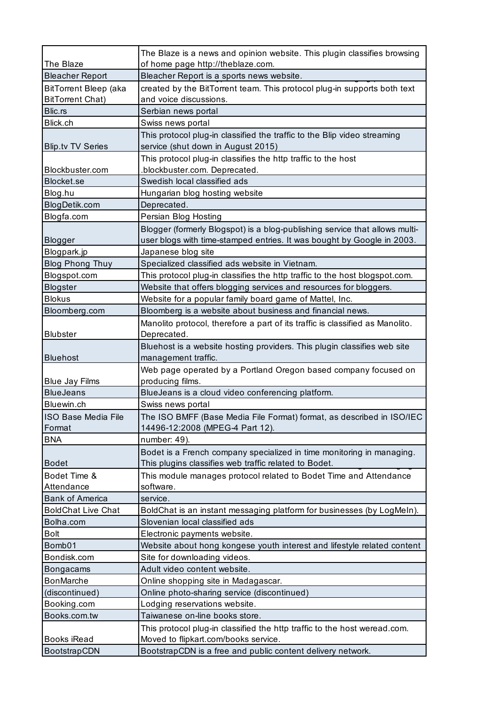|                                                         | The Blaze is a news and opinion website. This plugin classifies browsing                           |
|---------------------------------------------------------|----------------------------------------------------------------------------------------------------|
| The Blaze                                               | of home page http://theblaze.com.                                                                  |
| <b>Bleacher Report</b>                                  | Bleacher Report is a sports news website.                                                          |
| <b>BitTorrent Bleep (aka</b><br><b>BitTorrent Chat)</b> | created by the BitTorrent team. This protocol plug-in supports both text<br>and voice discussions. |
| Blic.rs                                                 | Serbian news portal                                                                                |
| Blick.ch                                                | Swiss news portal                                                                                  |
|                                                         | This protocol plug-in classified the traffic to the Blip video streaming                           |
| <b>Blip.tv TV Series</b>                                | service (shut down in August 2015)                                                                 |
| Blockbuster.com                                         | This protocol plug-in classifies the http traffic to the host<br>blockbuster.com. Deprecated.      |
| Blocket.se                                              | Swedish local classified ads                                                                       |
| Blog.hu                                                 | Hungarian blog hosting website                                                                     |
| BlogDetik.com                                           | Deprecated.                                                                                        |
| Blogfa.com                                              | Persian Blog Hosting                                                                               |
|                                                         | Blogger (formerly Blogspot) is a blog-publishing service that allows multi-                        |
| Blogger                                                 | user blogs with time-stamped entries. It was bought by Google in 2003.                             |
| Blogpark.jp                                             | Japanese blog site                                                                                 |
| <b>Blog Phong Thuy</b>                                  | Specialized classified ads website in Vietnam.                                                     |
| Blogspot.com                                            | This protocol plug-in classifies the http traffic to the host blogspot.com.                        |
| <b>Blogster</b>                                         | Website that offers blogging services and resources for bloggers.                                  |
| <b>Blokus</b>                                           | Website for a popular family board game of Mattel, Inc.                                            |
| Bloomberg.com                                           | Bloomberg is a website about business and financial news.                                          |
|                                                         |                                                                                                    |
| <b>Blubster</b>                                         | Manolito protocol, therefore a part of its traffic is classified as Manolito.<br>Deprecated.       |
|                                                         | Bluehost is a website hosting providers. This plugin classifies web site                           |
| <b>Bluehost</b>                                         | management traffic.                                                                                |
|                                                         | Web page operated by a Portland Oregon based company focused on                                    |
| <b>Blue Jay Films</b>                                   | producing films.                                                                                   |
| <b>BlueJeans</b>                                        | BlueJeans is a cloud video conferencing platform.                                                  |
| Bluewin.ch                                              | Swiss news portal                                                                                  |
| <b>ISO Base Media File</b>                              | The ISO BMFF (Base Media File Format) format, as described in ISO/IEC                              |
| Format                                                  | 14496-12:2008 (MPEG-4 Part 12).                                                                    |
| <b>BNA</b>                                              | number: 49).                                                                                       |
|                                                         | Bodet is a French company specialized in time monitoring in managing.                              |
| <b>Bodet</b>                                            | This plugins classifies web traffic related to Bodet.                                              |
| Bodet Time &                                            | This module manages protocol related to Bodet Time and Attendance                                  |
| Attendance                                              | software.                                                                                          |
| <b>Bank of America</b>                                  | service.                                                                                           |
| <b>BoldChat Live Chat</b>                               | BoldChat is an instant messaging platform for businesses (by LogMeIn).                             |
| Bolha.com                                               | Slovenian local classified ads                                                                     |
| Bolt                                                    | Electronic payments website.                                                                       |
| Bomb01                                                  | Website about hong kongese youth interest and lifestyle related content                            |
| Bondisk.com                                             | Site for downloading videos.                                                                       |
| <b>Bongacams</b>                                        | Adult video content website.                                                                       |
| <b>BonMarche</b>                                        | Online shopping site in Madagascar.                                                                |
| (discontinued)                                          | Online photo-sharing service (discontinued)                                                        |
| Booking.com                                             | Lodging reservations website.                                                                      |
| Books.com.tw                                            | Taiwanese on-line books store.                                                                     |
|                                                         | This protocol plug-in classified the http traffic to the host weread.com.                          |
| Books iRead                                             | Moved to flipkart.com/books service.                                                               |
| BootstrapCDN                                            | BootstrapCDN is a free and public content delivery network.                                        |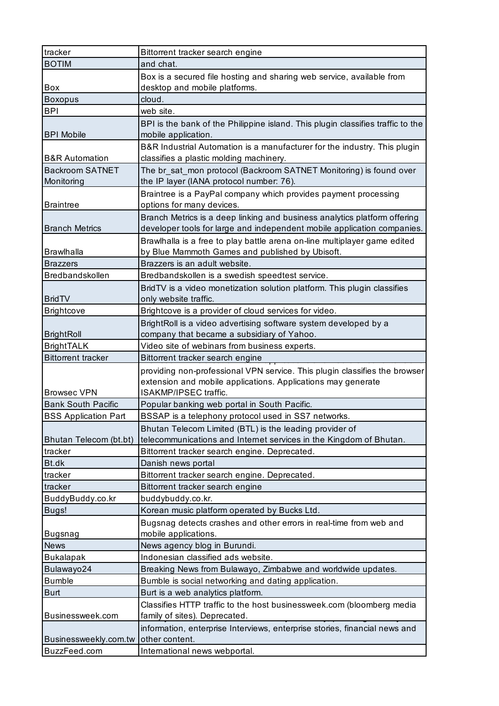| tracker                               | Bittorrent tracker search engine                                                |
|---------------------------------------|---------------------------------------------------------------------------------|
| <b>BOTIM</b>                          | and chat.                                                                       |
|                                       | Box is a secured file hosting and sharing web service, available from           |
| Box                                   | desktop and mobile platforms.                                                   |
| <b>Boxopus</b>                        | cloud.                                                                          |
| <b>BPI</b>                            | web site.                                                                       |
|                                       | BPI is the bank of the Philippine island. This plugin classifies traffic to the |
| <b>BPI Mobile</b>                     | mobile application.                                                             |
|                                       | B&R Industrial Automation is a manufacturer for the industry. This plugin       |
| <b>B&amp;R</b> Automation             | classifies a plastic molding machinery.                                         |
| <b>Backroom SATNET</b>                | The br_sat_mon protocol (Backroom SATNET Monitoring) is found over              |
| Monitoring                            | the IP layer (IANA protocol number: 76).                                        |
|                                       | Braintree is a PayPal company which provides payment processing                 |
| <b>Braintree</b>                      | options for many devices.                                                       |
|                                       | Branch Metrics is a deep linking and business analytics platform offering       |
| <b>Branch Metrics</b>                 | developer tools for large and independent mobile application companies.         |
|                                       | Brawlhalla is a free to play battle arena on-line multiplayer game edited       |
| <b>Brawlhalla</b>                     | by Blue Mammoth Games and published by Ubisoft.                                 |
| <b>Brazzers</b>                       | Brazzers is an adult website.                                                   |
| Bredbandskollen                       | Bredbandskollen is a swedish speedtest service.                                 |
|                                       | BridTV is a video monetization solution platform. This plugin classifies        |
| <b>BridTV</b>                         | only website traffic.                                                           |
| <b>Brightcove</b>                     | Brightcove is a provider of cloud services for video.                           |
|                                       | BrightRoll is a video advertising software system developed by a                |
| <b>BrightRoll</b>                     | company that became a subsidiary of Yahoo.                                      |
| <b>BrightTALK</b>                     | Video site of webinars from business experts.                                   |
|                                       |                                                                                 |
| <b>Bittorrent tracker</b>             | Bittorrent tracker search engine                                                |
|                                       | providing non-professional VPN service. This plugin classifies the browser      |
|                                       | extension and mobile applications. Applications may generate                    |
| <b>Browsec VPN</b>                    | ISAKMP/IPSEC traffic.                                                           |
| <b>Bank South Pacific</b>             | Popular banking web portal in South Pacific.                                    |
| <b>BSS Application Part</b>           | BSSAP is a telephony protocol used in SS7 networks.                             |
|                                       | Bhutan Telecom Limited (BTL) is the leading provider of                         |
| Bhutan Telecom (bt.bt)                | telecommunications and Internet services in the Kingdom of Bhutan.              |
| tracker                               | Bittorrent tracker search engine. Deprecated.                                   |
| Bt.dk                                 | Danish news portal                                                              |
| tracker                               | Bittorrent tracker search engine. Deprecated.                                   |
| tracker                               | Bittorrent tracker search engine                                                |
| BuddyBuddy.co.kr                      | buddybuddy.co.kr.                                                               |
| Bugs!                                 | Korean music platform operated by Bucks Ltd.                                    |
|                                       | Bugsnag detects crashes and other errors in real-time from web and              |
| <b>Bugsnag</b>                        | mobile applications.                                                            |
| <b>News</b>                           | News agency blog in Burundi.                                                    |
| <b>Bukalapak</b>                      | Indonesian classified ads website.                                              |
| Bulawayo24                            | Breaking News from Bulawayo, Zimbabwe and worldwide updates.                    |
| <b>Bumble</b>                         | Bumble is social networking and dating application.                             |
| <b>Burt</b>                           | Burt is a web analytics platform.                                               |
|                                       | Classifies HTTP traffic to the host businessweek.com (bloomberg media           |
| Businessweek.com                      | family of sites). Deprecated.                                                   |
|                                       | information, enterprise Interviews, enterprise stories, financial news and      |
| Businessweekly.com.tw<br>BuzzFeed.com | other content.<br>International news webportal.                                 |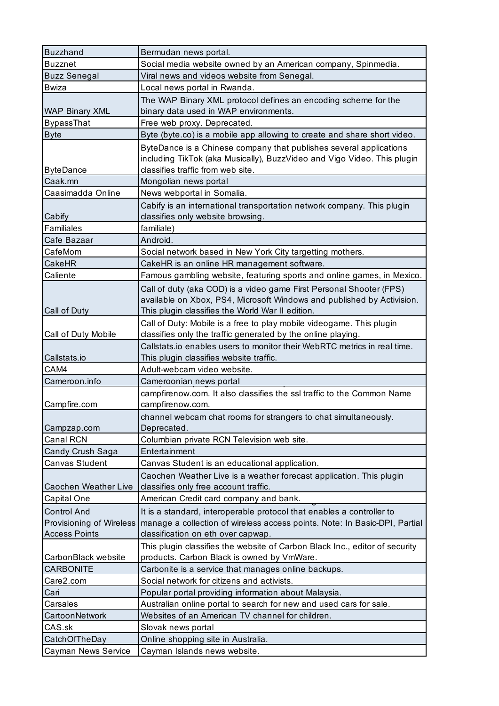| <b>Buzzhand</b>                      | Bermudan news portal.                                                       |
|--------------------------------------|-----------------------------------------------------------------------------|
| <b>Buzznet</b>                       | Social media website owned by an American company, Spinmedia.               |
| <b>Buzz Senegal</b>                  | Viral news and videos website from Senegal.                                 |
| Bwiza                                | Local news portal in Rwanda.                                                |
|                                      | The WAP Binary XML protocol defines an encoding scheme for the              |
| <b>WAP Binary XML</b>                | binary data used in WAP environments.                                       |
| <b>BypassThat</b>                    | Free web proxy. Deprecated.                                                 |
| <b>Byte</b>                          | Byte (byte.co) is a mobile app allowing to create and share short video.    |
|                                      | ByteDance is a Chinese company that publishes several applications          |
|                                      | including TikTok (aka Musically), BuzzVideo and Vigo Video. This plugin     |
| <b>ByteDance</b>                     | classifies traffic from web site.                                           |
| Caak.mn                              | Mongolian news portal                                                       |
| Caasimadda Online                    | News webportal in Somalia.                                                  |
|                                      | Cabify is an international transportation network company. This plugin      |
| Cabify                               | classifies only website browsing.                                           |
| Familiales                           | familiale)                                                                  |
| Cafe Bazaar                          | Android.                                                                    |
| CafeMom                              | Social network based in New York City targetting mothers.                   |
| CakeHR                               | CakeHR is an online HR management software.                                 |
| Caliente                             | Famous gambling website, featuring sports and online games, in Mexico.      |
|                                      | Call of duty (aka COD) is a video game First Personal Shooter (FPS)         |
|                                      | available on Xbox, PS4, Microsoft Windows and published by Activision.      |
| Call of Duty                         | This plugin classifies the World War II edition.                            |
|                                      | Call of Duty: Mobile is a free to play mobile videogame. This plugin        |
| Call of Duty Mobile                  | classifies only the traffic generated by the online playing.                |
|                                      | Callstats.io enables users to monitor their WebRTC metrics in real time.    |
| Callstats.io                         | This plugin classifies website traffic.                                     |
| CAM4                                 | Adult-webcam video website.                                                 |
| Cameroon.info                        | Cameroonian news portal                                                     |
|                                      | campfirenow.com. It also classifies the ssl traffic to the Common Name      |
| Campfire.com                         | campfirenow.com.                                                            |
|                                      | channel webcam chat rooms for strangers to chat simultaneously.             |
| Campzap.com                          | Deprecated.                                                                 |
| Canal RCN                            | Columbian private RCN Television web site.                                  |
| Candy Crush Saga                     | Entertainment                                                               |
| Canvas Student                       | Canvas Student is an educational application.                               |
|                                      | Caochen Weather Live is a weather forecast application. This plugin         |
| Caochen Weather Live                 | classifies only free account traffic.                                       |
| Capital One                          |                                                                             |
|                                      | American Credit card company and bank.                                      |
| <b>Control And</b>                   | It is a standard, interoperable protocol that enables a controller to       |
| Provisioning of Wireless             | manage a collection of wireless access points. Note: In Basic-DPI, Partial  |
| <b>Access Points</b>                 | classification on eth over capwap.                                          |
|                                      | This plugin classifies the website of Carbon Black Inc., editor of security |
| CarbonBlack website                  | products. Carbon Black is owned by VmWare.                                  |
| <b>CARBONITE</b>                     | Carbonite is a service that manages online backups.                         |
| Care2.com                            | Social network for citizens and activists.                                  |
| Cari                                 | Popular portal providing information about Malaysia.                        |
| Carsales                             | Australian online portal to search for new and used cars for sale.          |
| CartoonNetwork                       | Websites of an American TV channel for children.                            |
| CAS.sk                               | Slovak news portal                                                          |
| CatchOfTheDay<br>Cayman News Service | Online shopping site in Australia.<br>Cayman Islands news website.          |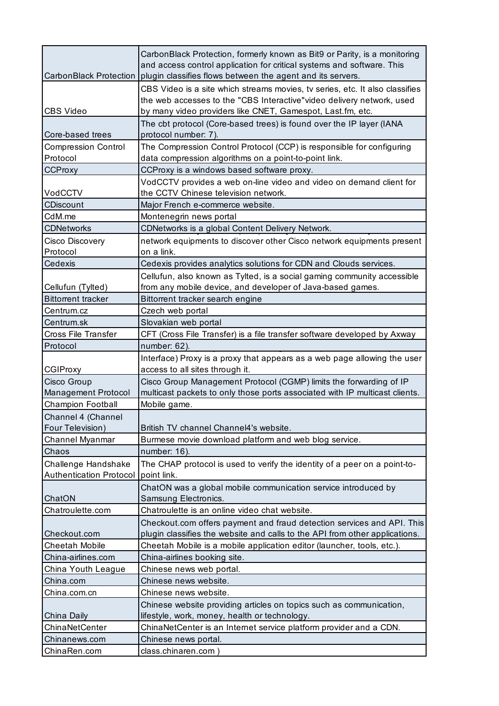| CarbonBlack Protection                 | CarbonBlack Protection, formerly known as Bit9 or Parity, is a monitoring<br>and access control application for critical systems and software. This<br>plugin classifies flows between the agent and its servers.    |
|----------------------------------------|----------------------------------------------------------------------------------------------------------------------------------------------------------------------------------------------------------------------|
| <b>CBS Video</b>                       | CBS Video is a site which streams movies, tv series, etc. It also classifies<br>the web accesses to the "CBS Interactive" video delivery network, used<br>by many video providers like CNET, Gamespot, Last.fm, etc. |
| Core-based trees                       | The cbt protocol (Core-based trees) is found over the IP layer (IANA<br>protocol number: 7).                                                                                                                         |
| <b>Compression Control</b><br>Protocol | The Compression Control Protocol (CCP) is responsible for configuring<br>data compression algorithms on a point-to-point link.                                                                                       |
| <b>CCProxy</b>                         | CCProxy is a windows based software proxy.                                                                                                                                                                           |
| VodCCTV                                | VodCCTV provides a web on-line video and video on demand client for<br>the CCTV Chinese television network.                                                                                                          |
| CDiscount                              | Major French e-commerce website.                                                                                                                                                                                     |
| CdM.me                                 | Montenegrin news portal                                                                                                                                                                                              |
| <b>CDNetworks</b>                      | CDNetworks is a global Content Delivery Network.                                                                                                                                                                     |
| Cisco Discovery<br>Protocol            | network equipments to discover other Cisco network equipments present<br>on a link.                                                                                                                                  |
| Cedexis                                | Cedexis provides analytics solutions for CDN and Clouds services.                                                                                                                                                    |
| Cellufun (Tylted)                      | Cellufun, also known as Tylted, is a social gaming community accessible<br>from any mobile device, and developer of Java-based games.                                                                                |
| <b>Bittorrent tracker</b>              | Bittorrent tracker search engine                                                                                                                                                                                     |
| Centrum.cz                             | Czech web portal                                                                                                                                                                                                     |
| Centrum.sk                             | Slovakian web portal                                                                                                                                                                                                 |
| <b>Cross File Transfer</b>             | CFT (Cross File Transfer) is a file transfer software developed by Axway                                                                                                                                             |
| Protocol                               | number: 62).                                                                                                                                                                                                         |
|                                        | Interface) Proxy is a proxy that appears as a web page allowing the user                                                                                                                                             |
| <b>CGIProxy</b>                        | access to all sites through it.                                                                                                                                                                                      |
|                                        |                                                                                                                                                                                                                      |
| Cisco Group                            | Cisco Group Management Protocol (CGMP) limits the forwarding of IP                                                                                                                                                   |
| <b>Management Protocol</b>             | multicast packets to only those ports associated with IP multicast clients.                                                                                                                                          |
| <b>Champion Football</b>               | Mobile game.                                                                                                                                                                                                         |
| Channel 4 (Channel<br>Four Television) | British TV channel Channel4's website.                                                                                                                                                                               |
| Channel Myanmar                        | Burmese movie download platform and web blog service.                                                                                                                                                                |
| Chaos                                  | number: 16).                                                                                                                                                                                                         |
| Challenge Handshake                    | The CHAP protocol is used to verify the identity of a peer on a point-to-<br>point link.                                                                                                                             |
| <b>Authentication Protocol</b>         | ChatON was a global mobile communication service introduced by                                                                                                                                                       |
| ChatON                                 | Samsung Electronics.                                                                                                                                                                                                 |
| Chatroulette.com                       | Chatroulette is an online video chat website.                                                                                                                                                                        |
| Checkout.com                           | Checkout.com offers payment and fraud detection services and API. This<br>plugin classifies the website and calls to the API from other applications.                                                                |
| <b>Cheetah Mobile</b>                  | Cheetah Mobile is a mobile application editor (launcher, tools, etc.).                                                                                                                                               |
| China-airlines.com                     | China-airlines booking site.                                                                                                                                                                                         |
| China Youth League                     | Chinese news web portal.                                                                                                                                                                                             |
| China.com                              | Chinese news website.                                                                                                                                                                                                |
| China.com.cn                           | Chinese news website.                                                                                                                                                                                                |
|                                        | Chinese website providing articles on topics such as communication,                                                                                                                                                  |
| China Daily                            | lifestyle, work, money, health or technology.                                                                                                                                                                        |
| ChinaNetCenter                         | ChinaNetCenter is an Internet service platform provider and a CDN.                                                                                                                                                   |
| Chinanews.com<br>ChinaRen.com          | Chinese news portal.<br>class.chinaren.com                                                                                                                                                                           |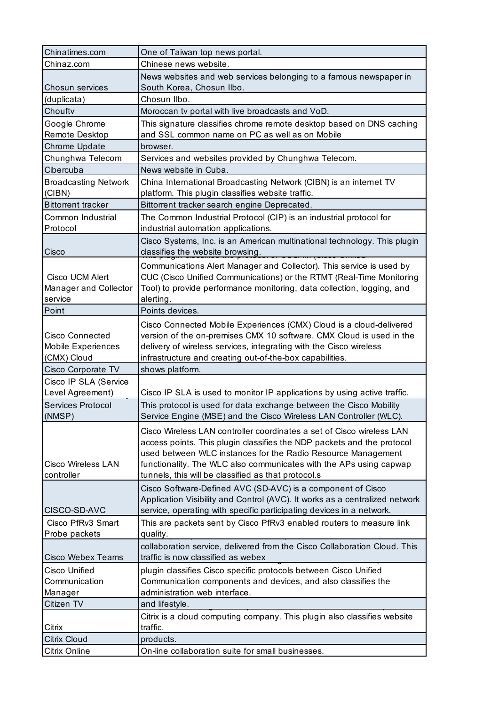| Chinatimes.com                                              | One of Taiwan top news portal.                                                                                                                                                                                                                                                                                                               |
|-------------------------------------------------------------|----------------------------------------------------------------------------------------------------------------------------------------------------------------------------------------------------------------------------------------------------------------------------------------------------------------------------------------------|
| Chinaz.com                                                  | Chinese news website.                                                                                                                                                                                                                                                                                                                        |
|                                                             | News websites and web services belonging to a famous newspaper in                                                                                                                                                                                                                                                                            |
| Chosun services                                             | South Korea, Chosun Ilbo.                                                                                                                                                                                                                                                                                                                    |
| (duplicata)                                                 | Chosun Ilbo.                                                                                                                                                                                                                                                                                                                                 |
| Chouftv                                                     | Moroccan tv portal with live broadcasts and VoD.                                                                                                                                                                                                                                                                                             |
| Google Chrome                                               | This signature classifies chrome remote desktop based on DNS caching                                                                                                                                                                                                                                                                         |
| Remote Desktop                                              | and SSL common name on PC as well as on Mobile                                                                                                                                                                                                                                                                                               |
| Chrome Update                                               | browser.                                                                                                                                                                                                                                                                                                                                     |
| Chunghwa Telecom                                            | Services and websites provided by Chunghwa Telecom.                                                                                                                                                                                                                                                                                          |
| Cibercuba                                                   | News website in Cuba.                                                                                                                                                                                                                                                                                                                        |
| <b>Broadcasting Network</b><br>(CIBN)                       | China International Broadcasting Network (CIBN) is an internet TV<br>platform. This plugin classifies website traffic.                                                                                                                                                                                                                       |
| <b>Bittorrent tracker</b>                                   | Bittorrent tracker search engine Deprecated.                                                                                                                                                                                                                                                                                                 |
| Common Industrial<br>Protocol                               | The Common Industrial Protocol (CIP) is an industrial protocol for<br>industrial automation applications.                                                                                                                                                                                                                                    |
|                                                             | Cisco Systems, Inc. is an American multinational technology. This plugin                                                                                                                                                                                                                                                                     |
| Cisco                                                       | classifies the website browsing.                                                                                                                                                                                                                                                                                                             |
| Cisco UCM Alert<br>Manager and Collector<br>service         | Communications Alert Manager and Collector). This service is used by<br>CUC (Cisco Unified Communications) or the RTMT (Real-Time Monitoring<br>Tool) to provide performance monitoring, data collection, logging, and<br>alerting.                                                                                                          |
| Point                                                       | Points devices.                                                                                                                                                                                                                                                                                                                              |
| <b>Cisco Connected</b><br>Mobile Experiences<br>(CMX) Cloud | Cisco Connected Mobile Experiences (CMX) Cloud is a cloud-delivered<br>version of the on-premises CMX 10 software. CMX Cloud is used in the<br>delivery of wireless services, integrating with the Cisco wireless<br>infrastructure and creating out-of-the-box capabilities.                                                                |
| Cisco Corporate TV                                          | shows platform.                                                                                                                                                                                                                                                                                                                              |
| Cisco IP SLA (Service                                       |                                                                                                                                                                                                                                                                                                                                              |
| Level Agreement)                                            | Cisco IP SLA is used to monitor IP applications by using active traffic.                                                                                                                                                                                                                                                                     |
| <b>Services Protocol</b>                                    | This protocol is used for data exchange between the Cisco Mobility                                                                                                                                                                                                                                                                           |
| (NMSP)                                                      | Service Engine (MSE) and the Cisco Wireless LAN Controller (WLC).                                                                                                                                                                                                                                                                            |
| <b>Cisco Wireless LAN</b><br>controller                     | Cisco Wireless LAN controller coordinates a set of Cisco wireless LAN<br>access points. This plugin classifies the NDP packets and the protocol<br>used between WLC instances for the Radio Resource Management<br>functionality. The WLC also communicates with the APs using capwap<br>tunnels, this will be classified as that protocol.s |
|                                                             | Cisco Software-Defined AVC (SD-AVC) is a component of Cisco<br>Application Visibility and Control (AVC). It works as a centralized network                                                                                                                                                                                                   |
| CISCO-SD-AVC                                                | service, operating with specific participating devices in a network.                                                                                                                                                                                                                                                                         |
| Cisco PfRv3 Smart                                           | This are packets sent by Cisco PfRv3 enabled routers to measure link                                                                                                                                                                                                                                                                         |
| Probe packets                                               | quality.                                                                                                                                                                                                                                                                                                                                     |
| Cisco Webex Teams                                           | collaboration service, delivered from the Cisco Collaboration Cloud. This<br>traffic is now classified as webex                                                                                                                                                                                                                              |
| Cisco Unified                                               | plugin classifies Cisco specific protocols between Cisco Unified                                                                                                                                                                                                                                                                             |
| Communication                                               | Communication components and devices, and also classifies the                                                                                                                                                                                                                                                                                |
| Manager                                                     | administration web interface.                                                                                                                                                                                                                                                                                                                |
| Citizen TV                                                  | and lifestyle.                                                                                                                                                                                                                                                                                                                               |
| Citrix                                                      | Citrix is a cloud computing company. This plugin also classifies website<br>traffic.                                                                                                                                                                                                                                                         |
| <b>Citrix Cloud</b>                                         | products.                                                                                                                                                                                                                                                                                                                                    |
| Citrix Online                                               | On-line collaboration suite for small businesses.                                                                                                                                                                                                                                                                                            |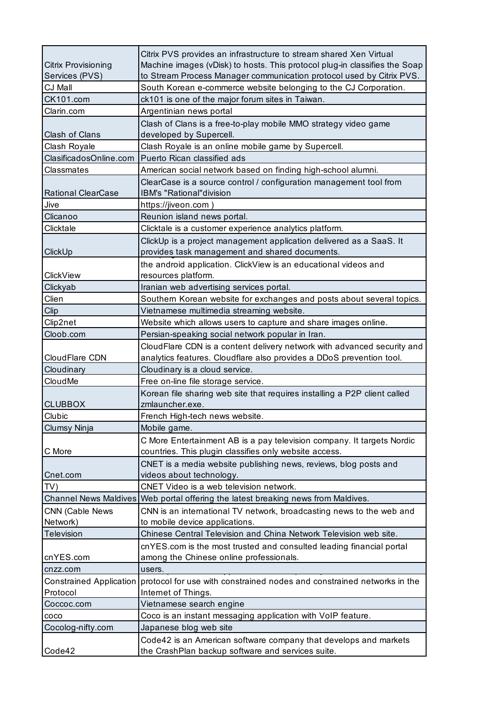|                            | Citrix PVS provides an infrastructure to stream shared Xen Virtual                                                               |
|----------------------------|----------------------------------------------------------------------------------------------------------------------------------|
| <b>Citrix Provisioning</b> | Machine images (vDisk) to hosts. This protocol plug-in classifies the Soap                                                       |
| Services (PVS)             | to Stream Process Manager communication protocol used by Citrix PVS.                                                             |
| CJ Mall                    | South Korean e-commerce website belonging to the CJ Corporation.                                                                 |
| CK101.com                  | ck101 is one of the major forum sites in Taiwan.                                                                                 |
| Clarin.com                 | Argentinian news portal                                                                                                          |
|                            | Clash of Clans is a free-to-play mobile MMO strategy video game                                                                  |
| Clash of Clans             | developed by Supercell.                                                                                                          |
| Clash Royale               | Clash Royale is an online mobile game by Supercell.                                                                              |
| ClasificadosOnline.com     | Puerto Rican classified ads                                                                                                      |
| Classmates                 | American social network based on finding high-school alumni.                                                                     |
| <b>Rational ClearCase</b>  | ClearCase is a source control / configuration management tool from<br><b>IBM's "Rational"division</b>                            |
| Jive                       | https://jiveon.com)                                                                                                              |
| Clicanoo                   | Reunion island news portal.                                                                                                      |
| Clicktale                  | Clicktale is a customer experience analytics platform.                                                                           |
| ClickUp                    | ClickUp is a project management application delivered as a SaaS. It<br>provides task management and shared documents.            |
|                            | the android application. ClickView is an educational videos and                                                                  |
| <b>ClickView</b>           | resources platform.                                                                                                              |
| Clickyab                   | Iranian web advertising services portal.                                                                                         |
| Clien                      | Southern Korean website for exchanges and posts about several topics.                                                            |
| Clip                       | Vietnamese multimedia streaming website.                                                                                         |
| Clip2net                   | Website which allows users to capture and share images online.                                                                   |
| Cloob.com                  | Persian-speaking social network popular in Iran.                                                                                 |
|                            | CloudFlare CDN is a content delivery network with advanced security and                                                          |
| CloudFlare CDN             | analytics features. Cloudflare also provides a DDoS prevention tool.                                                             |
| Cloudinary                 | Cloudinary is a cloud service.                                                                                                   |
| CloudMe                    | Free on-line file storage service.                                                                                               |
|                            | Korean file sharing web site that requires installing a P2P client called                                                        |
| <b>CLUBBOX</b>             | zmlauncher.exe.                                                                                                                  |
| Clubic                     | French High-tech news website.                                                                                                   |
| Clumsy Ninja               | Mobile game.                                                                                                                     |
| C More                     | C More Entertainment AB is a pay television company. It targets Nordic<br>countries. This plugin classifies only website access. |
|                            | CNET is a media website publishing news, reviews, blog posts and                                                                 |
| Cnet.com                   | videos about technology.                                                                                                         |
| TV)                        | CNET Video is a web television network.                                                                                          |
|                            | Channel News Maldives Web portal offering the latest breaking news from Maldives.                                                |
| <b>CNN (Cable News</b>     | CNN is an international TV network, broadcasting news to the web and                                                             |
| Network)                   | to mobile device applications.                                                                                                   |
| <b>Television</b>          | Chinese Central Television and China Network Television web site.                                                                |
|                            | cnYES.com is the most trusted and consulted leading financial portal                                                             |
| cnYES.com                  | among the Chinese online professionals.                                                                                          |
| cnzz.com                   | users.                                                                                                                           |
|                            | Constrained Application protocol for use with constrained nodes and constrained networks in the                                  |
| Protocol                   | Internet of Things.                                                                                                              |
| Coccoc.com                 | Vietnamese search engine                                                                                                         |
| COCO                       | Coco is an instant messaging application with VoIP feature.                                                                      |
| Cocolog-nifty.com          | Japanese blog web site                                                                                                           |
|                            | Code42 is an American software company that develops and markets                                                                 |
| Code42                     | the CrashPlan backup software and services suite.                                                                                |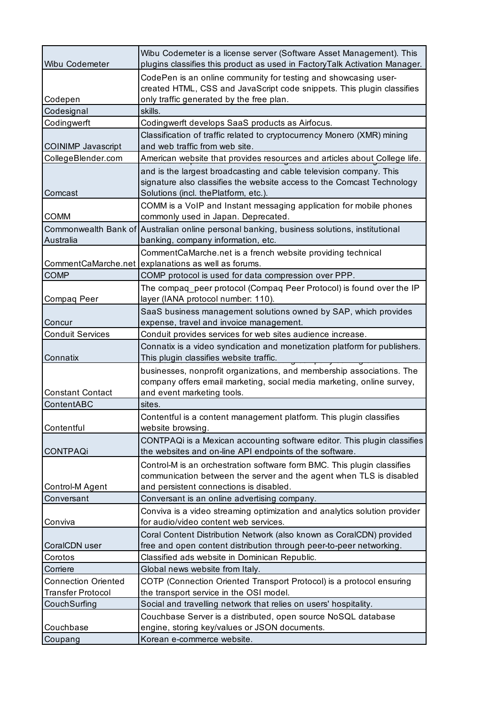| Wibu Codemeter             | Wibu Codemeter is a license server (Software Asset Management). This<br>plugins classifies this product as used in FactoryTalk Activation Manager.                                        |
|----------------------------|-------------------------------------------------------------------------------------------------------------------------------------------------------------------------------------------|
|                            | CodePen is an online community for testing and showcasing user-<br>created HTML, CSS and JavaScript code snippets. This plugin classifies                                                 |
| Codepen                    | only traffic generated by the free plan.                                                                                                                                                  |
| Codesignal                 | skills.                                                                                                                                                                                   |
| Codingwerft                | Codingwerft develops SaaS products as Airfocus.                                                                                                                                           |
| <b>COINIMP Javascript</b>  | Classification of traffic related to cryptocurrency Monero (XMR) mining<br>and web traffic from web site.                                                                                 |
| CollegeBlender.com         | American website that provides resources and articles about College life.                                                                                                                 |
| Comcast                    | and is the largest broadcasting and cable television company. This<br>signature also classifies the website access to the Comcast Technology<br>Solutions (incl. thePlatform, etc.).      |
| <b>COMM</b>                | COMM is a VoIP and Instant messaging application for mobile phones<br>commonly used in Japan. Deprecated.                                                                                 |
| Australia                  | Commonwealth Bank of Australian online personal banking, business solutions, institutional<br>banking, company information, etc.                                                          |
|                            | CommentCaMarche.net is a french website providing technical<br>CommentCaMarche.net explanations as well as forums.                                                                        |
| <b>COMP</b>                | COMP protocol is used for data compression over PPP.                                                                                                                                      |
|                            | The compaq_peer protocol (Compaq Peer Protocol) is found over the IP                                                                                                                      |
| Compaq Peer                | layer (IANA protocol number: 110).                                                                                                                                                        |
|                            | SaaS business management solutions owned by SAP, which provides                                                                                                                           |
| Concur                     | expense, travel and invoice management.                                                                                                                                                   |
| <b>Conduit Services</b>    | Conduit provides services for web sites audience increase.                                                                                                                                |
| Connatix                   | Connatix is a video syndication and monetization platform for publishers.<br>This plugin classifies website traffic.                                                                      |
| <b>Constant Contact</b>    | businesses, nonprofit organizations, and membership associations. The<br>company offers email marketing, social media marketing, online survey,<br>and event marketing tools.             |
| ContentABC                 | sites.                                                                                                                                                                                    |
| Contentful                 | Contentful is a content management platform. This plugin classifies<br>website browsing.                                                                                                  |
| <b>CONTPAQi</b>            | CONTPAQi is a Mexican accounting software editor. This plugin classifies<br>the websites and on-line API endpoints of the software.                                                       |
| <b>Control-M Agent</b>     | Control-M is an orchestration software form BMC. This plugin classifies<br>communication between the server and the agent when TLS is disabled<br>and persistent connections is disabled. |
| Conversant                 | Conversant is an online advertising company.                                                                                                                                              |
| Conviva                    | Conviva is a video streaming optimization and analytics solution provider<br>for audio/video content web services.                                                                        |
|                            | Coral Content Distribution Network (also known as CoralCDN) provided                                                                                                                      |
| CoralCDN user              | free and open content distribution through peer-to-peer networking.                                                                                                                       |
| Corotos                    | Classified ads website in Dominican Republic.                                                                                                                                             |
| Corriere                   | Global news website from Italy.                                                                                                                                                           |
| <b>Connection Oriented</b> | COTP (Connection Oriented Transport Protocol) is a protocol ensuring                                                                                                                      |
| <b>Transfer Protocol</b>   | the transport service in the OSI model.                                                                                                                                                   |
| CouchSurfing               | Social and travelling network that relies on users' hospitality.                                                                                                                          |
|                            | Couchbase Server is a distributed, open source NoSQL database                                                                                                                             |
| Couchbase                  | engine, storing key/values or JSON documents.                                                                                                                                             |
| Coupang                    | Korean e-commerce website.                                                                                                                                                                |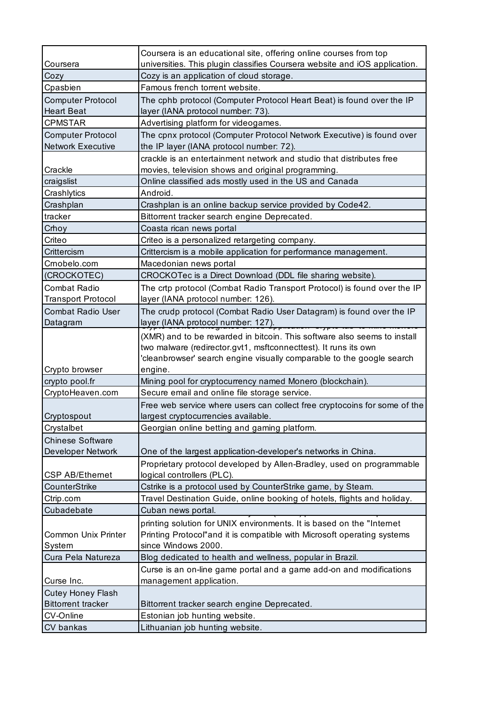|                                               | Coursera is an educational site, offering online courses from top                                              |
|-----------------------------------------------|----------------------------------------------------------------------------------------------------------------|
| Coursera                                      | universities. This plugin classifies Coursera website and iOS application.                                     |
| Cozy                                          | Cozy is an application of cloud storage.                                                                       |
| Cpasbien                                      | Famous french torrent website.                                                                                 |
| <b>Computer Protocol</b><br><b>Heart Beat</b> | The cphb protocol (Computer Protocol Heart Beat) is found over the IP<br>layer (IANA protocol number: 73).     |
| <b>CPMSTAR</b>                                | Advertising platform for videogames.                                                                           |
| <b>Computer Protocol</b>                      | The cpnx protocol (Computer Protocol Network Executive) is found over                                          |
| <b>Network Executive</b>                      | the IP layer (IANA protocol number: 72).                                                                       |
|                                               | crackle is an entertainment network and studio that distributes free                                           |
| Crackle                                       | movies, television shows and original programming.                                                             |
| craigslist<br>Crashlytics                     | Online classified ads mostly used in the US and Canada<br>Android.                                             |
|                                               |                                                                                                                |
| Crashplan<br>tracker                          | Crashplan is an online backup service provided by Code42.<br>Bittorrent tracker search engine Deprecated.      |
| Crhoy                                         | Coasta rican news portal                                                                                       |
| Criteo                                        | Criteo is a personalized retargeting company.                                                                  |
| Crittercism                                   | Crittercism is a mobile application for performance management.                                                |
| Crnobelo.com                                  | Macedonian news portal                                                                                         |
| (CROCKOTEC)                                   | CROCKOTec is a Direct Download (DDL file sharing website).                                                     |
| <b>Combat Radio</b>                           |                                                                                                                |
| <b>Transport Protocol</b>                     | The crtp protocol (Combat Radio Transport Protocol) is found over the IP<br>layer (IANA protocol number: 126). |
| <b>Combat Radio User</b>                      | The crudp protocol (Combat Radio User Datagram) is found over the IP                                           |
| Datagram                                      |                                                                                                                |
|                                               | layer (IANA protocol number: 127).                                                                             |
|                                               | (XMR) and to be rewarded in bitcoin. This software also seems to install                                       |
|                                               | two malware (redirector.gvt1, msftconnecttest). It runs its own                                                |
| Crypto browser                                | 'cleanbrowser' search engine visually comparable to the google search<br>engine.                               |
| crypto pool.fr                                | Mining pool for cryptocurrency named Monero (blockchain).                                                      |
| CryptoHeaven.com                              | Secure email and online file storage service.                                                                  |
|                                               | Free web service where users can collect free cryptocoins for some of the                                      |
| Cryptospout                                   | largest cryptocurrencies available.                                                                            |
| Crystalbet                                    | Georgian online betting and gaming platform.                                                                   |
| <b>Chinese Software</b>                       |                                                                                                                |
| Developer Network                             | One of the largest application-developer's networks in China.                                                  |
|                                               | Proprietary protocol developed by Allen-Bradley, used on programmable                                          |
| CSP AB/Ethernet                               | logical controllers (PLC).                                                                                     |
| CounterStrike                                 | Cstrike is a protocol used by CounterStrike game, by Steam.                                                    |
| Ctrip.com                                     | Travel Destination Guide, online booking of hotels, flights and holiday.                                       |
| Cubadebate                                    | Cuban news portal.                                                                                             |
|                                               | printing solution for UNIX environments. It is based on the "Internet                                          |
| <b>Common Unix Printer</b>                    | Printing Protocol"and it is compatible with Microsoft operating systems                                        |
| System                                        | since Windows 2000.                                                                                            |
| Cura Pela Natureza                            | Blog dedicated to health and wellness, popular in Brazil.                                                      |
|                                               | Curse is an on-line game portal and a game add-on and modifications                                            |
| Curse Inc.                                    | management application.                                                                                        |
| <b>Cutey Honey Flash</b>                      |                                                                                                                |
| <b>Bittorrent tracker</b>                     | Bittorrent tracker search engine Deprecated.                                                                   |
| CV-Online                                     | Estonian job hunting website.                                                                                  |
| CV bankas                                     | Lithuanian job hunting website.                                                                                |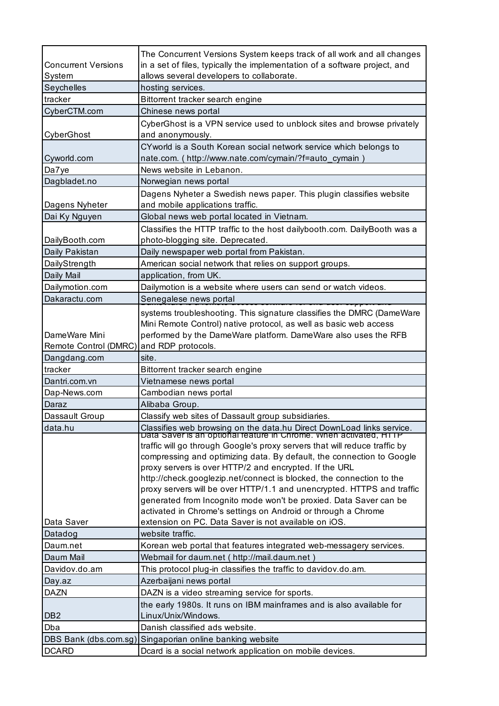| <b>Concurrent Versions</b>               | The Concurrent Versions System keeps track of all work and all changes<br>in a set of files, typically the implementation of a software project, and                                                                     |
|------------------------------------------|--------------------------------------------------------------------------------------------------------------------------------------------------------------------------------------------------------------------------|
| System                                   | allows several developers to collaborate.                                                                                                                                                                                |
| Seychelles                               | hosting services.                                                                                                                                                                                                        |
| tracker                                  | Bittorrent tracker search engine                                                                                                                                                                                         |
| CyberCTM.com                             | Chinese news portal                                                                                                                                                                                                      |
|                                          | CyberGhost is a VPN service used to unblock sites and browse privately                                                                                                                                                   |
| CyberGhost                               | and anonymously.                                                                                                                                                                                                         |
|                                          | CYworld is a South Korean social network service which belongs to                                                                                                                                                        |
| Cyworld.com                              | nate.com. (http://www.nate.com/cymain/?f=auto_cymain)                                                                                                                                                                    |
| Da7ye                                    | News website in Lebanon.                                                                                                                                                                                                 |
| Dagbladet.no                             | Norwegian news portal                                                                                                                                                                                                    |
|                                          | Dagens Nyheter a Swedish news paper. This plugin classifies website                                                                                                                                                      |
| Dagens Nyheter                           | and mobile applications traffic.                                                                                                                                                                                         |
| Dai Ky Nguyen                            | Global news web portal located in Vietnam.                                                                                                                                                                               |
|                                          | Classifies the HTTP traffic to the host dailybooth.com. DailyBooth was a                                                                                                                                                 |
| DailyBooth.com                           | photo-blogging site. Deprecated.                                                                                                                                                                                         |
| Daily Pakistan                           | Daily newspaper web portal from Pakistan.                                                                                                                                                                                |
| DailyStrength                            | American social network that relies on support groups.                                                                                                                                                                   |
| Daily Mail                               | application, from UK.                                                                                                                                                                                                    |
| Dailymotion.com                          | Dailymotion is a website where users can send or watch videos.                                                                                                                                                           |
| Dakaractu.com                            | Senegalese news portal                                                                                                                                                                                                   |
|                                          | systems troubleshooting. This signature classifies the DMRC (DameWare                                                                                                                                                    |
|                                          | Mini Remote Control) native protocol, as well as basic web access                                                                                                                                                        |
| DameWare Mini                            | performed by the DameWare platform. DameWare also uses the RFB                                                                                                                                                           |
| Remote Control (DMRC) and RDP protocols. |                                                                                                                                                                                                                          |
|                                          |                                                                                                                                                                                                                          |
| Dangdang.com                             | site.                                                                                                                                                                                                                    |
| tracker                                  | Bittorrent tracker search engine                                                                                                                                                                                         |
| Dantri.com.vn                            | Vietnamese news portal                                                                                                                                                                                                   |
| Dap-News.com                             | Cambodian news portal                                                                                                                                                                                                    |
| Daraz                                    | Alibaba Group.                                                                                                                                                                                                           |
| Dassault Group                           | Classify web sites of Dassault group subsidiaries.                                                                                                                                                                       |
| data.hu                                  |                                                                                                                                                                                                                          |
|                                          | Classifies web browsing on the data.hu Direct DownLoad links service.<br>Data Saver is an optional reature in Chrome. When activated, HTTP<br>traffic will go through Google's proxy servers that will reduce traffic by |
|                                          | compressing and optimizing data. By default, the connection to Google                                                                                                                                                    |
|                                          | proxy servers is over HTTP/2 and encrypted. If the URL                                                                                                                                                                   |
|                                          | http://check.googlezip.net/connect is blocked, the connection to the                                                                                                                                                     |
|                                          | proxy servers will be over HTTP/1.1 and unencrypted. HTTPS and traffic                                                                                                                                                   |
|                                          | generated from Incognito mode won't be proxied. Data Saver can be                                                                                                                                                        |
|                                          | activated in Chrome's settings on Android or through a Chrome                                                                                                                                                            |
| Data Saver                               | extension on PC. Data Saver is not available on iOS.                                                                                                                                                                     |
| Datadog                                  | website traffic.                                                                                                                                                                                                         |
| Daum.net                                 | Korean web portal that features integrated web-messagery services.                                                                                                                                                       |
| Daum Mail                                | Webmail for daum.net ( http://mail.daum.net )                                                                                                                                                                            |
| Davidov.do.am                            | This protocol plug-in classifies the traffic to davidov.do.am.                                                                                                                                                           |
| Day.az                                   | Azerbaijani news portal                                                                                                                                                                                                  |
| <b>DAZN</b>                              | DAZN is a video streaming service for sports.                                                                                                                                                                            |
|                                          | the early 1980s. It runs on IBM mainframes and is also available for                                                                                                                                                     |
| DB <sub>2</sub>                          | Linux/Unix/Windows.                                                                                                                                                                                                      |
| Dba                                      | Danish classified ads website.                                                                                                                                                                                           |
| DBS Bank (dbs.com.sg)<br><b>DCARD</b>    | Singaporian online banking website<br>Dcard is a social network application on mobile devices.                                                                                                                           |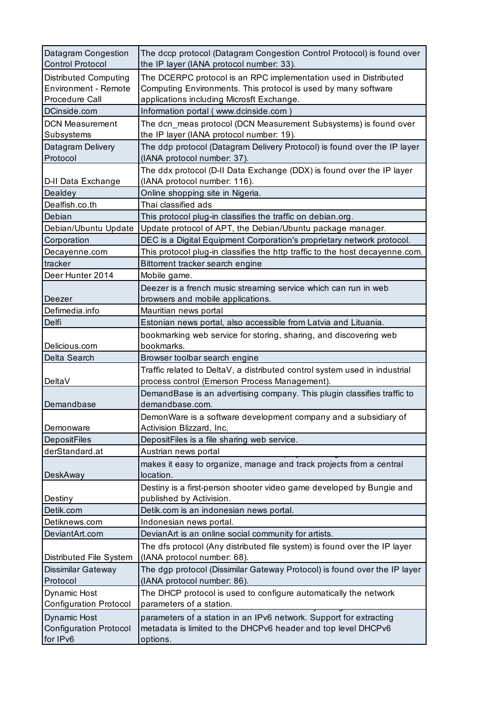| Datagram Congestion<br><b>Control Protocol</b>                                | The dccp protocol (Datagram Congestion Control Protocol) is found over<br>the IP layer (IANA protocol number: 33).                                                              |
|-------------------------------------------------------------------------------|---------------------------------------------------------------------------------------------------------------------------------------------------------------------------------|
| <b>Distributed Computing</b><br><b>Environment - Remote</b><br>Procedure Call | The DCERPC protocol is an RPC implementation used in Distributed<br>Computing Environments. This protocol is used by many software<br>applications including Microsft Exchange. |
| DCinside.com                                                                  | Information portal (www.dcinside.com)                                                                                                                                           |
| <b>DCN Measurement</b><br>Subsystems                                          | The dcn_meas protocol (DCN Measurement Subsystems) is found over<br>the IP layer (IANA protocol number: 19).                                                                    |
| Datagram Delivery<br>Protocol                                                 | The ddp protocol (Datagram Delivery Protocol) is found over the IP layer<br>(IANA protocol number: 37).                                                                         |
| D-II Data Exchange                                                            | The ddx protocol (D-II Data Exchange (DDX) is found over the IP layer<br>(IANA protocol number: 116).                                                                           |
| Dealdey                                                                       | Online shopping site in Nigeria.                                                                                                                                                |
| Dealfish.co.th                                                                | Thai classified ads                                                                                                                                                             |
| Debian                                                                        | This protocol plug-in classifies the traffic on debian.org.                                                                                                                     |
| Debian/Ubuntu Update                                                          | Update protocol of APT, the Debian/Ubuntu package manager.                                                                                                                      |
| Corporation                                                                   | DEC is a Digital Equipment Corporation's proprietary network protocol.                                                                                                          |
| Decayenne.com                                                                 | This protocol plug-in classifies the http traffic to the host decayenne.com.                                                                                                    |
| tracker                                                                       | Bittorrent tracker search engine                                                                                                                                                |
| Deer Hunter 2014                                                              | Mobile game.                                                                                                                                                                    |
|                                                                               | Deezer is a french music streaming service which can run in web                                                                                                                 |
| Deezer                                                                        | browsers and mobile applications.                                                                                                                                               |
| Defimedia.info                                                                | Mauritian news portal                                                                                                                                                           |
| Delfi                                                                         | Estonian news portal, also accessible from Latvia and Lituania.                                                                                                                 |
| Delicious.com                                                                 | bookmarking web service for storing, sharing, and discovering web<br>bookmarks.                                                                                                 |
| Delta Search                                                                  | Browser toolbar search engine                                                                                                                                                   |
|                                                                               | Traffic related to DeltaV, a distributed control system used in industrial                                                                                                      |
| DeltaV                                                                        | process control (Emerson Process Management).                                                                                                                                   |
| Demandbase                                                                    | DemandBase is an advertising company. This plugin classifies traffic to<br>demandbase.com.                                                                                      |
| Demonware                                                                     | DemonWare is a software development company and a subsidiary of<br>Activision Blizzard, Inc.                                                                                    |
| <b>DepositFiles</b>                                                           | DepositFiles is a file sharing web service.                                                                                                                                     |
| derStandard.at                                                                | Austrian news portal                                                                                                                                                            |
| DeskAway                                                                      | makes it easy to organize, manage and track projects from a central<br>location.                                                                                                |
|                                                                               | Destiny is a first-person shooter video game developed by Bungie and                                                                                                            |
| Destiny                                                                       | published by Activision.                                                                                                                                                        |
| Detik.com                                                                     | Detik.com is an indonesian news portal.                                                                                                                                         |
| Detiknews.com                                                                 | Indonesian news portal.                                                                                                                                                         |
| DeviantArt.com                                                                | DevianArt is an online social community for artists.                                                                                                                            |
| Distributed File System                                                       | The dfs protocol (Any distributed file system) is found over the IP layer<br>(IANA protocol number: 68).                                                                        |
| Dissimilar Gateway<br>Protocol                                                | The dgp protocol (Dissimilar Gateway Protocol) is found over the IP layer<br>(IANA protocol number: 86).                                                                        |
| Dynamic Host<br><b>Configuration Protocol</b>                                 | The DHCP protocol is used to configure automatically the network<br>parameters of a station.                                                                                    |
|                                                                               |                                                                                                                                                                                 |
| <b>Dynamic Host</b><br><b>Configuration Protocol</b><br>for IPv6              | parameters of a station in an IPv6 network. Support for extracting<br>metadata is limited to the DHCPv6 header and top level DHCPv6<br>options.                                 |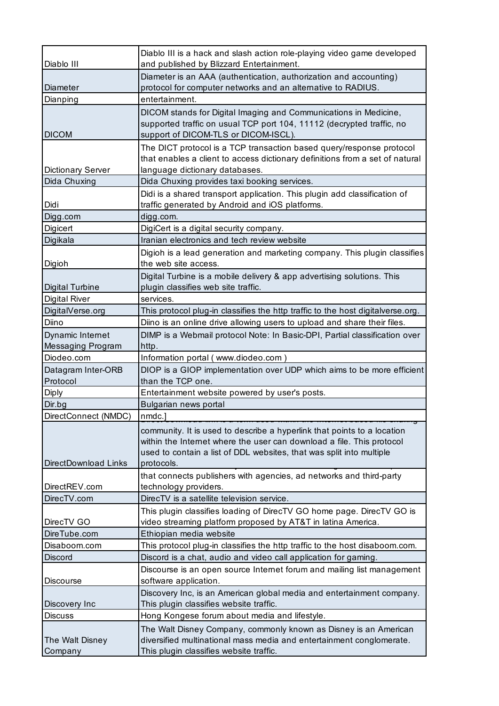| Diablo III                            | Diablo III is a hack and slash action role-playing video game developed<br>and published by Blizzard Entertainment.                                                                                                                    |
|---------------------------------------|----------------------------------------------------------------------------------------------------------------------------------------------------------------------------------------------------------------------------------------|
| Diameter                              | Diameter is an AAA (authentication, authorization and accounting)<br>protocol for computer networks and an alternative to RADIUS.                                                                                                      |
| Dianping                              | entertainment.                                                                                                                                                                                                                         |
| <b>DICOM</b>                          | DICOM stands for Digital Imaging and Communications in Medicine,<br>supported traffic on usual TCP port 104, 11112 (decrypted traffic, no<br>support of DICOM-TLS or DICOM-ISCL).                                                      |
| <b>Dictionary Server</b>              | The DICT protocol is a TCP transaction based query/response protocol<br>that enables a client to access dictionary definitions from a set of natural<br>language dictionary databases.                                                 |
| Dida Chuxing                          | Dida Chuxing provides taxi booking services.                                                                                                                                                                                           |
| Didi                                  | Didi is a shared transport application. This plugin add classification of<br>traffic generated by Android and iOS platforms.                                                                                                           |
| Digg.com                              | digg.com.                                                                                                                                                                                                                              |
| Digicert                              | DigiCert is a digital security company.                                                                                                                                                                                                |
| Digikala                              | Iranian electronics and tech review website                                                                                                                                                                                            |
| Digioh                                | Digioh is a lead generation and marketing company. This plugin classifies<br>the web site access.                                                                                                                                      |
| <b>Digital Turbine</b>                | Digital Turbine is a mobile delivery & app advertising solutions. This<br>plugin classifies web site traffic.                                                                                                                          |
| <b>Digital River</b>                  | services.                                                                                                                                                                                                                              |
| DigitalVerse.org                      | This protocol plug-in classifies the http traffic to the host digitalverse.org.                                                                                                                                                        |
| Diino                                 | Diino is an online drive allowing users to upload and share their files.                                                                                                                                                               |
| Dynamic Internet<br>Messaging Program | DIMP is a Webmail protocol Note: In Basic-DPI, Partial classification over<br>http.                                                                                                                                                    |
| Diodeo.com                            | Information portal (www.diodeo.com)                                                                                                                                                                                                    |
| Datagram Inter-ORB<br>Protocol        | DIOP is a GIOP implementation over UDP which aims to be more efficient<br>than the TCP one.                                                                                                                                            |
| <b>Diply</b>                          | Entertainment website powered by user's posts.                                                                                                                                                                                         |
| Dir.bg                                | Bulgarian news portal                                                                                                                                                                                                                  |
| DirectConnect (NMDC)                  | nmdc.]                                                                                                                                                                                                                                 |
| DirectDownload Links                  | community. It is used to describe a hyperlink that points to a location<br>within the Internet where the user can download a file. This protocol<br>used to contain a list of DDL websites, that was split into multiple<br>protocols. |
| DirectREV.com                         | that connects publishers with agencies, ad networks and third-party<br>technology providers.                                                                                                                                           |
| DirecTV.com                           | DirecTV is a satellite television service.                                                                                                                                                                                             |
| DirecTV GO                            | This plugin classifies loading of DirecTV GO home page. DirecTV GO is<br>video streaming platform proposed by AT&T in latina America.                                                                                                  |
| DireTube.com                          | Ethiopian media website                                                                                                                                                                                                                |
| Disaboom.com                          | This protocol plug-in classifies the http traffic to the host disaboom.com.                                                                                                                                                            |
| <b>Discord</b>                        | Discord is a chat, audio and video call application for gaming.                                                                                                                                                                        |
| <b>Discourse</b>                      | Discourse is an open source Internet forum and mailing list management<br>software application.                                                                                                                                        |
| Discovery Inc                         | Discovery Inc, is an American global media and entertainment company.<br>This plugin classifies website traffic.                                                                                                                       |
| <b>Discuss</b>                        | Hong Kongese forum about media and lifestyle.                                                                                                                                                                                          |
| The Walt Disney                       | The Walt Disney Company, commonly known as Disney is an American<br>diversified multinational mass media and entertainment conglomerate.                                                                                               |
| Company                               | This plugin classifies website traffic.                                                                                                                                                                                                |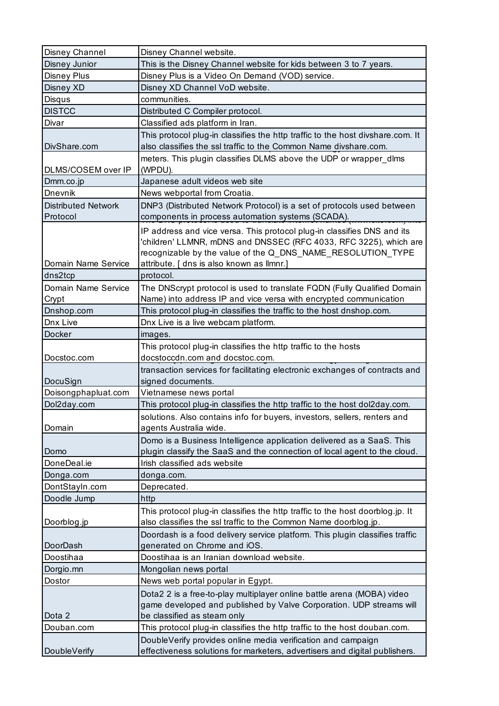| Disney Channel             | Disney Channel website.                                                                                                                                                                                     |
|----------------------------|-------------------------------------------------------------------------------------------------------------------------------------------------------------------------------------------------------------|
| Disney Junior              | This is the Disney Channel website for kids between 3 to 7 years.                                                                                                                                           |
| <b>Disney Plus</b>         | Disney Plus is a Video On Demand (VOD) service.                                                                                                                                                             |
| Disney XD                  | Disney XD Channel VoD website.                                                                                                                                                                              |
| Disqus                     | communities.                                                                                                                                                                                                |
| <b>DISTCC</b>              | Distributed C Compiler protocol.                                                                                                                                                                            |
| Divar                      | Classified ads platform in Iran.                                                                                                                                                                            |
|                            | This protocol plug-in classifies the http traffic to the host divshare.com. It                                                                                                                              |
| DivShare.com               | also classifies the ssl traffic to the Common Name divshare.com.                                                                                                                                            |
|                            | meters. This plugin classifies DLMS above the UDP or wrapper_dlms                                                                                                                                           |
| DLMS/COSEM over IP         | (WPDU).                                                                                                                                                                                                     |
| Dmm.co.jp                  | Japanese adult videos web site                                                                                                                                                                              |
| Dnevnik                    | News webportal from Croatia.                                                                                                                                                                                |
| <b>Distributed Network</b> | DNP3 (Distributed Network Protocol) is a set of protocols used between                                                                                                                                      |
| Protocol                   | components in process automation systems (SCADA).                                                                                                                                                           |
|                            | IP address and vice versa. This protocol plug-in classifies DNS and its<br>'children' LLMNR, mDNS and DNSSEC (RFC 4033, RFC 3225), which are<br>recognizable by the value of the Q_DNS_NAME_RESOLUTION_TYPE |
| Domain Name Service        | attribute. [ dns is also known as llmnr.]                                                                                                                                                                   |
| dns2tcp                    | protocol.                                                                                                                                                                                                   |
| Domain Name Service        | The DNScrypt protocol is used to translate FQDN (Fully Qualified Domain                                                                                                                                     |
| Crypt                      | Name) into address IP and vice versa with encrypted communication                                                                                                                                           |
| Dnshop.com                 | This protocol plug-in classifies the traffic to the host dnshop.com.                                                                                                                                        |
| Dnx Live                   | Dnx Live is a live webcam platform.                                                                                                                                                                         |
| Docker                     | images.                                                                                                                                                                                                     |
|                            | This protocol plug-in classifies the http traffic to the hosts                                                                                                                                              |
| Docstoc.com                | docstoccdn.com and docstoc.com.                                                                                                                                                                             |
|                            | transaction services for facilitating electronic exchanges of contracts and                                                                                                                                 |
| DocuSign                   | signed documents.                                                                                                                                                                                           |
| Doisongphapluat.com        | Vietnamese news portal                                                                                                                                                                                      |
| Dol2day.com                | This protocol plug-in classifies the http traffic to the host dol2day.com.                                                                                                                                  |
|                            | solutions. Also contains info for buyers, investors, sellers, renters and                                                                                                                                   |
| Domain                     | agents Australia wide.                                                                                                                                                                                      |
|                            | Domo is a Business Intelligence application delivered as a SaaS. This                                                                                                                                       |
| Domo                       | plugin classify the SaaS and the connection of local agent to the cloud.                                                                                                                                    |
| DoneDeal.ie                | Irish classified ads website                                                                                                                                                                                |
| Donga.com                  | donga.com.                                                                                                                                                                                                  |
| DontStayIn.com             | Deprecated.                                                                                                                                                                                                 |
| Doodle Jump                | http                                                                                                                                                                                                        |
|                            | This protocol plug-in classifies the http traffic to the host doorblog.jp. It                                                                                                                               |
| Doorblog.jp                | also classifies the ssl traffic to the Common Name doorblog.jp.                                                                                                                                             |
|                            | Doordash is a food delivery service platform. This plugin classifies traffic                                                                                                                                |
| DoorDash                   | generated on Chrome and iOS.                                                                                                                                                                                |
| Doostihaa                  | Doostihaa is an Iranian download website.                                                                                                                                                                   |
| Dorgio.mn                  | Mongolian news portal                                                                                                                                                                                       |
| Dostor                     | News web portal popular in Egypt.                                                                                                                                                                           |
|                            | Dota2 2 is a free-to-play multiplayer online battle arena (MOBA) video                                                                                                                                      |
|                            | game developed and published by Valve Corporation. UDP streams will                                                                                                                                         |
| Dota 2                     | be classified as steam only                                                                                                                                                                                 |
| Douban.com                 | This protocol plug-in classifies the http traffic to the host douban.com.                                                                                                                                   |
|                            | DoubleVerify provides online media verification and campaign                                                                                                                                                |
| DoubleVerify               | effectiveness solutions for marketers, advertisers and digital publishers.                                                                                                                                  |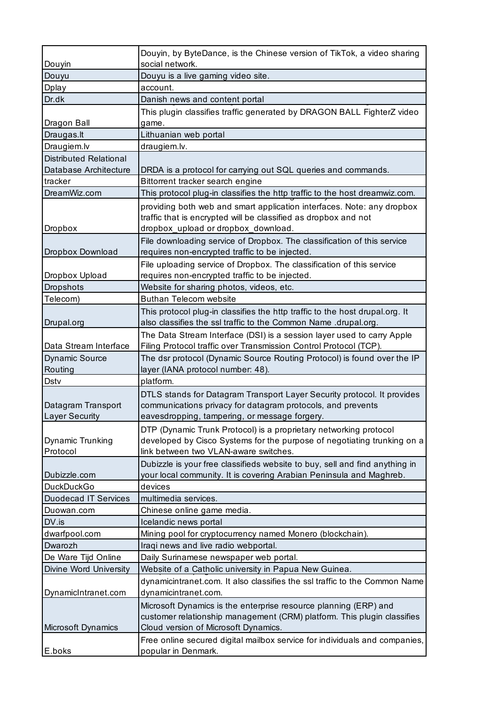| Douyin                                      | Douyin, by ByteDance, is the Chinese version of TikTok, a video sharing<br>social network.                                                                                              |
|---------------------------------------------|-----------------------------------------------------------------------------------------------------------------------------------------------------------------------------------------|
| Douyu                                       | Douyu is a live gaming video site.                                                                                                                                                      |
| Dplay                                       | account.                                                                                                                                                                                |
| Dr.dk                                       | Danish news and content portal                                                                                                                                                          |
|                                             | This plugin classifies traffic generated by DRAGON BALL FighterZ video                                                                                                                  |
| Dragon Ball                                 | game.                                                                                                                                                                                   |
| Draugas.lt                                  | Lithuanian web portal                                                                                                                                                                   |
| Draugiem.lv                                 | draugiem.lv.                                                                                                                                                                            |
| <b>Distributed Relational</b>               |                                                                                                                                                                                         |
| Database Architecture                       | DRDA is a protocol for carrying out SQL queries and commands.                                                                                                                           |
| tracker                                     | Bittorrent tracker search engine                                                                                                                                                        |
| DreamWiz.com                                | This protocol plug-in classifies the http traffic to the host dreamwiz.com.                                                                                                             |
| <b>Dropbox</b>                              | providing both web and smart application interfaces. Note: any dropbox<br>traffic that is encrypted will be classified as dropbox and not<br>dropbox_upload or dropbox_download.        |
|                                             | File downloading service of Dropbox. The classification of this service                                                                                                                 |
| Dropbox Download                            | requires non-encrypted traffic to be injected.                                                                                                                                          |
| Dropbox Upload                              | File uploading service of Dropbox. The classification of this service<br>requires non-encrypted traffic to be injected.                                                                 |
| <b>Dropshots</b>                            | Website for sharing photos, videos, etc.                                                                                                                                                |
| Telecom)                                    | <b>Buthan Telecom website</b>                                                                                                                                                           |
|                                             | This protocol plug-in classifies the http traffic to the host drupal.org. It                                                                                                            |
| Drupal.org                                  | also classifies the ssl traffic to the Common Name .drupal.org.                                                                                                                         |
| Data Stream Interface                       | The Data Stream Interface (DSI) is a session layer used to carry Apple<br>Filing Protocol traffic over Transmission Control Protocol (TCP).                                             |
| <b>Dynamic Source</b>                       | The dsr protocol (Dynamic Source Routing Protocol) is found over the IP                                                                                                                 |
| Routing                                     | layer (IANA protocol number: 48).                                                                                                                                                       |
| Dstv                                        | platform.                                                                                                                                                                               |
| Datagram Transport<br><b>Layer Security</b> | DTLS stands for Datagram Transport Layer Security protocol. It provides<br>communications privacy for datagram protocols, and prevents<br>eavesdropping, tampering, or message forgery. |
| Dynamic Trunking<br>Protocol                | DTP (Dynamic Trunk Protocol) is a proprietary networking protocol<br>developed by Cisco Systems for the purpose of negotiating trunking on a<br>link between two VLAN-aware switches.   |
| Dubizzle.com                                | Dubizzle is your free classifieds website to buy, sell and find anything in<br>your local community. It is covering Arabian Peninsula and Maghreb.                                      |
| <b>DuckDuckGo</b>                           | devices                                                                                                                                                                                 |
| <b>Duodecad IT Services</b>                 | multimedia services.                                                                                                                                                                    |
| Duowan.com                                  | Chinese online game media.                                                                                                                                                              |
| DV.is                                       | Icelandic news portal                                                                                                                                                                   |
| dwarfpool.com                               | Mining pool for cryptocurrency named Monero (blockchain).                                                                                                                               |
| Dwarozh                                     | Iraqi news and live radio webportal.                                                                                                                                                    |
| De Ware Tijd Online                         | Daily Surinamese newspaper web portal.                                                                                                                                                  |
| Divine Word University                      | Website of a Catholic university in Papua New Guinea.                                                                                                                                   |
| DynamicIntranet.com                         | dynamicintranet.com. It also classifies the ssl traffic to the Common Name<br>dynamicintranet.com.                                                                                      |
|                                             |                                                                                                                                                                                         |
|                                             | Microsoft Dynamics is the enterprise resource planning (ERP) and<br>customer relationship management (CRM) platform. This plugin classifies                                             |
| Microsoft Dynamics                          | Cloud version of Microsoft Dynamics.                                                                                                                                                    |
| E.boks                                      | Free online secured digital mailbox service for individuals and companies,<br>popular in Denmark.                                                                                       |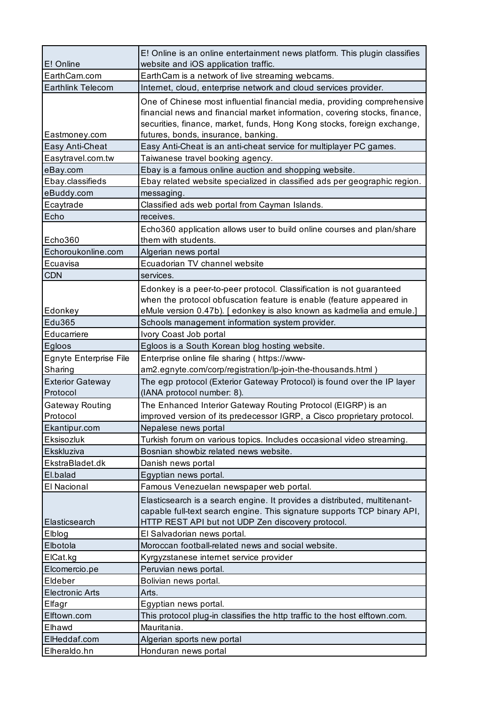|                                     | E! Online is an online entertainment news platform. This plugin classifies                                                                                                                                                                                               |
|-------------------------------------|--------------------------------------------------------------------------------------------------------------------------------------------------------------------------------------------------------------------------------------------------------------------------|
| E! Online                           | website and iOS application traffic.                                                                                                                                                                                                                                     |
| EarthCam.com                        | EarthCam is a network of live streaming webcams.                                                                                                                                                                                                                         |
| Earthlink Telecom                   | Internet, cloud, enterprise network and cloud services provider.                                                                                                                                                                                                         |
| Eastmoney.com                       | One of Chinese most influential financial media, providing comprehensive<br>financial news and financial market information, covering stocks, finance,<br>securities, finance, market, funds, Hong Kong stocks, foreign exchange,<br>futures, bonds, insurance, banking. |
| Easy Anti-Cheat                     | Easy Anti-Cheat is an anti-cheat service for multiplayer PC games.                                                                                                                                                                                                       |
| Easytravel.com.tw                   | Taiwanese travel booking agency.                                                                                                                                                                                                                                         |
| eBay.com                            | Ebay is a famous online auction and shopping website.                                                                                                                                                                                                                    |
| Ebay.classifieds                    | Ebay related website specialized in classified ads per geographic region.                                                                                                                                                                                                |
| eBuddy.com                          | messaging.                                                                                                                                                                                                                                                               |
| Ecaytrade                           | Classified ads web portal from Cayman Islands.                                                                                                                                                                                                                           |
| Echo                                | receives.                                                                                                                                                                                                                                                                |
| Echo360                             | Echo360 application allows user to build online courses and plan/share<br>them with students.                                                                                                                                                                            |
| Echoroukonline.com                  | Algerian news portal                                                                                                                                                                                                                                                     |
| Ecuavisa                            | Ecuadorian TV channel website                                                                                                                                                                                                                                            |
| <b>CDN</b>                          | services.                                                                                                                                                                                                                                                                |
|                                     | Edonkey is a peer-to-peer protocol. Classification is not guaranteed<br>when the protocol obfuscation feature is enable (feature appeared in                                                                                                                             |
| Edonkey<br>Edu365                   | eMule version 0.47b). [edonkey is also known as kadmelia and emule.]                                                                                                                                                                                                     |
| Educarriere                         | Schools management information system provider.<br>Ivory Coast Job portal                                                                                                                                                                                                |
|                                     |                                                                                                                                                                                                                                                                          |
| Egloos                              | Egloos is a South Korean blog hosting website.                                                                                                                                                                                                                           |
| Egnyte Enterprise File<br>Sharing   | Enterprise online file sharing ( https://www-                                                                                                                                                                                                                            |
|                                     | am2.egnyte.com/corp/registration/lp-join-the-thousands.html)                                                                                                                                                                                                             |
| <b>Exterior Gateway</b><br>Protocol | The egp protocol (Exterior Gateway Protocol) is found over the IP layer<br>(IANA protocol number: 8).                                                                                                                                                                    |
| <b>Gateway Routing</b>              | The Enhanced Interior Gateway Routing Protocol (EIGRP) is an                                                                                                                                                                                                             |
| Protocol                            | improved version of its predecessor IGRP, a Cisco proprietary protocol.                                                                                                                                                                                                  |
| Ekantipur.com                       | Nepalese news portal                                                                                                                                                                                                                                                     |
| Eksisozluk                          | Turkish forum on various topics. Includes occasional video streaming.                                                                                                                                                                                                    |
| Ekskluziva                          | Bosnian showbiz related news website.                                                                                                                                                                                                                                    |
| EkstraBladet.dk                     | Danish news portal                                                                                                                                                                                                                                                       |
| El.balad                            | Egyptian news portal.                                                                                                                                                                                                                                                    |
| El Nacional                         | Famous Venezuelan newspaper web portal.                                                                                                                                                                                                                                  |
|                                     | Elasticsearch is a search engine. It provides a distributed, multitenant-                                                                                                                                                                                                |
|                                     | capable full-text search engine. This signature supports TCP binary API,                                                                                                                                                                                                 |
| Elasticsearch                       | HTTP REST API but not UDP Zen discovery protocol.                                                                                                                                                                                                                        |
| Elblog                              | El Salvadorian news portal.                                                                                                                                                                                                                                              |
| Elbotola                            | Moroccan football-related news and social website.                                                                                                                                                                                                                       |
| ElCat.kg                            | Kyrgyzstanese internet service provider                                                                                                                                                                                                                                  |
| Elcomercio.pe                       | Peruvian news portal.                                                                                                                                                                                                                                                    |
| Eldeber                             | Bolivian news portal.                                                                                                                                                                                                                                                    |
| <b>Electronic Arts</b>              | Arts.                                                                                                                                                                                                                                                                    |
| Elfagr                              | Egyptian news portal.                                                                                                                                                                                                                                                    |
| Elftown.com                         | This protocol plug-in classifies the http traffic to the host elftown.com.                                                                                                                                                                                               |
| Elhawd                              | Mauritania.                                                                                                                                                                                                                                                              |
| ElHeddaf.com                        | Algerian sports new portal                                                                                                                                                                                                                                               |
| Elheraldo.hn                        | Honduran news portal                                                                                                                                                                                                                                                     |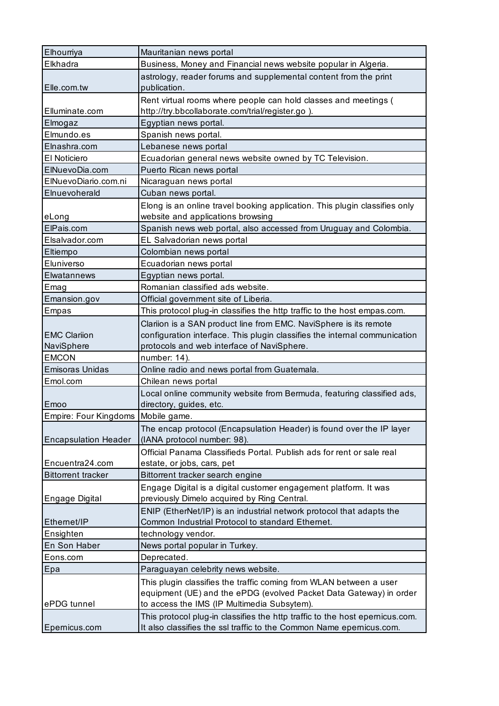| Elhourriya                           | Mauritanian news portal                                                                                                                                                                       |
|--------------------------------------|-----------------------------------------------------------------------------------------------------------------------------------------------------------------------------------------------|
| Elkhadra                             | Business, Money and Financial news website popular in Algeria.                                                                                                                                |
| Elle.com.tw                          | astrology, reader forums and supplemental content from the print<br>publication.                                                                                                              |
| Elluminate.com                       | Rent virtual rooms where people can hold classes and meetings (<br>http://try.bbcollaborate.com/trial/register.go).                                                                           |
| Elmogaz                              | Egyptian news portal.                                                                                                                                                                         |
| Elmundo.es                           | Spanish news portal.                                                                                                                                                                          |
| Elnashra.com                         | Lebanese news portal                                                                                                                                                                          |
| El Noticiero                         | Ecuadorian general news website owned by TC Television.                                                                                                                                       |
| ElNuevoDia.com                       | Puerto Rican news portal                                                                                                                                                                      |
| ElNuevoDiario.com.ni                 | Nicaraguan news portal                                                                                                                                                                        |
| Elnuevoherald                        | Cuban news portal.                                                                                                                                                                            |
|                                      | Elong is an online travel booking application. This plugin classifies only                                                                                                                    |
| eLong                                | website and applications browsing                                                                                                                                                             |
| ElPais.com                           | Spanish news web portal, also accessed from Uruguay and Colombia.                                                                                                                             |
| Elsalvador.com                       | EL Salvadorian news portal                                                                                                                                                                    |
| Eltiempo                             | Colombian news portal                                                                                                                                                                         |
| Eluniverso                           | Ecuadorian news portal                                                                                                                                                                        |
| Elwatannews                          | Egyptian news portal.                                                                                                                                                                         |
| Emag                                 | Romanian classified ads website.                                                                                                                                                              |
| Emansion.gov                         | Official government site of Liberia.                                                                                                                                                          |
| Empas                                | This protocol plug-in classifies the http traffic to the host empas.com.                                                                                                                      |
| <b>EMC Clariion</b><br>NaviSphere    | Clariion is a SAN product line from EMC. NaviSphere is its remote<br>configuration interface. This plugin classifies the internal communication<br>protocols and web interface of NaviSphere. |
| <b>EMCON</b>                         | number: 14).                                                                                                                                                                                  |
| <b>Emisoras Unidas</b>               | Online radio and news portal from Guatemala.                                                                                                                                                  |
| Emol.com                             | Chilean news portal                                                                                                                                                                           |
| Emoo                                 | Local online community website from Bermuda, featuring classified ads,<br>directory, guides, etc.                                                                                             |
| Empire: Four Kingdoms   Mobile game. |                                                                                                                                                                                               |
| <b>Encapsulation Header</b>          | The encap protocol (Encapsulation Header) is found over the IP layer<br>(IANA protocol number: 98).                                                                                           |
| Encuentra24.com                      | Official Panama Classifieds Portal. Publish ads for rent or sale real<br>estate, or jobs, cars, pet                                                                                           |
| <b>Bittorrent tracker</b>            | Bittorrent tracker search engine                                                                                                                                                              |
| Engage Digital                       | Engage Digital is a digital customer engagement platform. It was<br>previously Dimelo acquired by Ring Central.                                                                               |
| Ethernet/IP                          | ENIP (EtherNet/IP) is an industrial network protocol that adapts the<br>Common Industrial Protocol to standard Ethernet.                                                                      |
| Ensighten                            | technology vendor.                                                                                                                                                                            |
| En Son Haber                         | News portal popular in Turkey.                                                                                                                                                                |
| Eons.com                             | Deprecated.                                                                                                                                                                                   |
| Epa                                  | Paraguayan celebrity news website.                                                                                                                                                            |
|                                      |                                                                                                                                                                                               |
| ePDG tunnel                          | This plugin classifies the traffic coming from WLAN between a user<br>equipment (UE) and the ePDG (evolved Packet Data Gateway) in order<br>to access the IMS (IP Multimedia Subsytem).       |
| Epernicus.com                        | This protocol plug-in classifies the http traffic to the host epernicus.com.<br>It also classifies the ssl traffic to the Common Name epernicus.com.                                          |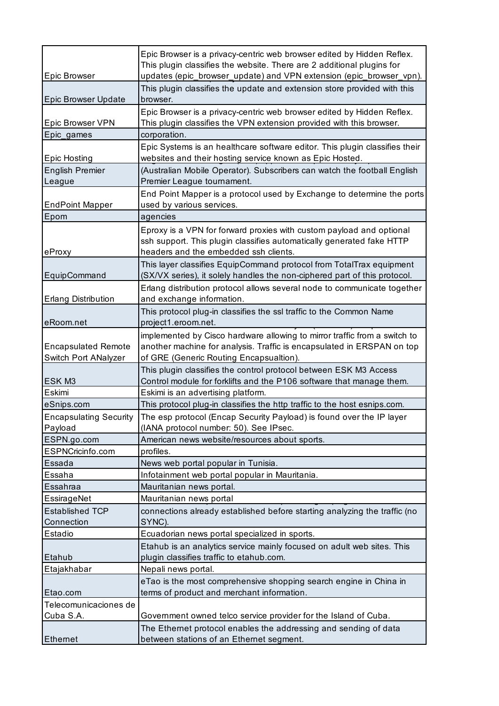|                                                    | Epic Browser is a privacy-centric web browser edited by Hidden Reflex.<br>This plugin classifies the website. There are 2 additional plugins for                                               |
|----------------------------------------------------|------------------------------------------------------------------------------------------------------------------------------------------------------------------------------------------------|
| Epic Browser                                       | updates (epic_browser_update) and VPN extension (epic_browser_vpn).                                                                                                                            |
| <b>Epic Browser Update</b>                         | This plugin classifies the update and extension store provided with this<br>browser.                                                                                                           |
|                                                    | Epic Browser is a privacy-centric web browser edited by Hidden Reflex.                                                                                                                         |
| Epic Browser VPN                                   | This plugin classifies the VPN extension provided with this browser.                                                                                                                           |
| Epic_games                                         | corporation.                                                                                                                                                                                   |
| <b>Epic Hosting</b>                                | Epic Systems is an healthcare software editor. This plugin classifies their<br>websites and their hosting service known as Epic Hosted.                                                        |
| <b>English Premier</b>                             | (Australian Mobile Operator). Subscribers can watch the football English                                                                                                                       |
| League                                             | Premier League tournament.                                                                                                                                                                     |
|                                                    | End Point Mapper is a protocol used by Exchange to determine the ports                                                                                                                         |
| <b>EndPoint Mapper</b>                             | used by various services.                                                                                                                                                                      |
| Epom                                               | agencies                                                                                                                                                                                       |
| eProxy                                             | Eproxy is a VPN for forward proxies with custom payload and optional<br>ssh support. This plugin classifies automatically generated fake HTTP<br>headers and the embedded ssh clients.         |
|                                                    | This layer classifies EquipCommand protocol from TotalTrax equipment                                                                                                                           |
| EquipCommand                                       | (SX/VX series), it solely handles the non-ciphered part of this protocol.                                                                                                                      |
|                                                    | Erlang distribution protocol allows several node to communicate together                                                                                                                       |
| <b>Erlang Distribution</b>                         | and exchange information.                                                                                                                                                                      |
| eRoom.net                                          | This protocol plug-in classifies the ssl traffic to the Common Name<br>project1.eroom.net.                                                                                                     |
| <b>Encapsulated Remote</b><br>Switch Port ANalyzer | implemented by Cisco hardware allowing to mirror traffic from a switch to<br>another machine for analysis. Traffic is encapsulated in ERSPAN on top<br>of GRE (Generic Routing Encapsualtion). |
| ESK M3                                             | This plugin classifies the control protocol between ESK M3 Access<br>Control module for forklifts and the P106 software that manage them.                                                      |
| Eskimi                                             | Eskimi is an advertising platform.                                                                                                                                                             |
| eSnips.com                                         | This protocol plug-in classifies the http traffic to the host esnips.com.                                                                                                                      |
| <b>Encapsulating Security</b><br>Payload           | The esp protocol (Encap Security Payload) is found over the IP layer<br>(IANA protocol number: 50). See IPsec.                                                                                 |
| ESPN.go.com                                        | American news website/resources about sports.                                                                                                                                                  |
| ESPNCricinfo.com                                   | profiles.                                                                                                                                                                                      |
| Essada                                             | News web portal popular in Tunisia.                                                                                                                                                            |
| Essaha                                             | Infotainment web portal popular in Mauritania.                                                                                                                                                 |
| Essahraa                                           | Mauritanian news portal.                                                                                                                                                                       |
| EssirageNet                                        | Mauritanian news portal                                                                                                                                                                        |
| <b>Established TCP</b>                             | connections already established before starting analyzing the traffic (no                                                                                                                      |
| Connection<br>Estadio                              | SYNC).                                                                                                                                                                                         |
|                                                    | Ecuadorian news portal specialized in sports.<br>Etahub is an analytics service mainly focused on adult web sites. This                                                                        |
| Etahub                                             | plugin classifies traffic to etahub.com.                                                                                                                                                       |
| Etajakhabar                                        | Nepali news portal.                                                                                                                                                                            |
| Etao.com                                           | eTao is the most comprehensive shopping search engine in China in<br>terms of product and merchant information.                                                                                |
| Telecomunicaciones de                              |                                                                                                                                                                                                |
| Cuba S.A.                                          | Government owned telco service provider for the Island of Cuba.                                                                                                                                |
|                                                    | The Ethernet protocol enables the addressing and sending of data                                                                                                                               |
| <b>Ethemet</b>                                     | between stations of an Ethernet segment.                                                                                                                                                       |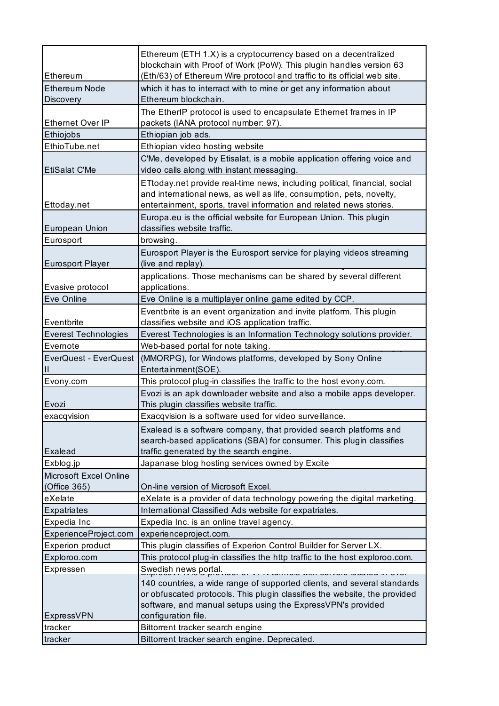|                                       | Ethereum (ETH 1.X) is a cryptocurrency based on a decentralized                                                                           |
|---------------------------------------|-------------------------------------------------------------------------------------------------------------------------------------------|
|                                       | blockchain with Proof of Work (PoW). This plugin handles version 63                                                                       |
| Ethereum                              | (Eth/63) of Ethereum Wire protocol and traffic to its official web site.                                                                  |
| <b>Ethereum Node</b>                  | which it has to interract with to mine or get any information about                                                                       |
| Discovery                             | Ethereum blockchain.                                                                                                                      |
|                                       | The EtherIP protocol is used to encapsulate Ethernet frames in IP                                                                         |
| <b>Ethernet Over IP</b>               | packets (IANA protocol number: 97).                                                                                                       |
| Ethiojobs<br>EthioTube.net            | Ethiopian job ads.                                                                                                                        |
|                                       | Ethiopian video hosting website                                                                                                           |
| <b>EtiSalat C'Me</b>                  | C'Me, developed by Etisalat, is a mobile application offering voice and<br>video calls along with instant messaging.                      |
|                                       | ETtoday.net provide real-time news, including political, financial, social                                                                |
|                                       | and international news, as well as life, consumption, pets, novelty,                                                                      |
| Ettoday.net                           | entertainment, sports, travel information and related news stories.                                                                       |
|                                       | Europa.eu is the official website for European Union. This plugin                                                                         |
| <b>European Union</b>                 | classifies website traffic.                                                                                                               |
| Eurosport                             | browsing.                                                                                                                                 |
| <b>Eurosport Player</b>               | Eurosport Player is the Eurosport service for playing videos streaming<br>(live and replay).                                              |
|                                       | applications. Those mechanisms can be shared by several different                                                                         |
| Evasive protocol                      | applications.                                                                                                                             |
| Eve Online                            | Eve Online is a multiplayer online game edited by CCP.                                                                                    |
|                                       | Eventbrite is an event organization and invite platform. This plugin                                                                      |
| Eventbrite                            | classifies website and iOS application traffic.                                                                                           |
| <b>Everest Technologies</b>           | Everest Technologies is an Information Technology solutions provider.                                                                     |
| Evernote                              | Web-based portal for note taking.                                                                                                         |
| EverQuest - EverQuest<br>$\mathsf{I}$ | (MMORPG), for Windows platforms, developed by Sony Online<br>Entertainment(SOE).                                                          |
| Evony.com                             | This protocol plug-in classifies the traffic to the host evony.com.                                                                       |
|                                       | Evozi is an apk downloader website and also a mobile apps developer.                                                                      |
| Evozi                                 | This plugin classifies website traffic.                                                                                                   |
| exacqvision                           | Exacqvision is a software used for video surveillance.                                                                                    |
|                                       | Exalead is a software company, that provided search platforms and<br>search-based applications (SBA) for consumer. This plugin classifies |
| <b>Exalead</b>                        | traffic generated by the search engine.                                                                                                   |
| Exblog.jp                             | Japanase blog hosting services owned by Excite                                                                                            |
| Microsoft Excel Online                |                                                                                                                                           |
| (Office 365)                          | On-line version of Microsoft Excel.                                                                                                       |
| eXelate                               | eXelate is a provider of data technology powering the digital marketing.                                                                  |
| <b>Expatriates</b>                    | International Classified Ads website for expatriates.                                                                                     |
| Expedia Inc                           | Expedia Inc. is an online travel agency.                                                                                                  |
| ExperienceProject.com                 | experienceproject.com.                                                                                                                    |
| <b>Experion product</b>               | This plugin classifies of Experion Control Builder for Server LX.                                                                         |
| Exploroo.com                          | This protocol plug-in classifies the http traffic to the host exploroo.com.                                                               |
| Expressen                             | Swedish news portal.                                                                                                                      |
|                                       | 140 countries, a wide range of supported clients, and several standards                                                                   |
|                                       | or obfuscated protocols. This plugin classifies the website, the provided                                                                 |
|                                       | software, and manual setups using the ExpressVPN's provided                                                                               |
| ExpressVPN                            | configuration file.                                                                                                                       |
| tracker                               | Bittorrent tracker search engine                                                                                                          |
| tracker                               | Bittorrent tracker search engine. Deprecated.                                                                                             |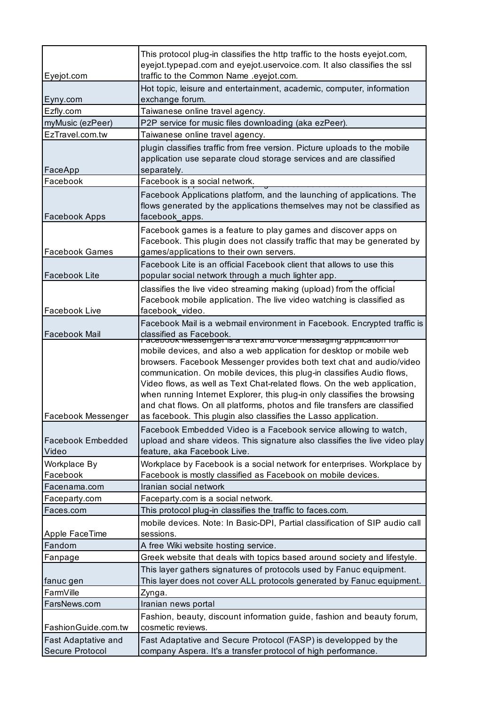| Eyejot.com                        | This protocol plug-in classifies the http traffic to the hosts eyejot.com,<br>eyejot.typepad.com and eyejot.uservoice.com. It also classifies the ssl<br>traffic to the Common Name .eyejot.com.                                                                                                                                                                                                                                                                                                                                 |
|-----------------------------------|----------------------------------------------------------------------------------------------------------------------------------------------------------------------------------------------------------------------------------------------------------------------------------------------------------------------------------------------------------------------------------------------------------------------------------------------------------------------------------------------------------------------------------|
| Eyny.com                          | Hot topic, leisure and entertainment, academic, computer, information<br>exchange forum.                                                                                                                                                                                                                                                                                                                                                                                                                                         |
| Ezfly.com                         | Taiwanese online travel agency.                                                                                                                                                                                                                                                                                                                                                                                                                                                                                                  |
| myMusic (ezPeer)                  | P2P service for music files downloading (aka ezPeer).                                                                                                                                                                                                                                                                                                                                                                                                                                                                            |
| EzTravel.com.tw                   | Taiwanese online travel agency.                                                                                                                                                                                                                                                                                                                                                                                                                                                                                                  |
| FaceApp                           | plugin classifies traffic from free version. Picture uploads to the mobile<br>application use separate cloud storage services and are classified<br>separately.                                                                                                                                                                                                                                                                                                                                                                  |
| Facebook                          | Facebook is a social network.                                                                                                                                                                                                                                                                                                                                                                                                                                                                                                    |
| Facebook Apps                     | Facebook Applications platform, and the launching of applications. The<br>flows generated by the applications themselves may not be classified as<br>facebook apps.                                                                                                                                                                                                                                                                                                                                                              |
| <b>Facebook Games</b>             | Facebook games is a feature to play games and discover apps on<br>Facebook. This plugin does not classify traffic that may be generated by<br>games/applications to their own servers.                                                                                                                                                                                                                                                                                                                                           |
| Facebook Lite                     | Facebook Lite is an official Facebook client that allows to use this<br>popular social network through a much lighter app.                                                                                                                                                                                                                                                                                                                                                                                                       |
|                                   | classifies the live video streaming making (upload) from the official<br>Facebook mobile application. The live video watching is classified as                                                                                                                                                                                                                                                                                                                                                                                   |
| Facebook Live                     | facebook video.                                                                                                                                                                                                                                                                                                                                                                                                                                                                                                                  |
| Facebook Mail                     | Facebook Mail is a webmail environment in Facebook. Encrypted traffic is<br>classified as Facebook.<br>racepook messenger is a text and voice messaging application for                                                                                                                                                                                                                                                                                                                                                          |
| Facebook Messenger                | mobile devices, and also a web application for desktop or mobile web<br>browsers. Facebook Messenger provides both text chat and audio/video<br>communication. On mobile devices, this plug-in classifies Audio flows,<br>Video flows, as well as Text Chat-related flows. On the web application,<br>when running Internet Explorer, this plug-in only classifies the browsing<br>and chat flows. On all platforms, photos and file transfers are classified<br>as facebook. This plugin also classifies the Lasso application. |
| <b>Facebook Embedded</b><br>Video | Facebook Embedded Video is a Facebook service allowing to watch,<br>upload and share videos. This signature also classifies the live video play<br>feature, aka Facebook Live.                                                                                                                                                                                                                                                                                                                                                   |
| Workplace By<br>Facebook          | Workplace by Facebook is a social network for enterprises. Workplace by<br>Facebook is mostly classified as Facebook on mobile devices.                                                                                                                                                                                                                                                                                                                                                                                          |
| Facenama.com                      | Iranian social network                                                                                                                                                                                                                                                                                                                                                                                                                                                                                                           |
| Faceparty.com                     | Faceparty.com is a social network.                                                                                                                                                                                                                                                                                                                                                                                                                                                                                               |
| Faces.com                         | This protocol plug-in classifies the traffic to faces.com.                                                                                                                                                                                                                                                                                                                                                                                                                                                                       |
| Apple FaceTime                    | mobile devices. Note: In Basic-DPI, Partial classification of SIP audio call<br>sessions.                                                                                                                                                                                                                                                                                                                                                                                                                                        |
| Fandom                            | A free Wiki website hosting service.                                                                                                                                                                                                                                                                                                                                                                                                                                                                                             |
| Fanpage                           | Greek website that deals with topics based around society and lifestyle.                                                                                                                                                                                                                                                                                                                                                                                                                                                         |
| fanuc gen                         | This layer gathers signatures of protocols used by Fanuc equipment.<br>This layer does not cover ALL protocols generated by Fanuc equipment.                                                                                                                                                                                                                                                                                                                                                                                     |
| FarmVille                         | Zynga.                                                                                                                                                                                                                                                                                                                                                                                                                                                                                                                           |
| FarsNews.com                      | Iranian news portal                                                                                                                                                                                                                                                                                                                                                                                                                                                                                                              |
| FashionGuide.com.tw               | Fashion, beauty, discount information guide, fashion and beauty forum,<br>cosmetic reviews.                                                                                                                                                                                                                                                                                                                                                                                                                                      |
| Fast Adaptative and               | Fast Adaptative and Secure Protocol (FASP) is developped by the                                                                                                                                                                                                                                                                                                                                                                                                                                                                  |
| Secure Protocol                   | company Aspera. It's a transfer protocol of high performance.                                                                                                                                                                                                                                                                                                                                                                                                                                                                    |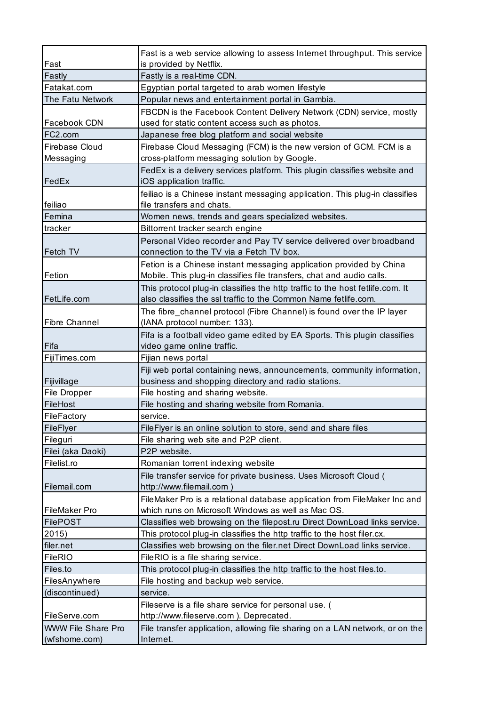| Fast                      | Fast is a web service allowing to assess Internet throughput. This service<br>is provided by Netflix. |
|---------------------------|-------------------------------------------------------------------------------------------------------|
| Fastly                    | Fastly is a real-time CDN.                                                                            |
| Fatakat.com               | Egyptian portal targeted to arab women lifestyle                                                      |
| The Fatu Network          | Popular news and entertainment portal in Gambia.                                                      |
|                           | FBCDN is the Facebook Content Delivery Network (CDN) service, mostly                                  |
| Facebook CDN              | used for static content access such as photos.                                                        |
| FC2.com                   | Japanese free blog platform and social website                                                        |
| Firebase Cloud            | Firebase Cloud Messaging (FCM) is the new version of GCM. FCM is a                                    |
| Messaging                 | cross-platform messaging solution by Google.                                                          |
|                           | FedEx is a delivery services platform. This plugin classifies website and                             |
| FedEx                     | iOS application traffic.                                                                              |
|                           | feiliao is a Chinese instant messaging application. This plug-in classifies                           |
| feiliao                   | file transfers and chats.                                                                             |
| Femina                    | Women news, trends and gears specialized websites.                                                    |
| tracker                   | Bittorrent tracker search engine                                                                      |
|                           | Personal Video recorder and Pay TV service delivered over broadband                                   |
| Fetch TV                  | connection to the TV via a Fetch TV box.                                                              |
|                           | Fetion is a Chinese instant messaging application provided by China                                   |
| Fetion                    | Mobile. This plug-in classifies file transfers, chat and audio calls.                                 |
|                           | This protocol plug-in classifies the http traffic to the host fetlife.com. It                         |
| FetLife.com               | also classifies the ssl traffic to the Common Name fetlife.com.                                       |
|                           | The fibre_channel protocol (Fibre Channel) is found over the IP layer                                 |
| <b>Fibre Channel</b>      | (IANA protocol number: 133).                                                                          |
|                           | Fifa is a football video game edited by EA Sports. This plugin classifies                             |
| Fifa                      | video game online traffic.                                                                            |
| FijiTimes.com             | Fijian news portal                                                                                    |
|                           | Fiji web portal containing news, announcements, community information,                                |
| Fijivillage               | business and shopping directory and radio stations.                                                   |
| File Dropper              | File hosting and sharing website.                                                                     |
| FileHost                  | File hosting and sharing website from Romania.                                                        |
| FileFactory               | service.                                                                                              |
| FileFlyer                 | FileFlyer is an online solution to store, send and share files                                        |
| Fileguri                  | File sharing web site and P2P client.                                                                 |
| Filei (aka Daoki)         | P2P website.                                                                                          |
| Filelist.ro               | Romanian torrent indexing website                                                                     |
|                           | File transfer service for private business. Uses Microsoft Cloud (                                    |
| Filemail.com              | http://www.filemail.com                                                                               |
|                           | FileMaker Pro is a relational database application from FileMaker Inc and                             |
| FileMaker Pro             | which runs on Microsoft Windows as well as Mac OS.                                                    |
| <b>FilePOST</b>           | Classifies web browsing on the filepost.ru Direct DownLoad links service.                             |
| 2015)                     | This protocol plug-in classifies the http traffic to the host filer.cx.                               |
| filer.net                 | Classifies web browsing on the filer.net Direct DownLoad links service.                               |
| <b>FileRIO</b>            | FileRIO is a file sharing service.                                                                    |
| Files.to                  | This protocol plug-in classifies the http traffic to the host files.to.                               |
| FilesAnywhere             | File hosting and backup web service.                                                                  |
| (discontinued)            | service.                                                                                              |
|                           | Fileserve is a file share service for personal use. (                                                 |
| FileServe.com             | http://www.fileserve.com ). Deprecated.                                                               |
| <b>WWW File Share Pro</b> | File transfer application, allowing file sharing on a LAN network, or on the                          |
| (wfshome.com)             | Internet.                                                                                             |
|                           |                                                                                                       |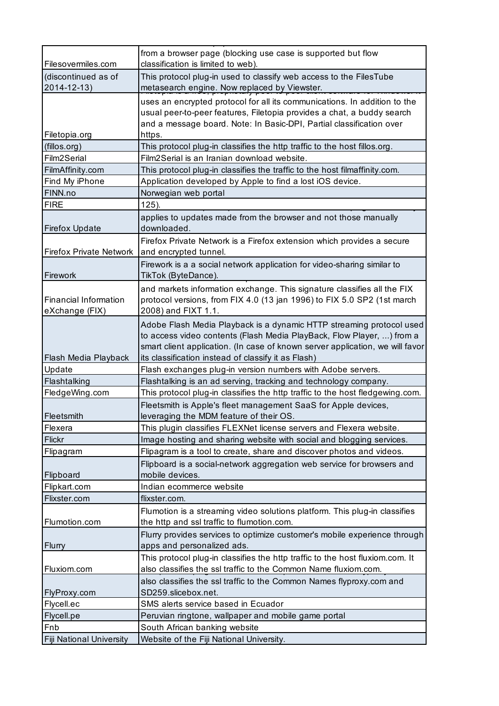| Filesovermiles.com             | from a browser page (blocking use case is supported but flow<br>classification is limited to web).                                                                                                                                                                                    |
|--------------------------------|---------------------------------------------------------------------------------------------------------------------------------------------------------------------------------------------------------------------------------------------------------------------------------------|
| (discontinued as of            | This protocol plug-in used to classify web access to the FilesTube                                                                                                                                                                                                                    |
| 2014-12-13)                    | metasearch engine. Now replaced by Viewster.                                                                                                                                                                                                                                          |
|                                |                                                                                                                                                                                                                                                                                       |
|                                | uses an encrypted protocol for all its communications. In addition to the<br>usual peer-to-peer features, Filetopia provides a chat, a buddy search                                                                                                                                   |
|                                | and a message board. Note: In Basic-DPI, Partial classification over                                                                                                                                                                                                                  |
| Filetopia.org                  | https.                                                                                                                                                                                                                                                                                |
| (fillos.org)                   | This protocol plug-in classifies the http traffic to the host fillos.org.                                                                                                                                                                                                             |
| Film2Serial                    | Film2Serial is an Iranian download website.                                                                                                                                                                                                                                           |
| FilmAffinity.com               | This protocol plug-in classifies the traffic to the host filmaffinity.com.                                                                                                                                                                                                            |
| Find My iPhone                 | Application developed by Apple to find a lost iOS device.                                                                                                                                                                                                                             |
| FINN.no                        | Norwegian web portal                                                                                                                                                                                                                                                                  |
| <b>FIRE</b>                    |                                                                                                                                                                                                                                                                                       |
|                                | $125$ ).                                                                                                                                                                                                                                                                              |
| <b>Firefox Update</b>          | applies to updates made from the browser and not those manually<br>downloaded.                                                                                                                                                                                                        |
| <b>Firefox Private Network</b> | Firefox Private Network is a Firefox extension which provides a secure<br>and encrypted tunnel.                                                                                                                                                                                       |
| Firework                       | Firework is a a social network application for video-sharing similar to<br>TikTok (ByteDance).                                                                                                                                                                                        |
|                                | and markets information exchange. This signature classifies all the FIX                                                                                                                                                                                                               |
| <b>Financial Information</b>   | protocol versions, from FIX 4.0 (13 jan 1996) to FIX 5.0 SP2 (1st march                                                                                                                                                                                                               |
| eXchange (FIX)                 | 2008) and FIXT 1.1.                                                                                                                                                                                                                                                                   |
| Flash Media Playback           | Adobe Flash Media Playback is a dynamic HTTP streaming protocol used<br>to access video contents (Flash Media PlayBack, Flow Player, ) from a<br>smart client application. (In case of known server application, we will favor<br>its classification instead of classify it as Flash) |
| Update                         | Flash exchanges plug-in version numbers with Adobe servers.                                                                                                                                                                                                                           |
| Flashtalking                   | Flashtalking is an ad serving, tracking and technology company.                                                                                                                                                                                                                       |
| FledgeWing.com                 | This protocol plug-in classifies the http traffic to the host fledgewing.com.                                                                                                                                                                                                         |
| Fleetsmith                     | Fleetsmith is Apple's fleet management SaaS for Apple devices,<br>leveraging the MDM feature of their OS.                                                                                                                                                                             |
| Flexera                        | This plugin classifies FLEXNet license servers and Flexera website.                                                                                                                                                                                                                   |
| Flickr                         | Image hosting and sharing website with social and blogging services.                                                                                                                                                                                                                  |
| Flipagram                      | Flipagram is a tool to create, share and discover photos and videos.                                                                                                                                                                                                                  |
|                                | Flipboard is a social-network aggregation web service for browsers and                                                                                                                                                                                                                |
| Flipboard                      | mobile devices.                                                                                                                                                                                                                                                                       |
| Flipkart.com                   | Indian ecommerce website                                                                                                                                                                                                                                                              |
| Flixster.com                   | flixster.com.                                                                                                                                                                                                                                                                         |
|                                | Flumotion is a streaming video solutions platform. This plug-in classifies                                                                                                                                                                                                            |
| Flumotion.com                  | the http and ssl traffic to flumotion.com.                                                                                                                                                                                                                                            |
|                                | Flurry provides services to optimize customer's mobile experience through                                                                                                                                                                                                             |
| Flurry                         | apps and personalized ads.                                                                                                                                                                                                                                                            |
|                                | This protocol plug-in classifies the http traffic to the host fluxiom.com. It                                                                                                                                                                                                         |
| Fluxiom.com                    | also classifies the ssl traffic to the Common Name fluxiom.com.                                                                                                                                                                                                                       |
|                                | also classifies the ssl traffic to the Common Names flyproxy.com and                                                                                                                                                                                                                  |
| FlyProxy.com                   | SD259.slicebox.net.                                                                                                                                                                                                                                                                   |
| Flycell.ec                     | SMS alerts service based in Ecuador                                                                                                                                                                                                                                                   |
| Flycell.pe                     | Peruvian ringtone, wallpaper and mobile game portal                                                                                                                                                                                                                                   |
| Fnb                            | South African banking website                                                                                                                                                                                                                                                         |
| Fiji National University       | Website of the Fiji National University.                                                                                                                                                                                                                                              |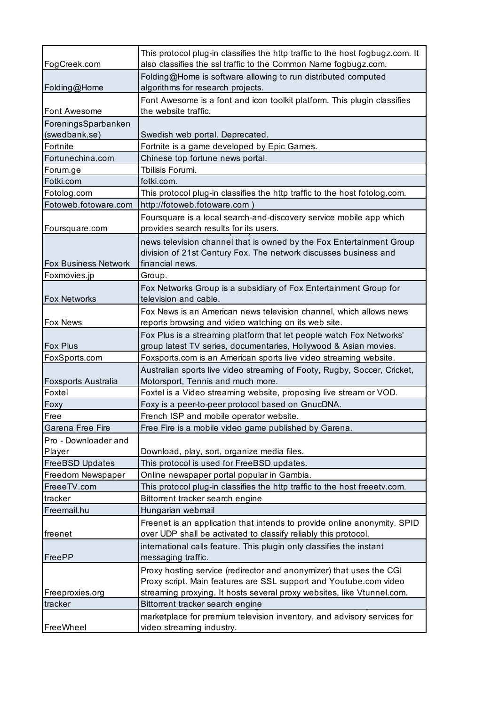| FogCreek.com                | This protocol plug-in classifies the http traffic to the host fogbugz.com. It<br>also classifies the ssl traffic to the Common Name fogbugz.com.            |
|-----------------------------|-------------------------------------------------------------------------------------------------------------------------------------------------------------|
| Folding@Home                | Folding@Home is software allowing to run distributed computed<br>algorithms for research projects.                                                          |
|                             | Font Awesome is a font and icon toolkit platform. This plugin classifies                                                                                    |
| Font Awesome                | the website traffic.                                                                                                                                        |
| ForeningsSparbanken         |                                                                                                                                                             |
| (swedbank.se)               | Swedish web portal. Deprecated.                                                                                                                             |
| Fortnite                    | Fortnite is a game developed by Epic Games.                                                                                                                 |
| Fortunechina.com            | Chinese top fortune news portal.                                                                                                                            |
| Forum.ge                    | Tbilisis Forumi.                                                                                                                                            |
| Fotki.com                   | fotki.com.                                                                                                                                                  |
| Fotolog.com                 | This protocol plug-in classifies the http traffic to the host fotolog.com.                                                                                  |
| Fotoweb.fotoware.com        | http://fotoweb.fotoware.com)                                                                                                                                |
| Foursquare.com              | Foursquare is a local search-and-discovery service mobile app which<br>provides search results for its users.                                               |
| <b>Fox Business Network</b> | news television channel that is owned by the Fox Entertainment Group<br>division of 21st Century Fox. The network discusses business and<br>financial news. |
| Foxmovies.jp                | Group.                                                                                                                                                      |
| <b>Fox Networks</b>         | Fox Networks Group is a subsidiary of Fox Entertainment Group for<br>television and cable.                                                                  |
|                             | Fox News is an American news television channel, which allows news                                                                                          |
| Fox News                    | reports browsing and video watching on its web site.                                                                                                        |
|                             | Fox Plus is a streaming platform that let people watch Fox Networks'                                                                                        |
| Fox Plus                    | group latest TV series, documentaries, Hollywood & Asian movies.                                                                                            |
| FoxSports.com               | Foxsports.com is an American sports live video streaming website.                                                                                           |
|                             | Australian sports live video streaming of Footy, Rugby, Soccer, Cricket,                                                                                    |
| <b>Foxsports Australia</b>  | Motorsport, Tennis and much more.                                                                                                                           |
| Foxtel                      | Foxtel is a Video streaming website, proposing live stream or VOD.                                                                                          |
| Foxy                        | Foxy is a peer-to-peer protocol based on GnucDNA.                                                                                                           |
| Free                        | French ISP and mobile operator website.                                                                                                                     |
| Garena Free Fire            | Free Fire is a mobile video game published by Garena.                                                                                                       |
| Pro - Downloader and        |                                                                                                                                                             |
| Player                      | Download, play, sort, organize media files.                                                                                                                 |
| <b>FreeBSD Updates</b>      | This protocol is used for FreeBSD updates.                                                                                                                  |
| Freedom Newspaper           | Online newspaper portal popular in Gambia.                                                                                                                  |
| FreeeTV.com                 | This protocol plug-in classifies the http traffic to the host freeetv.com.                                                                                  |
| tracker                     | Bittorrent tracker search engine                                                                                                                            |
| Freemail.hu                 | Hungarian webmail                                                                                                                                           |
| freenet                     | Freenet is an application that intends to provide online anonymity. SPID<br>over UDP shall be activated to classify reliably this protocol.                 |
| FreePP                      | international calls feature. This plugin only classifies the instant<br>messaging traffic.                                                                  |
|                             | Proxy hosting service (redirector and anonymizer) that uses the CGI<br>Proxy script. Main features are SSL support and Youtube.com video                    |
| Freeproxies.org             | streaming proxying. It hosts several proxy websites, like Vtunnel.com.                                                                                      |
| tracker                     | Bittorrent tracker search engine                                                                                                                            |
| FreeWheel                   | marketplace for premium television inventory, and advisory services for<br>video streaming industry.                                                        |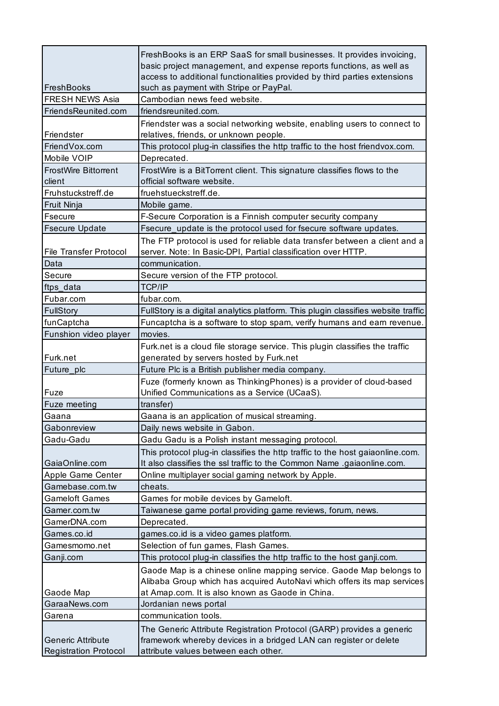| FreshBooks                                               | FreshBooks is an ERP SaaS for small businesses. It provides invoicing,<br>basic project management, and expense reports functions, as well as<br>access to additional functionalities provided by third parties extensions<br>such as payment with Stripe or PayPal. |
|----------------------------------------------------------|----------------------------------------------------------------------------------------------------------------------------------------------------------------------------------------------------------------------------------------------------------------------|
| <b>FRESH NEWS Asia</b>                                   | Cambodian news feed website.                                                                                                                                                                                                                                         |
| FriendsReunited.com                                      | friendsreunited.com.                                                                                                                                                                                                                                                 |
| Friendster                                               | Friendster was a social networking website, enabling users to connect to<br>relatives, friends, or unknown people.                                                                                                                                                   |
| FriendVox.com                                            | This protocol plug-in classifies the http traffic to the host friendvox.com.                                                                                                                                                                                         |
| Mobile VOIP                                              | Deprecated.                                                                                                                                                                                                                                                          |
| <b>FrostWire Bittorrent</b><br>client                    | FrostWire is a BitTorrent client. This signature classifies flows to the<br>official software website.                                                                                                                                                               |
| Fruhstuckstreff.de                                       | fruehstueckstreff.de.                                                                                                                                                                                                                                                |
| Fruit Ninja                                              | Mobile game.                                                                                                                                                                                                                                                         |
| <b>Fsecure</b>                                           | F-Secure Corporation is a Finnish computer security company                                                                                                                                                                                                          |
| <b>Fsecure Update</b>                                    | Fsecure_update is the protocol used for fsecure software updates.                                                                                                                                                                                                    |
|                                                          | The FTP protocol is used for reliable data transfer between a client and a                                                                                                                                                                                           |
| <b>File Transfer Protocol</b>                            | server. Note: In Basic-DPI, Partial classification over HTTP.                                                                                                                                                                                                        |
| Data                                                     | communication.                                                                                                                                                                                                                                                       |
| Secure                                                   | Secure version of the FTP protocol.                                                                                                                                                                                                                                  |
| ftps_data                                                | <b>TCP/IP</b>                                                                                                                                                                                                                                                        |
| Fubar.com                                                | fubar.com.                                                                                                                                                                                                                                                           |
| <b>FullStory</b>                                         | FullStory is a digital analytics platform. This plugin classifies website traffic                                                                                                                                                                                    |
| funCaptcha                                               | Funcaptcha is a software to stop spam, verify humans and earn revenue.                                                                                                                                                                                               |
| Funshion video player                                    | movies.                                                                                                                                                                                                                                                              |
|                                                          | Furk.net is a cloud file storage service. This plugin classifies the traffic                                                                                                                                                                                         |
| Furk.net                                                 | generated by servers hosted by Furk.net                                                                                                                                                                                                                              |
| Future_plc                                               | Future Plc is a British publisher media company.                                                                                                                                                                                                                     |
| Fuze                                                     | Fuze (formerly known as ThinkingPhones) is a provider of cloud-based<br>Unified Communications as a Service (UCaaS).                                                                                                                                                 |
| Fuze meeting                                             | transfer)                                                                                                                                                                                                                                                            |
| Gaana                                                    | Gaana is an application of musical streaming.                                                                                                                                                                                                                        |
| Gabonreview                                              | Daily news website in Gabon.                                                                                                                                                                                                                                         |
| Gadu-Gadu                                                | Gadu Gadu is a Polish instant messaging protocol.                                                                                                                                                                                                                    |
| GaiaOnline.com                                           | This protocol plug-in classifies the http traffic to the host gaiaonline.com.<br>It also classifies the ssl traffic to the Common Name .gaiaonline.com.                                                                                                              |
| Apple Game Center                                        | Online multiplayer social gaming network by Apple.                                                                                                                                                                                                                   |
| Gamebase.com.tw                                          | cheats.                                                                                                                                                                                                                                                              |
| <b>Gameloft Games</b>                                    | Games for mobile devices by Gameloft.                                                                                                                                                                                                                                |
| Gamer.com.tw                                             | Taiwanese game portal providing game reviews, forum, news.                                                                                                                                                                                                           |
| GamerDNA.com                                             | Deprecated.                                                                                                                                                                                                                                                          |
| Games.co.id                                              | games.co.id is a video games platform.                                                                                                                                                                                                                               |
| Gamesmomo.net                                            | Selection of fun games, Flash Games.                                                                                                                                                                                                                                 |
| Ganji.com                                                | This protocol plug-in classifies the http traffic to the host ganji.com.                                                                                                                                                                                             |
|                                                          | Gaode Map is a chinese online mapping service. Gaode Map belongs to<br>Alibaba Group which has acquired AutoNavi which offers its map services                                                                                                                       |
| Gaode Map<br>GaraaNews.com                               | at Amap.com. It is also known as Gaode in China.                                                                                                                                                                                                                     |
|                                                          | Jordanian news portal<br>communication tools.                                                                                                                                                                                                                        |
| Garena                                                   |                                                                                                                                                                                                                                                                      |
| <b>Generic Attribute</b><br><b>Registration Protocol</b> | The Generic Attribute Registration Protocol (GARP) provides a generic<br>framework whereby devices in a bridged LAN can register or delete<br>attribute values between each other.                                                                                   |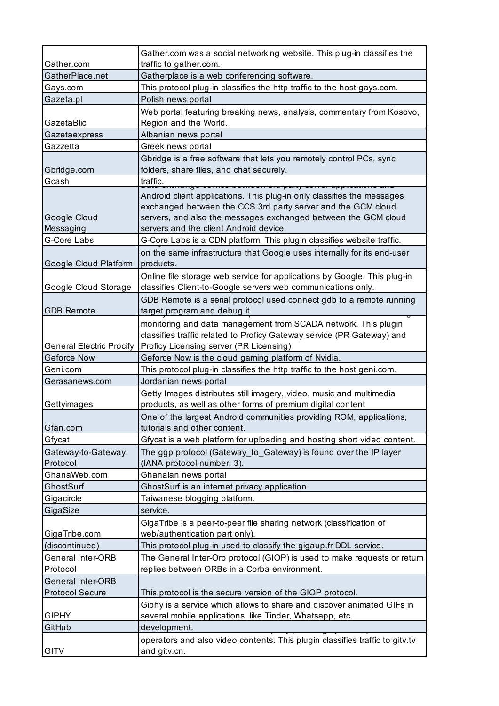| Web portal featuring breaking news, analysis, commentary from Kosovo,                                                                               |
|-----------------------------------------------------------------------------------------------------------------------------------------------------|
|                                                                                                                                                     |
|                                                                                                                                                     |
|                                                                                                                                                     |
|                                                                                                                                                     |
|                                                                                                                                                     |
|                                                                                                                                                     |
|                                                                                                                                                     |
|                                                                                                                                                     |
|                                                                                                                                                     |
|                                                                                                                                                     |
|                                                                                                                                                     |
|                                                                                                                                                     |
|                                                                                                                                                     |
|                                                                                                                                                     |
|                                                                                                                                                     |
|                                                                                                                                                     |
|                                                                                                                                                     |
|                                                                                                                                                     |
|                                                                                                                                                     |
| GDB Remote is a serial protocol used connect gdb to a remote running                                                                                |
|                                                                                                                                                     |
|                                                                                                                                                     |
|                                                                                                                                                     |
|                                                                                                                                                     |
|                                                                                                                                                     |
|                                                                                                                                                     |
|                                                                                                                                                     |
|                                                                                                                                                     |
|                                                                                                                                                     |
|                                                                                                                                                     |
|                                                                                                                                                     |
| Gfycat is a web platform for uploading and hosting short video content.                                                                             |
|                                                                                                                                                     |
|                                                                                                                                                     |
|                                                                                                                                                     |
|                                                                                                                                                     |
|                                                                                                                                                     |
|                                                                                                                                                     |
|                                                                                                                                                     |
|                                                                                                                                                     |
|                                                                                                                                                     |
|                                                                                                                                                     |
|                                                                                                                                                     |
| The General Inter-Orb protocol (GIOP) is used to make requests or return                                                                            |
|                                                                                                                                                     |
|                                                                                                                                                     |
| Giphy is a service which allows to share and discover animated GIFs in                                                                              |
|                                                                                                                                                     |
|                                                                                                                                                     |
| operators and also video contents. This plugin classifies traffic to gitv.tv                                                                        |
| on the same infrastructure that Google uses internally for its end-user<br>Online file storage web service for applications by Google. This plug-in |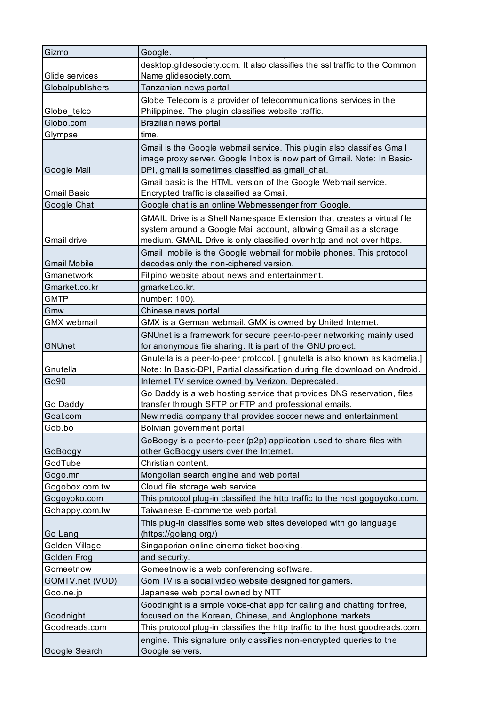| Gizmo               | Google.                                                                                                                                                                                                            |
|---------------------|--------------------------------------------------------------------------------------------------------------------------------------------------------------------------------------------------------------------|
|                     | desktop.glidesociety.com. It also classifies the ssl traffic to the Common                                                                                                                                         |
| Glide services      | Name_glidesociety.com.                                                                                                                                                                                             |
| Globalpublishers    | Tanzanian news portal                                                                                                                                                                                              |
|                     | Globe Telecom is a provider of telecommunications services in the                                                                                                                                                  |
| Globe telco         | Philippines. The plugin classifies website traffic.                                                                                                                                                                |
| Globo.com           | Brazilian news portal                                                                                                                                                                                              |
| Glympse             | time.                                                                                                                                                                                                              |
| Google Mail         | Gmail is the Google webmail service. This plugin also classifies Gmail<br>image proxy server. Google Inbox is now part of Gmail. Note: In Basic-<br>DPI, gmail is sometimes classified as gmail_chat.              |
| <b>Gmail Basic</b>  | Gmail basic is the HTML version of the Google Webmail service.<br>Encrypted traffic is classified as Gmail.                                                                                                        |
| Google Chat         | Google chat is an online Webmessenger from Google.                                                                                                                                                                 |
| Gmail drive         | GMAIL Drive is a Shell Namespace Extension that creates a virtual file<br>system around a Google Mail account, allowing Gmail as a storage<br>medium. GMAIL Drive is only classified over http and not over https. |
| <b>Gmail Mobile</b> | Gmail_mobile is the Google webmail for mobile phones. This protocol<br>decodes only the non-ciphered version.                                                                                                      |
| Gmanetwork          | Filipino website about news and entertainment.                                                                                                                                                                     |
| Gmarket.co.kr       | gmarket.co.kr.                                                                                                                                                                                                     |
| <b>GMTP</b>         | number: 100).                                                                                                                                                                                                      |
| Gmw                 | Chinese news portal.                                                                                                                                                                                               |
| <b>GMX</b> webmail  | GMX is a German webmail. GMX is owned by United Internet.                                                                                                                                                          |
| <b>GNUnet</b>       | GNUnet is a framework for secure peer-to-peer networking mainly used<br>for anonymous file sharing. It is part of the GNU project.                                                                                 |
| Gnutella            | Gnutella is a peer-to-peer protocol. [ gnutella is also known as kadmelia.]<br>Note: In Basic-DPI, Partial classification during file download on Android.                                                         |
| Go90                | Internet TV service owned by Verizon. Deprecated.                                                                                                                                                                  |
| Go Daddy            | Go Daddy is a web hosting service that provides DNS reservation, files<br>transfer through SFTP or FTP and professional emails.                                                                                    |
| Goal.com            | New media company that provides soccer news and entertainment                                                                                                                                                      |
| Gob.bo              | Bolivian government portal                                                                                                                                                                                         |
| GoBoogy             | GoBoogy is a peer-to-peer (p2p) application used to share files with<br>other GoBoogy users over the Internet.                                                                                                     |
| GodTube             | Christian content.                                                                                                                                                                                                 |
| Gogo.mn             | Mongolian search engine and web portal                                                                                                                                                                             |
| Gogobox.com.tw      | Cloud file storage web service.                                                                                                                                                                                    |
| Gogoyoko.com        | This protocol plug-in classified the http traffic to the host gogoyoko.com.                                                                                                                                        |
| Gohappy.com.tw      | Taiwanese E-commerce web portal.                                                                                                                                                                                   |
|                     | This plug-in classifies some web sites developed with go language                                                                                                                                                  |
| Go Lang             | (https://golang.org/)                                                                                                                                                                                              |
| Golden Village      | Singaporian online cinema ticket booking.                                                                                                                                                                          |
| Golden Frog         | and security.                                                                                                                                                                                                      |
| Gomeetnow           | Gomeetnow is a web conferencing software.                                                                                                                                                                          |
| GOMTV.net (VOD)     | Gom TV is a social video website designed for gamers.                                                                                                                                                              |
| Goo.ne.jp           | Japanese web portal owned by NTT                                                                                                                                                                                   |
|                     | Goodnight is a simple voice-chat app for calling and chatting for free,                                                                                                                                            |
| Goodnight           | focused on the Korean, Chinese, and Anglophone markets.                                                                                                                                                            |
| Goodreads.com       | This protocol plug-in classifies the http traffic to the host goodreads.com.                                                                                                                                       |
| Google Search       | engine. This signature only classifies non-encrypted queries to the<br>Google servers.                                                                                                                             |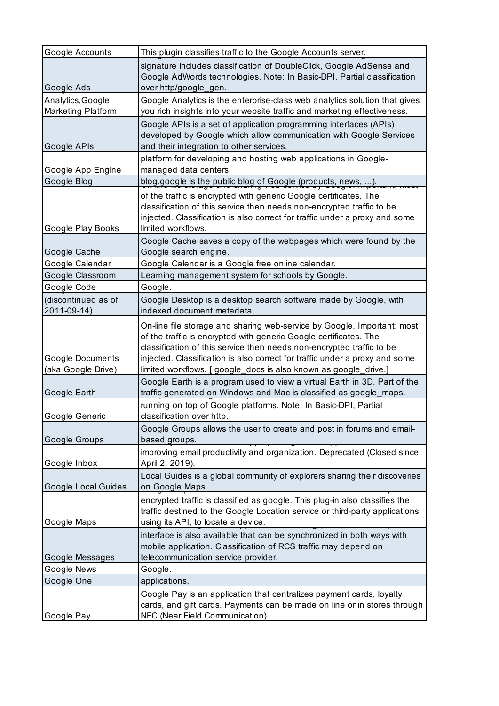| Google Accounts                         | This plugin classifies traffic to the Google Accounts server.                                                                                                                                                                                                                                                                                                            |
|-----------------------------------------|--------------------------------------------------------------------------------------------------------------------------------------------------------------------------------------------------------------------------------------------------------------------------------------------------------------------------------------------------------------------------|
| Google Ads                              | signature includes classification of DoubleClick, Google AdSense and<br>Google AdWords technologies. Note: In Basic-DPI, Partial classification<br>over http/google_gen.                                                                                                                                                                                                 |
| Analytics, Google<br>Marketing Platform | Google Analytics is the enterprise-class web analytics solution that gives<br>you rich insights into your website traffic and marketing effectiveness.                                                                                                                                                                                                                   |
| Google APIs                             | Google APIs is a set of application programming interfaces (APIs)<br>developed by Google which allow communication with Google Services<br>and their integration to other services.                                                                                                                                                                                      |
| Google App Engine                       | platform for developing and hosting web applications in Google-<br>managed data centers.                                                                                                                                                                                                                                                                                 |
| Google Blog                             | blog.google is the public blog of Google (products, news, ).                                                                                                                                                                                                                                                                                                             |
| Google Play Books                       | of the traffic is encrypted with generic Google certificates. The<br>classification of this service then needs non-encrypted traffic to be<br>injected. Classification is also correct for traffic under a proxy and some<br>limited workflows.                                                                                                                          |
| Google Cache                            | Google Cache saves a copy of the webpages which were found by the<br>Google search engine.                                                                                                                                                                                                                                                                               |
| Google Calendar                         | Google Calendar is a Google free online calendar.                                                                                                                                                                                                                                                                                                                        |
| Google Classroom                        | Learning management system for schools by Google.                                                                                                                                                                                                                                                                                                                        |
| Google Code                             | Google.                                                                                                                                                                                                                                                                                                                                                                  |
| (discontinued as of<br>2011-09-14)      | Google Desktop is a desktop search software made by Google, with<br>indexed document metadata.                                                                                                                                                                                                                                                                           |
| Google Documents<br>(aka Google Drive)  | On-line file storage and sharing web-service by Google. Important: most<br>of the traffic is encrypted with generic Google certificates. The<br>classification of this service then needs non-encrypted traffic to be<br>injected. Classification is also correct for traffic under a proxy and some<br>limited workflows. [ google_docs is also known as google_drive.] |
| Google Earth                            | Google Earth is a program used to view a virtual Earth in 3D. Part of the<br>traffic generated on Windows and Mac is classified as google_maps.                                                                                                                                                                                                                          |
| Google Generic                          | running on top of Google platforms. Note: In Basic-DPI, Partial<br>classification over http.                                                                                                                                                                                                                                                                             |
| Google Groups                           | Google Groups allows the user to create and post in forums and email-<br>based groups.                                                                                                                                                                                                                                                                                   |
| Google Inbox                            | improving email productivity and organization. Deprecated (Closed since<br>April 2, 2019).                                                                                                                                                                                                                                                                               |
| <b>Google Local Guides</b>              | Local Guides is a global community of explorers sharing their discoveries<br>on Google Maps.                                                                                                                                                                                                                                                                             |
| Google Maps                             | encrypted traffic is classified as google. This plug-in also classifies the<br>traffic destined to the Google Location service or third-party applications<br>using its API, to locate a device.                                                                                                                                                                         |
| Google Messages                         | interface is also available that can be synchronized in both ways with<br>mobile application. Classification of RCS traffic may depend on<br>telecommunication service provider.                                                                                                                                                                                         |
| Google News                             | Google.                                                                                                                                                                                                                                                                                                                                                                  |
| Google One                              | applications.                                                                                                                                                                                                                                                                                                                                                            |
| Google Pay                              | Google Pay is an application that centralizes payment cards, loyalty<br>cards, and gift cards. Payments can be made on line or in stores through<br>NFC (Near Field Communication).                                                                                                                                                                                      |
|                                         |                                                                                                                                                                                                                                                                                                                                                                          |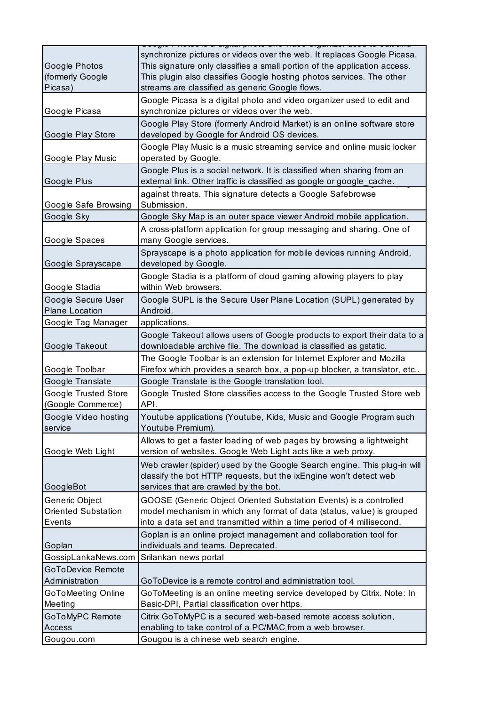| Google Photos<br>(formerly Google<br>Picasa)           | synchronize pictures or videos over the web. It replaces Google Picasa.<br>This signature only classifies a small portion of the application access.<br>This plugin also classifies Google hosting photos services. The other<br>streams are classified as generic Google flows. |
|--------------------------------------------------------|----------------------------------------------------------------------------------------------------------------------------------------------------------------------------------------------------------------------------------------------------------------------------------|
| Google Picasa                                          | Google Picasa is a digital photo and video organizer used to edit and<br>synchronize pictures or videos over the web.                                                                                                                                                            |
| Google Play Store                                      | Google Play Store (formerly Android Market) is an online software store<br>developed by Google for Android OS devices.                                                                                                                                                           |
| Google Play Music                                      | Google Play Music is a music streaming service and online music locker<br>operated by Google.                                                                                                                                                                                    |
| Google Plus                                            | Google Plus is a social network. It is classified when sharing from an<br>external link. Other traffic is classified as google or google_cache.                                                                                                                                  |
| Google Safe Browsing                                   | against threats. This signature detects a Google Safebrowse<br>Submission.                                                                                                                                                                                                       |
| Google Sky                                             | Google Sky Map is an outer space viewer Android mobile application.                                                                                                                                                                                                              |
| Google Spaces                                          | A cross-platform application for group messaging and sharing. One of<br>many Google services.                                                                                                                                                                                    |
| Google Sprayscape                                      | Sprayscape is a photo application for mobile devices running Android,<br>developed by Google.                                                                                                                                                                                    |
| Google Stadia                                          | Google Stadia is a platform of cloud gaming allowing players to play<br>within Web browsers.                                                                                                                                                                                     |
| Google Secure User<br><b>Plane Location</b>            | Google SUPL is the Secure User Plane Location (SUPL) generated by<br>Android.                                                                                                                                                                                                    |
| Google Tag Manager                                     | applications.                                                                                                                                                                                                                                                                    |
| Google Takeout                                         | Google Takeout allows users of Google products to export their data to a<br>downloadable archive file. The download is classified as gstatic.                                                                                                                                    |
| Google Toolbar                                         | The Google Toolbar is an extension for Internet Explorer and Mozilla<br>Firefox which provides a search box, a pop-up blocker, a translator, etc                                                                                                                                 |
| Google Translate                                       | Google Translate is the Google translation tool.                                                                                                                                                                                                                                 |
| Google Trusted Store<br>(Google Commerce)              | Google Trusted Store classifies access to the Google Trusted Store web<br>API.                                                                                                                                                                                                   |
| Google Video hosting<br>service                        | Youtube applications (Youtube, Kids, Music and Google Program such<br>Youtube Premium).                                                                                                                                                                                          |
| Google Web Light                                       | Allows to get a faster loading of web pages by browsing a lightweight<br>version of websites. Google Web Light acts like a web proxy.                                                                                                                                            |
| GoogleBot                                              | Web crawler (spider) used by the Google Search engine. This plug-in will<br>classify the bot HTTP requests, but the ixEngine won't detect web<br>services that are crawled by the bot.                                                                                           |
| Generic Object<br><b>Oriented Substation</b><br>Events | GOOSE (Generic Object Oriented Substation Events) is a controlled<br>model mechanism in which any format of data (status, value) is grouped<br>into a data set and transmitted within a time period of 4 millisecond.                                                            |
| Goplan                                                 | Goplan is an online project management and collaboration tool for<br>individuals and teams. Deprecated.                                                                                                                                                                          |
| GossipLankaNews.com                                    | Srilankan news portal                                                                                                                                                                                                                                                            |
| <b>GoToDevice Remote</b><br>Administration             | GoToDevice is a remote control and administration tool.                                                                                                                                                                                                                          |
| GoToMeeting Online<br>Meeting                          | GoToMeeting is an online meeting service developed by Citrix. Note: In<br>Basic-DPI, Partial classification over https.                                                                                                                                                          |
| GoToMyPC Remote                                        | Citrix GoToMyPC is a secured web-based remote access solution,                                                                                                                                                                                                                   |
| Access                                                 | enabling to take control of a PC/MAC from a web browser.                                                                                                                                                                                                                         |
| Gougou.com                                             | Gougou is a chinese web search engine.                                                                                                                                                                                                                                           |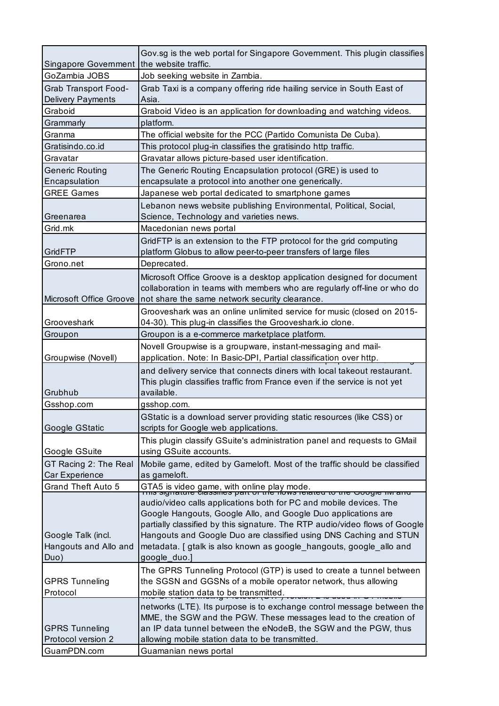|                                   | Gov.sg is the web portal for Singapore Government. This plugin classifies                                              |
|-----------------------------------|------------------------------------------------------------------------------------------------------------------------|
| Singapore Government              | the website traffic.                                                                                                   |
| GoZambia JOBS                     | Job seeking website in Zambia.                                                                                         |
| <b>Grab Transport Food-</b>       | Grab Taxi is a company offering ride hailing service in South East of                                                  |
| <b>Delivery Payments</b>          | Asia.                                                                                                                  |
| Graboid                           | Graboid Video is an application for downloading and watching videos.                                                   |
| Grammarly                         | platform.                                                                                                              |
| Granma                            | The official website for the PCC (Partido Comunista De Cuba).                                                          |
| Gratisindo.co.id                  | This protocol plug-in classifies the gratisindo http traffic.                                                          |
| Gravatar                          | Gravatar allows picture-based user identification.                                                                     |
| <b>Generic Routing</b>            | The Generic Routing Encapsulation protocol (GRE) is used to                                                            |
| Encapsulation                     | encapsulate a protocol into another one generically.                                                                   |
| <b>GREE Games</b>                 | Japanese web portal dedicated to smartphone games                                                                      |
|                                   | Lebanon news website publishing Environmental, Political, Social,                                                      |
| Greenarea                         | Science, Technology and varieties news.                                                                                |
| Grid.mk                           | Macedonian news portal                                                                                                 |
|                                   | GridFTP is an extension to the FTP protocol for the grid computing                                                     |
| GridFTP                           | platform Globus to allow peer-to-peer transfers of large files                                                         |
| Grono.net                         | Deprecated.                                                                                                            |
|                                   | Microsoft Office Groove is a desktop application designed for document                                                 |
|                                   | collaboration in teams with members who are regularly off-line or who do                                               |
| Microsoft Office Groove           | not share the same network security clearance.                                                                         |
|                                   | Grooveshark was an online unlimited service for music (closed on 2015-                                                 |
| Grooveshark                       | 04-30). This plug-in classifies the Grooveshark.io clone.                                                              |
| Groupon                           | Groupon is a e-commerce marketplace platform.                                                                          |
|                                   | Novell Groupwise is a groupware, instant-messaging and mail-                                                           |
| Groupwise (Novell)                | application. Note: In Basic-DPI, Partial classification over http.                                                     |
|                                   | and delivery service that connects diners with local takeout restaurant.                                               |
|                                   | This plugin classifies traffic from France even if the service is not yet                                              |
| Grubhub                           | available.                                                                                                             |
| Gsshop.com                        | gsshop.com.                                                                                                            |
|                                   | GStatic is a download server providing static resources (like CSS) or                                                  |
| Google GStatic                    | scripts for Google web applications.                                                                                   |
|                                   | This plugin classify GSuite's administration panel and requests to GMail                                               |
| Google GSuite                     | using GSuite accounts.                                                                                                 |
| GT Racing 2: The Real             | Mobile game, edited by Gameloft. Most of the traffic should be classified                                              |
| Car Experience                    | as gameloft.                                                                                                           |
| <b>Grand Theft Auto 5</b>         | GTA5 is video game, with online play mode.<br>בתחום Signature classines part or tile flows related to tile Google חוזר |
|                                   | audio/video calls applications both for PC and mobile devices. The                                                     |
|                                   | Google Hangouts, Google Allo, and Google Duo applications are                                                          |
|                                   | partially classified by this signature. The RTP audio/video flows of Google                                            |
| Google Talk (incl.                | Hangouts and Google Duo are classified using DNS Caching and STUN                                                      |
| Hangouts and Allo and             | metadata. [ gtalk is also known as google_hangouts, google_allo and                                                    |
| Duo)                              | google_duo.]                                                                                                           |
|                                   | The GPRS Tunneling Protocol (GTP) is used to create a tunnel between                                                   |
| <b>GPRS Tunneling</b>             | the SGSN and GGSNs of a mobile operator network, thus allowing                                                         |
| Protocol                          | mobile station data to be transmitted.                                                                                 |
|                                   | networks (LTE). Its purpose is to exchange control message between the                                                 |
|                                   | MME, the SGW and the PGW. These messages lead to the creation of                                                       |
| <b>GPRS Tunneling</b>             | an IP data tunnel between the eNodeB, the SGW and the PGW, thus                                                        |
|                                   |                                                                                                                        |
| Protocol version 2<br>GuamPDN.com | allowing mobile station data to be transmitted.<br>Guamanian news portal                                               |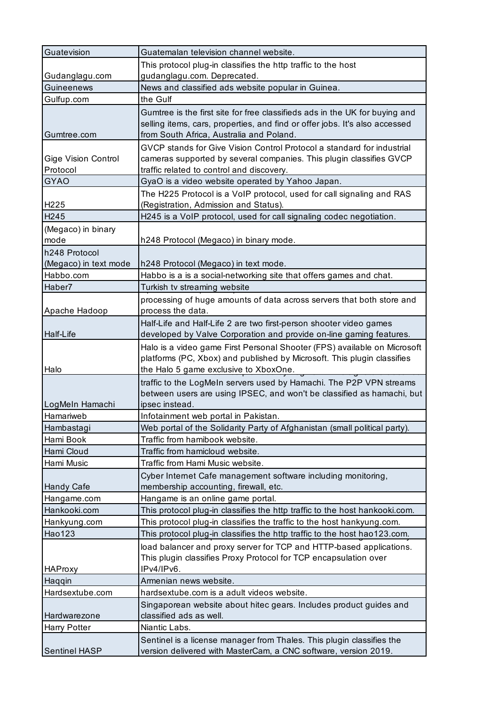| Guatevision                            | Guatemalan television channel website.                                                                                                                                                                 |
|----------------------------------------|--------------------------------------------------------------------------------------------------------------------------------------------------------------------------------------------------------|
|                                        | This protocol plug-in classifies the http traffic to the host                                                                                                                                          |
| Gudanglagu.com                         | gudanglagu.com. Deprecated.                                                                                                                                                                            |
| Guineenews                             | News and classified ads website popular in Guinea.                                                                                                                                                     |
| Gulfup.com                             | the Gulf                                                                                                                                                                                               |
| Gumtree.com                            | Gumtree is the first site for free classifieds ads in the UK for buying and<br>selling items, cars, properties, and find or offer jobs. It's also accessed<br>from South Africa, Australia and Poland. |
| <b>Gige Vision Control</b><br>Protocol | GVCP stands for Give Vision Control Protocol a standard for industrial<br>cameras supported by several companies. This plugin classifies GVCP<br>traffic related to control and discovery.             |
| <b>GYAO</b>                            | GyaO is a video website operated by Yahoo Japan.                                                                                                                                                       |
|                                        | The H225 Protocol is a VoIP protocol, used for call signaling and RAS                                                                                                                                  |
| H <sub>225</sub>                       | (Registration, Admission and Status).                                                                                                                                                                  |
| H <sub>245</sub>                       | H245 is a VoIP protocol, used for call signaling codec negotiation.                                                                                                                                    |
| (Megaco) in binary<br>mode             | h248 Protocol (Megaco) in binary mode.                                                                                                                                                                 |
| h248 Protocol                          |                                                                                                                                                                                                        |
| (Megaco) in text mode                  | h248 Protocol (Megaco) in text mode.                                                                                                                                                                   |
| Habbo.com                              | Habbo is a is a social-networking site that offers games and chat.                                                                                                                                     |
| Haber7                                 | Turkish tv streaming website                                                                                                                                                                           |
| Apache Hadoop                          | processing of huge amounts of data across servers that both store and<br>process the data.                                                                                                             |
|                                        | Half-Life and Half-Life 2 are two first-person shooter video games                                                                                                                                     |
| Half-Life                              | developed by Valve Corporation and provide on-line gaming features.                                                                                                                                    |
| Halo                                   | Halo is a video game First Personal Shooter (FPS) available on Microsoft<br>platforms (PC, Xbox) and published by Microsoft. This plugin classifies<br>the Halo 5 game exclusive to XboxOne.           |
| LogMeln Hamachi                        | traffic to the LogMeIn servers used by Hamachi. The P2P VPN streams<br>between users are using IPSEC, and won't be classified as hamachi, but<br>ipsec instead.                                        |
| Hamariweb                              | Infotainment web portal in Pakistan.                                                                                                                                                                   |
| Hambastagi                             | Web portal of the Solidarity Party of Afghanistan (small political party).                                                                                                                             |
| Hami Book                              | Traffic from hamibook website.                                                                                                                                                                         |
| Hami Cloud                             | Traffic from hamicloud website.                                                                                                                                                                        |
| Hami Music                             | Traffic from Hami Music website.                                                                                                                                                                       |
|                                        | Cyber Internet Cafe management software including monitoring,                                                                                                                                          |
| Handy Cafe                             | membership accounting, firewall, etc.                                                                                                                                                                  |
| Hangame.com                            | Hangame is an online game portal.                                                                                                                                                                      |
| Hankooki.com                           | This protocol plug-in classifies the http traffic to the host hankooki.com.                                                                                                                            |
| Hankyung.com                           | This protocol plug-in classifies the traffic to the host hankyung.com.                                                                                                                                 |
| Hao123                                 | This protocol plug-in classifies the http traffic to the host hao123.com.                                                                                                                              |
| <b>HAProxy</b>                         | load balancer and proxy server for TCP and HTTP-based applications.<br>This plugin classifies Proxy Protocol for TCP encapsulation over<br>IPv4/IPv6.                                                  |
| Haqqin                                 | Armenian news website.                                                                                                                                                                                 |
| Hardsextube.com                        | hardsextube.com is a adult videos website.                                                                                                                                                             |
| Hardwarezone                           | Singaporean website about hitec gears. Includes product guides and<br>classified ads as well.                                                                                                          |
| Harry Potter                           | Niantic Labs.                                                                                                                                                                                          |
|                                        | Sentinel is a license manager from Thales. This plugin classifies the                                                                                                                                  |
| Sentinel HASP                          | version delivered with MasterCam, a CNC software, version 2019.                                                                                                                                        |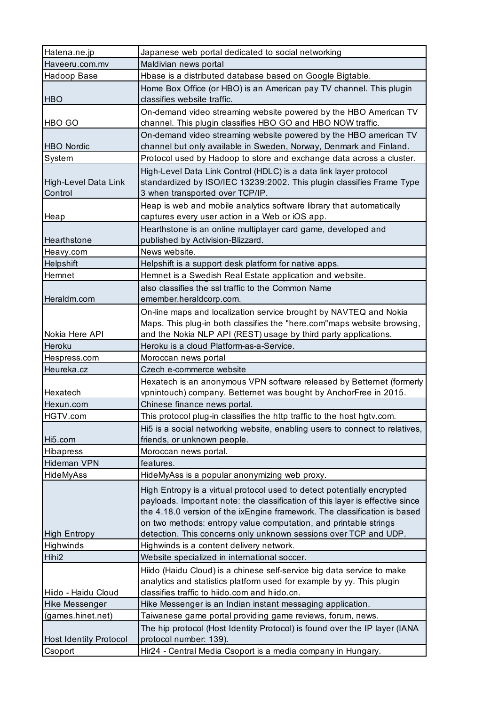| Hatena.ne.jp                   | Japanese web portal dedicated to social networking                                                                     |
|--------------------------------|------------------------------------------------------------------------------------------------------------------------|
| Haveeru.com.mv                 | Maldivian news portal                                                                                                  |
| Hadoop Base                    | Hbase is a distributed database based on Google Bigtable.                                                              |
|                                | Home Box Office (or HBO) is an American pay TV channel. This plugin                                                    |
| <b>HBO</b>                     | classifies website traffic.                                                                                            |
|                                | On-demand video streaming website powered by the HBO American TV                                                       |
| HBO GO                         | channel. This plugin classifies HBO GO and HBO NOW traffic.                                                            |
|                                | On-demand video streaming website powered by the HBO american TV                                                       |
| <b>HBO Nordic</b>              | channel but only available in Sweden, Norway, Denmark and Finland.                                                     |
| System                         | Protocol used by Hadoop to store and exchange data across a cluster.                                                   |
|                                | High-Level Data Link Control (HDLC) is a data link layer protocol                                                      |
| High-Level Data Link           | standardized by ISO/IEC 13239:2002. This plugin classifies Frame Type                                                  |
| Control                        | 3 when transported over TCP/IP.                                                                                        |
|                                | Heap is web and mobile analytics software library that automatically                                                   |
| Heap                           | captures every user action in a Web or iOS app.                                                                        |
|                                | Hearthstone is an online multiplayer card game, developed and                                                          |
| Hearthstone                    | published by Activision-Blizzard.                                                                                      |
| Heavy.com                      | News website.                                                                                                          |
| Helpshift                      | Helpshift is a support desk platform for native apps.                                                                  |
| Hemnet                         | Hemnet is a Swedish Real Estate application and website.                                                               |
|                                | also classifies the ssl traffic to the Common Name                                                                     |
| Heraldm.com                    | emember.heraldcorp.com.                                                                                                |
|                                | On-line maps and localization service brought by NAVTEQ and Nokia                                                      |
|                                | Maps. This plug-in both classifies the "here.com" maps website browsing,                                               |
| Nokia Here API                 | and the Nokia NLP API (REST) usage by third party applications.                                                        |
| Heroku                         | Heroku is a cloud Platform-as-a-Service.                                                                               |
|                                |                                                                                                                        |
| Hespress.com                   | Moroccan news portal                                                                                                   |
| Heureka.cz                     | Czech e-commerce website                                                                                               |
|                                | Hexatech is an anonymous VPN software released by Betternet (formerly                                                  |
| Hexatech                       | vpnintouch) company. Betternet was bought by AnchorFree in 2015.                                                       |
| Hexun.com                      | Chinese finance news portal.                                                                                           |
| HGTV.com                       | This protocol plug-in classifies the http traffic to the host hgtv.com.                                                |
|                                | Hi5 is a social networking website, enabling users to connect to relatives,                                            |
| Hi <sub>5</sub> .com           | friends, or unknown people.                                                                                            |
| Hibapress                      | Moroccan news portal.                                                                                                  |
| <b>Hideman VPN</b>             | features.                                                                                                              |
| HideMyAss                      | HideMyAss is a popular anonymizing web proxy.                                                                          |
|                                | High Entropy is a virtual protocol used to detect potentially encrypted                                                |
|                                | payloads. Important note: the classification of this layer is effective since                                          |
|                                | the 4.18.0 version of the ixEngine framework. The classification is based                                              |
|                                | on two methods: entropy value computation, and printable strings                                                       |
| <b>High Entropy</b>            | detection. This concerns only unknown sessions over TCP and UDP.                                                       |
| Highwinds<br>Hihi <sub>2</sub> | Highwinds is a content delivery network.                                                                               |
|                                | Website specialized in international soccer.                                                                           |
|                                | Hiido (Haidu Cloud) is a chinese self-service big data service to make                                                 |
| Hiido - Haidu Cloud            | analytics and statistics platform used for example by yy. This plugin<br>classifies traffic to hiido.com and hiido.cn. |
| Hike Messenger                 | Hike Messenger is an Indian instant messaging application.                                                             |
| (games.hinet.net)              | Taiwanese game portal providing game reviews, forum, news.                                                             |
|                                | The hip protocol (Host Identity Protocol) is found over the IP layer (IANA                                             |
| <b>Host Identity Protocol</b>  | protocol number: 139).                                                                                                 |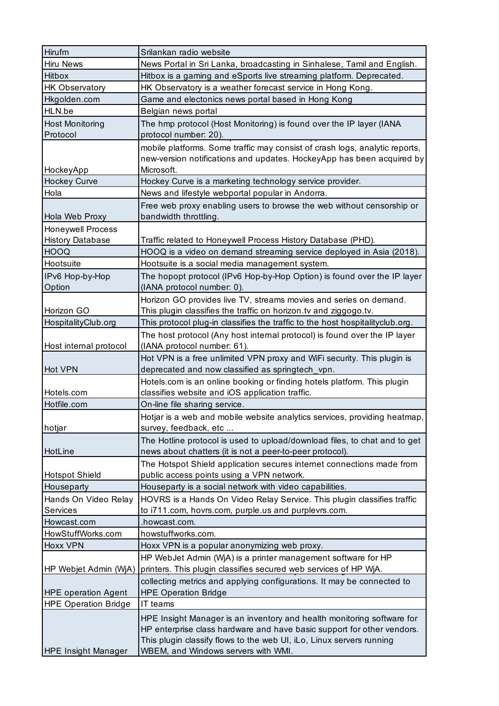| Hirufm                             | Srilankan radio website                                                                                                                                            |
|------------------------------------|--------------------------------------------------------------------------------------------------------------------------------------------------------------------|
| <b>Hiru News</b>                   | News Portal in Sri Lanka, broadcasting in Sinhalese, Tamil and English.                                                                                            |
| <b>Hitbox</b>                      | Hitbox is a gaming and eSports live streaming platform. Deprecated.                                                                                                |
| <b>HK Observatory</b>              | HK Observatory is a weather forecast service in Hong Kong.                                                                                                         |
| Hkgolden.com                       | Game and electonics news portal based in Hong Kong                                                                                                                 |
| HLN.be                             | Belgian news portal                                                                                                                                                |
| <b>Host Monitoring</b><br>Protocol | The hmp protocol (Host Monitoring) is found over the IP layer (IANA<br>protocol number: 20).                                                                       |
| HockeyApp                          | mobile platforms. Some traffic may consist of crash logs, analytic reports,<br>new-version notifications and updates. HockeyApp has been acquired by<br>Microsoft. |
| Hockey Curve                       | Hockey Curve is a marketing technology service provider.                                                                                                           |
| Hola                               | News and lifestyle webportal popular in Andorra.                                                                                                                   |
| Hola Web Proxy                     | Free web proxy enabling users to browse the web without censorship or<br>bandwidth throttling.                                                                     |
| <b>Honeywell Process</b>           |                                                                                                                                                                    |
| <b>History Database</b>            | Traffic related to Honeywell Process History Database (PHD).                                                                                                       |
| <b>HOOQ</b>                        | HOOQ is a video on demand streaming service deployed in Asia (2018).                                                                                               |
| Hootsuite                          | Hootsuite is a social media management system.                                                                                                                     |
| IPv6 Hop-by-Hop                    | The hopopt protocol (IPv6 Hop-by-Hop Option) is found over the IP layer                                                                                            |
| Option                             | (IANA protocol number: 0).                                                                                                                                         |
|                                    | Horizon GO provides live TV, streams movies and series on demand.                                                                                                  |
| Horizon GO                         | This plugin classifies the traffic on horizon.tv and ziggogo.tv.                                                                                                   |
| HospitalityClub.org                | This protocol plug-in classifies the traffic to the host hospitalityclub.org.                                                                                      |
|                                    | The host protocol (Any host internal protocol) is found over the IP layer                                                                                          |
| Host internal protocol             | (IANA protocol number: 61).                                                                                                                                        |
|                                    | Hot VPN is a free unlimited VPN proxy and WiFi security. This plugin is                                                                                            |
| Hot VPN                            | deprecated and now classified as springtech_vpn.                                                                                                                   |
| Hotels.com                         | Hotels.com is an online booking or finding hotels platform. This plugin<br>classifies website and iOS application traffic.                                         |
| Hotfile.com                        | On-line file sharing service.                                                                                                                                      |
| hotjar                             | Hotjar is a web and mobile website analytics services, providing heatmap,<br>survey, feedback, etc                                                                 |
|                                    | The Hotline protocol is used to upload/download files, to chat and to get                                                                                          |
| HotLine                            | news about chatters (it is not a peer-to-peer protocol).                                                                                                           |
|                                    | The Hotspot Shield application secures internet connections made from                                                                                              |
| <b>Hotspot Shield</b>              | public access points using a VPN network.                                                                                                                          |
| Houseparty                         | Houseparty is a social network with video capabilities.                                                                                                            |
| Hands On Video Relay               | HOVRS is a Hands On Video Relay Service. This plugin classifies traffic                                                                                            |
| Services                           | to i711.com, hovrs.com, purple.us and purplevrs.com.                                                                                                               |
| Howcast.com                        | .howcast.com.                                                                                                                                                      |
| HowStuffWorks.com                  | howstuffworks.com.                                                                                                                                                 |
| Hoxx VPN                           | Hoxx VPN is a popular anonymizing web proxy.                                                                                                                       |
|                                    | HP WebJet Admin (WjA) is a printer management software for HP                                                                                                      |
| HP Webjet Admin (WjA)              | printers. This plugin classifies secured web services of HP WjA.                                                                                                   |
|                                    | collecting metrics and applying configurations. It may be connected to                                                                                             |
| <b>HPE operation Agent</b>         | <b>HPE Operation Bridge</b>                                                                                                                                        |
| <b>HPE Operation Bridge</b>        | IT teams                                                                                                                                                           |
|                                    | HPE Insight Manager is an inventory and health monitoring software for                                                                                             |
|                                    | HP enterprise class hardware and have basic support for other vendors.                                                                                             |
|                                    | This plugin classify flows to the web UI, iLo, Linux servers running                                                                                               |
| <b>HPE Insight Manager</b>         | WBEM, and Windows servers with WMI.                                                                                                                                |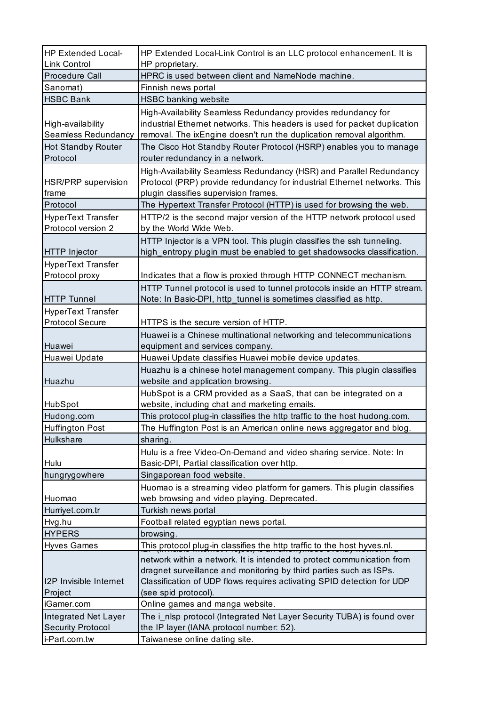| HP Extended Local-<br><b>Link Control</b>        | HP Extended Local-Link Control is an LLC protocol enhancement. It is<br>HP proprietary.                                                                                                                                                        |
|--------------------------------------------------|------------------------------------------------------------------------------------------------------------------------------------------------------------------------------------------------------------------------------------------------|
| Procedure Call                                   | HPRC is used between client and NameNode machine.                                                                                                                                                                                              |
| Sanomat)                                         | Finnish news portal                                                                                                                                                                                                                            |
| <b>HSBC Bank</b>                                 | <b>HSBC banking website</b>                                                                                                                                                                                                                    |
| High-availability<br>Seamless Redundancy         | High-Availability Seamless Redundancy provides redundancy for<br>industrial Ethernet networks. This headers is used for packet duplication<br>removal. The ixEngine doesn't run the duplication removal algorithm.                             |
| <b>Hot Standby Router</b><br>Protocol            | The Cisco Hot Standby Router Protocol (HSRP) enables you to manage<br>router redundancy in a network.                                                                                                                                          |
| HSR/PRP supervision<br>frame                     | High-Availability Seamless Redundancy (HSR) and Parallel Redundancy<br>Protocol (PRP) provide redundancy for industrial Ethernet networks. This<br>plugin classifies supervision frames.                                                       |
| Protocol                                         | The Hypertext Transfer Protocol (HTTP) is used for browsing the web.                                                                                                                                                                           |
| HyperText Transfer<br>Protocol version 2         | HTTP/2 is the second major version of the HTTP network protocol used<br>by the World Wide Web.                                                                                                                                                 |
| <b>HTTP</b> Injector                             | HTTP Injector is a VPN tool. This plugin classifies the ssh tunneling.<br>high_entropy plugin must be enabled to get shadowsocks classification.                                                                                               |
| <b>HyperText Transfer</b>                        |                                                                                                                                                                                                                                                |
| Protocol proxy                                   | Indicates that a flow is proxied through HTTP CONNECT mechanism.                                                                                                                                                                               |
|                                                  | HTTP Tunnel protocol is used to tunnel protocols inside an HTTP stream.                                                                                                                                                                        |
| <b>HTTP Tunnel</b>                               | Note: In Basic-DPI, http_tunnel is sometimes classified as http.                                                                                                                                                                               |
| <b>HyperText Transfer</b>                        |                                                                                                                                                                                                                                                |
| <b>Protocol Secure</b>                           | HTTPS is the secure version of HTTP.                                                                                                                                                                                                           |
|                                                  | Huawei is a Chinese multinational networking and telecommunications                                                                                                                                                                            |
| Huawei                                           | equipment and services company.                                                                                                                                                                                                                |
| Huawei Update                                    | Huawei Update classifies Huawei mobile device updates.                                                                                                                                                                                         |
| Huazhu                                           | Huazhu is a chinese hotel management company. This plugin classifies<br>website and application browsing.                                                                                                                                      |
| HubSpot                                          | HubSpot is a CRM provided as a SaaS, that can be integrated on a<br>website, including chat and marketing emails.                                                                                                                              |
| Hudong.com                                       | This protocol plug-in classifies the http traffic to the host hudong.com.                                                                                                                                                                      |
| <b>Huffington Post</b>                           | The Huffington Post is an American online news aggregator and blog.                                                                                                                                                                            |
| Hulkshare                                        | sharing.                                                                                                                                                                                                                                       |
| Hulu                                             | Hulu is a free Video-On-Demand and video sharing service. Note: In<br>Basic-DPI, Partial classification over http.                                                                                                                             |
| hungrygowhere                                    | Singaporean food website.                                                                                                                                                                                                                      |
|                                                  | Huomao is a streaming video platform for gamers. This plugin classifies                                                                                                                                                                        |
| Huomao                                           | web browsing and video playing. Deprecated.                                                                                                                                                                                                    |
| Hurriyet.com.tr                                  | Turkish news portal                                                                                                                                                                                                                            |
| Hvg.hu                                           | Football related egyptian news portal.                                                                                                                                                                                                         |
| <b>HYPERS</b>                                    | browsing.                                                                                                                                                                                                                                      |
| <b>Hyves Games</b>                               | This protocol plug-in classifies the http traffic to the host hyves.nl.                                                                                                                                                                        |
| I2P Invisible Internet<br>Project                | network within a network. It is intended to protect communication from<br>dragnet surveillance and monitoring by third parties such as ISPs.<br>Classification of UDP flows requires activating SPID detection for UDP<br>(see spid protocol). |
| iGamer.com                                       | Online games and manga website.                                                                                                                                                                                                                |
| Integrated Net Layer<br><b>Security Protocol</b> | The i_nlsp protocol (Integrated Net Layer Security TUBA) is found over<br>the IP layer (IANA protocol number: 52).                                                                                                                             |
| i-Part.com.tw                                    | Taiwanese online dating site.                                                                                                                                                                                                                  |
|                                                  |                                                                                                                                                                                                                                                |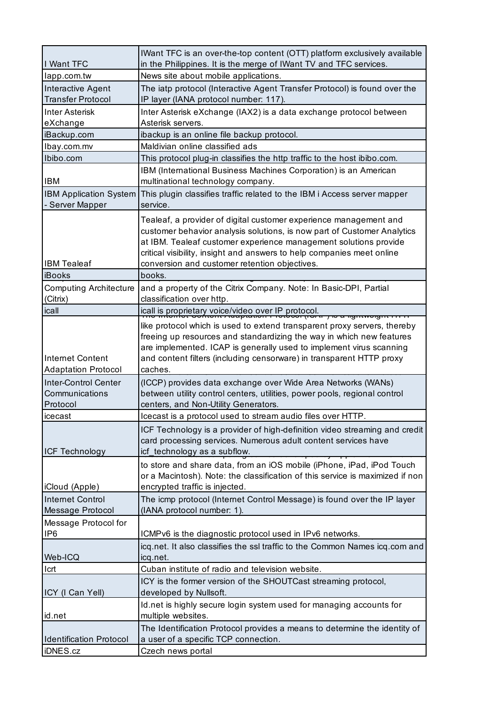| I Want TFC                                            | IWant TFC is an over-the-top content (OTT) platform exclusively available<br>in the Philippines. It is the merge of IWant TV and TFC services.                                                                                                                                                                                              |
|-------------------------------------------------------|---------------------------------------------------------------------------------------------------------------------------------------------------------------------------------------------------------------------------------------------------------------------------------------------------------------------------------------------|
| lapp.com.tw                                           | News site about mobile applications.                                                                                                                                                                                                                                                                                                        |
| <b>Interactive Agent</b>                              | The iatp protocol (Interactive Agent Transfer Protocol) is found over the                                                                                                                                                                                                                                                                   |
| <b>Transfer Protocol</b>                              | IP layer (IANA protocol number: 117).                                                                                                                                                                                                                                                                                                       |
| <b>Inter Asterisk</b>                                 | Inter Asterisk eXchange (IAX2) is a data exchange protocol between                                                                                                                                                                                                                                                                          |
| eXchange                                              | Asterisk servers.                                                                                                                                                                                                                                                                                                                           |
| iBackup.com                                           | ibackup is an online file backup protocol.                                                                                                                                                                                                                                                                                                  |
| Ibay.com.mv                                           | Maldivian online classified ads                                                                                                                                                                                                                                                                                                             |
| Ibibo.com                                             | This protocol plug-in classifies the http traffic to the host ibibo.com.                                                                                                                                                                                                                                                                    |
|                                                       | IBM (International Business Machines Corporation) is an American                                                                                                                                                                                                                                                                            |
| <b>IBM</b>                                            | multinational technology company.                                                                                                                                                                                                                                                                                                           |
| <b>IBM Application System</b>                         | This plugin classifies traffic related to the IBM i Access server mapper                                                                                                                                                                                                                                                                    |
| - Server Mapper                                       | service.                                                                                                                                                                                                                                                                                                                                    |
| <b>IBM Tealeaf</b>                                    | Tealeaf, a provider of digital customer experience management and<br>customer behavior analysis solutions, is now part of Customer Analytics<br>at IBM. Tealeaf customer experience management solutions provide<br>critical visibility, insight and answers to help companies meet online<br>conversion and customer retention objectives. |
| iBooks                                                | books.                                                                                                                                                                                                                                                                                                                                      |
| <b>Computing Architecture</b><br>(Citrix)             | and a property of the Citrix Company. Note: In Basic-DPI, Partial<br>classification over http.                                                                                                                                                                                                                                              |
| icall                                                 | icall is proprietary voice/video over IP protocol.<br>The interfect content ridgeration in to local (ror in ) is a lightweight                                                                                                                                                                                                              |
|                                                       | like protocol which is used to extend transparent proxy servers, thereby<br>freeing up resources and standardizing the way in which new features<br>are implemented. ICAP is generally used to implement virus scanning                                                                                                                     |
| <b>Internet Content</b><br><b>Adaptation Protocol</b> | and content filters (including censorware) in transparent HTTP proxy<br>caches.                                                                                                                                                                                                                                                             |
| Inter-Control Center<br>Communications<br>Protocol    | (ICCP) provides data exchange over Wide Area Networks (WANs)<br>between utility control centers, utilities, power pools, regional control<br>centers, and Non-Utility Generators.                                                                                                                                                           |
| icecast                                               | Icecast is a protocol used to stream audio files over HTTP.                                                                                                                                                                                                                                                                                 |
| <b>ICF Technology</b>                                 | ICF Technology is a provider of high-definition video streaming and credit<br>card processing services. Numerous adult content services have<br>icf_technology as a subflow.                                                                                                                                                                |
| iCloud (Apple)                                        | to store and share data, from an iOS mobile (iPhone, iPad, iPod Touch<br>or a Macintosh). Note: the classification of this service is maximized if non<br>encrypted traffic is injected.                                                                                                                                                    |
| <b>Internet Control</b>                               | The icmp protocol (Internet Control Message) is found over the IP layer                                                                                                                                                                                                                                                                     |
| Message Protocol                                      | (IANA protocol number: 1).                                                                                                                                                                                                                                                                                                                  |
| Message Protocol for                                  |                                                                                                                                                                                                                                                                                                                                             |
| IP <sub>6</sub>                                       | ICMPv6 is the diagnostic protocol used in IPv6 networks.                                                                                                                                                                                                                                                                                    |
|                                                       | icq.net. It also classifies the ssl traffic to the Common Names icq.com and                                                                                                                                                                                                                                                                 |
| Web-ICQ                                               | icq.net.                                                                                                                                                                                                                                                                                                                                    |
| Icrt                                                  | Cuban institute of radio and television website.                                                                                                                                                                                                                                                                                            |
| ICY (I Can Yell)                                      | ICY is the former version of the SHOUTCast streaming protocol,<br>developed by Nullsoft.                                                                                                                                                                                                                                                    |
| id.net                                                | Id.net is highly secure login system used for managing accounts for<br>multiple websites.                                                                                                                                                                                                                                                   |
|                                                       | The Identification Protocol provides a means to determine the identity of                                                                                                                                                                                                                                                                   |
| <b>Identification Protocol</b>                        | a user of a specific TCP connection.                                                                                                                                                                                                                                                                                                        |
| iDNES.cz                                              | Czech news portal                                                                                                                                                                                                                                                                                                                           |
|                                                       |                                                                                                                                                                                                                                                                                                                                             |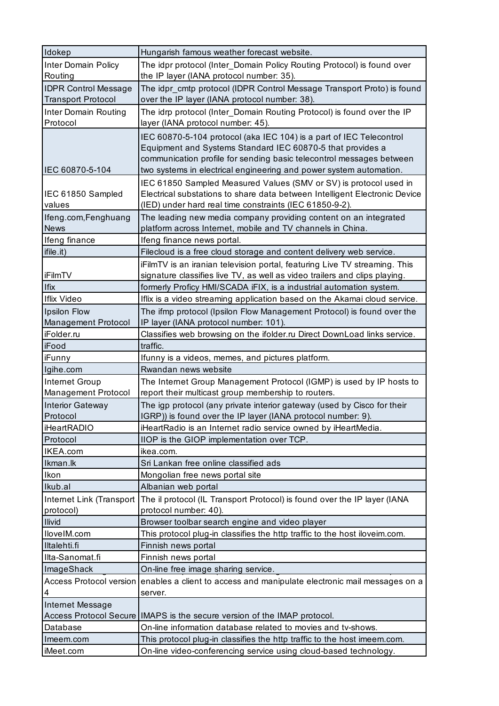| Idokep                         | Hungarish famous weather forecast website.                                                                                                   |
|--------------------------------|----------------------------------------------------------------------------------------------------------------------------------------------|
|                                |                                                                                                                                              |
| <b>Inter Domain Policy</b>     | The idpr protocol (Inter_Domain Policy Routing Protocol) is found over                                                                       |
| Routing                        | the IP layer (IANA protocol number: 35).                                                                                                     |
| <b>IDPR Control Message</b>    | The idpr_cmtp protocol (IDPR Control Message Transport Proto) is found                                                                       |
| <b>Transport Protocol</b>      | over the IP layer (IANA protocol number: 38).                                                                                                |
| Inter Domain Routing           | The idrp protocol (Inter_Domain Routing Protocol) is found over the IP                                                                       |
| Protocol                       | layer (IANA protocol number: 45).                                                                                                            |
|                                | IEC 60870-5-104 protocol (aka IEC 104) is a part of IEC Telecontrol                                                                          |
|                                | Equipment and Systems Standard IEC 60870-5 that provides a                                                                                   |
|                                | communication profile for sending basic telecontrol messages between                                                                         |
| IEC 60870-5-104                | two systems in electrical engineering and power system automation.                                                                           |
|                                | IEC 61850 Sampled Measured Values (SMV or SV) is protocol used in                                                                            |
| IEC 61850 Sampled              | Electrical substations to share data between Intelligent Electronic Device                                                                   |
|                                |                                                                                                                                              |
| values                         | (IED) under hard real time constraints (IEC 61850-9-2).                                                                                      |
| Ifeng.com, Fenghuang           | The leading new media company providing content on an integrated                                                                             |
| <b>News</b>                    | platform across Internet, mobile and TV channels in China.                                                                                   |
| Ifeng finance                  | Ifeng finance news portal.                                                                                                                   |
| ifile.it)                      | Filecloud is a free cloud storage and content delivery web service.                                                                          |
|                                | iFilmTV is an iranian television portal, featuring Live TV streaming. This                                                                   |
| <b>iFilmTV</b>                 | signature classifies live TV, as well as video trailers and clips playing.                                                                   |
| <b>Ifix</b>                    | formerly Proficy HMI/SCADA iFIX, is a industrial automation system.                                                                          |
| <b>Iflix Video</b>             | Iflix is a video streaming application based on the Akamai cloud service.                                                                    |
| Ipsilon Flow                   | The ifmp protocol (Ipsilon Flow Management Protocol) is found over the                                                                       |
| Management Protocol            | IP layer (IANA protocol number: 101).                                                                                                        |
| iFolder.ru                     | Classifies web browsing on the ifolder.ru Direct DownLoad links service.                                                                     |
| iFood                          | traffic.                                                                                                                                     |
|                                |                                                                                                                                              |
|                                |                                                                                                                                              |
| iFunny                         | Ifunny is a videos, memes, and pictures platform.                                                                                            |
| Igihe.com                      | Rwandan news website                                                                                                                         |
| Internet Group                 | The Internet Group Management Protocol (IGMP) is used by IP hosts to                                                                         |
| Management Protocol            | report their multicast group membership to routers.                                                                                          |
| <b>Interior Gateway</b>        | The igp protocol (any private interior gateway (used by Cisco for their                                                                      |
| Protocol                       | IGRP)) is found over the IP layer (IANA protocol number: 9).                                                                                 |
| <b>iHeartRADIO</b>             | iHeartRadio is an Internet radio service owned by iHeartMedia.                                                                               |
| Protocol                       | IIOP is the GIOP implementation over TCP.                                                                                                    |
| IKEA.com                       | ikea.com.                                                                                                                                    |
| Ikman.lk                       | Sri Lankan free online classified ads                                                                                                        |
| Ikon                           |                                                                                                                                              |
|                                | Mongolian free news portal site                                                                                                              |
| Ikub.al                        | Albanian web portal                                                                                                                          |
| Internet Link (Transport       | The il protocol (IL Transport Protocol) is found over the IP layer (IANA                                                                     |
| protocol)                      | protocol number: 40).                                                                                                                        |
| <b>Ilivid</b>                  | Browser toolbar search engine and video player                                                                                               |
| IloveIM.com                    | This protocol plug-in classifies the http traffic to the host iloveim.com.                                                                   |
| Iltalehti.fi                   | Finnish news portal                                                                                                                          |
| Ilta-Sanomat.fi                | Finnish news portal                                                                                                                          |
| <b>ImageShack</b>              | On-line free image sharing service.                                                                                                          |
| <b>Access Protocol version</b> | enables a client to access and manipulate electronic mail messages on a                                                                      |
| 4                              | server.                                                                                                                                      |
| Internet Message               |                                                                                                                                              |
|                                | Access Protocol Secure   IMAPS is the secure version of the IMAP protocol.                                                                   |
| Database                       | On-line information database related to movies and tv-shows.                                                                                 |
| Imeem.com                      |                                                                                                                                              |
| iMeet.com                      | This protocol plug-in classifies the http traffic to the host imeem.com.<br>On-line video-conferencing service using cloud-based technology. |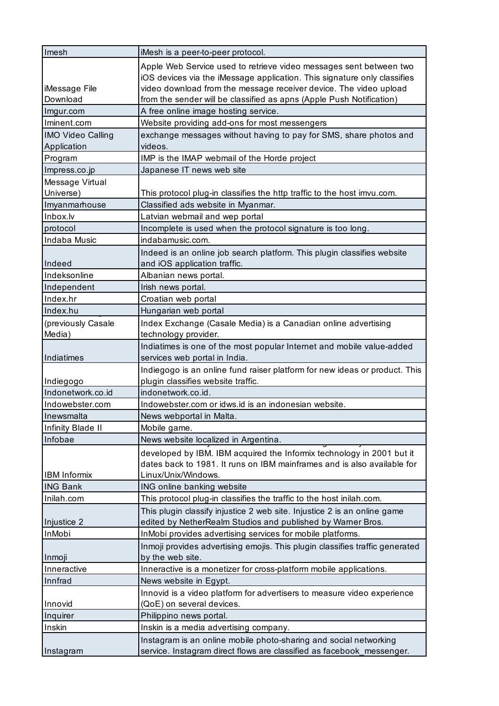| Imesh                                   | iMesh is a peer-to-peer protocol.                                                                                                                                                                                                                                                           |
|-----------------------------------------|---------------------------------------------------------------------------------------------------------------------------------------------------------------------------------------------------------------------------------------------------------------------------------------------|
| iMessage File<br>Download               | Apple Web Service used to retrieve video messages sent between two<br>iOS devices via the iMessage application. This signature only classifies<br>video download from the message receiver device. The video upload<br>from the sender will be classified as apns (Apple Push Notification) |
| Imgur.com                               | A free online image hosting service.                                                                                                                                                                                                                                                        |
| Iminent.com                             | Website providing add-ons for most messengers                                                                                                                                                                                                                                               |
|                                         |                                                                                                                                                                                                                                                                                             |
| <b>IMO Video Calling</b><br>Application | exchange messages without having to pay for SMS, share photos and<br>videos.                                                                                                                                                                                                                |
| Program                                 | IMP is the IMAP webmail of the Horde project                                                                                                                                                                                                                                                |
| Impress.co.jp                           | Japanese IT news web site                                                                                                                                                                                                                                                                   |
| Message Virtual                         |                                                                                                                                                                                                                                                                                             |
| Universe)                               | This protocol plug-in classifies the http traffic to the host imvu.com.                                                                                                                                                                                                                     |
| Imyanmarhouse                           | Classified ads website in Myanmar.                                                                                                                                                                                                                                                          |
| Inbox.lv                                | Latvian webmail and wep portal                                                                                                                                                                                                                                                              |
| protocol                                | Incomplete is used when the protocol signature is too long.                                                                                                                                                                                                                                 |
| Indaba Music                            | indabamusic.com.                                                                                                                                                                                                                                                                            |
| Indeed                                  | Indeed is an online job search platform. This plugin classifies website<br>and iOS application traffic.                                                                                                                                                                                     |
| Indeksonline                            | Albanian news portal.                                                                                                                                                                                                                                                                       |
| Independent                             | Irish news portal.                                                                                                                                                                                                                                                                          |
| Index.hr                                | Croatian web portal                                                                                                                                                                                                                                                                         |
| Index.hu                                | Hungarian web portal                                                                                                                                                                                                                                                                        |
| (previously Casale                      | Index Exchange (Casale Media) is a Canadian online advertising                                                                                                                                                                                                                              |
| Media)                                  | technology provider.                                                                                                                                                                                                                                                                        |
|                                         | Indiatimes is one of the most popular Internet and mobile value-added                                                                                                                                                                                                                       |
| Indiatimes                              | services web portal in India.                                                                                                                                                                                                                                                               |
|                                         | Indiegogo is an online fund raiser platform for new ideas or product. This                                                                                                                                                                                                                  |
| Indiegogo                               | plugin classifies website traffic.                                                                                                                                                                                                                                                          |
| Indonetwork.co.id                       | indonetwork.co.id.                                                                                                                                                                                                                                                                          |
| Indowebster.com                         | Indowebster.com or idws.id is an indonesian website.                                                                                                                                                                                                                                        |
| Inewsmalta                              | News webportal in Malta.                                                                                                                                                                                                                                                                    |
| Infinity Blade II                       | Mobile game.                                                                                                                                                                                                                                                                                |
| Infobae                                 | News website localized in Argentina.                                                                                                                                                                                                                                                        |
| <b>IBM</b> Informix                     | developed by IBM. IBM acquired the Informix technology in 2001 but it<br>dates back to 1981. It runs on IBM mainframes and is also available for<br>Linux/Unix/Windows.                                                                                                                     |
| <b>ING Bank</b>                         | ING online banking website                                                                                                                                                                                                                                                                  |
| Inilah.com                              | This protocol plug-in classifies the traffic to the host inilah.com.                                                                                                                                                                                                                        |
|                                         | This plugin classify injustice 2 web site. Injustice 2 is an online game                                                                                                                                                                                                                    |
| Injustice 2                             | edited by NetherRealm Studios and published by Warner Bros.                                                                                                                                                                                                                                 |
| <b>InMobi</b>                           | InMobi provides advertising services for mobile platforms.                                                                                                                                                                                                                                  |
| Inmoji                                  | Inmoji provides advertising emojis. This plugin classifies traffic generated<br>by the web site.                                                                                                                                                                                            |
| Inneractive                             | Inneractive is a monetizer for cross-platform mobile applications.                                                                                                                                                                                                                          |
| Innfrad                                 | News website in Egypt.                                                                                                                                                                                                                                                                      |
|                                         | Innovid is a video platform for advertisers to measure video experience                                                                                                                                                                                                                     |
| Innovid                                 | (QoE) on several devices.                                                                                                                                                                                                                                                                   |
| Inquirer                                | Philippino news portal.                                                                                                                                                                                                                                                                     |
| Inskin                                  | Inskin is a media advertising company.                                                                                                                                                                                                                                                      |
|                                         | Instagram is an online mobile photo-sharing and social networking                                                                                                                                                                                                                           |
| Instagram                               | service. Instagram direct flows are classified as facebook_messenger.                                                                                                                                                                                                                       |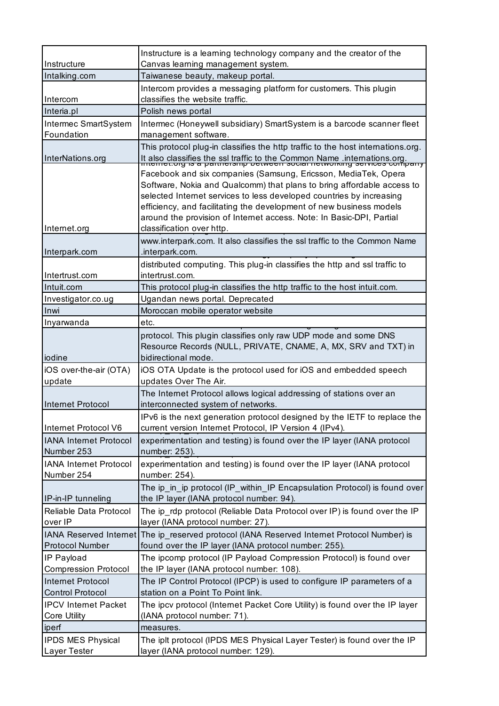| Instructure                       | Instructure is a learning technology company and the creator of the<br>Canvas learning management system.                                          |
|-----------------------------------|----------------------------------------------------------------------------------------------------------------------------------------------------|
| Intalking.com                     | Taiwanese beauty, makeup portal.                                                                                                                   |
|                                   | Intercom provides a messaging platform for customers. This plugin                                                                                  |
| Intercom                          | classifies the website traffic.                                                                                                                    |
| Interia.pl                        | Polish news portal                                                                                                                                 |
| Intermec SmartSystem              | Intermec (Honeywell subsidiary) SmartSystem is a barcode scanner fleet                                                                             |
| Foundation                        | management software.                                                                                                                               |
|                                   | This protocol plug-in classifies the http traffic to the host internations.org.                                                                    |
| InterNations.org                  | It also classifies the ssl traffic to the Common Name .internations.org.<br>miemer.org is a partnersing between social networking services company |
|                                   | Facebook and six companies (Samsung, Ericsson, MediaTek, Opera                                                                                     |
|                                   | Software, Nokia and Qualcomm) that plans to bring affordable access to                                                                             |
|                                   | selected Internet services to less developed countries by increasing                                                                               |
|                                   | efficiency, and facilitating the development of new business models                                                                                |
|                                   | around the provision of Internet access. Note: In Basic-DPI, Partial                                                                               |
| Internet.org                      | classification over http.                                                                                                                          |
|                                   | www.interpark.com. It also classifies the ssl traffic to the Common Name                                                                           |
| Interpark.com                     | .interpark.com.                                                                                                                                    |
| Intertrust.com                    | distributed computing. This plug-in classifies the http and ssl traffic to<br>intertrust.com.                                                      |
| Intuit.com                        | This protocol plug-in classifies the http traffic to the host intuit.com.                                                                          |
| Investigator.co.ug                | Ugandan news portal. Deprecated                                                                                                                    |
| Inwi                              | Moroccan mobile operator website                                                                                                                   |
| Inyarwanda                        | etc.                                                                                                                                               |
|                                   | protocol. This plugin classifies only raw UDP mode and some DNS                                                                                    |
|                                   | Resource Records (NULL, PRIVATE, CNAME, A, MX, SRV and TXT) in                                                                                     |
| iodine                            | bidirectional mode.                                                                                                                                |
| iOS over-the-air (OTA)            | iOS OTA Update is the protocol used for iOS and embedded speech                                                                                    |
| update                            | updates Over The Air.                                                                                                                              |
|                                   | The Internet Protocol allows logical addressing of stations over an                                                                                |
| <b>Internet Protocol</b>          | interconnected system of networks.                                                                                                                 |
|                                   | IPv6 is the next generation protocol designed by the IETF to replace the                                                                           |
| Internet Protocol V6              | current version Internet Protocol, IP Version 4 (IPv4).                                                                                            |
| <b>IANA Internet Protocol</b>     | experimentation and testing) is found over the IP layer (IANA protocol                                                                             |
| Number 253                        | number: 253).                                                                                                                                      |
| <b>IANA Internet Protocol</b>     | experimentation and testing) is found over the IP layer (IANA protocol                                                                             |
| Number 254                        | number: 254).                                                                                                                                      |
|                                   | The ip_in_ip protocol (IP_within_IP Encapsulation Protocol) is found over                                                                          |
| IP-in-IP tunneling                | the IP layer (IANA protocol number: 94).                                                                                                           |
| Reliable Data Protocol<br>over IP | The ip_rdp protocol (Reliable Data Protocol over IP) is found over the IP<br>layer (IANA protocol number: 27).                                     |
| <b>IANA Reserved Internet</b>     | The ip_reserved protocol (IANA Reserved Internet Protocol Number) is                                                                               |
| <b>Protocol Number</b>            | found over the IP layer (IANA protocol number: 255).                                                                                               |
| IP Payload                        | The ipcomp protocol (IP Payload Compression Protocol) is found over                                                                                |
| <b>Compression Protocol</b>       | the IP layer (IANA protocol number: 108).                                                                                                          |
| <b>Internet Protocol</b>          | The IP Control Protocol (IPCP) is used to configure IP parameters of a                                                                             |
| <b>Control Protocol</b>           | station on a Point To Point link.                                                                                                                  |
| <b>IPCV Internet Packet</b>       | The ipcv protocol (Internet Packet Core Utility) is found over the IP layer                                                                        |
| Core Utility                      | (IANA protocol number: 71).                                                                                                                        |
| iperf                             | measures.                                                                                                                                          |
| <b>IPDS MES Physical</b>          | The iplt protocol (IPDS MES Physical Layer Tester) is found over the IP                                                                            |
| Layer Tester                      | layer (IANA protocol number: 129).                                                                                                                 |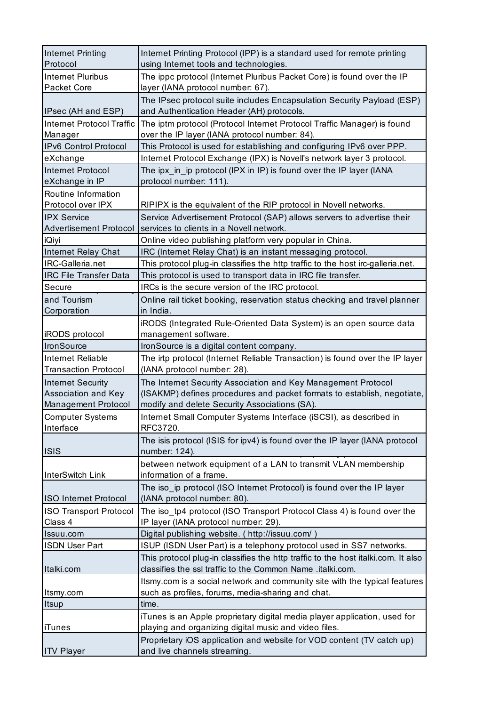| <b>Internet Printing</b><br>Protocol           | Internet Printing Protocol (IPP) is a standard used for remote printing<br>using Internet tools and technologies.                               |
|------------------------------------------------|-------------------------------------------------------------------------------------------------------------------------------------------------|
| Internet Pluribus<br>Packet Core               | The ippc protocol (Internet Pluribus Packet Core) is found over the IP<br>layer (IANA protocol number: 67).                                     |
|                                                | The IPsec protocol suite includes Encapsulation Security Payload (ESP)                                                                          |
| IPsec (AH and ESP)                             | and Authentication Header (AH) protocols.                                                                                                       |
| <b>Internet Protocol Traffic</b>               | The iptm protocol (Protocol Internet Protocol Traffic Manager) is found                                                                         |
| Manager                                        | over the IP layer (IANA protocol number: 84).                                                                                                   |
| IPv6 Control Protocol                          | This Protocol is used for establishing and configuring IPv6 over PPP.                                                                           |
| eXchange                                       | Internet Protocol Exchange (IPX) is Novell's network layer 3 protocol.                                                                          |
| <b>Internet Protocol</b>                       | The ipx_in_ip protocol (IPX in IP) is found over the IP layer (IANA                                                                             |
| eXchange in IP<br>Routine Information          | protocol number: 111).                                                                                                                          |
| Protocol over IPX                              | RIPIPX is the equivalent of the RIP protocol in Novell networks.                                                                                |
| <b>IPX Service</b>                             | Service Advertisement Protocol (SAP) allows servers to advertise their                                                                          |
| <b>Advertisement Protocol</b>                  | services to clients in a Novell network.                                                                                                        |
| iQiyi                                          | Online video publishing platform very popular in China.                                                                                         |
| Internet Relay Chat                            | IRC (Internet Relay Chat) is an instant messaging protocol.                                                                                     |
| IRC-Galleria.net                               | This protocol plug-in classifies the http traffic to the host irc-galleria.net.                                                                 |
| <b>IRC File Transfer Data</b>                  | This protocol is used to transport data in IRC file transfer.                                                                                   |
| Secure                                         | IRCs is the secure version of the IRC protocol.                                                                                                 |
| and Tourism                                    | Online rail ticket booking, reservation status checking and travel planner                                                                      |
| Corporation                                    | in India.                                                                                                                                       |
|                                                | iRODS (Integrated Rule-Oriented Data System) is an open source data                                                                             |
| iRODS protocol                                 | management software.                                                                                                                            |
| IronSource                                     | IronSource is a digital content company.                                                                                                        |
| Internet Reliable                              | The irtp protocol (Internet Reliable Transaction) is found over the IP layer                                                                    |
| <b>Transaction Protocol</b>                    | (IANA protocol number: 28).                                                                                                                     |
| <b>Internet Security</b>                       | The Internet Security Association and Key Management Protocol                                                                                   |
| Association and Key                            | (ISAKMP) defines procedures and packet formats to establish, negotiate,                                                                         |
| Management Protocol<br><b>Computer Systems</b> | modify and delete Security Associations (SA).<br>Internet Small Computer Systems Interface (iSCSI), as described in                             |
| Interface                                      | RFC3720.                                                                                                                                        |
| <b>ISIS</b>                                    | The isis protocol (ISIS for ipv4) is found over the IP layer (IANA protocol<br>number: 124).                                                    |
|                                                | between network equipment of a LAN to transmit VLAN membership                                                                                  |
| InterSwitch Link                               | information of a frame.                                                                                                                         |
| <b>ISO Internet Protocol</b>                   | The iso ip protocol (ISO Internet Protocol) is found over the IP layer<br>(IANA protocol number: 80).                                           |
| <b>ISO Transport Protocol</b>                  | The iso_tp4 protocol (ISO Transport Protocol Class 4) is found over the                                                                         |
| Class 4                                        | IP layer (IANA protocol number: 29).                                                                                                            |
| Issuu.com                                      | Digital publishing website. (http://issuu.com/)                                                                                                 |
| <b>ISDN User Part</b>                          | ISUP (ISDN User Part) is a telephony protocol used in SS7 networks.                                                                             |
| Italki.com                                     | This protocol plug-in classifies the http traffic to the host italki.com. It also<br>classifies the ssl traffic to the Common Name .italki.com. |
|                                                | Itsmy.com is a social network and community site with the typical features                                                                      |
| Itsmy.com                                      | such as profiles, forums, media-sharing and chat.                                                                                               |
| Itsup                                          | time.                                                                                                                                           |
|                                                | iTunes is an Apple proprietary digital media player application, used for                                                                       |
| iTunes                                         | playing and organizing digital music and video files.                                                                                           |
|                                                | Proprietary iOS application and website for VOD content (TV catch up)                                                                           |
| <b>ITV Player</b>                              | and live channels streaming.                                                                                                                    |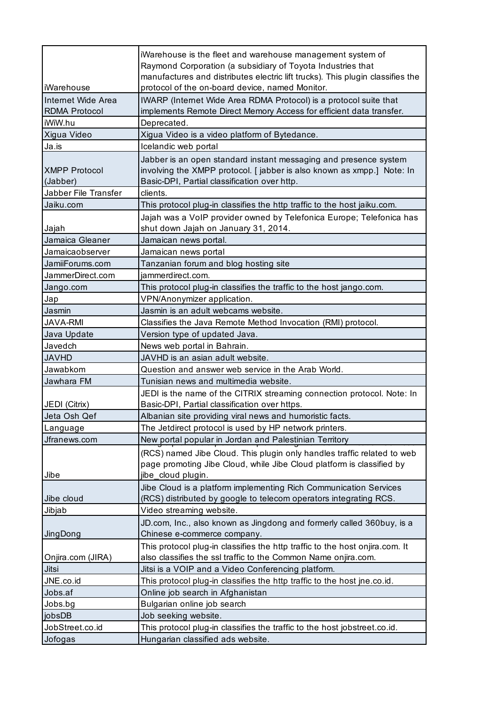|                                            | iWarehouse is the fleet and warehouse management system of<br>Raymond Corporation (a subsidiary of Toyota Industries that<br>manufactures and distributes electric lift trucks). This plugin classifies the |
|--------------------------------------------|-------------------------------------------------------------------------------------------------------------------------------------------------------------------------------------------------------------|
| iWarehouse                                 | protocol of the on-board device, named Monitor.                                                                                                                                                             |
| Internet Wide Area<br><b>RDMA Protocol</b> | IWARP (Internet Wide Area RDMA Protocol) is a protocol suite that<br>implements Remote Direct Memory Access for efficient data transfer.                                                                    |
| iWiW.hu                                    | Deprecated.                                                                                                                                                                                                 |
| Xigua Video                                | Xigua Video is a video platform of Bytedance.                                                                                                                                                               |
| Ja.is                                      | Icelandic web portal                                                                                                                                                                                        |
| <b>XMPP Protocol</b><br>(Jabber)           | Jabber is an open standard instant messaging and presence system<br>involving the XMPP protocol. [ jabber is also known as xmpp.] Note: In<br>Basic-DPI, Partial classification over http.                  |
| Jabber File Transfer                       | clients.                                                                                                                                                                                                    |
| Jaiku.com                                  | This protocol plug-in classifies the http traffic to the host jaiku.com.                                                                                                                                    |
| Jajah                                      | Jajah was a VoIP provider owned by Telefonica Europe; Telefonica has<br>shut down Jajah on January 31, 2014.                                                                                                |
| Jamaica Gleaner                            | Jamaican news portal.                                                                                                                                                                                       |
| Jamaicaobserver                            | Jamaican news portal                                                                                                                                                                                        |
| JamiiForums.com                            | Tanzanian forum and blog hosting site                                                                                                                                                                       |
| JammerDirect.com                           | iammerdirect.com.                                                                                                                                                                                           |
| Jango.com                                  | This protocol plug-in classifies the traffic to the host jango.com.                                                                                                                                         |
| Jap                                        | VPN/Anonymizer application.                                                                                                                                                                                 |
| Jasmin                                     | Jasmin is an adult webcams website.                                                                                                                                                                         |
| <b>JAVA-RMI</b>                            | Classifies the Java Remote Method Invocation (RMI) protocol.                                                                                                                                                |
| Java Update                                | Version type of updated Java.                                                                                                                                                                               |
| Javedch                                    | News web portal in Bahrain.                                                                                                                                                                                 |
| <b>JAVHD</b>                               | JAVHD is an asian adult website.                                                                                                                                                                            |
| Jawabkom                                   | Question and answer web service in the Arab World.                                                                                                                                                          |
| Jawhara FM                                 | Tunisian news and multimedia website.                                                                                                                                                                       |
|                                            | JEDI is the name of the CITRIX streaming connection protocol. Note: In                                                                                                                                      |
| JEDI (Citrix)                              | Basic-DPI, Partial classification over https.                                                                                                                                                               |
| Jeta Osh Qef                               | Albanian site providing viral news and humoristic facts.                                                                                                                                                    |
| Language                                   | The Jetdirect protocol is used by HP network printers.                                                                                                                                                      |
| Jfranews.com                               | New portal popular in Jordan and Palestinian Territory                                                                                                                                                      |
| Jibe                                       | (RCS) named Jibe Cloud. This plugin only handles traffic related to web<br>page promoting Jibe Cloud, while Jibe Cloud platform is classified by<br>jibe_cloud plugin.                                      |
| Jibe cloud                                 | Jibe Cloud is a platform implementing Rich Communication Services<br>(RCS) distributed by google to telecom operators integrating RCS.                                                                      |
|                                            |                                                                                                                                                                                                             |
| Jibjab                                     | Video streaming website.                                                                                                                                                                                    |
| JingDong                                   | JD.com, Inc., also known as Jingdong and formerly called 360buy, is a<br>Chinese e-commerce company.                                                                                                        |
|                                            | This protocol plug-in classifies the http traffic to the host onjira.com. It                                                                                                                                |
| Onjira.com (JIRA)                          | also classifies the ssl traffic to the Common Name onjira.com.                                                                                                                                              |
| Jitsi                                      | Jitsi is a VOIP and a Video Conferencing platform.                                                                                                                                                          |
| JNE.co.id                                  | This protocol plug-in classifies the http traffic to the host jne.co.id.                                                                                                                                    |
| Jobs.af                                    | Online job search in Afghanistan                                                                                                                                                                            |
| Jobs.bg                                    | Bulgarian online job search                                                                                                                                                                                 |
| jobsDB                                     | Job seeking website.                                                                                                                                                                                        |
| JobStreet.co.id                            | This protocol plug-in classifies the traffic to the host jobstreet.co.id.                                                                                                                                   |
| Jofogas                                    | Hungarian classified ads website.                                                                                                                                                                           |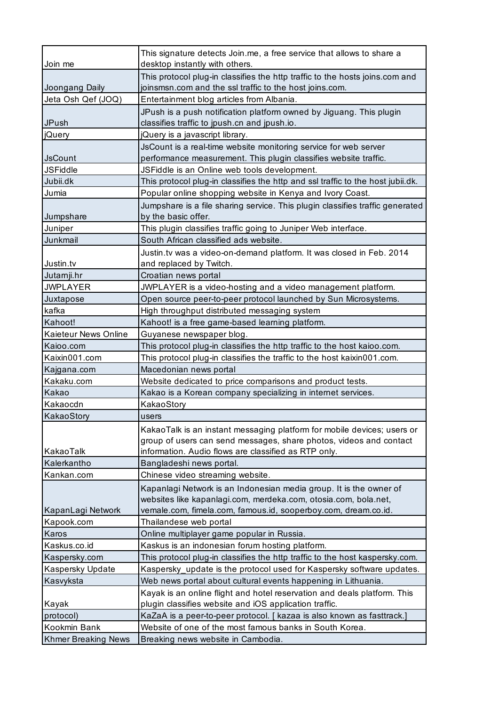| Join me                    | This signature detects Join.me, a free service that allows to share a<br>desktop instantly with others. |
|----------------------------|---------------------------------------------------------------------------------------------------------|
|                            | This protocol plug-in classifies the http traffic to the hosts joins.com and                            |
| Joongang Daily             | joinsmsn.com and the ssl traffic to the host joins.com.                                                 |
| Jeta Osh Qef (JOQ)         | Entertainment blog articles from Albania.                                                               |
|                            | JPush is a push notification platform owned by Jiguang. This plugin                                     |
| JPush                      | classifies traffic to jpush.cn and jpush.io.                                                            |
| jQuery                     | jQuery is a javascript library.                                                                         |
|                            | JsCount is a real-time website monitoring service for web server                                        |
| <b>JsCount</b>             | performance measurement. This plugin classifies website traffic.                                        |
| <b>JSFiddle</b>            | JSFiddle is an Online web tools development.                                                            |
| Jubii.dk                   | This protocol plug-in classifies the http and ssl traffic to the host jubii.dk.                         |
| Jumia                      | Popular online shopping website in Kenya and Ivory Coast.                                               |
|                            | Jumpshare is a file sharing service. This plugin classifies traffic generated                           |
| Jumpshare                  | by the basic offer.                                                                                     |
| Juniper                    | This plugin classifies traffic going to Juniper Web interface.                                          |
| Junkmail                   | South African classified ads website.                                                                   |
|                            | Justin.tv was a video-on-demand platform. It was closed in Feb. 2014                                    |
| Justin.tv                  | and replaced by Twitch.                                                                                 |
| Jutarnji.hr                | Croatian news portal                                                                                    |
| <b>JWPLAYER</b>            | JWPLAYER is a video-hosting and a video management platform.                                            |
| Juxtapose                  | Open source peer-to-peer protocol launched by Sun Microsystems.                                         |
| kafka                      | High throughput distributed messaging system                                                            |
| Kahoot!                    | Kahoot! is a free game-based learning platform.                                                         |
| Kaieteur News Online       | Guyanese newspaper blog.                                                                                |
| Kaioo.com                  | This protocol plug-in classifies the http traffic to the host kaioo.com.                                |
| Kaixin001.com              | This protocol plug-in classifies the traffic to the host kaixin001.com.                                 |
| Kajgana.com                | Macedonian news portal                                                                                  |
| Kakaku.com                 | Website dedicated to price comparisons and product tests.                                               |
| Kakao                      | Kakao is a Korean company specializing in internet services.                                            |
| Kakaocdn                   | KakaoStory                                                                                              |
| KakaoStory                 | users                                                                                                   |
|                            | KakaoTalk is an instant messaging platform for mobile devices; users or                                 |
|                            | group of users can send messages, share photos, videos and contact                                      |
| KakaoTalk                  | information. Audio flows are classified as RTP only.                                                    |
| Kalerkantho                | Bangladeshi news portal.                                                                                |
| Kankan.com                 | Chinese video streaming website.                                                                        |
|                            | Kapanlagi Network is an Indonesian media group. It is the owner of                                      |
|                            | websites like kapanlagi.com, merdeka.com, otosia.com, bola.net,                                         |
| KapanLagi Network          | vemale.com, fimela.com, famous.id, sooperboy.com, dream.co.id.                                          |
| Kapook.com                 | Thailandese web portal                                                                                  |
| Karos                      | Online multiplayer game popular in Russia.                                                              |
| Kaskus.co.id               | Kaskus is an indonesian forum hosting platform.                                                         |
| Kaspersky.com              | This protocol plug-in classifies the http traffic to the host kaspersky.com.                            |
| Kaspersky Update           | Kaspersky_update is the protocol used for Kaspersky software updates.                                   |
| Kasvyksta                  | Web news portal about cultural events happening in Lithuania.                                           |
|                            | Kayak is an online flight and hotel reservation and deals platform. This                                |
| Kayak                      | plugin classifies website and iOS application traffic.                                                  |
| protocol)                  | KaZaA is a peer-to-peer protocol. [ kazaa is also known as fasttrack.]                                  |
| Kookmin Bank               | Website of one of the most famous banks in South Korea.                                                 |
| <b>Khmer Breaking News</b> | Breaking news website in Cambodia.                                                                      |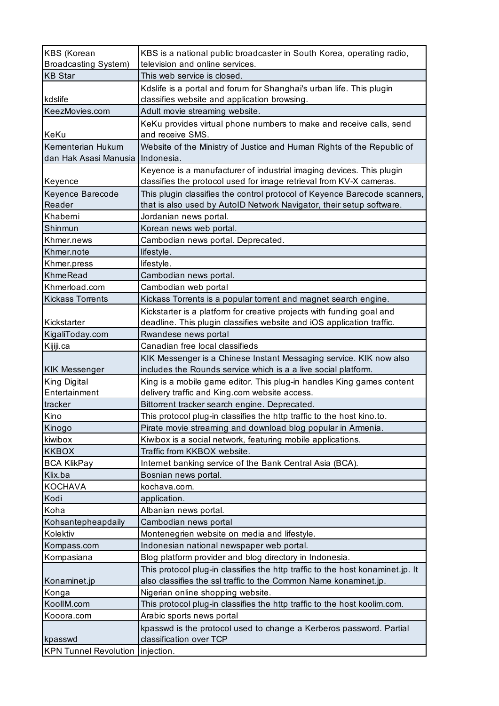| <b>KBS</b> (Korean<br><b>Broadcasting System)</b> | KBS is a national public broadcaster in South Korea, operating radio,<br>television and online services. |
|---------------------------------------------------|----------------------------------------------------------------------------------------------------------|
| <b>KB Star</b>                                    | This web service is closed.                                                                              |
|                                                   | Kdslife is a portal and forum for Shanghai's urban life. This plugin                                     |
| kdslife                                           | classifies website and application browsing.                                                             |
| KeezMovies.com                                    | Adult movie streaming website.                                                                           |
|                                                   | KeKu provides virtual phone numbers to make and receive calls, send                                      |
| KeKu                                              | and receive SMS.                                                                                         |
| Kementerian Hukum                                 | Website of the Ministry of Justice and Human Rights of the Republic of                                   |
| dan Hak Asasi Manusia                             | Indonesia.                                                                                               |
|                                                   | Keyence is a manufacturer of industrial imaging devices. This plugin                                     |
| Keyence                                           | classifies the protocol used for image retrieval from KV-X cameras.                                      |
| Keyence Barecode                                  | This plugin classifies the control protocol of Keyence Barecode scanners,                                |
| Reader                                            | that is also used by AutoID Network Navigator, their setup software.                                     |
| Khaberni                                          | Jordanian news portal.                                                                                   |
| Shinmun                                           | Korean news web portal.                                                                                  |
| Khmer.news                                        | Cambodian news portal. Deprecated.                                                                       |
| Khmer.note                                        | lifestyle.                                                                                               |
| Khmer.press                                       | lifestyle.                                                                                               |
| <b>KhmeRead</b>                                   | Cambodian news portal.                                                                                   |
| Khmerload.com                                     | Cambodian web portal                                                                                     |
| <b>Kickass Torrents</b>                           | Kickass Torrents is a popular torrent and magnet search engine.                                          |
|                                                   | Kickstarter is a platform for creative projects with funding goal and                                    |
| Kickstarter                                       | deadline. This plugin classifies website and iOS application traffic.                                    |
| KigaliToday.com                                   | Rwandese news portal                                                                                     |
| Kijiji.ca                                         | Canadian free local classifieds                                                                          |
|                                                   | KIK Messenger is a Chinese Instant Messaging service. KIK now also                                       |
| <b>KIK Messenger</b>                              | includes the Rounds service which is a a live social platform.                                           |
| King Digital                                      | King is a mobile game editor. This plug-in handles King games content                                    |
| Entertainment                                     | delivery traffic and King.com website access.                                                            |
| tracker                                           | Bittorrent tracker search engine. Deprecated.                                                            |
| Kino                                              | This protocol plug-in classifies the http traffic to the host kino.to.                                   |
| Kinogo                                            | Pirate movie streaming and download blog popular in Armenia.                                             |
| kiwibox                                           | Kiwibox is a social network, featuring mobile applications.                                              |
| <b>KKBOX</b>                                      | Traffic from KKBOX website.                                                                              |
| <b>BCA KlikPay</b>                                | Internet banking service of the Bank Central Asia (BCA).                                                 |
| Klix.ba                                           | Bosnian news portal.                                                                                     |
| <b>KOCHAVA</b>                                    | kochava.com.                                                                                             |
| Kodi                                              | application.                                                                                             |
| Koha                                              | Albanian news portal.                                                                                    |
| Kohsantepheapdaily                                | Cambodian news portal                                                                                    |
| Kolektiv                                          | Montenegrien website on media and lifestyle.                                                             |
| Kompass.com                                       | Indonesian national newspaper web portal.                                                                |
| Kompasiana                                        | Blog platform provider and blog directory in Indonesia.                                                  |
|                                                   | This protocol plug-in classifies the http traffic to the host konaminet.jp. It                           |
| Konaminet.jp                                      | also classifies the ssl traffic to the Common Name konaminet.jp.                                         |
| Konga                                             | Nigerian online shopping website.                                                                        |
| KoollM.com                                        | This protocol plug-in classifies the http traffic to the host koolim.com.                                |
| Kooora.com                                        | Arabic sports news portal                                                                                |
|                                                   | kpasswd is the protocol used to change a Kerberos password. Partial                                      |
| kpasswd                                           | classification over TCP                                                                                  |
| <b>KPN Tunnel Revolution</b>                      | injection.                                                                                               |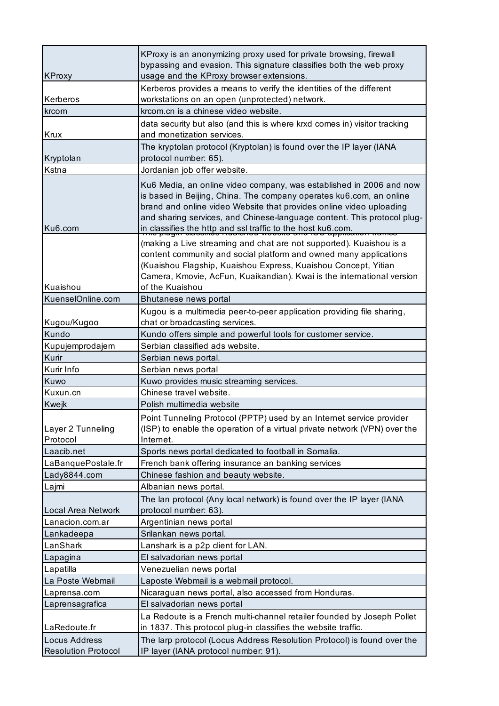| <b>KProxy</b>                 | KProxy is an anonymizing proxy used for private browsing, firewall<br>bypassing and evasion. This signature classifies both the web proxy<br>usage and the KProxy browser extensions.                                                                                                                                                                       |
|-------------------------------|-------------------------------------------------------------------------------------------------------------------------------------------------------------------------------------------------------------------------------------------------------------------------------------------------------------------------------------------------------------|
| Kerberos                      | Kerberos provides a means to verify the identities of the different<br>workstations on an open (unprotected) network.                                                                                                                                                                                                                                       |
| krcom                         | krcom.cn is a chinese video website.                                                                                                                                                                                                                                                                                                                        |
| Krux                          | data security but also (and this is where krxd comes in) visitor tracking<br>and monetization services.                                                                                                                                                                                                                                                     |
| Kryptolan                     | The kryptolan protocol (Kryptolan) is found over the IP layer (IANA<br>protocol number: 65).                                                                                                                                                                                                                                                                |
| Kstna                         | Jordanian job offer website.                                                                                                                                                                                                                                                                                                                                |
| Ku <sub>6</sub> .com          | Ku6 Media, an online video company, was established in 2006 and now<br>is based in Beijing, China. The company operates ku6.com, an online<br>brand and online video Website that provides online video uploading<br>and sharing services, and Chinese-language content. This protocol plug-<br>in classifies the http and ssl traffic to the host ku6.com. |
| Kuaishou                      | (making a Live streaming and chat are not supported). Kuaishou is a<br>content community and social platform and owned many applications<br>(Kuaishou Flagship, Kuaishou Express, Kuaishou Concept, Yitian<br>Camera, Kmovie, AcFun, Kuaikandian). Kwai is the international version<br>of the Kuaishou                                                     |
| KuenselOnline.com             | Bhutanese news portal                                                                                                                                                                                                                                                                                                                                       |
|                               | Kugou is a multimedia peer-to-peer application providing file sharing,                                                                                                                                                                                                                                                                                      |
| Kugou/Kugoo                   | chat or broadcasting services.                                                                                                                                                                                                                                                                                                                              |
| Kundo                         | Kundo offers simple and powerful tools for customer service.                                                                                                                                                                                                                                                                                                |
| Kupujemprodajem               | Serbian classified ads website.                                                                                                                                                                                                                                                                                                                             |
| Kurir                         | Serbian news portal.                                                                                                                                                                                                                                                                                                                                        |
| Kurir Info                    | Serbian news portal                                                                                                                                                                                                                                                                                                                                         |
| Kuwo                          | Kuwo provides music streaming services.                                                                                                                                                                                                                                                                                                                     |
| Kuxun.cn                      | Chinese travel website.                                                                                                                                                                                                                                                                                                                                     |
| Kwejk                         | Polish multimedia website                                                                                                                                                                                                                                                                                                                                   |
| Layer 2 Tunneling<br>Protocol | Point Tunneling Protocol (PPTP) used by an Internet service provider<br>(ISP) to enable the operation of a virtual private network (VPN) over the<br>Internet.                                                                                                                                                                                              |
| Laacib.net                    | Sports news portal dedicated to football in Somalia.                                                                                                                                                                                                                                                                                                        |
| LaBanquePostale.fr            | French bank offering insurance an banking services                                                                                                                                                                                                                                                                                                          |
| Lady8844.com                  | Chinese fashion and beauty website.                                                                                                                                                                                                                                                                                                                         |
| Lajmi                         | Albanian news portal.                                                                                                                                                                                                                                                                                                                                       |
|                               | The lan protocol (Any local network) is found over the IP layer (IANA                                                                                                                                                                                                                                                                                       |
| Local Area Network            | protocol number: 63).                                                                                                                                                                                                                                                                                                                                       |
| Lanacion.com.ar               | Argentinian news portal                                                                                                                                                                                                                                                                                                                                     |
| Lankadeepa                    | Srilankan news portal.                                                                                                                                                                                                                                                                                                                                      |
| LanShark                      | Lanshark is a p2p client for LAN.                                                                                                                                                                                                                                                                                                                           |
| Lapagina                      | El salvadorian news portal                                                                                                                                                                                                                                                                                                                                  |
| Lapatilla                     | Venezuelian news portal                                                                                                                                                                                                                                                                                                                                     |
| La Poste Webmail              | Laposte Webmail is a webmail protocol.                                                                                                                                                                                                                                                                                                                      |
| Laprensa.com                  | Nicaraguan news portal, also accessed from Honduras.                                                                                                                                                                                                                                                                                                        |
| Laprensagrafica               | El salvadorian news portal                                                                                                                                                                                                                                                                                                                                  |
| LaRedoute.fr                  | La Redoute is a French multi-channel retailer founded by Joseph Pollet<br>in 1837. This protocol plug-in classifies the website traffic.                                                                                                                                                                                                                    |
| <b>Locus Address</b>          | The larp protocol (Locus Address Resolution Protocol) is found over the                                                                                                                                                                                                                                                                                     |
| <b>Resolution Protocol</b>    | IP layer (IANA protocol number: 91).                                                                                                                                                                                                                                                                                                                        |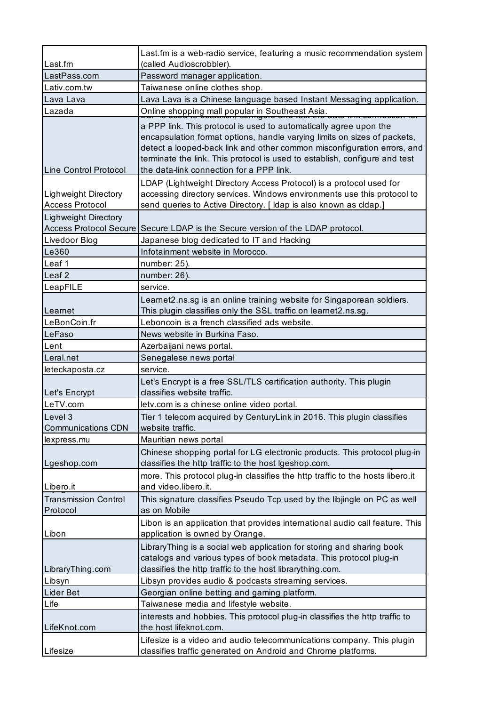| Last.fm                                               | Last.fm is a web-radio service, featuring a music recommendation system<br>(called Audioscrobbler).                                                                                                                                                                                                                                                |
|-------------------------------------------------------|----------------------------------------------------------------------------------------------------------------------------------------------------------------------------------------------------------------------------------------------------------------------------------------------------------------------------------------------------|
| LastPass.com                                          | Password manager application.                                                                                                                                                                                                                                                                                                                      |
| Lativ.com.tw                                          | Taiwanese online clothes shop.                                                                                                                                                                                                                                                                                                                     |
| Lava Lava                                             | Lava Lava is a Chinese language based Instant Messaging application.                                                                                                                                                                                                                                                                               |
| Lazada                                                | Online shopping mall popular in Southeast Asia.                                                                                                                                                                                                                                                                                                    |
| Line Control Protocol                                 | a PPP link. This protocol is used to automatically agree upon the<br>encapsulation format options, handle varying limits on sizes of packets,<br>detect a looped-back link and other common misconfiguration errors, and<br>terminate the link. This protocol is used to establish, configure and test<br>the data-link connection for a PPP link. |
| <b>Lighweight Directory</b><br><b>Access Protocol</b> | LDAP (Lightweight Directory Access Protocol) is a protocol used for<br>accessing directory services. Windows environments use this protocol to<br>send queries to Active Directory. [ Idap is also known as cldap.]                                                                                                                                |
| <b>Lighweight Directory</b>                           |                                                                                                                                                                                                                                                                                                                                                    |
|                                                       | Access Protocol Secure Secure LDAP is the Secure version of the LDAP protocol.                                                                                                                                                                                                                                                                     |
| Livedoor Blog                                         | Japanese blog dedicated to IT and Hacking                                                                                                                                                                                                                                                                                                          |
| Le360                                                 | Infotainment website in Morocco.                                                                                                                                                                                                                                                                                                                   |
| Leaf 1                                                | number: 25).                                                                                                                                                                                                                                                                                                                                       |
| Leaf <sub>2</sub>                                     | number: 26).                                                                                                                                                                                                                                                                                                                                       |
| LeapFILE                                              | service.                                                                                                                                                                                                                                                                                                                                           |
|                                                       | Learnet2.ns.sg is an online training website for Singaporean soldiers.                                                                                                                                                                                                                                                                             |
| Learnet                                               | This plugin classifies only the SSL traffic on learnet2.ns.sg.                                                                                                                                                                                                                                                                                     |
| LeBonCoin.fr                                          | Leboncoin is a french classified ads website.                                                                                                                                                                                                                                                                                                      |
| LeFaso                                                | News website in Burkina Faso.                                                                                                                                                                                                                                                                                                                      |
| Lent                                                  | Azerbaijani news portal.                                                                                                                                                                                                                                                                                                                           |
| Leral.net                                             | Senegalese news portal                                                                                                                                                                                                                                                                                                                             |
| leteckaposta.cz                                       | service.                                                                                                                                                                                                                                                                                                                                           |
| Let's Encrypt                                         | Let's Encrypt is a free SSL/TLS certification authority. This plugin<br>classifies website traffic.                                                                                                                                                                                                                                                |
| LeTV.com                                              | letv.com is a chinese online video portal.                                                                                                                                                                                                                                                                                                         |
| Level 3<br><b>Communications CDN</b>                  | Tier 1 telecom acquired by CenturyLink in 2016. This plugin classifies<br>website traffic.                                                                                                                                                                                                                                                         |
| lexpress.mu                                           | Mauritian news portal                                                                                                                                                                                                                                                                                                                              |
| Lgeshop.com                                           | Chinese shopping portal for LG electronic products. This protocol plug-in<br>classifies the http traffic to the host Igeshop.com.                                                                                                                                                                                                                  |
| Libero.it                                             | more. This protocol plug-in classifies the http traffic to the hosts libero.it<br>and video.libero.it.                                                                                                                                                                                                                                             |
| <b>Transmission Control</b>                           | This signature classifies Pseudo Tcp used by the libjingle on PC as well                                                                                                                                                                                                                                                                           |
| Protocol                                              | as on Mobile                                                                                                                                                                                                                                                                                                                                       |
| Libon                                                 | Libon is an application that provides international audio call feature. This<br>application is owned by Orange.                                                                                                                                                                                                                                    |
| LibraryThing.com                                      | Library Thing is a social web application for storing and sharing book<br>catalogs and various types of book metadata. This protocol plug-in<br>classifies the http traffic to the host librarything.com.                                                                                                                                          |
| Libsyn                                                | Libsyn provides audio & podcasts streaming services.                                                                                                                                                                                                                                                                                               |
| Lider Bet                                             | Georgian online betting and gaming platform.                                                                                                                                                                                                                                                                                                       |
| Life                                                  | Taiwanese media and lifestyle website.                                                                                                                                                                                                                                                                                                             |
| LifeKnot.com                                          | interests and hobbies. This protocol plug-in classifies the http traffic to<br>the host lifeknot.com.                                                                                                                                                                                                                                              |
| Lifesize                                              | Lifesize is a video and audio telecommunications company. This plugin<br>classifies traffic generated on Android and Chrome platforms.                                                                                                                                                                                                             |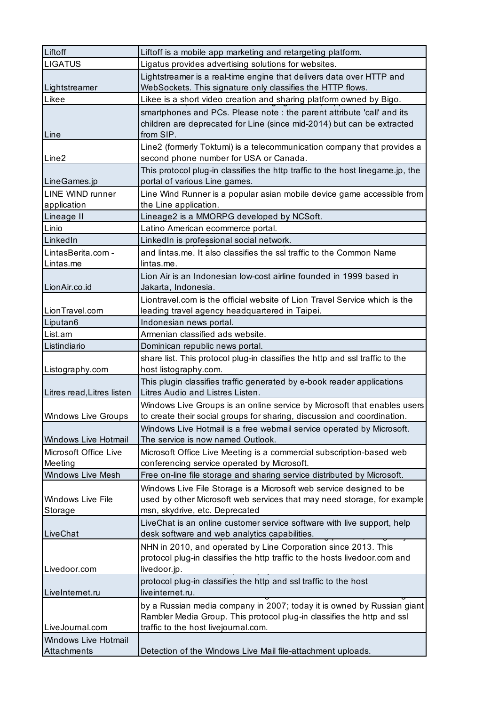| Liftoff                                    | Liftoff is a mobile app marketing and retargeting platform.                                                                                                                              |
|--------------------------------------------|------------------------------------------------------------------------------------------------------------------------------------------------------------------------------------------|
| <b>LIGATUS</b>                             | Ligatus provides advertising solutions for websites.                                                                                                                                     |
| Lightstreamer                              | Lightstreamer is a real-time engine that delivers data over HTTP and<br>WebSockets. This signature only classifies the HTTP flows.                                                       |
| Likee                                      | Likee is a short video creation and sharing platform owned by Bigo.                                                                                                                      |
| Line                                       | smartphones and PCs. Please note : the parent attribute 'call' and its<br>children are deprecated for Line (since mid-2014) but can be extracted<br>from SIP.                            |
| Line <sub>2</sub>                          | Line2 (formerly Toktumi) is a telecommunication company that provides a<br>second phone number for USA or Canada.                                                                        |
| LineGames.jp                               | This protocol plug-in classifies the http traffic to the host linegame.jp, the<br>portal of various Line games.                                                                          |
| <b>LINE WIND runner</b><br>application     | Line Wind Runner is a popular asian mobile device game accessible from<br>the Line application.                                                                                          |
| Lineage II                                 | Lineage2 is a MMORPG developed by NCSoft.                                                                                                                                                |
| Linio                                      | Latino American ecommerce portal.                                                                                                                                                        |
| LinkedIn                                   | LinkedIn is professional social network.                                                                                                                                                 |
| LintasBerita.com -<br>Lintas.me            | and lintas.me. It also classifies the ssl traffic to the Common Name<br>lintas.me.                                                                                                       |
| LionAir.co.id                              | Lion Air is an Indonesian low-cost airline founded in 1999 based in<br>Jakarta, Indonesia.                                                                                               |
| LionTravel.com                             | Liontravel.com is the official website of Lion Travel Service which is the<br>leading travel agency headquartered in Taipei.                                                             |
| Liputan6                                   | Indonesian news portal.                                                                                                                                                                  |
| List.am                                    | Armenian classified ads website.                                                                                                                                                         |
| Listindiario                               | Dominican republic news portal.                                                                                                                                                          |
| Listography.com                            | share list. This protocol plug-in classifies the http and ssl traffic to the<br>host listography.com.                                                                                    |
| Litres read, Litres listen                 | This plugin classifies traffic generated by e-book reader applications<br>Litres Audio and Listres Listen.                                                                               |
| <b>Windows Live Groups</b>                 | Windows Live Groups is an online service by Microsoft that enables users<br>to create their social groups for sharing, discussion and coordination.                                      |
| Windows Live Hotmail                       | Windows Live Hotmail is a free webmail service operated by Microsoft.<br>The service is now named Outlook.                                                                               |
| Microsoft Office Live<br>Meeting           | Microsoft Office Live Meeting is a commercial subscription-based web<br>conferencing service operated by Microsoft.                                                                      |
| Windows Live Mesh                          | Free on-line file storage and sharing service distributed by Microsoft.                                                                                                                  |
| <b>Windows Live File</b><br>Storage        | Windows Live File Storage is a Microsoft web service designed to be<br>used by other Microsoft web services that may need storage, for example<br>msn, skydrive, etc. Deprecated         |
| LiveChat                                   | LiveChat is an online customer service software with live support, help<br>desk software and web analytics capabilities.                                                                 |
| Livedoor.com                               | NHN in 2010, and operated by Line Corporation since 2013. This<br>protocol plug-in classifies the http traffic to the hosts livedoor.com and<br>livedoor.jp.                             |
| LiveInternet.ru                            | protocol plug-in classifies the http and ssl traffic to the host<br>liveinternet.ru.                                                                                                     |
| LiveJournal.com                            | by a Russian media company in 2007; today it is owned by Russian giant<br>Rambler Media Group. This protocol plug-in classifies the http and ssl<br>traffic to the host livejournal.com. |
| <b>Windows Live Hotmail</b><br>Attachments | Detection of the Windows Live Mail file-attachment uploads.                                                                                                                              |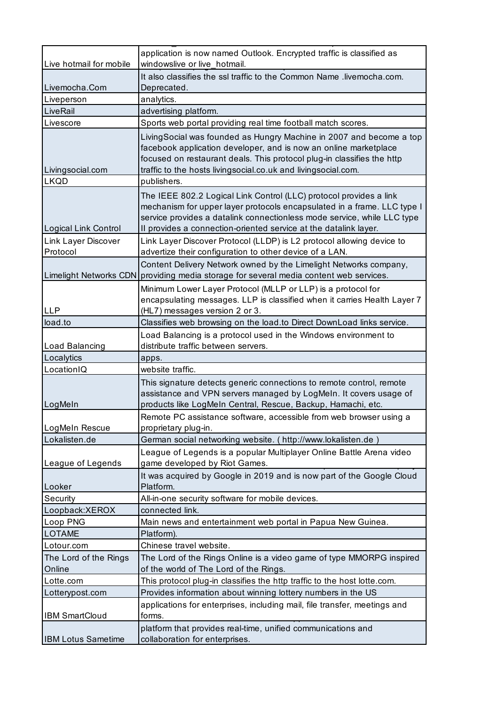| Live hotmail for mobile         | application is now named Outlook. Encrypted traffic is classified as<br>windowslive or live_hotmail.                                                                                                                                                                                         |
|---------------------------------|----------------------------------------------------------------------------------------------------------------------------------------------------------------------------------------------------------------------------------------------------------------------------------------------|
|                                 | It also classifies the ssl traffic to the Common Name .livemocha.com.                                                                                                                                                                                                                        |
| Livemocha.Com                   | Deprecated.                                                                                                                                                                                                                                                                                  |
| Liveperson                      | analytics.                                                                                                                                                                                                                                                                                   |
| LiveRail                        | advertising platform.                                                                                                                                                                                                                                                                        |
| Livescore                       | Sports web portal providing real time football match scores.                                                                                                                                                                                                                                 |
| Livingsocial.com                | LivingSocial was founded as Hungry Machine in 2007 and become a top<br>facebook application developer, and is now an online marketplace<br>focused on restaurant deals. This protocol plug-in classifies the http<br>traffic to the hosts livingsocial.co.uk and livingsocial.com.           |
| <b>LKQD</b>                     | publishers.                                                                                                                                                                                                                                                                                  |
| Logical Link Control            | The IEEE 802.2 Logical Link Control (LLC) protocol provides a link<br>mechanism for upper layer protocols encapsulated in a frame. LLC type I<br>service provides a datalink connectionless mode service, while LLC type<br>Il provides a connection-oriented service at the datalink layer. |
| Link Layer Discover<br>Protocol | Link Layer Discover Protocol (LLDP) is L2 protocol allowing device to<br>advertize their configuration to other device of a LAN.                                                                                                                                                             |
|                                 | Content Delivery Network owned by the Limelight Networks company,<br>Limelight Networks CDN providing media storage for several media content web services.                                                                                                                                  |
| <b>LLP</b>                      | Minimum Lower Layer Protocol (MLLP or LLP) is a protocol for<br>encapsulating messages. LLP is classified when it carries Health Layer 7                                                                                                                                                     |
| load.to                         | (HL7) messages version 2 or 3.<br>Classifies web browsing on the load.to Direct DownLoad links service.                                                                                                                                                                                      |
|                                 |                                                                                                                                                                                                                                                                                              |
| Load Balancing                  | Load Balancing is a protocol used in the Windows environment to<br>distribute traffic between servers.                                                                                                                                                                                       |
| Localytics                      | apps.                                                                                                                                                                                                                                                                                        |
| LocationIQ                      | website traffic.                                                                                                                                                                                                                                                                             |
| LogMeIn                         | This signature detects generic connections to remote control, remote<br>assistance and VPN servers managed by LogMeIn. It covers usage of<br>products like LogMeIn Central, Rescue, Backup, Hamachi, etc.                                                                                    |
| LogMeIn Rescue                  | Remote PC assistance software, accessible from web browser using a<br>proprietary plug-in.                                                                                                                                                                                                   |
| Lokalisten.de                   | German social networking website. ( http://www.lokalisten.de )                                                                                                                                                                                                                               |
| League of Legends               | League of Legends is a popular Multiplayer Online Battle Arena video<br>game developed by Riot Games.                                                                                                                                                                                        |
| Looker                          | It was acquired by Google in 2019 and is now part of the Google Cloud<br>Platform.                                                                                                                                                                                                           |
| Security                        | All-in-one security software for mobile devices.                                                                                                                                                                                                                                             |
| Loopback:XEROX                  | connected link.                                                                                                                                                                                                                                                                              |
| Loop PNG                        | Main news and entertainment web portal in Papua New Guinea.                                                                                                                                                                                                                                  |
| <b>LOTAME</b>                   | Platform).                                                                                                                                                                                                                                                                                   |
| Lotour.com                      | Chinese travel website.                                                                                                                                                                                                                                                                      |
| The Lord of the Rings<br>Online | The Lord of the Rings Online is a video game of type MMORPG inspired<br>of the world of The Lord of the Rings.                                                                                                                                                                               |
| Lotte.com                       | This protocol plug-in classifies the http traffic to the host lotte.com.                                                                                                                                                                                                                     |
| Lotterypost.com                 | Provides information about winning lottery numbers in the US                                                                                                                                                                                                                                 |
| <b>IBM SmartCloud</b>           | applications for enterprises, including mail, file transfer, meetings and<br>forms.                                                                                                                                                                                                          |
| <b>IBM Lotus Sametime</b>       | platform that provides real-time, unified communications and<br>collaboration for enterprises.                                                                                                                                                                                               |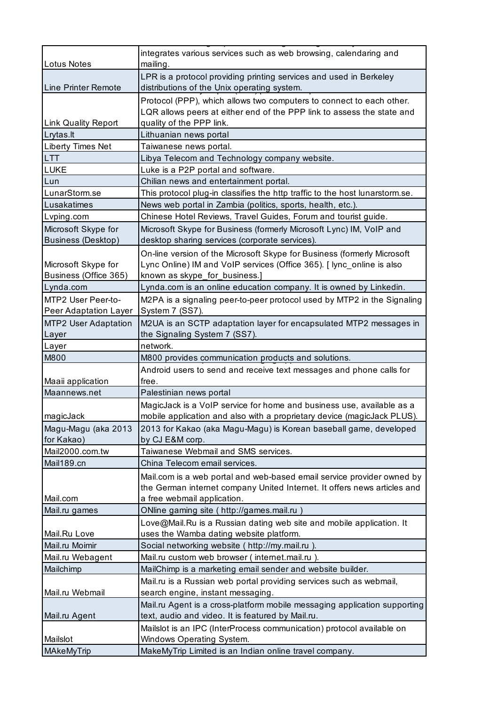| <b>Lotus Notes</b>                           | integrates various services such as web browsing, calendaring and<br>mailing.                                                                                                     |
|----------------------------------------------|-----------------------------------------------------------------------------------------------------------------------------------------------------------------------------------|
| Line Printer Remote                          | LPR is a protocol providing printing services and used in Berkeley<br>distributions of the Unix operating system.                                                                 |
|                                              | Protocol (PPP), which allows two computers to connect to each other.<br>LQR allows peers at either end of the PPP link to assess the state and                                    |
| Link Quality Report                          | quality of the PPP link.                                                                                                                                                          |
| Lrytas.lt                                    | Lithuanian news portal                                                                                                                                                            |
| <b>Liberty Times Net</b>                     | Taiwanese news portal.                                                                                                                                                            |
| <b>LTT</b>                                   | Libya Telecom and Technology company website.                                                                                                                                     |
| <b>LUKE</b>                                  | Luke is a P2P portal and software.                                                                                                                                                |
| Lun                                          | Chilian news and entertainment portal.                                                                                                                                            |
| LunarStorm.se                                | This protocol plug-in classifies the http traffic to the host lunarstorm.se.                                                                                                      |
| Lusakatimes                                  | News web portal in Zambia (politics, sports, health, etc.).                                                                                                                       |
| Lvping.com                                   | Chinese Hotel Reviews, Travel Guides, Forum and tourist guide.                                                                                                                    |
| Microsoft Skype for<br>Business (Desktop)    | Microsoft Skype for Business (formerly Microsoft Lync) IM, VoIP and<br>desktop sharing services (corporate services).                                                             |
| Microsoft Skype for<br>Business (Office 365) | On-line version of the Microsoft Skype for Business (formerly Microsoft<br>Lync Online) IM and VoIP services (Office 365). [ lync_online is also<br>known as skype_for_business.] |
| Lynda.com                                    | Lynda.com is an online education company. It is owned by Linkedin.                                                                                                                |
| MTP2 User Peer-to-                           | M2PA is a signaling peer-to-peer protocol used by MTP2 in the Signaling                                                                                                           |
| Peer Adaptation Layer                        | System 7 (SS7).                                                                                                                                                                   |
| <b>MTP2 User Adaptation</b>                  | M2UA is an SCTP adaptation layer for encapsulated MTP2 messages in                                                                                                                |
| Layer                                        | the Signaling System 7 (SS7).                                                                                                                                                     |
| Layer                                        | network.                                                                                                                                                                          |
| M800                                         | M800 provides communication products and solutions.                                                                                                                               |
| Maaii application                            | Android users to send and receive text messages and phone calls for<br>free.                                                                                                      |
| Maannews.net                                 | Palestinian news portal                                                                                                                                                           |
|                                              | MagicJack is a VoIP service for home and business use, available as a                                                                                                             |
| magicJack                                    | mobile application and also with a proprietary device (magicJack PLUS).                                                                                                           |
| Magu-Magu (aka 2013<br>for Kakao)            | 2013 for Kakao (aka Magu-Magu) is Korean baseball game, developed<br>by CJ E&M corp.                                                                                              |
| Mail2000.com.tw                              | Taiwanese Webmail and SMS services.                                                                                                                                               |
| Mail189.cn                                   | China Telecom email services.                                                                                                                                                     |
|                                              |                                                                                                                                                                                   |
|                                              | Mail.com is a web portal and web-based email service provider owned by<br>the German internet company United Internet. It offers news articles and                                |
| Mail.com                                     | a free webmail application.                                                                                                                                                       |
| Mail.ru games                                | ONline gaming site (http://games.mail.ru                                                                                                                                          |
|                                              | Love@Mail.Ru is a Russian dating web site and mobile application. It                                                                                                              |
| Mail.Ru Love                                 | uses the Wamba dating website platform.                                                                                                                                           |
| Mail.ru Moimir                               | Social networking website (http://my.mail.ru).                                                                                                                                    |
| Mail.ru Webagent                             | Mail.ru custom web browser (internet.mail.ru).                                                                                                                                    |
| Mailchimp                                    | MailChimp is a marketing email sender and website builder.                                                                                                                        |
|                                              | Mail.ru is a Russian web portal providing services such as webmail,                                                                                                               |
| Mail.ru Webmail                              | search engine, instant messaging.                                                                                                                                                 |
|                                              | Mail.ru Agent is a cross-platform mobile messaging application supporting                                                                                                         |
| Mail.ru Agent                                | text, audio and video. It is featured by Mail.ru.<br>Mailslot is an IPC (InterProcess communication) protocol available on                                                        |
| Mailslot                                     | <b>Windows Operating System.</b>                                                                                                                                                  |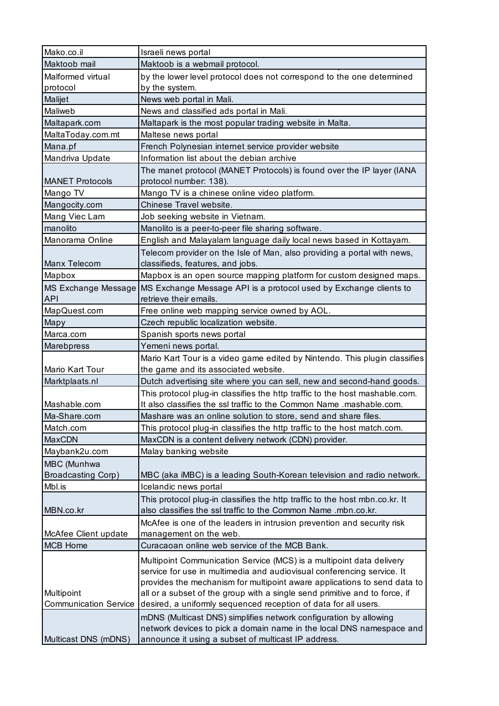| Mako.co.il                   | Israeli news portal                                                                   |
|------------------------------|---------------------------------------------------------------------------------------|
| Maktoob mail                 | Maktoob is a webmail protocol.                                                        |
| Malformed virtual            | by the lower level protocol does not correspond to the one determined                 |
| protocol                     | by the system.                                                                        |
| Malijet                      | News web portal in Mali.                                                              |
| Maliweb                      | News and classified ads portal in Mali.                                               |
| Maltapark.com                | Maltapark is the most popular trading website in Malta.                               |
| MaltaToday.com.mt            | Maltese news portal                                                                   |
| Mana.pf                      | French Polynesian internet service provider website                                   |
| Mandriva Update              | Information list about the debian archive                                             |
|                              | The manet protocol (MANET Protocols) is found over the IP layer (IANA                 |
| <b>MANET Protocols</b>       | protocol number: 138).                                                                |
| Mango TV                     | Mango TV is a chinese online video platform.                                          |
| Mangocity.com                | Chinese Travel website.                                                               |
| Mang Viec Lam                | Job seeking website in Vietnam.                                                       |
| manolito                     | Manolito is a peer-to-peer file sharing software.                                     |
| Manorama Online              | English and Malayalam language daily local news based in Kottayam.                    |
|                              | Telecom provider on the Isle of Man, also providing a portal with news,               |
| Manx Telecom                 | classifieds, features, and jobs.                                                      |
| Mapbox                       | Mapbox is an open source mapping platform for custom designed maps.                   |
|                              | MS Exchange Message MS Exchange Message API is a protocol used by Exchange clients to |
| <b>API</b>                   | retrieve their emails.                                                                |
| MapQuest.com                 | Free online web mapping service owned by AOL.                                         |
| Mapy                         | Czech republic localization website.                                                  |
| Marca.com                    | Spanish sports news portal                                                            |
| Marebpress                   | Yemeni news portal.                                                                   |
|                              | Mario Kart Tour is a video game edited by Nintendo. This plugin classifies            |
| Mario Kart Tour              | the game and its associated website.                                                  |
| Marktplaats.nl               | Dutch advertising site where you can sell, new and second-hand goods.                 |
|                              | This protocol plug-in classifies the http traffic to the host mashable.com.           |
| Mashable.com                 | It also classifies the ssl traffic to the Common Name .mashable.com.                  |
| Ma-Share.com                 | Mashare was an online solution to store, send and share files.                        |
| Match.com                    | This protocol plug-in classifies the http traffic to the host match.com.              |
| MaxCDN                       | MaxCDN is a content delivery network (CDN) provider.                                  |
| Maybank2u.com                | Malay banking website                                                                 |
| MBC (Munhwa                  |                                                                                       |
| <b>Broadcasting Corp)</b>    | MBC (aka iMBC) is a leading South-Korean television and radio network.                |
| Mbl.is                       | Icelandic news portal                                                                 |
|                              | This protocol plug-in classifies the http traffic to the host mbn.co.kr. It           |
| MBN.co.kr                    | also classifies the ssl traffic to the Common Name .mbn.co.kr.                        |
|                              | McAfee is one of the leaders in intrusion prevention and security risk                |
| McAfee Client update         | management on the web.                                                                |
| <b>MCB Home</b>              | Curacaoan online web service of the MCB Bank.                                         |
|                              | Multipoint Communication Service (MCS) is a multipoint data delivery                  |
|                              | service for use in multimedia and audiovisual conferencing service. It                |
|                              | provides the mechanism for multipoint aware applications to send data to              |
| Multipoint                   | all or a subset of the group with a single send primitive and to force, if            |
| <b>Communication Service</b> | desired, a uniformly sequenced reception of data for all users.                       |
|                              | mDNS (Multicast DNS) simplifies network configuration by allowing                     |
|                              | network devices to pick a domain name in the local DNS namespace and                  |
| Multicast DNS (mDNS)         | announce it using a subset of multicast IP address.                                   |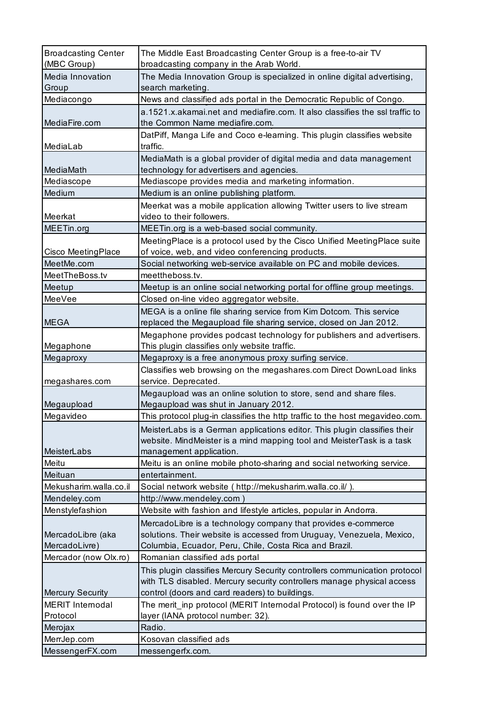| <b>Broadcasting Center</b> | The Middle East Broadcasting Center Group is a free-to-air TV                                                                                        |
|----------------------------|------------------------------------------------------------------------------------------------------------------------------------------------------|
| (MBC Group)                | broadcasting company in the Arab World.                                                                                                              |
| Media Innovation           | The Media Innovation Group is specialized in online digital advertising,                                                                             |
| Group                      | search marketing.                                                                                                                                    |
| Mediacongo                 | News and classified ads portal in the Democratic Republic of Congo.                                                                                  |
|                            | a.1521.x.akamai.net and mediafire.com. It also classifies the ssl traffic to                                                                         |
| MediaFire.com              | the Common Name mediafire.com.                                                                                                                       |
|                            | DatPiff, Manga Life and Coco e-learning. This plugin classifies website                                                                              |
| MediaLab                   | traffic.                                                                                                                                             |
|                            | MediaMath is a global provider of digital media and data management                                                                                  |
| MediaMath                  | technology for advertisers and agencies.                                                                                                             |
| Mediascope<br>Medium       | Mediascope provides media and marketing information.<br>Medium is an online publishing platform.                                                     |
|                            |                                                                                                                                                      |
| Meerkat                    | Meerkat was a mobile application allowing Twitter users to live stream<br>video to their followers.                                                  |
| MEETin.org                 | MEETin.org is a web-based social community.                                                                                                          |
|                            | Meeting Place is a protocol used by the Cisco Unified Meeting Place suite                                                                            |
| Cisco MeetingPlace         | of voice, web, and video conferencing products.                                                                                                      |
| MeetMe.com                 | Social networking web-service available on PC and mobile devices.                                                                                    |
| MeetTheBoss.tv             | meettheboss.tv.                                                                                                                                      |
| Meetup                     | Meetup is an online social networking portal for offline group meetings.                                                                             |
| MeeVee                     | Closed on-line video aggregator website.                                                                                                             |
|                            | MEGA is a online file sharing service from Kim Dotcom. This service                                                                                  |
| <b>MEGA</b>                | replaced the Megaupload file sharing service, closed on Jan 2012.                                                                                    |
|                            | Megaphone provides podcast technology for publishers and advertisers.                                                                                |
| Megaphone                  | This plugin classifies only website traffic.                                                                                                         |
| Megaproxy                  | Megaproxy is a free anonymous proxy surfing service.                                                                                                 |
|                            | Classifies web browsing on the megashares.com Direct DownLoad links                                                                                  |
| megashares.com             | service. Deprecated.                                                                                                                                 |
|                            | Megaupload was an online solution to store, send and share files.                                                                                    |
| Megaupload                 | Megaupload was shut in January 2012.                                                                                                                 |
| Megavideo                  | This protocol plug-in classifies the http traffic to the host megavideo.com.                                                                         |
|                            | MeisterLabs is a German applications editor. This plugin classifies their                                                                            |
|                            | website. MindMeister is a mind mapping tool and MeisterTask is a task                                                                                |
| MeisterLabs                | management application.                                                                                                                              |
| Meitu                      | Meitu is an online mobile photo-sharing and social networking service.                                                                               |
| Meituan                    | entertainment.                                                                                                                                       |
| Mekusharim.walla.co.il     | Social network website ( http://mekusharim.walla.co.il/ ).                                                                                           |
| Mendeley.com               | http://www.mendeley.com)                                                                                                                             |
| Menstylefashion            | Website with fashion and lifestyle articles, popular in Andorra.                                                                                     |
|                            | MercadoLibre is a technology company that provides e-commerce                                                                                        |
| MercadoLibre (aka          | solutions. Their website is accessed from Uruguay, Venezuela, Mexico,                                                                                |
| MercadoLivre)              | Columbia, Ecuador, Peru, Chile, Costa Rica and Brazil.                                                                                               |
| Mercador (now Olx.ro)      | Romanian classified ads portal                                                                                                                       |
|                            | This plugin classifies Mercury Security controllers communication protocol<br>with TLS disabled. Mercury security controllers manage physical access |
| <b>Mercury Security</b>    | control (doors and card readers) to buildings.                                                                                                       |
| <b>MERIT Internodal</b>    | The merit_inp protocol (MERIT Internodal Protocol) is found over the IP                                                                              |
| Protocol                   | layer (IANA protocol number: 32).                                                                                                                    |
| Merojax                    | Radio.                                                                                                                                               |
| MerrJep.com                | Kosovan classified ads                                                                                                                               |
| MessengerFX.com            | messengerfx.com.                                                                                                                                     |
|                            |                                                                                                                                                      |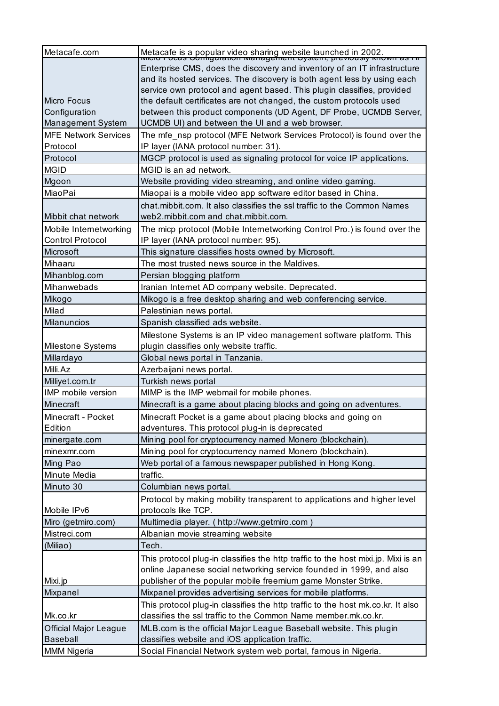| Metacafe.com                          | Metacafe is a popular video sharing website launched in 2002.<br>wildo rocus configuration warragement cystem, previously kno |
|---------------------------------------|-------------------------------------------------------------------------------------------------------------------------------|
|                                       | Enterprise CMS, does the discovery and inventory of an IT infrastructure                                                      |
|                                       | and its hosted services. The discovery is both agent less by using each                                                       |
|                                       | service own protocol and agent based. This plugin classifies, provided                                                        |
| Micro Focus                           | the default certificates are not changed, the custom protocols used                                                           |
| Configuration                         | between this product components (UD Agent, DF Probe, UCMDB Server,                                                            |
| Management System                     | UCMDB UI) and between the UI and a web browser.                                                                               |
| <b>MFE Network Services</b>           | The mfe_nsp protocol (MFE Network Services Protocol) is found over the                                                        |
| Protocol                              | IP layer (IANA protocol number: 31).                                                                                          |
| Protocol                              | MGCP protocol is used as signaling protocol for voice IP applications.                                                        |
| <b>MGID</b>                           | MGID is an ad network.                                                                                                        |
| Mgoon                                 | Website providing video streaming, and online video gaming.                                                                   |
| MiaoPai                               | Miaopai is a mobile video app software editor based in China.                                                                 |
|                                       | chat.mibbit.com. It also classifies the ssl traffic to the Common Names                                                       |
| Mibbit chat network                   | web2.mibbit.com and chat.mibbit.com.                                                                                          |
| Mobile Internetworking                | The micp protocol (Mobile Internetworking Control Pro.) is found over the                                                     |
| <b>Control Protocol</b>               | IP layer (IANA protocol number: 95).                                                                                          |
| Microsoft                             | This signature classifies hosts owned by Microsoft.                                                                           |
| Mihaaru                               | The most trusted news source in the Maldives.                                                                                 |
| Mihanblog.com                         | Persian blogging platform                                                                                                     |
| Mihanwebads                           | Iranian Internet AD company website. Deprecated.                                                                              |
| Mikogo                                | Mikogo is a free desktop sharing and web conferencing service.                                                                |
| Milad                                 | Palestinian news portal.                                                                                                      |
| <b>Milanuncios</b>                    | Spanish classified ads website.                                                                                               |
|                                       | Milestone Systems is an IP video management software platform. This                                                           |
| Milestone Systems                     | plugin classifies only website traffic.                                                                                       |
|                                       |                                                                                                                               |
| Millardayo                            | Global news portal in Tanzania.                                                                                               |
| Milli.Az                              | Azerbaijani news portal.                                                                                                      |
| Milliyet.com.tr                       | Turkish news portal                                                                                                           |
| IMP mobile version                    | MIMP is the IMP webmail for mobile phones.                                                                                    |
| Minecraft                             | Minecraft is a game about placing blocks and going on adventures.                                                             |
| Minecraft - Pocket                    | Minecraft Pocket is a game about placing blocks and going on                                                                  |
| Edition                               | adventures. This protocol plug-in is deprecated                                                                               |
| minergate.com                         | Mining pool for cryptocurrency named Monero (blockchain).                                                                     |
| minexmr.com                           | Mining pool for cryptocurrency named Monero (blockchain).                                                                     |
| Ming Pao                              | Web portal of a famous newspaper published in Hong Kong.                                                                      |
| Minute Media                          | traffic.                                                                                                                      |
| Minuto 30                             | Columbian news portal.                                                                                                        |
|                                       | Protocol by making mobility transparent to applications and higher level                                                      |
| Mobile IPv6                           | protocols like TCP.                                                                                                           |
| Miro (getmiro.com)                    | Multimedia player. ( http://www.getmiro.com )                                                                                 |
| Mistreci.com                          | Albanian movie streaming website                                                                                              |
| (Miliao)                              | Tech.                                                                                                                         |
|                                       | This protocol plug-in classifies the http traffic to the host mixi.jp. Mixi is an                                             |
|                                       | online Japanese social networking service founded in 1999, and also                                                           |
| Mixi.jp                               | publisher of the popular mobile freemium game Monster Strike.                                                                 |
| Mixpanel                              | Mixpanel provides advertising services for mobile platforms.                                                                  |
|                                       | This protocol plug-in classifies the http traffic to the host mk.co.kr. It also                                               |
| Mk.co.kr                              | classifies the ssl traffic to the Common Name member.mk.co.kr.                                                                |
| Official Major League                 | MLB.com is the official Major League Baseball website. This plugin                                                            |
| <b>Baseball</b><br><b>MMM Nigeria</b> | classifies website and iOS application traffic.<br>Social Financial Network system web portal, famous in Nigeria.             |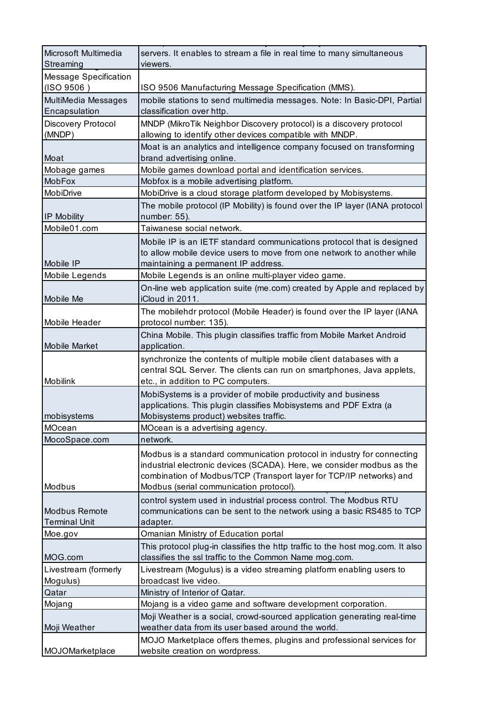| Microsoft Multimedia<br>Streaming     | servers. It enables to stream a file in real time to many simultaneous<br>viewers.                                                                                                                                                                                 |
|---------------------------------------|--------------------------------------------------------------------------------------------------------------------------------------------------------------------------------------------------------------------------------------------------------------------|
| <b>Message Specification</b>          |                                                                                                                                                                                                                                                                    |
| (ISO 9506)                            | ISO 9506 Manufacturing Message Specification (MMS).                                                                                                                                                                                                                |
| MultiMedia Messages<br>Encapsulation  | mobile stations to send multimedia messages. Note: In Basic-DPI, Partial<br>classification over http.                                                                                                                                                              |
| Discovery Protocol<br>(MNDP)          | MNDP (MikroTik Neighbor Discovery protocol) is a discovery protocol<br>allowing to identify other devices compatible with MNDP.                                                                                                                                    |
|                                       | Moat is an analytics and intelligence company focused on transforming                                                                                                                                                                                              |
| Moat                                  | brand advertising online.                                                                                                                                                                                                                                          |
| Mobage games                          | Mobile games download portal and identification services.                                                                                                                                                                                                          |
| MobFox                                | Mobfox is a mobile advertising platform.                                                                                                                                                                                                                           |
| MobiDrive                             | MobiDrive is a cloud storage platform developed by Mobisystems.                                                                                                                                                                                                    |
| IP Mobility                           | The mobile protocol (IP Mobility) is found over the IP layer (IANA protocol<br>number: 55).                                                                                                                                                                        |
| Mobile01.com                          | Taiwanese social network.                                                                                                                                                                                                                                          |
| Mobile IP                             | Mobile IP is an IETF standard communications protocol that is designed<br>to allow mobile device users to move from one network to another while<br>maintaining a permanent IP address.                                                                            |
| Mobile Legends                        | Mobile Legends is an online multi-player video game.                                                                                                                                                                                                               |
| Mobile Me                             | On-line web application suite (me.com) created by Apple and replaced by<br>iCloud in 2011.                                                                                                                                                                         |
| Mobile Header                         | The mobilehdr protocol (Mobile Header) is found over the IP layer (IANA<br>protocol number: 135).                                                                                                                                                                  |
| <b>Mobile Market</b>                  | China Mobile. This plugin classifies traffic from Mobile Market Android<br>application.                                                                                                                                                                            |
| Mobilink                              | synchronize the contents of multiple mobile client databases with a<br>central SQL Server. The clients can run on smartphones, Java applets,<br>etc., in addition to PC computers.                                                                                 |
| mobisystems                           | MobiSystems is a provider of mobile productivity and business<br>applications. This plugin classifies Mobisystems and PDF Extra (a<br>Mobisystems product) websites traffic.                                                                                       |
| MOcean                                | MOcean is a advertising agency.                                                                                                                                                                                                                                    |
| MocoSpace.com                         | network.                                                                                                                                                                                                                                                           |
| Modbus                                | Modbus is a standard communication protocol in industry for connecting<br>industrial electronic devices (SCADA). Here, we consider modbus as the<br>combination of Modbus/TCP (Transport layer for TCP/IP networks) and<br>Modbus (serial communication protocol). |
| Modbus Remote<br><b>Terminal Unit</b> | control system used in industrial process control. The Modbus RTU<br>communications can be sent to the network using a basic RS485 to TCP<br>adapter.                                                                                                              |
| Moe.gov                               | Omanian Ministry of Education portal                                                                                                                                                                                                                               |
| MOG.com                               | This protocol plug-in classifies the http traffic to the host mog.com. It also<br>classifies the ssl traffic to the Common Name mog.com.                                                                                                                           |
| Livestream (formerly                  | Livestream (Mogulus) is a video streaming platform enabling users to                                                                                                                                                                                               |
| Mogulus)                              | broadcast live video.                                                                                                                                                                                                                                              |
| Qatar                                 | Ministry of Interior of Qatar.                                                                                                                                                                                                                                     |
| Mojang                                | Mojang is a video game and software development corporation.                                                                                                                                                                                                       |
| Moji Weather                          | Moji Weather is a social, crowd-sourced application generating real-time<br>weather data from its user based around the world.                                                                                                                                     |
| MOJOMarketplace                       | MOJO Marketplace offers themes, plugins and professional services for<br>website creation on wordpress.                                                                                                                                                            |
|                                       |                                                                                                                                                                                                                                                                    |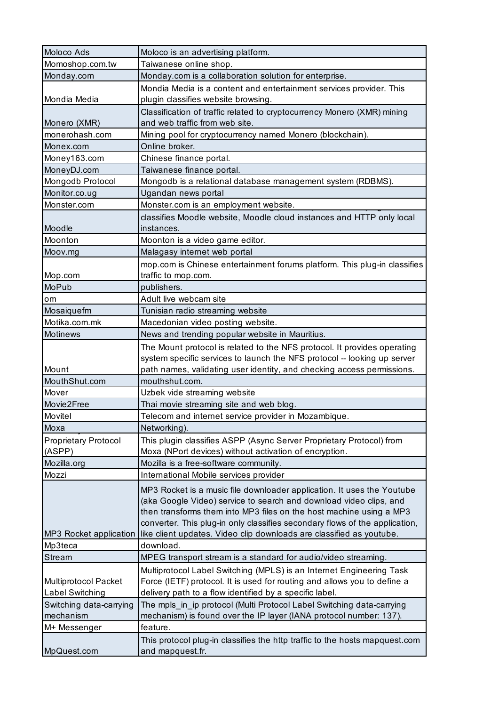| Moloco Ads                  | Moloco is an advertising platform.                                                  |
|-----------------------------|-------------------------------------------------------------------------------------|
| Momoshop.com.tw             | Taiwanese online shop.                                                              |
| Monday.com                  | Monday.com is a collaboration solution for enterprise.                              |
|                             | Mondia Media is a content and entertainment services provider. This                 |
| Mondia Media                | plugin classifies website browsing.                                                 |
|                             | Classification of traffic related to cryptocurrency Monero (XMR) mining             |
| Monero (XMR)                | and web traffic from web site.                                                      |
| monerohash.com              | Mining pool for cryptocurrency named Monero (blockchain).                           |
| Monex.com                   | Online broker.                                                                      |
| Money163.com                | Chinese finance portal.                                                             |
| MoneyDJ.com                 | Taiwanese finance portal.                                                           |
| Mongodb Protocol            | Mongodb is a relational database management system (RDBMS).                         |
| Monitor.co.ug               | Ugandan news portal                                                                 |
| Monster.com                 | Monster.com is an employment website.                                               |
| Moodle                      | classifies Moodle website, Moodle cloud instances and HTTP only local<br>instances. |
| Moonton                     | Moonton is a video game editor.                                                     |
| Moov.mg                     | Malagasy internet web portal                                                        |
|                             | mop.com is Chinese entertainment forums platform. This plug-in classifies           |
| Mop.com                     | traffic to mop.com.                                                                 |
| <b>MoPub</b>                | publishers.                                                                         |
| <b>om</b>                   | Adult live webcam site                                                              |
| Mosaiquefm                  | Tunisian radio streaming website                                                    |
| Motika.com.mk               | Macedonian video posting website.                                                   |
| Motinews                    | News and trending popular website in Mauritius.                                     |
|                             | The Mount protocol is related to the NFS protocol. It provides operating            |
|                             | system specific services to launch the NFS protocol -- looking up server            |
| Mount                       | path names, validating user identity, and checking access permissions.              |
| MouthShut.com               | mouthshut.com.                                                                      |
| Mover                       | Uzbek vide streaming website                                                        |
| Movie2Free                  | Thai movie streaming site and web blog.                                             |
| Movitel                     | Telecom and internet service provider in Mozambique.                                |
| Moxa                        | Networking).                                                                        |
| <b>Proprietary Protocol</b> | This plugin classifies ASPP (Async Server Proprietary Protocol) from                |
| (ASPP)                      | Moxa (NPort devices) without activation of encryption.                              |
| Mozilla.org                 | Mozilla is a free-software community.                                               |
| Mozzi                       | International Mobile services provider                                              |
|                             | MP3 Rocket is a music file downloader application. It uses the Youtube              |
|                             | (aka Google Video) service to search and download video clips, and                  |
|                             | then transforms them into MP3 files on the host machine using a MP3                 |
|                             | converter. This plug-in only classifies secondary flows of the application,         |
| MP3 Rocket application      | like client updates. Video clip downloads are classified as youtube.                |
| Mp3teca                     | download.                                                                           |
| <b>Stream</b>               | MPEG transport stream is a standard for audio/video streaming.                      |
|                             | Multiprotocol Label Switching (MPLS) is an Internet Engineering Task                |
| <b>Multiprotocol Packet</b> | Force (IETF) protocol. It is used for routing and allows you to define a            |
| Label Switching             | delivery path to a flow identified by a specific label.                             |
| Switching data-carrying     | The mpls_in_ip protocol (Multi Protocol Label Switching data-carrying               |
| mechanism                   | mechanism) is found over the IP layer (IANA protocol number: 137).                  |
| M+ Messenger                | feature.                                                                            |
|                             | This protocol plug-in classifies the http traffic to the hosts mapquest.com         |
| MpQuest.com                 | and mapquest.fr.                                                                    |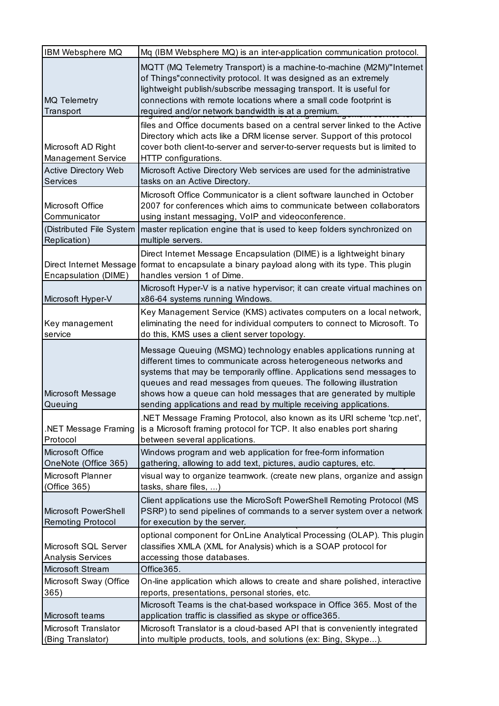| IBM Websphere MQ                                 | Mq (IBM Websphere MQ) is an inter-application communication protocol.                                                                                                                                                                                                                                                                                                                                                          |
|--------------------------------------------------|--------------------------------------------------------------------------------------------------------------------------------------------------------------------------------------------------------------------------------------------------------------------------------------------------------------------------------------------------------------------------------------------------------------------------------|
| <b>MQ Telemetry</b><br>Transport                 | MQTT (MQ Telemetry Transport) is a machine-to-machine (M2M)/"Internet<br>of Things"connectivity protocol. It was designed as an extremely<br>lightweight publish/subscribe messaging transport. It is useful for<br>connections with remote locations where a small code footprint is<br>required and/or network bandwidth is at a premium.                                                                                    |
| Microsoft AD Right<br><b>Management Service</b>  | files and Office documents based on a central server linked to the Active<br>Directory which acts like a DRM license server. Support of this protocol<br>cover both client-to-server and server-to-server requests but is limited to<br>HTTP configurations.                                                                                                                                                                   |
| <b>Active Directory Web</b><br>Services          | Microsoft Active Directory Web services are used for the administrative<br>tasks on an Active Directory.                                                                                                                                                                                                                                                                                                                       |
| Microsoft Office<br>Communicator                 | Microsoft Office Communicator is a client software launched in October<br>2007 for conferences which aims to communicate between collaborators<br>using instant messaging, VoIP and videoconference.                                                                                                                                                                                                                           |
| (Distributed File System<br>Replication)         | master replication engine that is used to keep folders synchronized on<br>multiple servers.                                                                                                                                                                                                                                                                                                                                    |
| Encapsulation (DIME)                             | Direct Internet Message Encapsulation (DIME) is a lightweight binary<br>Direct Internet Message format to encapsulate a binary payload along with its type. This plugin<br>handles version 1 of Dime.                                                                                                                                                                                                                          |
| Microsoft Hyper-V                                | Microsoft Hyper-V is a native hypervisor; it can create virtual machines on<br>x86-64 systems running Windows.                                                                                                                                                                                                                                                                                                                 |
| Key management<br>service                        | Key Management Service (KMS) activates computers on a local network,<br>eliminating the need for individual computers to connect to Microsoft. To<br>do this, KMS uses a client server topology.                                                                                                                                                                                                                               |
|                                                  |                                                                                                                                                                                                                                                                                                                                                                                                                                |
| Microsoft Message<br>Queuing                     | Message Queuing (MSMQ) technology enables applications running at<br>different times to communicate across heterogeneous networks and<br>systems that may be temporarily offline. Applications send messages to<br>queues and read messages from queues. The following illustration<br>shows how a queue can hold messages that are generated by multiple<br>sending applications and read by multiple receiving applications. |
| .NET Message Framing<br>Protocol                 | .NET Message Framing Protocol, also known as its URI scheme 'tcp.net',<br>is a Microsoft framing protocol for TCP. It also enables port sharing<br>between several applications.                                                                                                                                                                                                                                               |
| Microsoft Office<br>OneNote (Office 365)         | Windows program and web application for free-form information<br>gathering, allowing to add text, pictures, audio captures, etc.                                                                                                                                                                                                                                                                                               |
| Microsoft Planner<br>(Office 365)                | visual way to organize teamwork. (create new plans, organize and assign<br>tasks, share files, )                                                                                                                                                                                                                                                                                                                               |
| Microsoft PowerShell<br><b>Remoting Protocol</b> | Client applications use the MicroSoft PowerShell Remoting Protocol (MS<br>PSRP) to send pipelines of commands to a server system over a network<br>for execution by the server.                                                                                                                                                                                                                                                |
| Microsoft SQL Server<br><b>Analysis Services</b> | optional component for OnLine Analytical Processing (OLAP). This plugin<br>classifies XMLA (XML for Analysis) which is a SOAP protocol for<br>accessing those databases.                                                                                                                                                                                                                                                       |
| Microsoft Stream                                 | Office365.                                                                                                                                                                                                                                                                                                                                                                                                                     |
| Microsoft Sway (Office<br>365)                   | On-line application which allows to create and share polished, interactive<br>reports, presentations, personal stories, etc.                                                                                                                                                                                                                                                                                                   |
| Microsoft teams                                  | Microsoft Teams is the chat-based workspace in Office 365. Most of the<br>application traffic is classified as skype or office365.                                                                                                                                                                                                                                                                                             |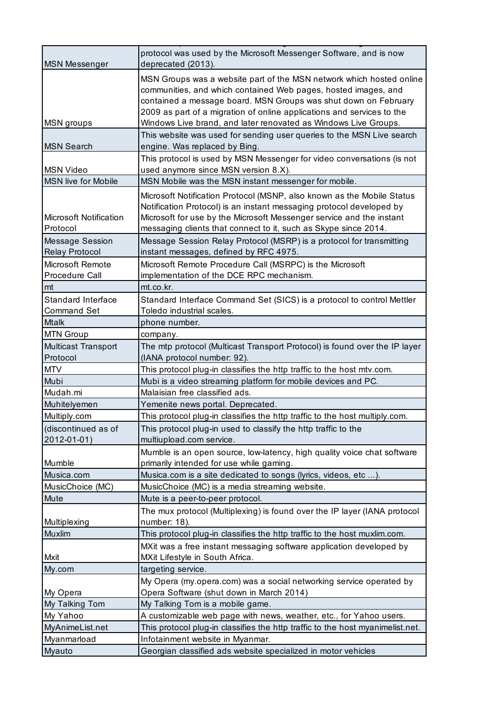| <b>MSN Messenger</b>          | protocol was used by the Microsoft Messenger Software, and is now<br>deprecated (2013).                                                                                                                                                                                             |
|-------------------------------|-------------------------------------------------------------------------------------------------------------------------------------------------------------------------------------------------------------------------------------------------------------------------------------|
|                               | MSN Groups was a website part of the MSN network which hosted online<br>communities, and which contained Web pages, hosted images, and<br>contained a message board. MSN Groups was shut down on February<br>2009 as part of a migration of online applications and services to the |
| <b>MSN</b> groups             | Windows Live brand, and later renovated as Windows Live Groups.                                                                                                                                                                                                                     |
|                               | This website was used for sending user queries to the MSN Live search                                                                                                                                                                                                               |
| <b>MSN Search</b>             | engine. Was replaced by Bing.                                                                                                                                                                                                                                                       |
|                               | This protocol is used by MSN Messenger for video conversations (is not                                                                                                                                                                                                              |
| <b>MSN Video</b>              | used anymore since MSN version 8.X).                                                                                                                                                                                                                                                |
| <b>MSN live for Mobile</b>    | MSN Mobile was the MSN instant messenger for mobile.                                                                                                                                                                                                                                |
|                               | Microsoft Notification Protocol (MSNP, also known as the Mobile Status                                                                                                                                                                                                              |
|                               | Notification Protocol) is an instant messaging protocol developed by                                                                                                                                                                                                                |
| <b>Microsoft Notification</b> | Microsoft for use by the Microsoft Messenger service and the instant                                                                                                                                                                                                                |
| Protocol                      | messaging clients that connect to it, such as Skype since 2014.                                                                                                                                                                                                                     |
| <b>Message Session</b>        | Message Session Relay Protocol (MSRP) is a protocol for transmitting                                                                                                                                                                                                                |
| <b>Relay Protocol</b>         | instant messages, defined by RFC 4975.                                                                                                                                                                                                                                              |
| <b>Microsoft Remote</b>       | Microsoft Remote Procedure Call (MSRPC) is the Microsoft                                                                                                                                                                                                                            |
| Procedure Call                | implementation of the DCE RPC mechanism.                                                                                                                                                                                                                                            |
| mt                            | mt.co.kr.                                                                                                                                                                                                                                                                           |
| Standard Interface            | Standard Interface Command Set (SICS) is a protocol to control Mettler                                                                                                                                                                                                              |
| <b>Command Set</b>            | Toledo industrial scales.                                                                                                                                                                                                                                                           |
| <b>Mtalk</b>                  | phone number.                                                                                                                                                                                                                                                                       |
| <b>MTN Group</b>              | company.                                                                                                                                                                                                                                                                            |
| Multicast Transport           | The mtp protocol (Multicast Transport Protocol) is found over the IP layer                                                                                                                                                                                                          |
| Protocol                      | (IANA protocol number: 92).                                                                                                                                                                                                                                                         |
| <b>MTV</b>                    | This protocol plug-in classifies the http traffic to the host mtv.com.                                                                                                                                                                                                              |
| Mubi                          | Mubi is a video streaming platform for mobile devices and PC.                                                                                                                                                                                                                       |
| Mudah.mi                      | Malaisian free classified ads.                                                                                                                                                                                                                                                      |
| Muhitelyemen                  | Yemenite news portal. Deprecated.                                                                                                                                                                                                                                                   |
| Multiply.com                  | This protocol plug-in classifies the http traffic to the host multiply.com.                                                                                                                                                                                                         |
| (discontinued as of           | This protocol plug-in used to classify the http traffic to the                                                                                                                                                                                                                      |
| 2012-01-01)                   | multiupload.com service.                                                                                                                                                                                                                                                            |
|                               | Mumble is an open source, low-latency, high quality voice chat software                                                                                                                                                                                                             |
| Mumble                        | primarily intended for use while gaming.                                                                                                                                                                                                                                            |
| Musica.com                    | Musica.com is a site dedicated to songs (lyrics, videos, etc ).                                                                                                                                                                                                                     |
| MusicChoice (MC)              | MusicChoice (MC) is a media streaming website.                                                                                                                                                                                                                                      |
| Mute                          | Mute is a peer-to-peer protocol.                                                                                                                                                                                                                                                    |
|                               | The mux protocol (Multiplexing) is found over the IP layer (IANA protocol                                                                                                                                                                                                           |
| Multiplexing                  | number: 18).                                                                                                                                                                                                                                                                        |
| Muxlim                        | This protocol plug-in classifies the http traffic to the host muxlim.com.                                                                                                                                                                                                           |
|                               | MXit was a free instant messaging software application developed by                                                                                                                                                                                                                 |
| Mxit                          | MXit Lifestyle in South Africa.                                                                                                                                                                                                                                                     |
| My.com                        | targeting service.                                                                                                                                                                                                                                                                  |
|                               | My Opera (my.opera.com) was a social networking service operated by                                                                                                                                                                                                                 |
| My Opera                      | Opera Software (shut down in March 2014)                                                                                                                                                                                                                                            |
| My Talking Tom                | My Talking Tom is a mobile game.                                                                                                                                                                                                                                                    |
| My Yahoo                      | A customizable web page with news, weather, etc., for Yahoo users.                                                                                                                                                                                                                  |
| MyAnimeList.net               | This protocol plug-in classifies the http traffic to the host myanimelist.net.                                                                                                                                                                                                      |
| Myanmarload                   | Infotainment website in Myanmar.                                                                                                                                                                                                                                                    |
| Myauto                        | Georgian classified ads website specialized in motor vehicles                                                                                                                                                                                                                       |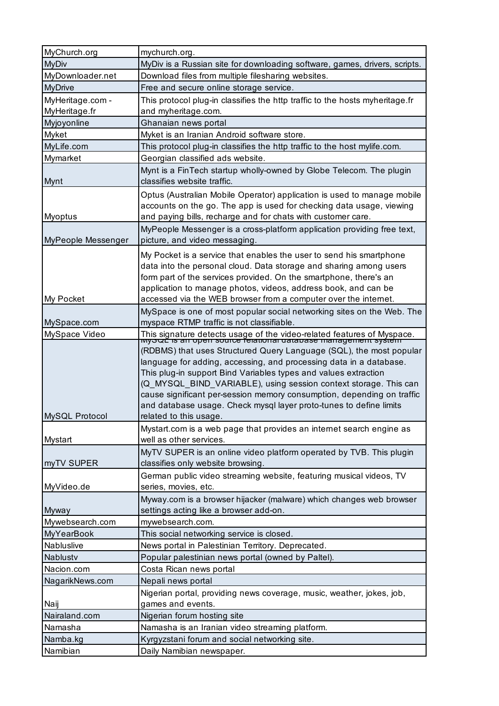| MyChurch.org       | mychurch.org.                                                                                                                                                                                                                                                                                                                                                                                                                    |
|--------------------|----------------------------------------------------------------------------------------------------------------------------------------------------------------------------------------------------------------------------------------------------------------------------------------------------------------------------------------------------------------------------------------------------------------------------------|
| <b>MyDiv</b>       | MyDiv is a Russian site for downloading software, games, drivers, scripts.                                                                                                                                                                                                                                                                                                                                                       |
| MyDownloader.net   | Download files from multiple filesharing websites.                                                                                                                                                                                                                                                                                                                                                                               |
| <b>MyDrive</b>     | Free and secure online storage service.                                                                                                                                                                                                                                                                                                                                                                                          |
| MyHeritage.com -   | This protocol plug-in classifies the http traffic to the hosts myheritage.fr                                                                                                                                                                                                                                                                                                                                                     |
| MyHeritage.fr      | and myheritage.com.                                                                                                                                                                                                                                                                                                                                                                                                              |
| Myjoyonline        | Ghanaian news portal                                                                                                                                                                                                                                                                                                                                                                                                             |
| Myket              | Myket is an Iranian Android software store.                                                                                                                                                                                                                                                                                                                                                                                      |
| MyLife.com         | This protocol plug-in classifies the http traffic to the host mylife.com.                                                                                                                                                                                                                                                                                                                                                        |
| Mymarket           | Georgian classified ads website.                                                                                                                                                                                                                                                                                                                                                                                                 |
| Mynt               | Mynt is a FinTech startup wholly-owned by Globe Telecom. The plugin<br>classifies website traffic.                                                                                                                                                                                                                                                                                                                               |
| <b>Myoptus</b>     | Optus (Australian Mobile Operator) application is used to manage mobile<br>accounts on the go. The app is used for checking data usage, viewing<br>and paying bills, recharge and for chats with customer care.                                                                                                                                                                                                                  |
| MyPeople Messenger | MyPeople Messenger is a cross-platform application providing free text,<br>picture, and video messaging.                                                                                                                                                                                                                                                                                                                         |
| My Pocket          | My Pocket is a service that enables the user to send his smartphone<br>data into the personal cloud. Data storage and sharing among users<br>form part of the services provided. On the smartphone, there's an<br>application to manage photos, videos, address book, and can be<br>accessed via the WEB browser from a computer over the internet.                                                                              |
| MySpace.com        | MySpace is one of most popular social networking sites on the Web. The<br>myspace RTMP traffic is not classifiable.                                                                                                                                                                                                                                                                                                              |
| MySpace Video      |                                                                                                                                                                                                                                                                                                                                                                                                                                  |
|                    | This signature detects usage of the video-related features of Myspace.<br>wyout is an open source felational database management system                                                                                                                                                                                                                                                                                          |
|                    | (RDBMS) that uses Structured Query Language (SQL), the most popular<br>language for adding, accessing, and processing data in a database.<br>This plug-in support Bind Variables types and values extraction<br>(Q_MYSQL_BIND_VARIABLE), using session context storage. This can<br>cause significant per-session memory consumption, depending on traffic<br>and database usage. Check mysql layer proto-tunes to define limits |
| MySQL Protocol     | related to this usage.                                                                                                                                                                                                                                                                                                                                                                                                           |
| Mystart            | Mystart.com is a web page that provides an internet search engine as<br>well as other services.                                                                                                                                                                                                                                                                                                                                  |
| myTV SUPER         | MyTV SUPER is an online video platform operated by TVB. This plugin<br>classifies only website browsing.                                                                                                                                                                                                                                                                                                                         |
| MyVideo.de         | German public video streaming website, featuring musical videos, TV<br>series, movies, etc.                                                                                                                                                                                                                                                                                                                                      |
| Myway              | Myway.com is a browser hijacker (malware) which changes web browser<br>settings acting like a browser add-on.                                                                                                                                                                                                                                                                                                                    |
| Mywebsearch.com    | mywebsearch.com.                                                                                                                                                                                                                                                                                                                                                                                                                 |
| MyYearBook         | This social networking service is closed.                                                                                                                                                                                                                                                                                                                                                                                        |
| Nabluslive         | News portal in Palestinian Territory. Deprecated.                                                                                                                                                                                                                                                                                                                                                                                |
| <b>Nablustv</b>    | Popular palestinian news portal (owned by Paltel).                                                                                                                                                                                                                                                                                                                                                                               |
| Nacion.com         | Costa Rican news portal                                                                                                                                                                                                                                                                                                                                                                                                          |
| NagarikNews.com    | Nepali news portal                                                                                                                                                                                                                                                                                                                                                                                                               |
| Naij               | Nigerian portal, providing news coverage, music, weather, jokes, job,<br>games and events.                                                                                                                                                                                                                                                                                                                                       |
| Nairaland.com      | Nigerian forum hosting site                                                                                                                                                                                                                                                                                                                                                                                                      |
| Namasha            | Namasha is an Iranian video streaming platform.                                                                                                                                                                                                                                                                                                                                                                                  |
| Namba.kg           | Kyrgyzstani forum and social networking site.                                                                                                                                                                                                                                                                                                                                                                                    |
| Namibian           | Daily Namibian newspaper.                                                                                                                                                                                                                                                                                                                                                                                                        |
|                    |                                                                                                                                                                                                                                                                                                                                                                                                                                  |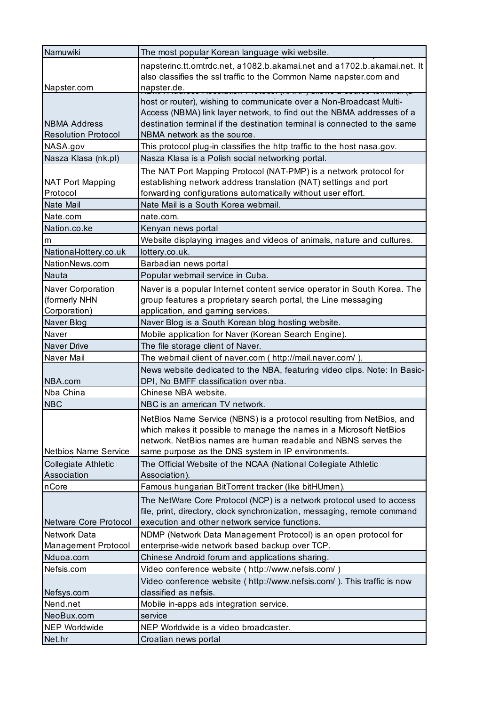| Namuwiki                     | The most popular Korean language wiki website.                                                                             |
|------------------------------|----------------------------------------------------------------------------------------------------------------------------|
|                              | napsterinc.tt.omtrdc.net, a1082.b.akamai.net and a1702.b.akamai.net. It                                                    |
|                              | also classifies the ssl traffic to the Common Name napster.com and                                                         |
| Napster.com                  | napster.de.<br><del>on 1 10 10 001 pm 11 m 7 am</del>                                                                      |
|                              | host or router), wishing to communicate over a Non-Broadcast Multi-                                                        |
|                              | Access (NBMA) link layer network, to find out the NBMA addresses of a                                                      |
| <b>NBMA Address</b>          | destination terminal if the destination terminal is connected to the same                                                  |
| <b>Resolution Protocol</b>   | NBMA network as the source.                                                                                                |
| NASA.gov                     | This protocol plug-in classifies the http traffic to the host nasa.gov.                                                    |
| Nasza Klasa (nk.pl)          | Nasza Klasa is a Polish social networking portal.                                                                          |
|                              | The NAT Port Mapping Protocol (NAT-PMP) is a network protocol for                                                          |
| <b>NAT Port Mapping</b>      | establishing network address translation (NAT) settings and port                                                           |
| Protocol                     | forwarding configurations automatically without user effort.                                                               |
| Nate Mail                    | Nate Mail is a South Korea webmail.                                                                                        |
| Nate.com                     | nate.com.                                                                                                                  |
| Nation.co.ke                 | Kenyan news portal                                                                                                         |
| m                            | Website displaying images and videos of animals, nature and cultures.                                                      |
| National-lottery.co.uk       | lottery.co.uk.                                                                                                             |
| NationNews.com               | Barbadian news portal                                                                                                      |
| Nauta                        | Popular webmail service in Cuba.                                                                                           |
| Naver Corporation            | Naver is a popular Internet content service operator in South Korea. The                                                   |
| (formerly NHN                | group features a proprietary search portal, the Line messaging                                                             |
| Corporation)                 | application, and gaming services.                                                                                          |
| Naver Blog                   | Naver Blog is a South Korean blog hosting website.                                                                         |
| Naver                        | Mobile application for Naver (Korean Search Engine).                                                                       |
| <b>Naver Drive</b>           | The file storage client of Naver.                                                                                          |
| Naver Mail                   | The webmail client of naver.com ( http://mail.naver.com/ ).                                                                |
|                              | News website dedicated to the NBA, featuring video clips. Note: In Basic-                                                  |
| NBA.com                      | DPI, No BMFF classification over nba.                                                                                      |
| Nba China                    | Chinese NBA website.                                                                                                       |
| <b>NBC</b>                   | NBC is an american TV network.                                                                                             |
|                              | NetBios Name Service (NBNS) is a protocol resulting from NetBios, and                                                      |
|                              | which makes it possible to manage the names in a Microsoft NetBios                                                         |
|                              | network. NetBios names are human readable and NBNS serves the                                                              |
| <b>Netbios Name Service</b>  | same purpose as the DNS system in IP environments.                                                                         |
| Collegiate Athletic          | The Official Website of the NCAA (National Collegiate Athletic                                                             |
| Association<br>nCore         | Association).<br>Famous hungarian BitTorrent tracker (like bitHUmen).                                                      |
|                              |                                                                                                                            |
|                              | The NetWare Core Protocol (NCP) is a network protocol used to access                                                       |
| <b>Netware Core Protocol</b> | file, print, directory, clock synchronization, messaging, remote command<br>execution and other network service functions. |
| <b>Network Data</b>          |                                                                                                                            |
| <b>Management Protocol</b>   | NDMP (Network Data Management Protocol) is an open protocol for<br>enterprise-wide network based backup over TCP.          |
| Nduoa.com                    | Chinese Android forum and applications sharing.                                                                            |
| Nefsis.com                   | Video conference website ( http://www.nefsis.com/)                                                                         |
|                              | Video conference website ( http://www.nefsis.com/ ). This traffic is now                                                   |
| Nefsys.com                   | classified as nefsis.                                                                                                      |
| Nend.net                     | Mobile in-apps ads integration service.                                                                                    |
| NeoBux.com                   | service                                                                                                                    |
| <b>NEP Worldwide</b>         | NEP Worldwide is a video broadcaster.                                                                                      |
| Net.hr                       | Croatian news portal                                                                                                       |
|                              |                                                                                                                            |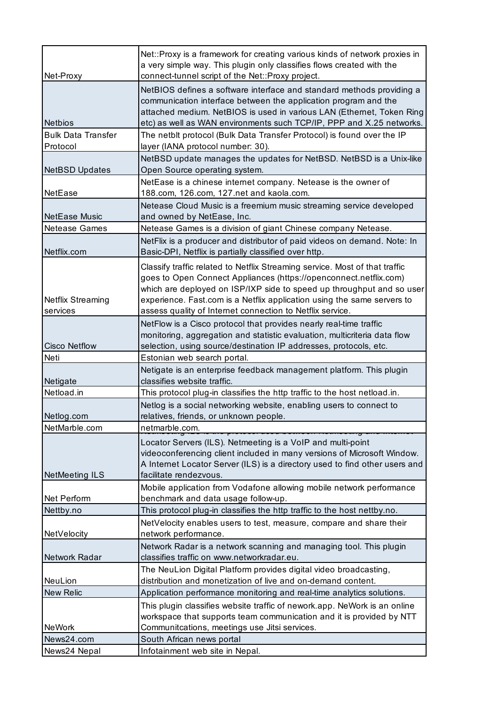|                            | Net::Proxy is a framework for creating various kinds of network proxies in                                  |
|----------------------------|-------------------------------------------------------------------------------------------------------------|
|                            | a very simple way. This plugin only classifies flows created with the                                       |
| Net-Proxy                  | connect-tunnel script of the Net::Proxy project.                                                            |
|                            | NetBIOS defines a software interface and standard methods providing a                                       |
|                            | communication interface between the application program and the                                             |
|                            | attached medium. NetBIOS is used in various LAN (Ethernet, Token Ring                                       |
| <b>Netbios</b>             | etc) as well as WAN environments such TCP/IP, PPP and X.25 networks.                                        |
| <b>Bulk Data Transfer</b>  | The netbit protocol (Bulk Data Transfer Protocol) is found over the IP                                      |
| Protocol                   | layer (IANA protocol number: 30).                                                                           |
| <b>NetBSD Updates</b>      | NetBSD update manages the updates for NetBSD. NetBSD is a Unix-like<br>Open Source operating system.        |
|                            | NetEase is a chinese internet company. Netease is the owner of                                              |
| <b>NetEase</b>             | 188.com, 126.com, 127.net and kaola.com.                                                                    |
|                            | Netease Cloud Music is a freemium music streaming service developed                                         |
| NetEase Music              | and owned by NetEase, Inc.                                                                                  |
| <b>Netease Games</b>       | Netease Games is a division of giant Chinese company Netease.                                               |
|                            | NetFlix is a producer and distributor of paid videos on demand. Note: In                                    |
| Netflix.com                | Basic-DPI, Netflix is partially classified over http.                                                       |
|                            | Classify traffic related to Netflix Streaming service. Most of that traffic                                 |
|                            | goes to Open Connect Appliances (https://openconnect.netflix.com)                                           |
|                            | which are deployed on ISP/IXP side to speed up throughput and so user                                       |
| <b>Netflix Streaming</b>   | experience. Fast.com is a Netflix application using the same servers to                                     |
| services                   | assess quality of Internet connection to Netflix service.                                                   |
|                            | NetFlow is a Cisco protocol that provides nearly real-time traffic                                          |
|                            | monitoring, aggregation and statistic evaluation, multicriteria data flow                                   |
| <b>Cisco Netflow</b>       | selection, using source/destination IP addresses, protocols, etc.                                           |
|                            |                                                                                                             |
| Neti                       | Estonian web search portal.                                                                                 |
|                            | Netigate is an enterprise feedback management platform. This plugin                                         |
| Netigate                   | classifies website traffic.                                                                                 |
| Netload.in                 | This protocol plug-in classifies the http traffic to the host netload.in.                                   |
|                            | Netlog is a social networking website, enabling users to connect to                                         |
| Netlog.com                 | relatives, friends, or unknown people.                                                                      |
| NetMarble.com              | netmarble.com.                                                                                              |
|                            | Locator Servers (ILS). Netmeeting is a VoIP and multi-point                                                 |
|                            | videoconferencing client included in many versions of Microsoft Window.                                     |
|                            | A Internet Locator Server (ILS) is a directory used to find other users and<br>facilitate rendezvous.       |
| <b>NetMeeting ILS</b>      |                                                                                                             |
| Net Perform                | Mobile application from Vodafone allowing mobile network performance<br>benchmark and data usage follow-up. |
| Nettby.no                  | This protocol plug-in classifies the http traffic to the host nettby.no.                                    |
|                            | NetVelocity enables users to test, measure, compare and share their                                         |
| NetVelocity                | network performance.                                                                                        |
|                            | Network Radar is a network scanning and managing tool. This plugin                                          |
| Network Radar              | classifies traffic on www.networkradar.eu.                                                                  |
|                            | The NeuLion Digital Platform provides digital video broadcasting,                                           |
| NeuLion                    | distribution and monetization of live and on-demand content.                                                |
| New Relic                  | Application performance monitoring and real-time analytics solutions.                                       |
|                            | This plugin classifies website traffic of nework.app. NeWork is an online                                   |
|                            | workspace that supports team communication and it is provided by NTT                                        |
| <b>NeWork</b>              | Communitcations, meetings use Jitsi services.                                                               |
| News24.com<br>News24 Nepal | South African news portal<br>Infotainment web site in Nepal.                                                |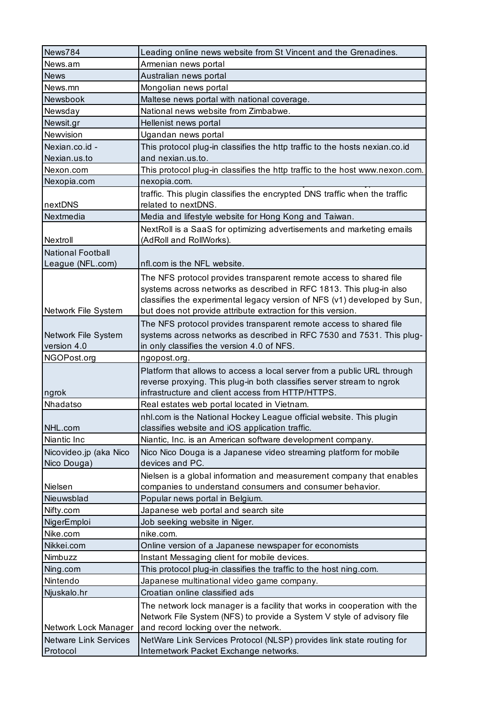| News784                      | Leading online news website from St Vincent and the Grenadines.                                                                                     |
|------------------------------|-----------------------------------------------------------------------------------------------------------------------------------------------------|
| News.am                      | Armenian news portal                                                                                                                                |
| <b>News</b>                  | Australian news portal                                                                                                                              |
| News.mn                      | Mongolian news portal                                                                                                                               |
| Newsbook                     | Maltese news portal with national coverage.                                                                                                         |
| Newsday                      | National news website from Zimbabwe.                                                                                                                |
| Newsit.gr                    | Hellenist news portal                                                                                                                               |
| Newvision                    | Ugandan news portal                                                                                                                                 |
| Nexian.co.id -               | This protocol plug-in classifies the http traffic to the hosts nexian.co.id                                                                         |
| Nexian.us.to                 | and nexian.us.to.                                                                                                                                   |
| Nexon.com                    | This protocol plug-in classifies the http traffic to the host www.nexon.com.                                                                        |
| Nexopia.com                  | nexopia.com.                                                                                                                                        |
|                              | traffic. This plugin classifies the encrypted DNS traffic when the traffic                                                                          |
| nextDNS                      | related to nextDNS.                                                                                                                                 |
| Nextmedia                    | Media and lifestyle website for Hong Kong and Taiwan.                                                                                               |
|                              | NextRoll is a SaaS for optimizing advertisements and marketing emails                                                                               |
| Nextroll                     | (AdRoll and RollWorks).                                                                                                                             |
| <b>National Football</b>     |                                                                                                                                                     |
| League (NFL.com)             | nfl.com is the NFL website.                                                                                                                         |
|                              | The NFS protocol provides transparent remote access to shared file                                                                                  |
|                              | systems across networks as described in RFC 1813. This plug-in also                                                                                 |
|                              | classifies the experimental legacy version of NFS (v1) developed by Sun,                                                                            |
| Network File System          | but does not provide attribute extraction for this version.                                                                                         |
|                              | The NFS protocol provides transparent remote access to shared file                                                                                  |
| Network File System          | systems across networks as described in RFC 7530 and 7531. This plug-                                                                               |
| version 4.0                  | in only classifies the version 4.0 of NFS.                                                                                                          |
|                              |                                                                                                                                                     |
| NGOPost.org                  | ngopost.org.                                                                                                                                        |
|                              | Platform that allows to access a local server from a public URL through                                                                             |
|                              | reverse proxying. This plug-in both classifies server stream to ngrok                                                                               |
| ngrok                        | infrastructure and client access from HTTP/HTTPS.                                                                                                   |
| Nhadatso                     | Real estates web portal located in Vietnam.                                                                                                         |
|                              | nhl.com is the National Hockey League official website. This plugin                                                                                 |
| NHL.com<br>Niantic Inc       | classifies website and iOS application traffic.                                                                                                     |
|                              | Niantic, Inc. is an American software development company.                                                                                          |
| Nicovideo.jp (aka Nico       | Nico Nico Douga is a Japanese video streaming platform for mobile<br>devices and PC.                                                                |
| Nico Douga)                  |                                                                                                                                                     |
| Nielsen                      | Nielsen is a global information and measurement company that enables                                                                                |
| Nieuwsblad                   | companies to understand consumers and consumer behavior.<br>Popular news portal in Belgium.                                                         |
|                              |                                                                                                                                                     |
| Nifty.com<br>NigerEmploi     | Japanese web portal and search site                                                                                                                 |
| Nike.com                     | Job seeking website in Niger.<br>nike.com.                                                                                                          |
| Nikkei.com                   | Online version of a Japanese newspaper for economists                                                                                               |
| Nimbuzz                      | Instant Messaging client for mobile devices.                                                                                                        |
| Ning.com                     | This protocol plug-in classifies the traffic to the host ning.com.                                                                                  |
| Nintendo                     | Japanese multinational video game company.                                                                                                          |
| Njuskalo.hr                  | Croatian online classified ads                                                                                                                      |
|                              |                                                                                                                                                     |
|                              | The network lock manager is a facility that works in cooperation with the<br>Network File System (NFS) to provide a System V style of advisory file |
| Network Lock Manager         | and record locking over the network.                                                                                                                |
| <b>Netware Link Services</b> | NetWare Link Services Protocol (NLSP) provides link state routing for                                                                               |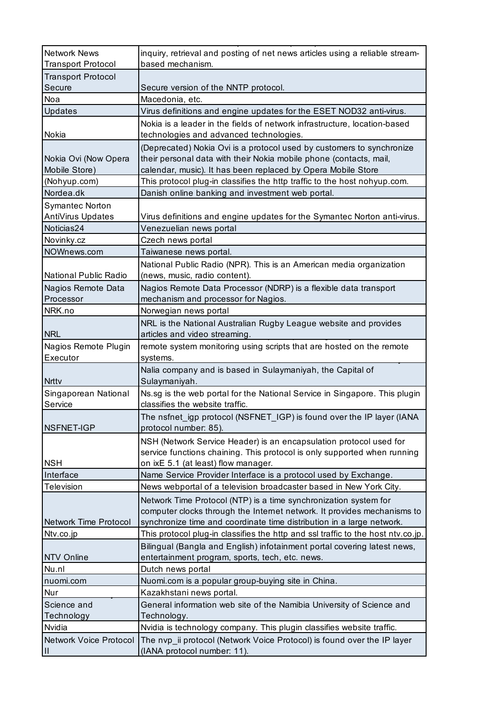| <b>Network News</b>       | inquiry, retrieval and posting of net news articles using a reliable stream-     |
|---------------------------|----------------------------------------------------------------------------------|
| <b>Transport Protocol</b> | based mechanism.                                                                 |
| <b>Transport Protocol</b> |                                                                                  |
| Secure                    | Secure version of the NNTP protocol.                                             |
| Noa                       | Macedonia, etc.                                                                  |
| Updates                   | Virus definitions and engine updates for the ESET NOD32 anti-virus.              |
|                           | Nokia is a leader in the fields of network infrastructure, location-based        |
| Nokia                     | technologies and advanced technologies.                                          |
|                           | (Deprecated) Nokia Ovi is a protocol used by customers to synchronize            |
| Nokia Ovi (Now Opera      | their personal data with their Nokia mobile phone (contacts, mail,               |
| Mobile Store)             | calendar, music). It has been replaced by Opera Mobile Store                     |
| (Nohyup.com)              | This protocol plug-in classifies the http traffic to the host nohyup.com.        |
| Nordea.dk                 | Danish online banking and investment web portal.                                 |
| <b>Symantec Norton</b>    |                                                                                  |
| AntiVirus Updates         | Virus definitions and engine updates for the Symantec Norton anti-virus.         |
| Noticias24                | Venezuelian news portal                                                          |
| Novinky.cz                | Czech news portal                                                                |
| NOWnews.com               | Taiwanese news portal.                                                           |
|                           | National Public Radio (NPR). This is an American media organization              |
| National Public Radio     | (news, music, radio content).                                                    |
| Nagios Remote Data        | Nagios Remote Data Processor (NDRP) is a flexible data transport                 |
| Processor                 | mechanism and processor for Nagios.                                              |
| NRK.no                    | Norwegian news portal                                                            |
|                           | NRL is the National Australian Rugby League website and provides                 |
| <b>NRL</b>                | articles and video streaming.                                                    |
| Nagios Remote Plugin      | remote system monitoring using scripts that are hosted on the remote             |
| Executor                  | systems.                                                                         |
|                           | Nalia company and is based in Sulaymaniyah, the Capital of                       |
| Nrttv                     | Sulaymaniyah.                                                                    |
| Singaporean National      | Ns.sg is the web portal for the National Service in Singapore. This plugin       |
| Service                   | classifies the website traffic.                                                  |
|                           | The nsfnet igp protocol (NSFNET IGP) is found over the IP layer (IANA            |
| NSFNET-IGP                | protocol number: 85).                                                            |
|                           | NSH (Network Service Header) is an encapsulation protocol used for               |
|                           | service functions chaining. This protocol is only supported when running         |
| <b>NSH</b>                | on ixE 5.1 (at least) flow manager.                                              |
| Interface                 | Name Service Provider Interface is a protocol used by Exchange.                  |
| Television                | News webportal of a television broadcaster based in New York City.               |
|                           | Network Time Protocol (NTP) is a time synchronization system for                 |
|                           | computer clocks through the Internet network. It provides mechanisms to          |
| Network Time Protocol     | synchronize time and coordinate time distribution in a large network.            |
| Ntv.co.jp                 | This protocol plug-in classifies the http and ssl traffic to the host ntv.co.jp. |
|                           | Bilingual (Bangla and English) infotainment portal covering latest news,         |
| NTV Online                | entertainment program, sports, tech, etc. news.                                  |
| Nu.nl                     | Dutch news portal                                                                |
| nuomi.com                 | Nuomi.com is a popular group-buying site in China.                               |
| Nur                       | Kazakhstani news portal.                                                         |
| Science and               | General information web site of the Namibia University of Science and            |
| Technology                | Technology.                                                                      |
| Nvidia                    | Nvidia is technology company. This plugin classifies website traffic.            |
| Network Voice Protocol    | The nvp ii protocol (Network Voice Protocol) is found over the IP layer          |
| $\mathbf{II}$             | (IANA protocol number: 11).                                                      |
|                           |                                                                                  |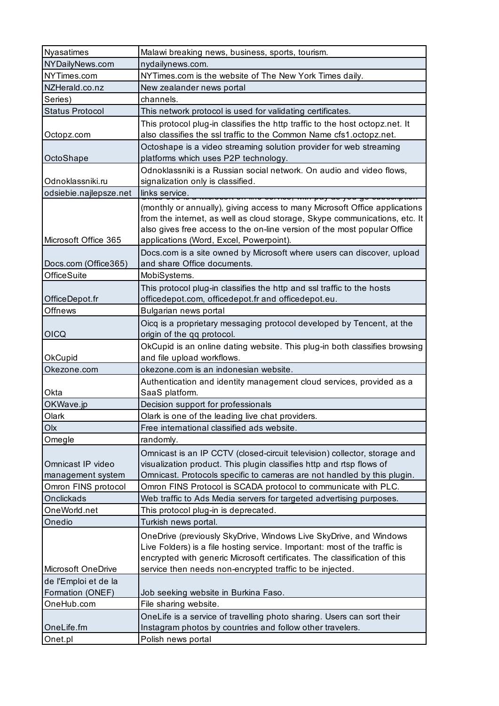| Nyasatimes                             | Malawi breaking news, business, sports, tourism.                                                                                                                                                                                                                                         |
|----------------------------------------|------------------------------------------------------------------------------------------------------------------------------------------------------------------------------------------------------------------------------------------------------------------------------------------|
| NYDailyNews.com                        | nydailynews.com.                                                                                                                                                                                                                                                                         |
| NYTimes.com                            | NYTimes.com is the website of The New York Times daily.                                                                                                                                                                                                                                  |
| NZHerald.co.nz                         | New zealander news portal                                                                                                                                                                                                                                                                |
| Series)                                | channels.                                                                                                                                                                                                                                                                                |
| <b>Status Protocol</b>                 | This network protocol is used for validating certificates.                                                                                                                                                                                                                               |
| Octopz.com                             | This protocol plug-in classifies the http traffic to the host octopz.net. It<br>also classifies the ssl traffic to the Common Name cfs1.octopz.net.                                                                                                                                      |
| OctoShape                              | Octoshape is a video streaming solution provider for web streaming<br>platforms which uses P2P technology.                                                                                                                                                                               |
| Odnoklassniki.ru                       | Odnoklassniki is a Russian social network. On audio and video flows,<br>signalization only is classified.                                                                                                                                                                                |
| odsiebie.najlepsze.net                 | links service.<br><del>an mia aarnaa; mur pay aa jaa g</del>                                                                                                                                                                                                                             |
| Microsoft Office 365                   | (monthly or annually), giving access to many Microsoft Office applications<br>from the internet, as well as cloud storage, Skype communications, etc. It<br>also gives free access to the on-line version of the most popular Office<br>applications (Word, Excel, Powerpoint).          |
| Docs.com (Office365)                   | Docs.com is a site owned by Microsoft where users can discover, upload<br>and share Office documents.                                                                                                                                                                                    |
| <b>OfficeSuite</b>                     | MobiSystems.                                                                                                                                                                                                                                                                             |
| OfficeDepot.fr                         | This protocol plug-in classifies the http and ssl traffic to the hosts<br>officedepot.com, officedepot.fr and officedepot.eu.                                                                                                                                                            |
| <b>Offnews</b>                         | Bulgarian news portal                                                                                                                                                                                                                                                                    |
| <b>OICQ</b>                            | Oicq is a proprietary messaging protocol developed by Tencent, at the<br>origin of the qq protocol.                                                                                                                                                                                      |
| OkCupid                                | OkCupid is an online dating website. This plug-in both classifies browsing<br>and file upload workflows.                                                                                                                                                                                 |
| Okezone.com                            | okezone.com is an indonesian website.                                                                                                                                                                                                                                                    |
| Okta                                   | Authentication and identity management cloud services, provided as a<br>SaaS platform.                                                                                                                                                                                                   |
| OKWave.jp                              | Decision support for professionals                                                                                                                                                                                                                                                       |
| Olark                                  | Olark is one of the leading live chat providers.                                                                                                                                                                                                                                         |
| Olx                                    | Free international classified ads website.                                                                                                                                                                                                                                               |
| Omegle                                 | randomly.                                                                                                                                                                                                                                                                                |
| Omnicast IP video<br>management system | Omnicast is an IP CCTV (closed-circuit television) collector, storage and<br>visualization product. This plugin classifies http and rtsp flows of<br>Omnicast. Protocols specific to cameras are not handled by this plugin.                                                             |
| Omron FINS protocol                    | Omron FINS Protocol is SCADA protocol to communicate with PLC.                                                                                                                                                                                                                           |
| Onclickads                             | Web traffic to Ads Media servers for targeted advertising purposes.                                                                                                                                                                                                                      |
| OneWorld.net                           | This protocol plug-in is deprecated.                                                                                                                                                                                                                                                     |
| Onedio                                 | Turkish news portal.                                                                                                                                                                                                                                                                     |
| Microsoft OneDrive                     | OneDrive (previously SkyDrive, Windows Live SkyDrive, and Windows<br>Live Folders) is a file hosting service. Important: most of the traffic is<br>encrypted with generic Microsoft certificates. The classification of this<br>service then needs non-encrypted traffic to be injected. |
| de l'Emploi et de la                   |                                                                                                                                                                                                                                                                                          |
| Formation (ONEF)                       | Job seeking website in Burkina Faso.                                                                                                                                                                                                                                                     |
| OneHub.com                             | File sharing website.                                                                                                                                                                                                                                                                    |
| OneLife.fm                             | OneLife is a service of travelling photo sharing. Users can sort their<br>Instagram photos by countries and follow other travelers.                                                                                                                                                      |
| Onet.pl                                | Polish news portal                                                                                                                                                                                                                                                                       |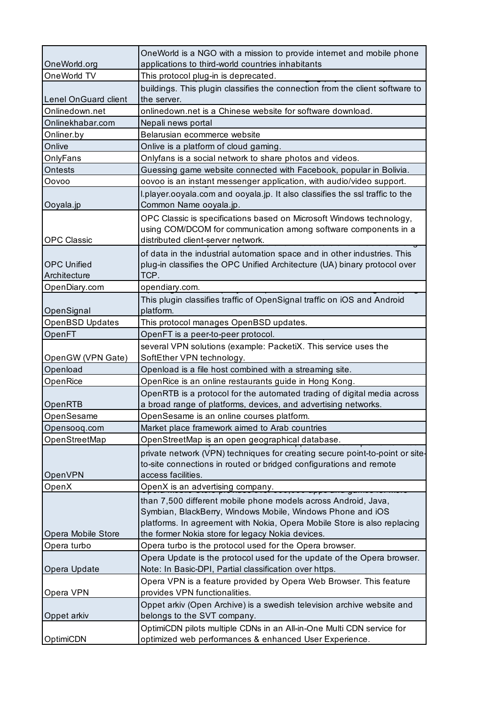| OneWorld.org                       | OneWorld is a NGO with a mission to provide internet and mobile phone<br>applications to third-world countries inhabitants                                                                                                                                   |
|------------------------------------|--------------------------------------------------------------------------------------------------------------------------------------------------------------------------------------------------------------------------------------------------------------|
| OneWorld TV                        | This protocol plug-in is deprecated.                                                                                                                                                                                                                         |
| <b>Lenel OnGuard client</b>        | buildings. This plugin classifies the connection from the client software to<br>the server.                                                                                                                                                                  |
| Onlinedown.net                     | onlinedown.net is a Chinese website for software download.                                                                                                                                                                                                   |
| Onlinekhabar.com                   | Nepali news portal                                                                                                                                                                                                                                           |
| Onliner.by                         | Belarusian ecommerce website                                                                                                                                                                                                                                 |
| Onlive                             | Onlive is a platform of cloud gaming.                                                                                                                                                                                                                        |
| OnlyFans                           | Onlyfans is a social network to share photos and videos.                                                                                                                                                                                                     |
| Ontests                            | Guessing game website connected with Facebook, popular in Bolivia.                                                                                                                                                                                           |
| Oovoo                              | oovoo is an instant messenger application, with audio/video support.                                                                                                                                                                                         |
| Ooyala.jp                          | I.player.ooyala.com and ooyala.jp. It also classifies the ssl traffic to the<br>Common Name ooyala.jp.                                                                                                                                                       |
|                                    | OPC Classic is specifications based on Microsoft Windows technology,                                                                                                                                                                                         |
| <b>OPC Classic</b>                 | using COM/DCOM for communication among software components in a<br>distributed client-server network.                                                                                                                                                        |
| <b>OPC Unified</b><br>Architecture | of data in the industrial automation space and in other industries. This<br>plug-in classifies the OPC Unified Architecture (UA) binary protocol over<br>TCP.                                                                                                |
| OpenDiary.com                      | opendiary.com.                                                                                                                                                                                                                                               |
| OpenSignal                         | This plugin classifies traffic of OpenSignal traffic on iOS and Android<br>platform.                                                                                                                                                                         |
| <b>OpenBSD Updates</b>             | This protocol manages OpenBSD updates.                                                                                                                                                                                                                       |
| OpenFT                             | OpenFT is a peer-to-peer protocol.                                                                                                                                                                                                                           |
|                                    | several VPN solutions (example: PacketiX. This service uses the                                                                                                                                                                                              |
| OpenGW (VPN Gate)                  | SoftEther VPN technology.                                                                                                                                                                                                                                    |
| Openload                           | Openload is a file host combined with a streaming site.                                                                                                                                                                                                      |
| OpenRice                           | OpenRice is an online restaurants guide in Hong Kong.                                                                                                                                                                                                        |
|                                    | OpenRTB is a protocol for the automated trading of digital media across                                                                                                                                                                                      |
| OpenRTB                            | a broad range of platforms, devices, and advertising networks.                                                                                                                                                                                               |
| OpenSesame                         | OpenSesame is an online courses platform.                                                                                                                                                                                                                    |
| Opensooq.com                       | Market place framework aimed to Arab countries                                                                                                                                                                                                               |
| OpenStreetMap                      | OpenStreetMap is an open geographical database.                                                                                                                                                                                                              |
| OpenVPN                            | private network (VPN) techniques for creating secure point-to-point or site-<br>to-site connections in routed or bridged configurations and remote<br>access facilities.                                                                                     |
| OpenX                              | OpenX is an advertising company.                                                                                                                                                                                                                             |
| Opera Mobile Store                 | than 7,500 different mobile phone models across Android, Java,<br>Symbian, BlackBerry, Windows Mobile, Windows Phone and iOS<br>platforms. In agreement with Nokia, Opera Mobile Store is also replacing<br>the former Nokia store for legacy Nokia devices. |
| Opera turbo                        | Opera turbo is the protocol used for the Opera browser.                                                                                                                                                                                                      |
| Opera Update                       | Opera Update is the protocol used for the update of the Opera browser.<br>Note: In Basic-DPI, Partial classification over https.                                                                                                                             |
| Opera VPN                          | Opera VPN is a feature provided by Opera Web Browser. This feature<br>provides VPN functionalities.                                                                                                                                                          |
| Oppet arkiv                        | Oppet arkiv (Open Archive) is a swedish television archive website and<br>belongs to the SVT company.                                                                                                                                                        |
|                                    | OptimiCDN pilots multiple CDNs in an All-in-One Multi CDN service for                                                                                                                                                                                        |
| OptimiCDN                          | optimized web performances & enhanced User Experience.                                                                                                                                                                                                       |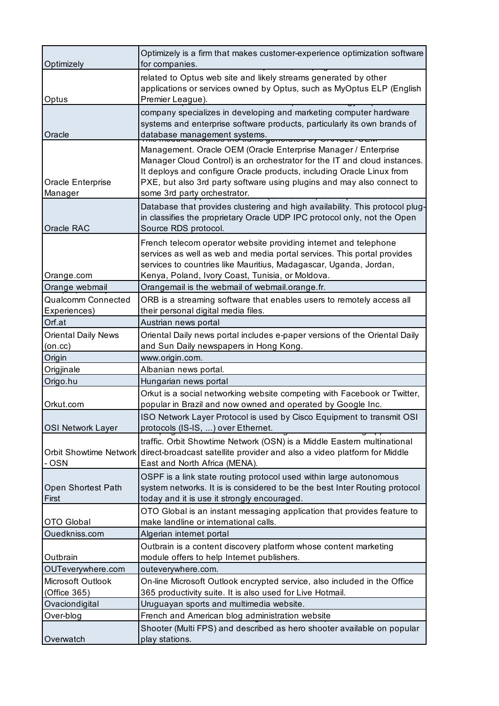| Optimizely                   | Optimizely is a firm that makes customer-experience optimization software<br>for companies.                                                                                                                                                                                                                                    |
|------------------------------|--------------------------------------------------------------------------------------------------------------------------------------------------------------------------------------------------------------------------------------------------------------------------------------------------------------------------------|
| Optus                        | related to Optus web site and likely streams generated by other<br>applications or services owned by Optus, such as MyOptus ELP (English<br>Premier League).                                                                                                                                                                   |
| Oracle                       | company specializes in developing and marketing computer hardware<br>systems and enterprise software products, particularly its own brands of<br>database management systems.<br><del>noratou py</del>                                                                                                                         |
| Oracle Enterprise<br>Manager | Management. Oracle OEM (Oracle Enterprise Manager / Enterprise<br>Manager Cloud Control) is an orchestrator for the IT and cloud instances.<br>It deploys and configure Oracle products, including Oracle Linux from<br>PXE, but also 3rd party software using plugins and may also connect to<br>some 3rd party orchestrator. |
| Oracle RAC                   | Database that provides clustering and high availability. This protocol plug-<br>in classifies the proprietary Oracle UDP IPC protocol only, not the Open<br>Source RDS protocol.                                                                                                                                               |
| Orange.com                   | French telecom operator website providing internet and telephone<br>services as well as web and media portal services. This portal provides<br>services to countries like Mauritius, Madagascar, Uganda, Jordan,<br>Kenya, Poland, Ivory Coast, Tunisia, or Moldova.                                                           |
| Orange webmail               | Orangemail is the webmail of webmail.orange.fr.                                                                                                                                                                                                                                                                                |
| <b>Qualcomm Connected</b>    | ORB is a streaming software that enables users to remotely access all                                                                                                                                                                                                                                                          |
| Experiences)                 | their personal digital media files.                                                                                                                                                                                                                                                                                            |
| Orf.at                       | Austrian news portal                                                                                                                                                                                                                                                                                                           |
| <b>Oriental Daily News</b>   | Oriental Daily news portal includes e-paper versions of the Oriental Daily                                                                                                                                                                                                                                                     |
| $(0n$ .cc $)$                | and Sun Daily newspapers in Hong Kong.                                                                                                                                                                                                                                                                                         |
| Origin                       | www.origin.com.                                                                                                                                                                                                                                                                                                                |
| Origjinale                   | Albanian news portal.                                                                                                                                                                                                                                                                                                          |
| Origo.hu                     | Hungarian news portal                                                                                                                                                                                                                                                                                                          |
| Orkut.com                    | Orkut is a social networking website competing with Facebook or Twitter,<br>popular in Brazil and now owned and operated by Google Inc.                                                                                                                                                                                        |
| <b>OSI Network Layer</b>     | ISO Network Layer Protocol is used by Cisco Equipment to transmit OSI<br>protocols (IS-IS, ) over Ethernet.                                                                                                                                                                                                                    |
| - OSN                        | traffic. Orbit Showtime Network (OSN) is a Middle Eastern multinational<br>Orbit Showtime Network direct-broadcast satellite provider and also a video platform for Middle<br>East and North Africa (MENA).                                                                                                                    |
| Open Shortest Path<br>First  | OSPF is a link state routing protocol used within large autonomous<br>system networks. It is is considered to be the best Inter Routing protocol<br>today and it is use it strongly encouraged.                                                                                                                                |
| <b>OTO Global</b>            | OTO Global is an instant messaging application that provides feature to<br>make landline or international calls.                                                                                                                                                                                                               |
| Ouedkniss.com                | Algerian internet portal                                                                                                                                                                                                                                                                                                       |
| Outbrain                     | Outbrain is a content discovery platform whose content marketing<br>module offers to help Internet publishers.                                                                                                                                                                                                                 |
| OUTeverywhere.com            | outeverywhere.com.                                                                                                                                                                                                                                                                                                             |
| Microsoft Outlook            | On-line Microsoft Outlook encrypted service, also included in the Office                                                                                                                                                                                                                                                       |
| (Office 365)                 | 365 productivity suite. It is also used for Live Hotmail.                                                                                                                                                                                                                                                                      |
| Ovaciondigital               | Uruguayan sports and multimedia website.                                                                                                                                                                                                                                                                                       |
| Over-blog                    | French and American blog administration website                                                                                                                                                                                                                                                                                |
|                              | Shooter (Multi FPS) and described as hero shooter available on popular                                                                                                                                                                                                                                                         |
| Overwatch                    | play stations.                                                                                                                                                                                                                                                                                                                 |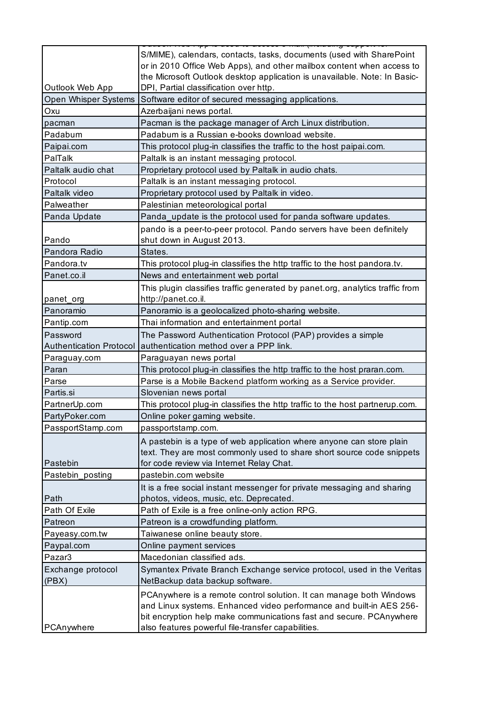|                                | S/MIME), calendars, contacts, tasks, documents (used with SharePoint<br>or in 2010 Office Web Apps), and other mailbox content when access to<br>the Microsoft Outlook desktop application is unavailable. Note: In Basic- |
|--------------------------------|----------------------------------------------------------------------------------------------------------------------------------------------------------------------------------------------------------------------------|
| Outlook Web App                | DPI, Partial classification over http.                                                                                                                                                                                     |
| Open Whisper Systems           | Software editor of secured messaging applications.                                                                                                                                                                         |
| Oxu                            | Azerbaijani news portal.                                                                                                                                                                                                   |
| pacman                         | Pacman is the package manager of Arch Linux distribution.                                                                                                                                                                  |
| Padabum                        | Padabum is a Russian e-books download website.                                                                                                                                                                             |
| Paipai.com                     | This protocol plug-in classifies the traffic to the host paipai.com.                                                                                                                                                       |
| PalTalk                        | Paltalk is an instant messaging protocol.                                                                                                                                                                                  |
| Paltalk audio chat             | Proprietary protocol used by Paltalk in audio chats.                                                                                                                                                                       |
| Protocol                       | Paltalk is an instant messaging protocol.                                                                                                                                                                                  |
| Paltalk video                  | Proprietary protocol used by Paltalk in video.                                                                                                                                                                             |
| Palweather                     | Palestinian meteorological portal                                                                                                                                                                                          |
| Panda Update                   | Panda_update is the protocol used for panda software updates.                                                                                                                                                              |
|                                | pando is a peer-to-peer protocol. Pando servers have been definitely                                                                                                                                                       |
| Pando                          | shut down in August 2013.                                                                                                                                                                                                  |
| Pandora Radio                  | States.                                                                                                                                                                                                                    |
| Pandora.tv                     | This protocol plug-in classifies the http traffic to the host pandora.tv.                                                                                                                                                  |
| Panet.co.il                    | News and entertainment web portal                                                                                                                                                                                          |
|                                | This plugin classifies traffic generated by panet.org, analytics traffic from                                                                                                                                              |
| panet_org                      | http://panet.co.il.                                                                                                                                                                                                        |
| Panoramio                      | Panoramio is a geolocalized photo-sharing website.                                                                                                                                                                         |
| Pantip.com                     | Thai information and entertainment portal                                                                                                                                                                                  |
| Password                       | The Password Authentication Protocol (PAP) provides a simple                                                                                                                                                               |
| <b>Authentication Protocol</b> | authentication method over a PPP link.                                                                                                                                                                                     |
| Paraguay.com                   | Paraguayan news portal                                                                                                                                                                                                     |
| Paran                          | This protocol plug-in classifies the http traffic to the host praran.com.                                                                                                                                                  |
| Parse                          | Parse is a Mobile Backend platform working as a Service provider.                                                                                                                                                          |
| Partis.si                      | Slovenian news portal                                                                                                                                                                                                      |
| PartnerUp.com                  | This protocol plug-in classifies the http traffic to the host partnerup.com.                                                                                                                                               |
| PartyPoker.com                 | Online poker gaming website                                                                                                                                                                                                |
| PassportStamp.com              | passportstamp.com.                                                                                                                                                                                                         |
|                                |                                                                                                                                                                                                                            |
|                                | A pastebin is a type of web application where anyone can store plain                                                                                                                                                       |
| Pastebin                       | text. They are most commonly used to share short source code snippets                                                                                                                                                      |
|                                | for code review via Internet Relay Chat.                                                                                                                                                                                   |
| Pastebin_posting               | pastebin.com website                                                                                                                                                                                                       |
|                                | It is a free social instant messenger for private messaging and sharing                                                                                                                                                    |
| Path                           | photos, videos, music, etc. Deprecated.                                                                                                                                                                                    |
| Path Of Exile                  | Path of Exile is a free online-only action RPG.                                                                                                                                                                            |
| Patreon                        | Patreon is a crowdfunding platform.                                                                                                                                                                                        |
| Payeasy.com.tw                 | Taiwanese online beauty store.                                                                                                                                                                                             |
| Paypal.com                     | Online payment services                                                                                                                                                                                                    |
| Pazar3                         | Macedonian classified ads.                                                                                                                                                                                                 |
| Exchange protocol              | Symantex Private Branch Exchange service protocol, used in the Veritas                                                                                                                                                     |
| (PBX)                          | NetBackup data backup software.                                                                                                                                                                                            |
|                                | PCAnywhere is a remote control solution. It can manage both Windows                                                                                                                                                        |
|                                | and Linux systems. Enhanced video performance and built-in AES 256-                                                                                                                                                        |
|                                | bit encryption help make communications fast and secure. PCAnywhere                                                                                                                                                        |
| PCAnywhere                     | also features powerful file-transfer capabilities.                                                                                                                                                                         |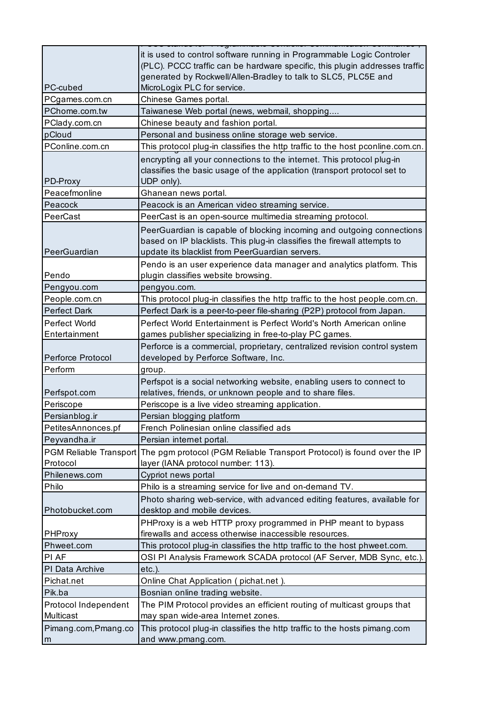|                      | it is used to control software running in Programmable Logic Controler                         |
|----------------------|------------------------------------------------------------------------------------------------|
|                      | (PLC). PCCC traffic can be hardware specific, this plugin addresses traffic                    |
|                      | generated by Rockwell/Allen-Bradley to talk to SLC5, PLC5E and                                 |
| PC-cubed             | MicroLogix PLC for service.                                                                    |
| PCgames.com.cn       | Chinese Games portal.                                                                          |
| PChome.com.tw        | Taiwanese Web portal (news, webmail, shopping                                                  |
| PClady.com.cn        | Chinese beauty and fashion portal.                                                             |
| pCloud               | Personal and business online storage web service.                                              |
| PConline.com.cn      | This protocol plug-in classifies the http traffic to the host pconline.com.cn.                 |
|                      | encrypting all your connections to the internet. This protocol plug-in                         |
|                      | classifies the basic usage of the application (transport protocol set to                       |
| PD-Proxy             | UDP only).                                                                                     |
| Peacefmonline        | Ghanean news portal.                                                                           |
| Peacock              | Peacock is an American video streaming service.                                                |
| PeerCast             | PeerCast is an open-source multimedia streaming protocol.                                      |
|                      | PeerGuardian is capable of blocking incoming and outgoing connections                          |
|                      | based on IP blacklists. This plug-in classifies the firewall attempts to                       |
| PeerGuardian         | update its blacklist from PeerGuardian servers.                                                |
|                      | Pendo is an user experience data manager and analytics platform. This                          |
| Pendo                | plugin classifies website browsing.                                                            |
| Pengyou.com          | pengyou.com.                                                                                   |
| People.com.cn        | This protocol plug-in classifies the http traffic to the host people.com.cn.                   |
| <b>Perfect Dark</b>  | Perfect Dark is a peer-to-peer file-sharing (P2P) protocol from Japan.                         |
| Perfect World        | Perfect World Entertainment is Perfect World's North American online                           |
| Entertainment        | games publisher specializing in free-to-play PC games.                                         |
|                      | Perforce is a commercial, proprietary, centralized revision control system                     |
| Perforce Protocol    | developed by Perforce Software, Inc.                                                           |
| Perform              | group.                                                                                         |
|                      | Perfspot is a social networking website, enabling users to connect to                          |
| Perfspot.com         | relatives, friends, or unknown people and to share files.                                      |
| Periscope            | Periscope is a live video streaming application.                                               |
| Persianblog.ir       | Persian blogging platform                                                                      |
| PetitesAnnonces.pf   | French Polinesian online classified ads                                                        |
| Peyvandha.ir         | Persian internet portal.                                                                       |
|                      | PGM Reliable Transport The pgm protocol (PGM Reliable Transport Protocol) is found over the IP |
| Protocol             | layer (IANA protocol number: 113).                                                             |
| Philenews.com        | Cypriot news portal                                                                            |
| Philo                | Philo is a streaming service for live and on-demand TV.                                        |
|                      | Photo sharing web-service, with advanced editing features, available for                       |
| Photobucket.com      | desktop and mobile devices.                                                                    |
|                      | PHProxy is a web HTTP proxy programmed in PHP meant to bypass                                  |
| PHProxy              | firewalls and access otherwise inaccessible resources.                                         |
| Phweet.com           | This protocol plug-in classifies the http traffic to the host phweet.com.                      |
| PI AF                | OSI PI Analysis Framework SCADA protocol (AF Server, MDB Sync, etc.).                          |
| PI Data Archive      | $etc.$ ).                                                                                      |
| Pichat.net           | Online Chat Application (pichat.net).                                                          |
| Pik.ba               | Bosnian online trading website.                                                                |
| Protocol Independent | The PIM Protocol provides an efficient routing of multicast groups that                        |
| Multicast            | may span wide-area Internet zones.                                                             |
|                      | This protocol plug-in classifies the http traffic to the hosts pimang.com                      |
| Pimang.com, Pmang.co | and www.pmang.com.                                                                             |
| m                    |                                                                                                |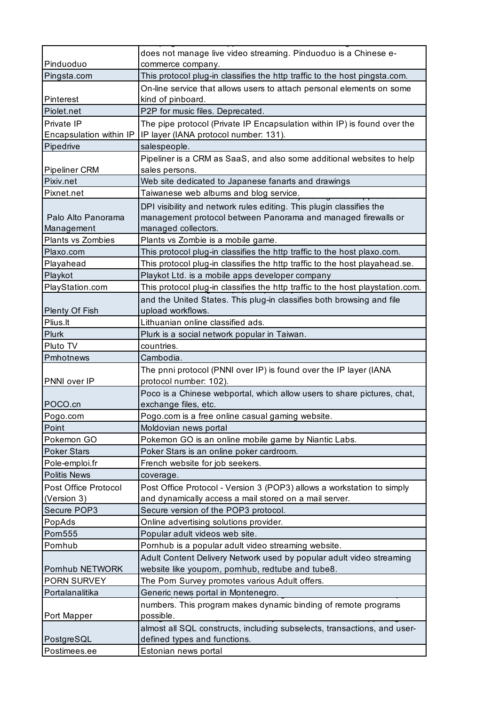| Pinduoduo                        | does not manage live video streaming. Pinduoduo is a Chinese e-<br>commerce company.                                                                         |
|----------------------------------|--------------------------------------------------------------------------------------------------------------------------------------------------------------|
| Pingsta.com                      | This protocol plug-in classifies the http traffic to the host pingsta.com.                                                                                   |
|                                  | On-line service that allows users to attach personal elements on some                                                                                        |
| Pinterest                        | kind of pinboard.                                                                                                                                            |
| Piolet.net                       | P2P for music files. Deprecated.                                                                                                                             |
| Private IP                       | The pipe protocol (Private IP Encapsulation within IP) is found over the                                                                                     |
| Encapsulation within IP          | IP layer (IANA protocol number: 131).                                                                                                                        |
| Pipedrive                        | salespeople.                                                                                                                                                 |
| <b>Pipeliner CRM</b>             | Pipeliner is a CRM as SaaS, and also some additional websites to help<br>sales persons.                                                                      |
| Pixiv.net                        | Web site dedicated to Japanese fanarts and drawings                                                                                                          |
| Pixnet.net                       | Taiwanese web albums and blog service.                                                                                                                       |
| Palo Alto Panorama<br>Management | DPI visibility and network rules editing. This plugin classifies the<br>management protocol between Panorama and managed firewalls or<br>managed collectors. |
| <b>Plants vs Zombies</b>         | Plants vs Zombie is a mobile game.                                                                                                                           |
| Plaxo.com                        | This protocol plug-in classifies the http traffic to the host plaxo.com.                                                                                     |
| Playahead                        | This protocol plug-in classifies the http traffic to the host playahead.se.                                                                                  |
| Playkot                          | Playkot Ltd. is a mobile apps developer company                                                                                                              |
| PlayStation.com                  | This protocol plug-in classifies the http traffic to the host playstation.com.                                                                               |
| Plenty Of Fish                   | and the United States. This plug-in classifies both browsing and file<br>upload workflows.                                                                   |
| Plius.lt                         | Lithuanian online classified ads.                                                                                                                            |
| Plurk                            | Plurk is a social network popular in Taiwan.                                                                                                                 |
| Pluto TV                         | countries.                                                                                                                                                   |
| Pmhotnews                        | Cambodia.                                                                                                                                                    |
|                                  | The pnni protocol (PNNI over IP) is found over the IP layer (IANA                                                                                            |
| PNNI over IP                     | protocol number: 102).<br>Poco is a Chinese webportal, which allow users to share pictures, chat,                                                            |
| POCO.cn                          | exchange files, etc.                                                                                                                                         |
| Pogo.com                         | Pogo.com is a free online casual gaming website.                                                                                                             |
| Point                            | Moldovian news portal                                                                                                                                        |
| Pokemon GO                       | Pokemon GO is an online mobile game by Niantic Labs.                                                                                                         |
| <b>Poker Stars</b>               | Poker Stars is an online poker cardroom.                                                                                                                     |
| Pole-emploi.fr                   | French website for job seekers.                                                                                                                              |
| <b>Politis News</b>              | coverage.                                                                                                                                                    |
| Post Office Protocol             | Post Office Protocol - Version 3 (POP3) allows a workstation to simply                                                                                       |
| (Version 3)                      | and dynamically access a mail stored on a mail server.                                                                                                       |
| Secure POP3                      | Secure version of the POP3 protocol.                                                                                                                         |
| PopAds                           | Online advertising solutions provider.                                                                                                                       |
| <b>Pom555</b>                    | Popular adult videos web site.                                                                                                                               |
| Pornhub                          | Pornhub is a popular adult video streaming website.                                                                                                          |
| Pornhub NETWORK                  | Adult Content Delivery Network used by popular adult video streaming<br>website like youporn, pornhub, redtube and tube8.                                    |
| PORN SURVEY                      | The Porn Survey promotes various Adult offers.                                                                                                               |
| Portalanalitika                  | Generic news portal in Montenegro.                                                                                                                           |
| Port Mapper                      | numbers. This program makes dynamic binding of remote programs<br>possible.                                                                                  |
|                                  | almost all SQL constructs, including subselects, transactions, and user-                                                                                     |
| PostgreSQL                       | defined types and functions.                                                                                                                                 |
| Postimees.ee                     | Estonian news portal                                                                                                                                         |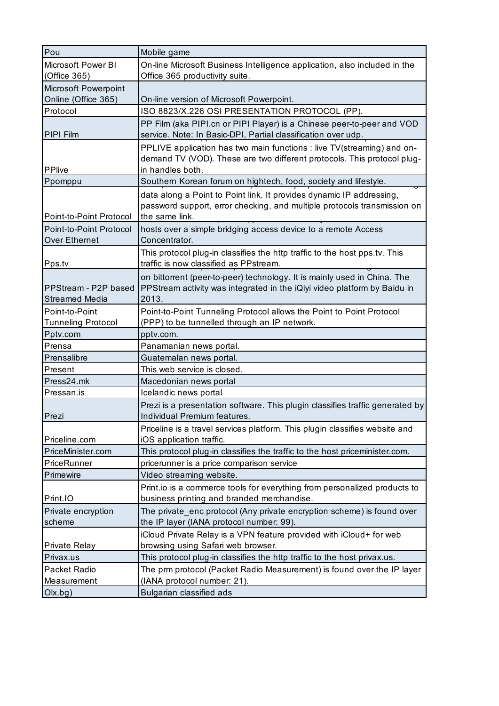| Pou                       | Mobile game                                                                   |
|---------------------------|-------------------------------------------------------------------------------|
| Microsoft Power BI        | On-line Microsoft Business Intelligence application, also included in the     |
| (Office 365)              | Office 365 productivity suite.                                                |
| Microsoft Powerpoint      |                                                                               |
| Online (Office 365)       | On-line version of Microsoft Powerpoint.                                      |
| Protocol                  | ISO 8823/X.226 OSI PRESENTATION PROTOCOL (PP).                                |
|                           | PP Film (aka PIPI.cn or PIPI Player) is a Chinese peer-to-peer and VOD        |
| PIPI Film                 | service. Note: In Basic-DPI, Partial classification over udp.                 |
|                           | PPLIVE application has two main functions : live TV(streaming) and on-        |
|                           | demand TV (VOD). These are two different protocols. This protocol plug-       |
| <b>PPlive</b>             | in handles both.                                                              |
| Ppomppu                   | Southern Korean forum on hightech, food, society and lifestyle.               |
|                           | data along a Point to Point link. It provides dynamic IP addressing,          |
|                           | password support, error checking, and multiple protocols transmission on      |
| Point-to-Point Protocol   | the same link.                                                                |
| Point-to-Point Protocol   | hosts over a simple bridging access device to a remote Access                 |
| <b>Over Ethernet</b>      | Concentrator.                                                                 |
|                           | This protocol plug-in classifies the http traffic to the host pps.tv. This    |
| Pps.tv                    | traffic is now classified as PPstream.                                        |
|                           | on bittorrent (peer-to-peer) technology. It is mainly used in China. The      |
| PPStream - P2P based      | PPStream activity was integrated in the iQiyi video platform by Baidu in      |
| <b>Streamed Media</b>     | 2013.                                                                         |
| Point-to-Point            | Point-to-Point Tunneling Protocol allows the Point to Point Protocol          |
| <b>Tunneling Protocol</b> | (PPP) to be tunnelled through an IP network.                                  |
| Pptv.com                  | pptv.com.                                                                     |
| Prensa                    | Panamanian news portal.                                                       |
| Prensalibre               | Guatemalan news portal.                                                       |
| Present                   | This web service is closed.                                                   |
| Press24.mk                | Macedonian news portal                                                        |
| Pressan.is                | Icelandic news portal                                                         |
|                           | Prezi is a presentation software. This plugin classifies traffic generated by |
| Prezi                     | Individual Premium features.                                                  |
|                           | Priceline is a travel services platform. This plugin classifies website and   |
| Priceline.com             | iOS application traffic.                                                      |
| PriceMinister.com         | This protocol plug-in classifies the traffic to the host priceminister.com.   |
| PriceRunner               | pricerunner is a price comparison service                                     |
| Primewire                 | Video streaming website.                                                      |
|                           | Print.io is a commerce tools for everything from personalized products to     |
| Print.IO                  | business printing and branded merchandise.                                    |
| Private encryption        | The private enc protocol (Any private encryption scheme) is found over        |
| scheme                    | the IP layer (IANA protocol number: 99).                                      |
|                           | iCloud Private Relay is a VPN feature provided with iCloud+ for web           |
| <b>Private Relay</b>      | browsing using Safari web browser.                                            |
| Privax.us                 | This protocol plug-in classifies the http traffic to the host privax.us.      |
| Packet Radio              | The prm protocol (Packet Radio Measurement) is found over the IP layer        |
| Measurement               | (IANA protocol number: 21).                                                   |
| O(x.bg)                   | Bulgarian classified ads                                                      |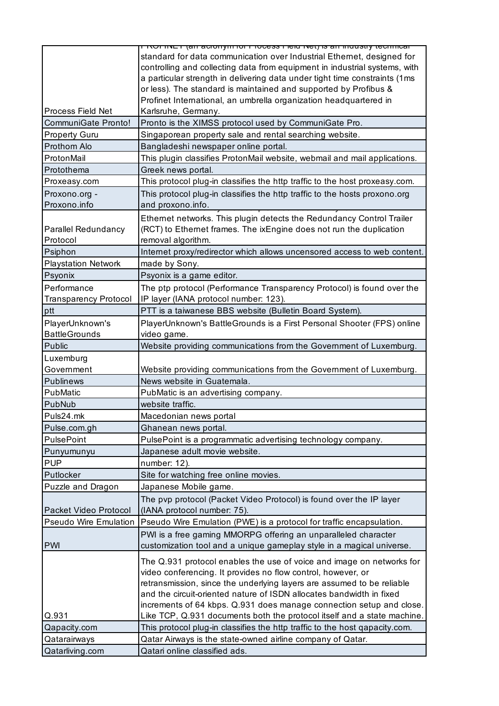|                              | ו ואט ווזעב ו נאון הוא נוסטו וויסט די וטכפאס וויסט וויסטוס און וויסטוס וויסטו |
|------------------------------|-------------------------------------------------------------------------------|
|                              | standard for data communication over Industrial Ethernet, designed for        |
|                              | controlling and collecting data from equipment in industrial systems, with    |
|                              | a particular strength in delivering data under tight time constraints (1ms    |
|                              | or less). The standard is maintained and supported by Profibus &              |
|                              | Profinet International, an umbrella organization headquartered in             |
| Process Field Net            | Karlsruhe, Germany.                                                           |
| <b>CommuniGate Pronto!</b>   | Pronto is the XIMSS protocol used by CommuniGate Pro.                         |
| <b>Property Guru</b>         | Singaporean property sale and rental searching website.                       |
| Prothom Alo                  | Bangladeshi newspaper online portal.                                          |
| ProtonMail                   | This plugin classifies ProtonMail website, webmail and mail applications.     |
| Protothema                   | Greek news portal.                                                            |
| Proxeasy.com                 | This protocol plug-in classifies the http traffic to the host proxeasy.com.   |
| Proxono.org -                | This protocol plug-in classifies the http traffic to the hosts proxono.org    |
| Proxono.info                 | and proxono.info.                                                             |
|                              |                                                                               |
|                              | Ethernet networks. This plugin detects the Redundancy Control Trailer         |
| <b>Parallel Redundancy</b>   | (RCT) to Ethernet frames. The ixEngine does not run the duplication           |
| Protocol                     | removal algorithm.                                                            |
| Psiphon                      | Internet proxy/redirector which allows uncensored access to web content.      |
| <b>Playstation Network</b>   | made by Sony.                                                                 |
| Psyonix                      | Psyonix is a game editor.                                                     |
| Performance                  | The ptp protocol (Performance Transparency Protocol) is found over the        |
| <b>Transparency Protocol</b> | IP layer (IANA protocol number: 123).                                         |
| ptt                          | PTT is a taiwanese BBS website (Bulletin Board System).                       |
| PlayerUnknown's              | PlayerUnknown's BattleGrounds is a First Personal Shooter (FPS) online        |
| <b>BattleGrounds</b>         | video game.                                                                   |
| Public                       | Website providing communications from the Government of Luxemburg.            |
| Luxemburg                    |                                                                               |
| Government                   | Website providing communications from the Government of Luxemburg.            |
| <b>Publinews</b>             | News website in Guatemala.                                                    |
| PubMatic                     | PubMatic is an advertising company.                                           |
| PubNub                       | website traffic.                                                              |
| Puls24.mk                    | Macedonian news portal                                                        |
| Pulse.com.gh                 | Ghanean news portal.                                                          |
| <b>PulsePoint</b>            | PulsePoint is a programmatic advertising technology company.                  |
| Punyumunyu                   | Japanese adult movie website.                                                 |
| <b>PUP</b>                   | number: 12).                                                                  |
| Putlocker                    |                                                                               |
|                              | Site for watching free online movies.                                         |
| Puzzle and Dragon            | Japanese Mobile game.                                                         |
|                              | The pvp protocol (Packet Video Protocol) is found over the IP layer           |
| Packet Video Protocol        | (IANA protocol number: 75).                                                   |
| <b>Pseudo Wire Emulation</b> | Pseudo Wire Emulation (PWE) is a protocol for traffic encapsulation.          |
|                              | PWI is a free gaming MMORPG offering an unparalleled character                |
| <b>PWI</b>                   | customization tool and a unique gameplay style in a magical universe.         |
|                              | The Q.931 protocol enables the use of voice and image on networks for         |
|                              | video conferencing. It provides no flow control, however, or                  |
|                              | retransmission, since the underlying layers are assumed to be reliable        |
|                              | and the circuit-oriented nature of ISDN allocates bandwidth in fixed          |
|                              | increments of 64 kbps. Q.931 does manage connection setup and close.          |
| Q.931                        | Like TCP, Q.931 documents both the protocol itself and a state machine.       |
| Qapacity.com                 | This protocol plug-in classifies the http traffic to the host qapacity.com.   |
| Qatarairways                 | Qatar Airways is the state-owned airline company of Qatar.                    |
| Qatarliving.com              | Qatari online classified ads.                                                 |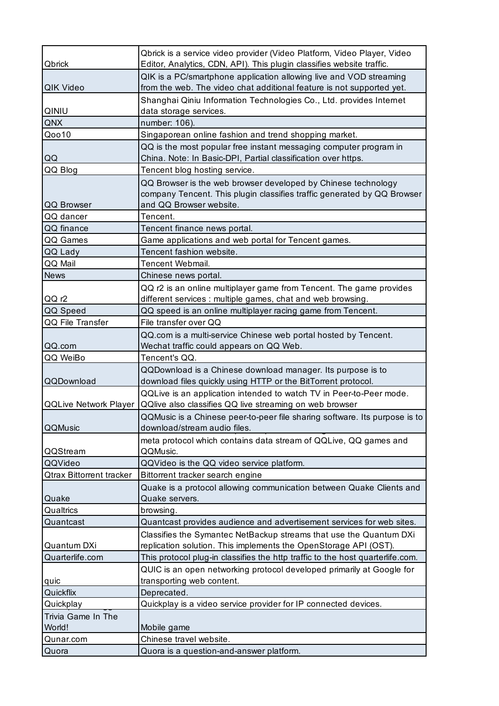| Qbrick                          | Qbrick is a service video provider (Video Platform, Video Player, Video<br>Editor, Analytics, CDN, API). This plugin classifies website traffic.                    |
|---------------------------------|---------------------------------------------------------------------------------------------------------------------------------------------------------------------|
| QIK Video                       | QIK is a PC/smartphone application allowing live and VOD streaming<br>from the web. The video chat additional feature is not supported yet.                         |
| QINIU                           | Shanghai Qiniu Information Technologies Co., Ltd. provides Internet<br>data storage services.                                                                       |
| QNX                             | number: 106).                                                                                                                                                       |
| Qoo10                           | Singaporean online fashion and trend shopping market.                                                                                                               |
| QQ                              | QQ is the most popular free instant messaging computer program in<br>China. Note: In Basic-DPI, Partial classification over https.                                  |
| QQ Blog                         | Tencent blog hosting service.                                                                                                                                       |
| QQ Browser                      | QQ Browser is the web browser developed by Chinese technology<br>company Tencent. This plugin classifies traffic generated by QQ Browser<br>and QQ Browser website. |
| QQ dancer                       | Tencent.                                                                                                                                                            |
| QQ finance                      | Tencent finance news portal.                                                                                                                                        |
| QQ Games                        | Game applications and web portal for Tencent games.                                                                                                                 |
| QQ Lady                         | Tencent fashion website.                                                                                                                                            |
| QQ Mail                         | <b>Tencent Webmail.</b>                                                                                                                                             |
| <b>News</b>                     | Chinese news portal.                                                                                                                                                |
| QQ r2                           | QQ r2 is an online multiplayer game from Tencent. The game provides<br>different services : multiple games, chat and web browsing.                                  |
| QQ Speed                        | QQ speed is an online multiplayer racing game from Tencent.                                                                                                         |
| QQ File Transfer                | File transfer over QQ                                                                                                                                               |
|                                 | QQ.com is a multi-service Chinese web portal hosted by Tencent.                                                                                                     |
| QQ.com                          | Wechat traffic could appears on QQ Web.                                                                                                                             |
| QQ WeiBo                        | Tencent's QQ.                                                                                                                                                       |
|                                 | QQDownload is a Chinese download manager. Its purpose is to                                                                                                         |
| QQDownload                      | download files quickly using HTTP or the BitTorrent protocol.                                                                                                       |
|                                 | QQLive is an application intended to watch TV in Peer-to-Peer mode.                                                                                                 |
| <b>QQLive Network Player</b>    | QQlive also classifies QQ live streaming on web browser                                                                                                             |
| QQMusic                         | QQMusic is a Chinese peer-to-peer file sharing software. Its purpose is to<br>download/stream audio files.                                                          |
| QQStream                        | meta protocol which contains data stream of QQLive, QQ games and<br>QQMusic.                                                                                        |
| QQVideo                         | QQVideo is the QQ video service platform.                                                                                                                           |
| <b>Qtrax Bittorrent tracker</b> | Bittorrent tracker search engine                                                                                                                                    |
|                                 | Quake is a protocol allowing communication between Quake Clients and                                                                                                |
| Quake                           | Quake servers.                                                                                                                                                      |
| Qualtrics                       | browsing.                                                                                                                                                           |
| Quantcast                       | Quantcast provides audience and advertisement services for web sites.                                                                                               |
| Quantum DXi                     | Classifies the Symantec NetBackup streams that use the Quantum DXi<br>replication solution. This implements the OpenStorage API (OST).                              |
| Quarterlife.com                 | This protocol plug-in classifies the http traffic to the host quarterlife.com.                                                                                      |
| quic                            | QUIC is an open networking protocol developed primarily at Google for<br>transporting web content.                                                                  |
| Quickflix                       | Deprecated.                                                                                                                                                         |
| Quickplay                       | Quickplay is a video service provider for IP connected devices.                                                                                                     |
| Trivia Game In The              |                                                                                                                                                                     |
| World!                          | Mobile game                                                                                                                                                         |
| Qunar.com                       | Chinese travel website.                                                                                                                                             |
| Quora                           | Quora is a question-and-answer platform.                                                                                                                            |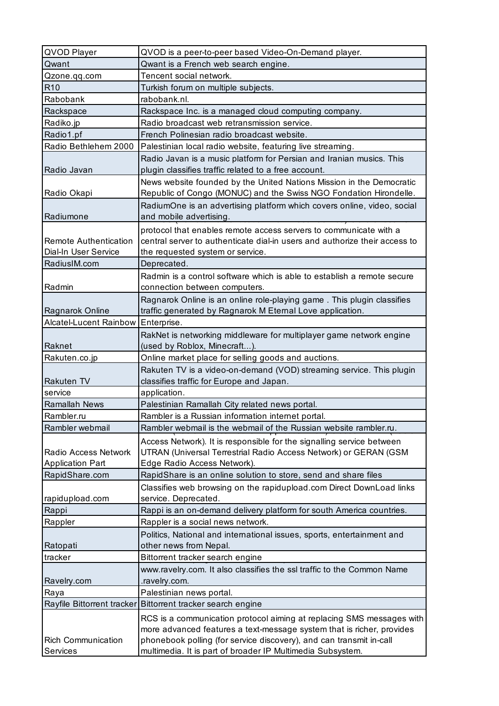| QVOD Player                           | QVOD is a peer-to-peer based Video-On-Demand player.                                                                              |
|---------------------------------------|-----------------------------------------------------------------------------------------------------------------------------------|
| Qwant                                 | Qwant is a French web search engine.                                                                                              |
| Qzone.qq.com                          | Tencent social network.                                                                                                           |
| R <sub>10</sub>                       | Turkish forum on multiple subjects.                                                                                               |
| Rabobank                              | rabobank.nl.                                                                                                                      |
| Rackspace                             | Rackspace Inc. is a managed cloud computing company.                                                                              |
| Radiko.jp                             | Radio broadcast web retransmission service.                                                                                       |
| Radio1.pf                             | French Polinesian radio broadcast website.                                                                                        |
| Radio Bethlehem 2000                  | Palestinian local radio website, featuring live streaming.                                                                        |
|                                       | Radio Javan is a music platform for Persian and Iranian musics. This                                                              |
| Radio Javan                           | plugin classifies traffic related to a free account.                                                                              |
|                                       | News website founded by the United Nations Mission in the Democratic                                                              |
| Radio Okapi                           | Republic of Congo (MONUC) and the Swiss NGO Fondation Hirondelle.                                                                 |
|                                       | RadiumOne is an advertising platform which covers online, video, social                                                           |
| Radiumone                             | and mobile advertising.                                                                                                           |
|                                       | protocol that enables remote access servers to communicate with a                                                                 |
| <b>Remote Authentication</b>          | central server to authenticate dial-in users and authorize their access to                                                        |
| Dial-In User Service                  | the requested system or service.                                                                                                  |
| RadiusIM.com                          | Deprecated.                                                                                                                       |
|                                       | Radmin is a control software which is able to establish a remote secure                                                           |
| Radmin                                | connection between computers.                                                                                                     |
|                                       | Ragnarok Online is an online role-playing game. This plugin classifies                                                            |
| Ragnarok Online                       | traffic generated by Ragnarok M Eternal Love application.                                                                         |
| Alcatel-Lucent Rainbow Enterprise.    |                                                                                                                                   |
|                                       | RakNet is networking middleware for multiplayer game network engine                                                               |
| Raknet                                | (used by Roblox, Minecraft).                                                                                                      |
|                                       |                                                                                                                                   |
|                                       |                                                                                                                                   |
| Rakuten.co.jp                         | Online market place for selling goods and auctions.                                                                               |
|                                       | Rakuten TV is a video-on-demand (VOD) streaming service. This plugin                                                              |
| <b>Rakuten TV</b>                     | classifies traffic for Europe and Japan.                                                                                          |
| service                               | application.                                                                                                                      |
| <b>Ramallah News</b>                  | Palestinian Ramallah City related news portal.                                                                                    |
| Rambler.ru                            | Rambler is a Russian information internet portal.                                                                                 |
| Rambler webmail                       | Rambler webmail is the webmail of the Russian website rambler.ru.                                                                 |
|                                       | Access Network). It is responsible for the signalling service between                                                             |
| <b>Radio Access Network</b>           | UTRAN (Universal Terrestrial Radio Access Network) or GERAN (GSM                                                                  |
| <b>Application Part</b>               | Edge Radio Access Network).                                                                                                       |
| RapidShare.com                        | RapidShare is an online solution to store, send and share files                                                                   |
|                                       | Classifies web browsing on the rapidupload.com Direct DownLoad links                                                              |
| rapidupload.com                       | service. Deprecated.                                                                                                              |
| Rappi                                 | Rappi is an on-demand delivery platform for south America countries.                                                              |
| Rappler                               | Rappler is a social news network.                                                                                                 |
|                                       | Politics, National and international issues, sports, entertainment and                                                            |
| Ratopati                              | other news from Nepal.                                                                                                            |
| tracker                               | Bittorrent tracker search engine                                                                                                  |
|                                       | www.ravelry.com. It also classifies the ssl traffic to the Common Name                                                            |
| Ravelry.com                           | .ravelry.com.                                                                                                                     |
| Raya                                  | Palestinian news portal.                                                                                                          |
| Rayfile Bittorrent tracker            | Bittorrent tracker search engine                                                                                                  |
|                                       | RCS is a communication protocol aiming at replacing SMS messages with                                                             |
|                                       | more advanced features a text-message system that is richer, provides                                                             |
| <b>Rich Communication</b><br>Services | phonebook polling (for service discovery), and can transmit in-call<br>multimedia. It is part of broader IP Multimedia Subsystem. |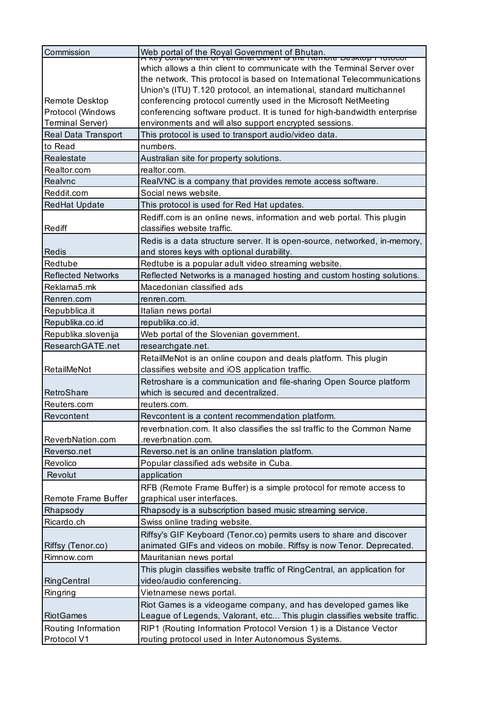| Commission                         | Web portal of the Royal Government of Bhutan.<br>A key component or Temmial Server is the Remote Desktop Frotocor        |
|------------------------------------|--------------------------------------------------------------------------------------------------------------------------|
|                                    | which allows a thin client to communicate with the Terminal Server over                                                  |
|                                    | the network. This protocol is based on International Telecommunications                                                  |
|                                    | Union's (ITU) T.120 protocol, an international, standard multichannel                                                    |
| Remote Desktop                     | conferencing protocol currently used in the Microsoft NetMeeting                                                         |
| Protocol (Windows                  | conferencing software product. It is tuned for high-bandwidth enterprise                                                 |
| <b>Terminal Server)</b>            | environments and will also support encrypted sessions.                                                                   |
| Real Data Transport                | This protocol is used to transport audio/video data.                                                                     |
| to Read                            | numbers.                                                                                                                 |
| Realestate                         | Australian site for property solutions.                                                                                  |
| Realtor.com                        | realtor.com.                                                                                                             |
| Realvnc                            | RealVNC is a company that provides remote access software.                                                               |
| Reddit.com                         | Social news website.                                                                                                     |
| <b>RedHat Update</b>               | This protocol is used for Red Hat updates.                                                                               |
|                                    | Rediff.com is an online news, information and web portal. This plugin                                                    |
| Rediff                             | classifies website traffic.                                                                                              |
|                                    | Redis is a data structure server. It is open-source, networked, in-memory,                                               |
| Redis                              | and stores keys with optional durability.                                                                                |
| Redtube                            | Redtube is a popular adult video streaming website.                                                                      |
| <b>Reflected Networks</b>          | Reflected Networks is a managed hosting and custom hosting solutions.                                                    |
| Reklama5.mk                        | Macedonian classified ads                                                                                                |
| Renren.com                         | renren.com.                                                                                                              |
| Repubblica.it                      | Italian news portal                                                                                                      |
| Republika.co.id                    | republika.co.id.                                                                                                         |
| Republika.slovenija                | Web portal of the Slovenian government.                                                                                  |
|                                    |                                                                                                                          |
| ResearchGATE.net                   | researchgate.net.                                                                                                        |
|                                    | RetailMeNot is an online coupon and deals platform. This plugin                                                          |
| RetailMeNot                        | classifies website and iOS application traffic.                                                                          |
|                                    | Retroshare is a communication and file-sharing Open Source platform                                                      |
| RetroShare                         | which is secured and decentralized.                                                                                      |
| Reuters.com                        | reuters.com.                                                                                                             |
| Revcontent                         | Revcontent is a content recommendation platform.                                                                         |
|                                    | reverbnation.com. It also classifies the ssl traffic to the Common Name                                                  |
| ReverbNation.com                   | .reverbnation.com.                                                                                                       |
| Reverso.net                        | Reverso.net is an online translation platform.                                                                           |
| Revolico                           | Popular classified ads website in Cuba.                                                                                  |
| Revolut                            | application                                                                                                              |
|                                    | RFB (Remote Frame Buffer) is a simple protocol for remote access to                                                      |
| <b>Remote Frame Buffer</b>         | graphical user interfaces.                                                                                               |
| Rhapsody                           | Rhapsody is a subscription based music streaming service.                                                                |
| Ricardo.ch                         | Swiss online trading website.                                                                                            |
|                                    | Riffsy's GIF Keyboard (Tenor.co) permits users to share and discover                                                     |
| Riffsy (Tenor.co)                  | animated GIFs and videos on mobile. Riffsy is now Tenor. Deprecated.                                                     |
| Rimnow.com                         | Mauritanian news portal                                                                                                  |
|                                    | This plugin classifies website traffic of RingCentral, an application for                                                |
| RingCentral                        | video/audio conferencing.                                                                                                |
| Ringring                           | Vietnamese news portal.                                                                                                  |
|                                    | Riot Games is a videogame company, and has developed games like                                                          |
| <b>RiotGames</b>                   | League of Legends, Valorant, etc This plugin classifies website traffic.                                                 |
| Routing Information<br>Protocol V1 | RIP1 (Routing Information Protocol Version 1) is a Distance Vector<br>routing protocol used in Inter Autonomous Systems. |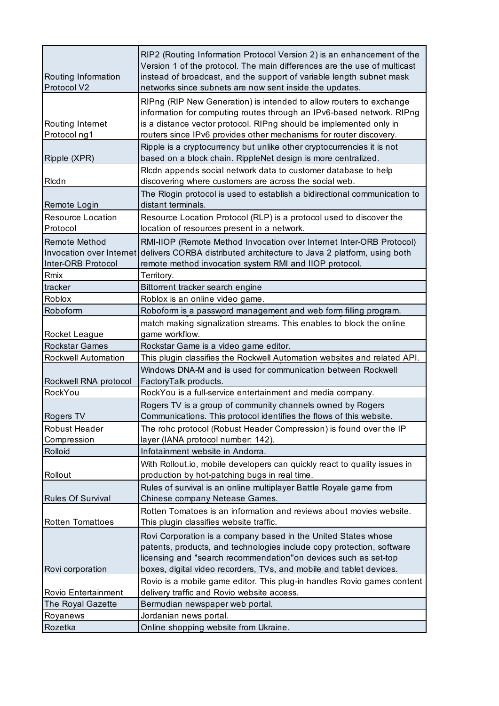| Routing Information<br>Protocol V2                                     | RIP2 (Routing Information Protocol Version 2) is an enhancement of the<br>Version 1 of the protocol. The main differences are the use of multicast<br>instead of broadcast, and the support of variable length subnet mask<br>networks since subnets are now sent inside the updates.    |
|------------------------------------------------------------------------|------------------------------------------------------------------------------------------------------------------------------------------------------------------------------------------------------------------------------------------------------------------------------------------|
| Routing Internet<br>Protocol ng1                                       | RIPng (RIP New Generation) is intended to allow routers to exchange<br>information for computing routes through an IPv6-based network. RIPng<br>is a distance vector protocol. RIPng should be implemented only in<br>routers since IPv6 provides other mechanisms for router discovery. |
| Ripple (XPR)                                                           | Ripple is a cryptocurrency but unlike other cryptocurrencies it is not<br>based on a block chain. RippleNet design is more centralized.                                                                                                                                                  |
| RIcdn                                                                  | Ricdn appends social network data to customer database to help<br>discovering where customers are across the social web.                                                                                                                                                                 |
| Remote Login                                                           | The Rlogin protocol is used to establish a bidirectional communication to<br>distant terminals.                                                                                                                                                                                          |
| <b>Resource Location</b><br>Protocol                                   | Resource Location Protocol (RLP) is a protocol used to discover the<br>location of resources present in a network.                                                                                                                                                                       |
| <b>Remote Method</b><br>Invocation over Internet<br>Inter-ORB Protocol | RMI-IIOP (Remote Method Invocation over Internet Inter-ORB Protocol)<br>delivers CORBA distributed architecture to Java 2 platform, using both<br>remote method invocation system RMI and IIOP protocol.                                                                                 |
| Rmix                                                                   | Territory.                                                                                                                                                                                                                                                                               |
| tracker                                                                | Bittorrent tracker search engine                                                                                                                                                                                                                                                         |
| Roblox                                                                 | Roblox is an online video game.                                                                                                                                                                                                                                                          |
| Roboform                                                               | Roboform is a password management and web form filling program.                                                                                                                                                                                                                          |
| Rocket League                                                          | match making signalization streams. This enables to block the online<br>game workflow.                                                                                                                                                                                                   |
| <b>Rockstar Games</b>                                                  | Rockstar Game is a video game editor.                                                                                                                                                                                                                                                    |
| Rockwell Automation                                                    | This plugin classifies the Rockwell Automation websites and related API.                                                                                                                                                                                                                 |
|                                                                        |                                                                                                                                                                                                                                                                                          |
| Rockwell RNA protocol                                                  | Windows DNA-M and is used for communication between Rockwell<br>FactoryTalk products.                                                                                                                                                                                                    |
| RockYou                                                                | RockYou is a full-service entertainment and media company.                                                                                                                                                                                                                               |
| Rogers TV                                                              | Rogers TV is a group of community channels owned by Rogers<br>Communications. This protocol identifies the flows of this website.                                                                                                                                                        |
| <b>Robust Header</b>                                                   | The rohc protocol (Robust Header Compression) is found over the IP                                                                                                                                                                                                                       |
| Compression                                                            | layer (IANA protocol number: 142).                                                                                                                                                                                                                                                       |
| Rolloid                                                                | Infotainment website in Andorra.                                                                                                                                                                                                                                                         |
| Rollout                                                                | With Rollout.io, mobile developers can quickly react to quality issues in<br>production by hot-patching bugs in real time.                                                                                                                                                               |
| <b>Rules Of Survival</b>                                               | Rules of survival is an online multiplayer Battle Royale game from<br>Chinese company Netease Games.                                                                                                                                                                                     |
| <b>Rotten Tomattoes</b>                                                | Rotten Tomatoes is an information and reviews about movies website.<br>This plugin classifies website traffic.                                                                                                                                                                           |
| Rovi corporation                                                       | Rovi Corporation is a company based in the United States whose<br>patents, products, and technologies include copy protection, software<br>licensing and "search recommendation"on devices such as set-top                                                                               |
|                                                                        | boxes, digital video recorders, TVs, and mobile and tablet devices.<br>Rovio is a mobile game editor. This plug-in handles Rovio games content                                                                                                                                           |
| Rovio Entertainment                                                    | delivery traffic and Rovio website access.                                                                                                                                                                                                                                               |
| The Royal Gazette                                                      | Bermudian newspaper web portal.                                                                                                                                                                                                                                                          |
| Royanews<br>Rozetka                                                    | Jordanian news portal.<br>Online shopping website from Ukraine.                                                                                                                                                                                                                          |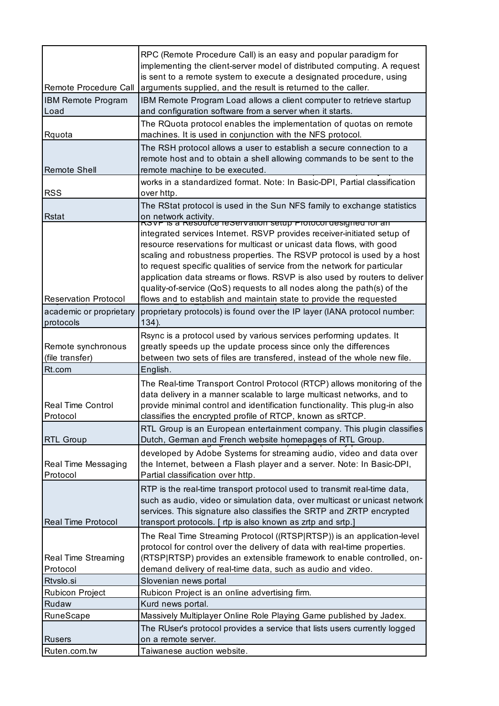| Remote Procedure Call                  | RPC (Remote Procedure Call) is an easy and popular paradigm for<br>implementing the client-server model of distributed computing. A request<br>is sent to a remote system to execute a designated procedure, using<br>arguments supplied, and the result is returned to the caller.                                                                                                                                                                                                                                                  |
|----------------------------------------|--------------------------------------------------------------------------------------------------------------------------------------------------------------------------------------------------------------------------------------------------------------------------------------------------------------------------------------------------------------------------------------------------------------------------------------------------------------------------------------------------------------------------------------|
| <b>IBM Remote Program</b><br>Load      | IBM Remote Program Load allows a client computer to retrieve startup<br>and configuration software from a server when it starts.                                                                                                                                                                                                                                                                                                                                                                                                     |
| Rquota                                 | The RQuota protocol enables the implementation of quotas on remote<br>machines. It is used in conjunction with the NFS protocol.                                                                                                                                                                                                                                                                                                                                                                                                     |
| <b>Remote Shell</b>                    | The RSH protocol allows a user to establish a secure connection to a<br>remote host and to obtain a shell allowing commands to be sent to the<br>remote machine to be executed.                                                                                                                                                                                                                                                                                                                                                      |
| <b>RSS</b>                             | works in a standardized format. Note: In Basic-DPI, Partial classification<br>over http.                                                                                                                                                                                                                                                                                                                                                                                                                                             |
| <b>Rstat</b>                           | The RStat protocol is used in the Sun NFS family to exchange statistics<br>on network activity.<br>RSVP IS a Resource reservation setup Protocol designed for an                                                                                                                                                                                                                                                                                                                                                                     |
| <b>Reservation Protocol</b>            | integrated services Internet. RSVP provides receiver-initiated setup of<br>resource reservations for multicast or unicast data flows, with good<br>scaling and robustness properties. The RSVP protocol is used by a host<br>to request specific qualities of service from the network for particular<br>application data streams or flows. RSVP is also used by routers to deliver<br>quality-of-service (QoS) requests to all nodes along the path(s) of the<br>flows and to establish and maintain state to provide the requested |
| academic or proprietary<br>protocols   | proprietary protocols) is found over the IP layer (IANA protocol number:<br>$134)$ .                                                                                                                                                                                                                                                                                                                                                                                                                                                 |
| Remote synchronous<br>(file transfer)  | Rsync is a protocol used by various services performing updates. It<br>greatly speeds up the update process since only the differences<br>between two sets of files are transfered, instead of the whole new file.                                                                                                                                                                                                                                                                                                                   |
| Rt.com                                 | English.                                                                                                                                                                                                                                                                                                                                                                                                                                                                                                                             |
| <b>Real Time Control</b><br>Protocol   | The Real-time Transport Control Protocol (RTCP) allows monitoring of the<br>data delivery in a manner scalable to large multicast networks, and to<br>provide minimal control and identification functionality. This plug-in also<br>classifies the encrypted profile of RTCP, known as sRTCP.                                                                                                                                                                                                                                       |
| <b>RTL Group</b>                       | RTL Group is an European entertainment company. This plugin classifies<br>Dutch, German and French website homepages of RTL Group.                                                                                                                                                                                                                                                                                                                                                                                                   |
| Real Time Messaging<br>Protocol        | developed by Adobe Systems for streaming audio, video and data over<br>the Internet, between a Flash player and a server. Note: In Basic-DPI,<br>Partial classification over http.                                                                                                                                                                                                                                                                                                                                                   |
| <b>Real Time Protocol</b>              | RTP is the real-time transport protocol used to transmit real-time data,<br>such as audio, video or simulation data, over multicast or unicast network<br>services. This signature also classifies the SRTP and ZRTP encrypted<br>transport protocols. [ rtp is also known as zrtp and srtp.]                                                                                                                                                                                                                                        |
| <b>Real Time Streaming</b><br>Protocol | The Real Time Streaming Protocol ((RTSP RTSP)) is an application-level<br>protocol for control over the delivery of data with real-time properties.<br>(RTSP RTSP) provides an extensible framework to enable controlled, on-<br>demand delivery of real-time data, such as audio and video.                                                                                                                                                                                                                                         |
| Rtvslo.si                              | Slovenian news portal                                                                                                                                                                                                                                                                                                                                                                                                                                                                                                                |
| <b>Rubicon Project</b>                 | Rubicon Project is an online advertising firm.                                                                                                                                                                                                                                                                                                                                                                                                                                                                                       |
| Rudaw                                  | Kurd news portal.                                                                                                                                                                                                                                                                                                                                                                                                                                                                                                                    |
| RuneScape                              | Massively Multiplayer Online Role Playing Game published by Jadex.                                                                                                                                                                                                                                                                                                                                                                                                                                                                   |
|                                        | The RUser's protocol provides a service that lists users currently logged                                                                                                                                                                                                                                                                                                                                                                                                                                                            |
| <b>Rusers</b>                          | on a remote server.                                                                                                                                                                                                                                                                                                                                                                                                                                                                                                                  |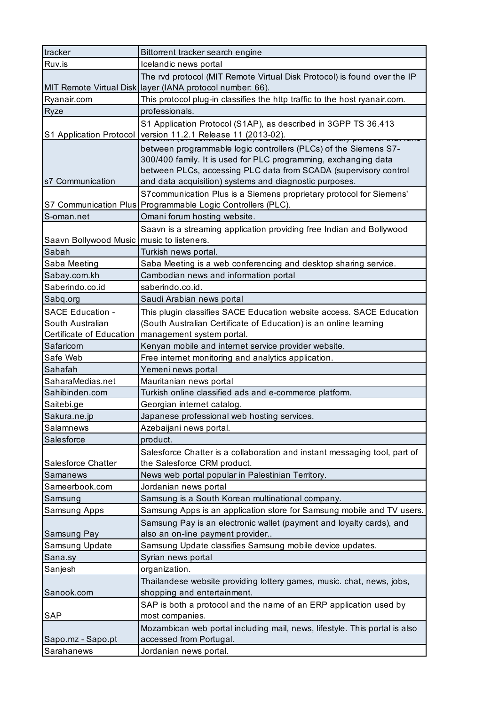| tracker                                     | Bittorrent tracker search engine                                                                                                                                                                                                                                  |
|---------------------------------------------|-------------------------------------------------------------------------------------------------------------------------------------------------------------------------------------------------------------------------------------------------------------------|
| Ruv.is                                      | Icelandic news portal                                                                                                                                                                                                                                             |
|                                             | The rvd protocol (MIT Remote Virtual Disk Protocol) is found over the IP                                                                                                                                                                                          |
|                                             | MIT Remote Virtual Disk layer (IANA protocol number: 66).                                                                                                                                                                                                         |
| Ryanair.com                                 | This protocol plug-in classifies the http traffic to the host ryanair.com.                                                                                                                                                                                        |
| Ryze                                        | professionals.                                                                                                                                                                                                                                                    |
| S1 Application Protocol                     | S1 Application Protocol (S1AP), as described in 3GPP TS 36.413<br>version 11.2.1 Release 11 (2013-02).                                                                                                                                                            |
| s7 Communication                            | between programmable logic controllers (PLCs) of the Siemens S7-<br>300/400 family. It is used for PLC programming, exchanging data<br>between PLCs, accessing PLC data from SCADA (supervisory control<br>and data acquisition) systems and diagnostic purposes. |
|                                             | S7communication Plus is a Siemens proprietary protocol for Siemens'<br>S7 Communication Plus Programmable Logic Controllers (PLC).                                                                                                                                |
| S-oman.net                                  | Omani forum hosting website.                                                                                                                                                                                                                                      |
| Saavn Bollywood Music   music to listeners. | Saavn is a streaming application providing free Indian and Bollywood                                                                                                                                                                                              |
| Sabah                                       | Turkish news portal.                                                                                                                                                                                                                                              |
| Saba Meeting                                | Saba Meeting is a web conferencing and desktop sharing service.                                                                                                                                                                                                   |
| Sabay.com.kh                                | Cambodian news and information portal                                                                                                                                                                                                                             |
| Saberindo.co.id                             | saberindo.co.id.                                                                                                                                                                                                                                                  |
| Sabq.org                                    | Saudi Arabian news portal                                                                                                                                                                                                                                         |
| <b>SACE Education -</b>                     | This plugin classifies SACE Education website access. SACE Education                                                                                                                                                                                              |
| South Australian                            | (South Australian Certificate of Education) is an online learning                                                                                                                                                                                                 |
| Certificate of Education                    | management system portal.                                                                                                                                                                                                                                         |
| Safaricom                                   | Kenyan mobile and internet service provider website.                                                                                                                                                                                                              |
| Safe Web                                    | Free internet monitoring and analytics application.                                                                                                                                                                                                               |
| Sahafah                                     | Yemeni news portal                                                                                                                                                                                                                                                |
| SaharaMedias.net                            | Mauritanian news portal                                                                                                                                                                                                                                           |
| Sahibinden.com                              | Turkish online classified ads and e-commerce platform.                                                                                                                                                                                                            |
| Saitebi.ge                                  | Georgian internet catalog.                                                                                                                                                                                                                                        |
| Sakura.ne.jp                                | Japanese professional web hosting services.                                                                                                                                                                                                                       |
| Salamnews                                   | Azebaijani news portal.                                                                                                                                                                                                                                           |
| Salesforce                                  | product.                                                                                                                                                                                                                                                          |
| Salesforce Chatter                          | Salesforce Chatter is a collaboration and instant messaging tool, part of<br>the Salesforce CRM product.                                                                                                                                                          |
| Samanews                                    | News web portal popular in Palestinian Territory.                                                                                                                                                                                                                 |
| Sameerbook.com                              | Jordanian news portal                                                                                                                                                                                                                                             |
| Samsung                                     | Samsung is a South Korean multinational company.                                                                                                                                                                                                                  |
| Samsung Apps                                | Samsung Apps is an application store for Samsung mobile and TV users.                                                                                                                                                                                             |
|                                             | Samsung Pay is an electronic wallet (payment and loyalty cards), and                                                                                                                                                                                              |
| Samsung Pay                                 | also an on-line payment provider                                                                                                                                                                                                                                  |
| Samsung Update                              | Samsung Update classifies Samsung mobile device updates.                                                                                                                                                                                                          |
| Sana.sy                                     | Syrian news portal                                                                                                                                                                                                                                                |
| Sanjesh                                     | organization.                                                                                                                                                                                                                                                     |
| Sanook.com                                  | Thailandese website providing lottery games, music. chat, news, jobs,<br>shopping and entertainment.                                                                                                                                                              |
| <b>SAP</b>                                  | SAP is both a protocol and the name of an ERP application used by                                                                                                                                                                                                 |
|                                             | most companies.                                                                                                                                                                                                                                                   |
| Sapo.mz - Sapo.pt                           | Mozambican web portal including mail, news, lifestyle. This portal is also<br>accessed from Portugal.                                                                                                                                                             |
| Sarahanews                                  | Jordanian news portal.                                                                                                                                                                                                                                            |
|                                             |                                                                                                                                                                                                                                                                   |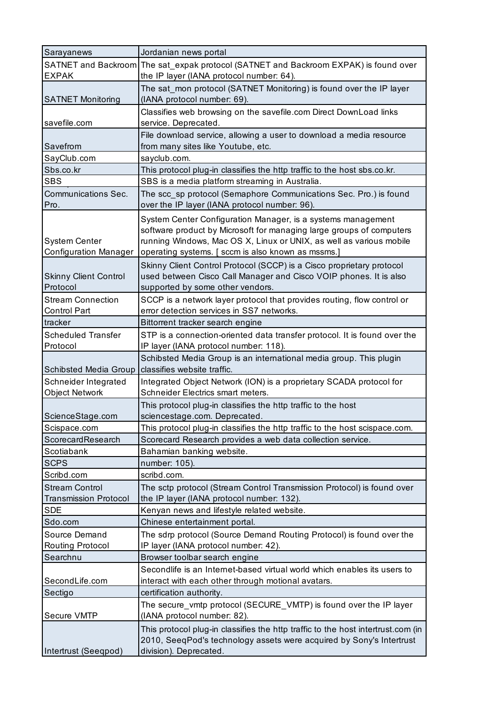| Sarayanews                   | Jordanian news portal                                                                |
|------------------------------|--------------------------------------------------------------------------------------|
|                              | SATNET and Backroom The sat_expak protocol (SATNET and Backroom EXPAK) is found over |
| <b>EXPAK</b>                 | the IP layer (IANA protocol number: 64).                                             |
|                              | The sat_mon protocol (SATNET Monitoring) is found over the IP layer                  |
| <b>SATNET Monitoring</b>     | (IANA protocol number: 69).                                                          |
|                              | Classifies web browsing on the savefile.com Direct DownLoad links                    |
| savefile.com                 | service. Deprecated.                                                                 |
|                              | File download service, allowing a user to download a media resource                  |
| Savefrom                     | from many sites like Youtube, etc.                                                   |
| SayClub.com                  | sayclub.com.                                                                         |
| Sbs.co.kr                    | This protocol plug-in classifies the http traffic to the host sbs.co.kr.             |
| <b>SBS</b>                   | SBS is a media platform streaming in Australia.                                      |
| <b>Communications Sec.</b>   | The scc_sp protocol (Semaphore Communications Sec. Pro.) is found                    |
| Pro.                         | over the IP layer (IANA protocol number: 96).                                        |
|                              | System Center Configuration Manager, is a systems management                         |
|                              | software product by Microsoft for managing large groups of computers                 |
| <b>System Center</b>         | running Windows, Mac OS X, Linux or UNIX, as well as various mobile                  |
| <b>Configuration Manager</b> | operating systems. [ sccm is also known as mssms.]                                   |
|                              | Skinny Client Control Protocol (SCCP) is a Cisco proprietary protocol                |
| <b>Skinny Client Control</b> | used between Cisco Call Manager and Cisco VOIP phones. It is also                    |
| Protocol                     | supported by some other vendors.                                                     |
| <b>Stream Connection</b>     | SCCP is a network layer protocol that provides routing, flow control or              |
| <b>Control Part</b>          | error detection services in SS7 networks.                                            |
| tracker                      | Bittorrent tracker search engine                                                     |
| <b>Scheduled Transfer</b>    | STP is a connection-oriented data transfer protocol. It is found over the            |
| Protocol                     | IP layer (IANA protocol number: 118).                                                |
|                              | Schibsted Media Group is an international media group. This plugin                   |
| <b>Schibsted Media Group</b> | classifies website traffic.                                                          |
| Schneider Integrated         | Integrated Object Network (ION) is a proprietary SCADA protocol for                  |
| <b>Object Network</b>        | Schneider Electrics smart meters.                                                    |
|                              | This protocol plug-in classifies the http traffic to the host                        |
| ScienceStage.com             | sciencestage.com. Deprecated.                                                        |
| Scispace.com                 | This protocol plug-in classifies the http traffic to the host scispace.com.          |
| ScorecardResearch            | Scorecard Research provides a web data collection service.                           |
| Scotiabank                   | Bahamian banking website.                                                            |
| <b>SCPS</b>                  | number: 105).                                                                        |
| Scribd.com                   | scribd.com.                                                                          |
| <b>Stream Control</b>        | The sctp protocol (Stream Control Transmission Protocol) is found over               |
| <b>Transmission Protocol</b> | the IP layer (IANA protocol number: 132).                                            |
| <b>SDE</b>                   | Kenyan news and lifestyle related website.                                           |
| Sdo.com                      | Chinese entertainment portal.                                                        |
| Source Demand                | The sdrp protocol (Source Demand Routing Protocol) is found over the                 |
| Routing Protocol             | IP layer (IANA protocol number: 42).                                                 |
| Searchnu                     | Browser toolbar search engine                                                        |
|                              | Secondlife is an Internet-based virtual world which enables its users to             |
| SecondLife.com               | interact with each other through motional avatars.                                   |
| Sectigo                      | certification authority.                                                             |
|                              | The secure_vmtp protocol (SECURE_VMTP) is found over the IP layer                    |
| Secure VMTP                  | (IANA protocol number: 82).                                                          |
|                              | This protocol plug-in classifies the http traffic to the host intertrust.com (in     |
|                              | 2010, SeeqPod's technology assets were acquired by Sony's Intertrust                 |
| Intertrust (Seeqpod)         | division). Deprecated.                                                               |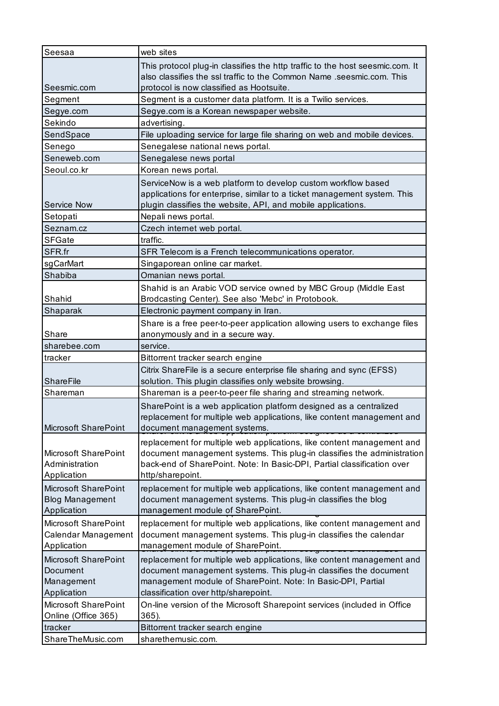| Seesaa                 | web sites                                                                     |
|------------------------|-------------------------------------------------------------------------------|
|                        | This protocol plug-in classifies the http traffic to the host seesmic.com. It |
|                        | also classifies the ssl traffic to the Common Name .seesmic.com. This         |
| Seesmic.com            | protocol is now classified as Hootsuite.                                      |
| Segment                | Segment is a customer data platform. It is a Twilio services.                 |
| Segye.com              | Segye.com is a Korean newspaper website.                                      |
| Sekindo                | advertising.                                                                  |
| SendSpace              | File uploading service for large file sharing on web and mobile devices.      |
| Senego                 | Senegalese national news portal.                                              |
| Seneweb.com            | Senegalese news portal                                                        |
| Seoul.co.kr            | Korean news portal.                                                           |
|                        | ServiceNow is a web platform to develop custom workflow based                 |
|                        | applications for enterprise, similar to a ticket management system. This      |
| Service Now            | plugin classifies the website, API, and mobile applications.                  |
| Setopati               | Nepali news portal.                                                           |
| Seznam.cz              | Czech internet web portal.                                                    |
| <b>SFGate</b>          | traffic.                                                                      |
| SFR.fr                 | SFR Telecom is a French telecommunications operator.                          |
| sgCarMart              | Singaporean online car market.                                                |
| Shabiba                | Omanian news portal.                                                          |
|                        | Shahid is an Arabic VOD service owned by MBC Group (Middle East               |
| Shahid                 | Brodcasting Center). See also 'Mebc' in Protobook.                            |
| Shaparak               | Electronic payment company in Iran.                                           |
|                        | Share is a free peer-to-peer application allowing users to exchange files     |
| Share                  | anonymously and in a secure way.                                              |
| sharebee.com           | service.                                                                      |
| tracker                | Bittorrent tracker search engine                                              |
|                        | Citrix ShareFile is a secure enterprise file sharing and sync (EFSS)          |
| <b>ShareFile</b>       | solution. This plugin classifies only website browsing.                       |
| Shareman               | Shareman is a peer-to-peer file sharing and streaming network.                |
|                        | SharePoint is a web application platform designed as a centralized            |
|                        | replacement for multiple web applications, like content management and        |
| Microsoft SharePoint   | document management systems.<br><del>aouignou ao a comman</del>               |
|                        | replacement for multiple web applications, like content management and        |
| Microsoft SharePoint   | document management systems. This plug-in classifies the administration       |
| Administration         | back-end of SharePoint. Note: In Basic-DPI, Partial classification over       |
| Application            | http/sharepoint.                                                              |
| Microsoft SharePoint   | replacement for multiple web applications, like content management and        |
| <b>Blog Management</b> | document management systems. This plug-in classifies the blog                 |
| Application            | management module of SharePoint.                                              |
| Microsoft SharePoint   | replacement for multiple web applications, like content management and        |
| Calendar Management    | document management systems. This plug-in classifies the calendar             |
| Application            | management module of SharePoint.                                              |
| Microsoft SharePoint   | replacement for multiple web applications, like content management and        |
| Document               | document management systems. This plug-in classifies the document             |
| Management             | management module of SharePoint. Note: In Basic-DPI, Partial                  |
| Application            | classification over http/sharepoint.                                          |
| Microsoft SharePoint   | On-line version of the Microsoft Sharepoint services (included in Office      |
| Online (Office 365)    | $365$ ).                                                                      |
|                        |                                                                               |
| tracker                | Bittorrent tracker search engine<br>sharethemusic.com.                        |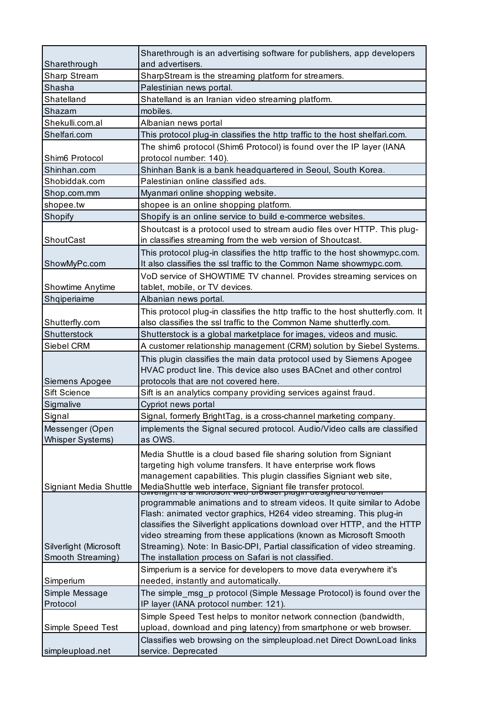|                                            | Sharethrough is an advertising software for publishers, app developers                                                                                                                                                                                                                                                                                                                                                              |
|--------------------------------------------|-------------------------------------------------------------------------------------------------------------------------------------------------------------------------------------------------------------------------------------------------------------------------------------------------------------------------------------------------------------------------------------------------------------------------------------|
| Sharethrough                               | and advertisers.                                                                                                                                                                                                                                                                                                                                                                                                                    |
| Sharp Stream                               | SharpStream is the streaming platform for streamers.                                                                                                                                                                                                                                                                                                                                                                                |
| Shasha                                     | Palestinian news portal.                                                                                                                                                                                                                                                                                                                                                                                                            |
| Shatelland                                 | Shatelland is an Iranian video streaming platform.                                                                                                                                                                                                                                                                                                                                                                                  |
| Shazam                                     | mobiles.                                                                                                                                                                                                                                                                                                                                                                                                                            |
| Shekulli.com.al                            | Albanian news portal                                                                                                                                                                                                                                                                                                                                                                                                                |
| Shelfari.com                               | This protocol plug-in classifies the http traffic to the host shelfari.com.                                                                                                                                                                                                                                                                                                                                                         |
| Shim6 Protocol                             | The shim6 protocol (Shim6 Protocol) is found over the IP layer (IANA<br>protocol number: 140).                                                                                                                                                                                                                                                                                                                                      |
| Shinhan.com                                | Shinhan Bank is a bank headquartered in Seoul, South Korea.                                                                                                                                                                                                                                                                                                                                                                         |
| Shobiddak.com                              | Palestinian online classified ads.                                                                                                                                                                                                                                                                                                                                                                                                  |
| Shop.com.mm                                | Myanmari online shopping website.                                                                                                                                                                                                                                                                                                                                                                                                   |
| shopee.tw                                  | shopee is an online shopping platform.                                                                                                                                                                                                                                                                                                                                                                                              |
| Shopify                                    | Shopify is an online service to build e-commerce websites.                                                                                                                                                                                                                                                                                                                                                                          |
|                                            | Shoutcast is a protocol used to stream audio files over HTTP. This plug-                                                                                                                                                                                                                                                                                                                                                            |
| ShoutCast                                  | in classifies streaming from the web version of Shoutcast.                                                                                                                                                                                                                                                                                                                                                                          |
| ShowMyPc.com                               | This protocol plug-in classifies the http traffic to the host showmypc.com.<br>It also classifies the ssl traffic to the Common Name showmypc.com.                                                                                                                                                                                                                                                                                  |
| Showtime Anytime                           | VoD service of SHOWTIME TV channel. Provides streaming services on<br>tablet, mobile, or TV devices.                                                                                                                                                                                                                                                                                                                                |
| Shqiperiaime                               | Albanian news portal.                                                                                                                                                                                                                                                                                                                                                                                                               |
|                                            | This protocol plug-in classifies the http traffic to the host shutterfly.com. It                                                                                                                                                                                                                                                                                                                                                    |
| Shutterfly.com                             | also classifies the ssl traffic to the Common Name shutterfly.com.                                                                                                                                                                                                                                                                                                                                                                  |
| Shutterstock                               | Shutterstock is a global marketplace for images, videos and music.                                                                                                                                                                                                                                                                                                                                                                  |
| Siebel CRM                                 | A customer relationship management (CRM) solution by Siebel Systems.                                                                                                                                                                                                                                                                                                                                                                |
|                                            | This plugin classifies the main data protocol used by Siemens Apogee                                                                                                                                                                                                                                                                                                                                                                |
|                                            | HVAC product line. This device also uses BACnet and other control                                                                                                                                                                                                                                                                                                                                                                   |
| Siemens Apogee                             | protocols that are not covered here.                                                                                                                                                                                                                                                                                                                                                                                                |
| <b>Sift Science</b>                        | Sift is an analytics company providing services against fraud.                                                                                                                                                                                                                                                                                                                                                                      |
| Sigmalive                                  | Cypriot news portal                                                                                                                                                                                                                                                                                                                                                                                                                 |
| Signal                                     | Signal, formerly BrightTag, is a cross-channel marketing company.                                                                                                                                                                                                                                                                                                                                                                   |
| Messenger (Open<br><b>Whisper Systems)</b> | implements the Signal secured protocol. Audio/Video calls are classified<br>as OWS.                                                                                                                                                                                                                                                                                                                                                 |
|                                            | Media Shuttle is a cloud based file sharing solution from Signiant<br>targeting high volume transfers. It have enterprise work flows<br>management capabilities. This plugin classifies Signiant web site,                                                                                                                                                                                                                          |
| Signiant Media Shuttle                     | MediaShuttle web interface, Signiant file transfer protocol.<br>Onveright is a microsoft web browser plught designed to ferruer<br>programmable animations and to stream videos. It quite similar to Adobe<br>Flash: animated vector graphics, H264 video streaming. This plug-in<br>classifies the Silverlight applications download over HTTP, and the HTTP<br>video streaming from these applications (known as Microsoft Smooth |
| Silverlight (Microsoft                     | Streaming). Note: In Basic-DPI, Partial classification of video streaming.                                                                                                                                                                                                                                                                                                                                                          |
| Smooth Streaming)                          | The installation process on Safari is not classified.                                                                                                                                                                                                                                                                                                                                                                               |
| Simperium                                  | Simperium is a service for developers to move data everywhere it's<br>needed, instantly and automatically.                                                                                                                                                                                                                                                                                                                          |
| Simple Message                             | The simple_msg_p protocol (Simple Message Protocol) is found over the                                                                                                                                                                                                                                                                                                                                                               |
| Protocol                                   | IP layer (IANA protocol number: 121).                                                                                                                                                                                                                                                                                                                                                                                               |
| Simple Speed Test                          | Simple Speed Test helps to monitor network connection (bandwidth,<br>upload, download and ping latency) from smartphone or web browser.                                                                                                                                                                                                                                                                                             |
|                                            | Classifies web browsing on the simpleupload.net Direct DownLoad links                                                                                                                                                                                                                                                                                                                                                               |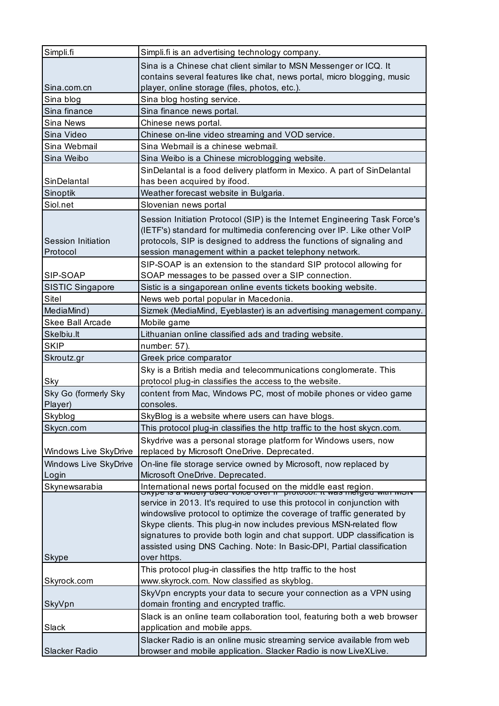|                         | Simpli.fi is an advertising technology company.                                                                                                    |
|-------------------------|----------------------------------------------------------------------------------------------------------------------------------------------------|
|                         | Sina is a Chinese chat client similar to MSN Messenger or ICQ. It                                                                                  |
|                         | contains several features like chat, news portal, micro blogging, music                                                                            |
| Sina.com.cn             | player, online storage (files, photos, etc.).                                                                                                      |
| Sina blog               | Sina blog hosting service.                                                                                                                         |
| Sina finance            | Sina finance news portal.                                                                                                                          |
| Sina News               | Chinese news portal.                                                                                                                               |
| Sina Video              | Chinese on-line video streaming and VOD service.                                                                                                   |
| Sina Webmail            | Sina Webmail is a chinese webmail.                                                                                                                 |
| Sina Weibo              | Sina Weibo is a Chinese microblogging website.                                                                                                     |
|                         | SinDelantal is a food delivery platform in Mexico. A part of SinDelantal                                                                           |
| SinDelantal             | has been acquired by ifood.                                                                                                                        |
| Sinoptik                | Weather forecast website in Bulgaria.                                                                                                              |
| Siol.net                | Slovenian news portal                                                                                                                              |
|                         | Session Initiation Protocol (SIP) is the Internet Engineering Task Force's                                                                         |
|                         | (IETF's) standard for multimedia conferencing over IP. Like other VoIP                                                                             |
| Session Initiation      | protocols, SIP is designed to address the functions of signaling and                                                                               |
| Protocol                | session management within a packet telephony network.                                                                                              |
|                         | SIP-SOAP is an extension to the standard SIP protocol allowing for                                                                                 |
| SIP-SOAP                | SOAP messages to be passed over a SIP connection.                                                                                                  |
| <b>SISTIC Singapore</b> | Sistic is a singaporean online events tickets booking website.                                                                                     |
| Sitel                   | News web portal popular in Macedonia.                                                                                                              |
| MediaMind)              | Sizmek (MediaMind, Eyeblaster) is an advertising management company.                                                                               |
| <b>Skee Ball Arcade</b> | Mobile game                                                                                                                                        |
| Skelbiu.lt              | Lithuanian online classified ads and trading website.                                                                                              |
| <b>SKIP</b>             | number: 57).                                                                                                                                       |
| Skroutz.gr              | Greek price comparator                                                                                                                             |
|                         | Sky is a British media and telecommunications conglomerate. This                                                                                   |
| Sky                     | protocol plug-in classifies the access to the website.                                                                                             |
| Sky Go (formerly Sky    | content from Mac, Windows PC, most of mobile phones or video game                                                                                  |
| Player)                 | consoles.                                                                                                                                          |
|                         |                                                                                                                                                    |
| Skyblog                 | SkyBlog is a website where users can have blogs.                                                                                                   |
| Skycn.com               | This protocol plug-in classifies the http traffic to the host skycn.com.                                                                           |
|                         |                                                                                                                                                    |
| Windows Live SkyDrive   | Skydrive was a personal storage platform for Windows users, now<br>replaced by Microsoft OneDrive. Deprecated.                                     |
| Windows Live SkyDrive   | On-line file storage service owned by Microsoft, now replaced by                                                                                   |
| Login                   | Microsoft OneDrive. Deprecated.                                                                                                                    |
| Skynewsarabia           |                                                                                                                                                    |
|                         | International news portal focused on the middle east region.<br><del>Oxype is a widely used voice over in protocol. it was merged with worv</del>  |
|                         | service in 2013. It's required to use this protocol in conjunction with                                                                            |
|                         | windowslive protocol to optimize the coverage of traffic generated by                                                                              |
|                         | Skype clients. This plug-in now includes previous MSN-related flow                                                                                 |
|                         | signatures to provide both login and chat support. UDP classification is<br>assisted using DNS Caching. Note: In Basic-DPI, Partial classification |
| Skype                   | over https.                                                                                                                                        |
|                         | This protocol plug-in classifies the http traffic to the host                                                                                      |
| Skyrock.com             | www.skyrock.com. Now classified as skyblog.                                                                                                        |
|                         | SkyVpn encrypts your data to secure your connection as a VPN using                                                                                 |
| SkyVpn                  | domain fronting and encrypted traffic.                                                                                                             |
|                         | Slack is an online team collaboration tool, featuring both a web browser                                                                           |
| Slack                   | application and mobile apps.                                                                                                                       |
|                         | Slacker Radio is an online music streaming service available from web                                                                              |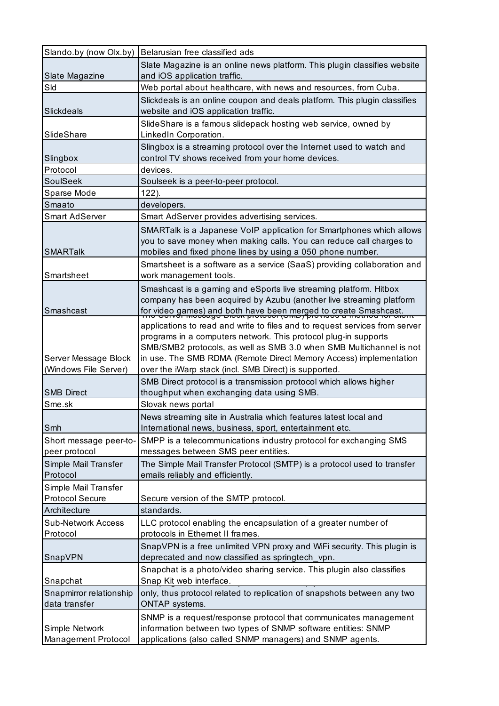| Slando.by (now Olx.by)     | Belarusian free classified ads                                              |
|----------------------------|-----------------------------------------------------------------------------|
|                            | Slate Magazine is an online news platform. This plugin classifies website   |
| Slate Magazine             | and iOS application traffic.                                                |
| Sld                        | Web portal about healthcare, with news and resources, from Cuba.            |
|                            | Slickdeals is an online coupon and deals platform. This plugin classifies   |
| <b>Slickdeals</b>          | website and iOS application traffic.                                        |
|                            | SlideShare is a famous slidepack hosting web service, owned by              |
| SlideShare                 | LinkedIn Corporation.                                                       |
|                            | Slingbox is a streaming protocol over the Internet used to watch and        |
| Slingbox                   | control TV shows received from your home devices.                           |
| Protocol                   | devices.                                                                    |
| <b>SoulSeek</b>            | Soulseek is a peer-to-peer protocol.                                        |
| Sparse Mode                | $122$ ).                                                                    |
| Smaato                     | developers.                                                                 |
| <b>Smart AdServer</b>      | Smart AdServer provides advertising services.                               |
|                            | SMARTalk is a Japanese VoIP application for Smartphones which allows        |
|                            | you to save money when making calls. You can reduce call charges to         |
| <b>SMARTalk</b>            | mobiles and fixed phone lines by using a 050 phone number.                  |
|                            | Smartsheet is a software as a service (SaaS) providing collaboration and    |
| Smartsheet                 | work management tools.                                                      |
|                            | Smashcast is a gaming and eSports live streaming platform. Hitbox           |
|                            | company has been acquired by Azubu (another live streaming platform         |
| Smashcast                  | for video games) and both have been merged to create Smashcast.             |
|                            | applications to read and write to files and to request services from server |
|                            | programs in a computers network. This protocol plug-in supports             |
|                            | SMB/SMB2 protocols, as well as SMB 3.0 when SMB Multichannel is not         |
| Server Message Block       | in use. The SMB RDMA (Remote Direct Memory Access) implementation           |
| (Windows File Server)      | over the iWarp stack (incl. SMB Direct) is supported.                       |
|                            | SMB Direct protocol is a transmission protocol which allows higher          |
| <b>SMB Direct</b>          | thoughput when exchanging data using SMB.                                   |
| Sme.sk                     | Slovak news portal                                                          |
|                            | News streaming site in Australia which features latest local and            |
| Smh                        | International news, business, sport, entertainment etc.                     |
| Short message peer-to-     | SMPP is a telecommunications industry protocol for exchanging SMS           |
| peer protocol              | messages between SMS peer entities.                                         |
| Simple Mail Transfer       | The Simple Mail Transfer Protocol (SMTP) is a protocol used to transfer     |
| Protocol                   | emails reliably and efficiently.                                            |
| Simple Mail Transfer       |                                                                             |
| <b>Protocol Secure</b>     | Secure version of the SMTP protocol.                                        |
| Architecture               | standards.                                                                  |
| <b>Sub-Network Access</b>  | LLC protocol enabling the encapsulation of a greater number of              |
| Protocol                   | protocols in Ethernet II frames.                                            |
|                            | SnapVPN is a free unlimited VPN proxy and WiFi security. This plugin is     |
| SnapVPN                    | deprecated and now classified as springtech_vpn.                            |
|                            | Snapchat is a photo/video sharing service. This plugin also classifies      |
| Snapchat                   | Snap Kit web interface.                                                     |
| Snapmirror relationship    | only, thus protocol related to replication of snapshots between any two     |
| data transfer              | <b>ONTAP</b> systems.                                                       |
|                            | SNMP is a request/response protocol that communicates management            |
| Simple Network             | information between two types of SNMP software entities: SNMP               |
| <b>Management Protocol</b> | applications (also called SNMP managers) and SNMP agents.                   |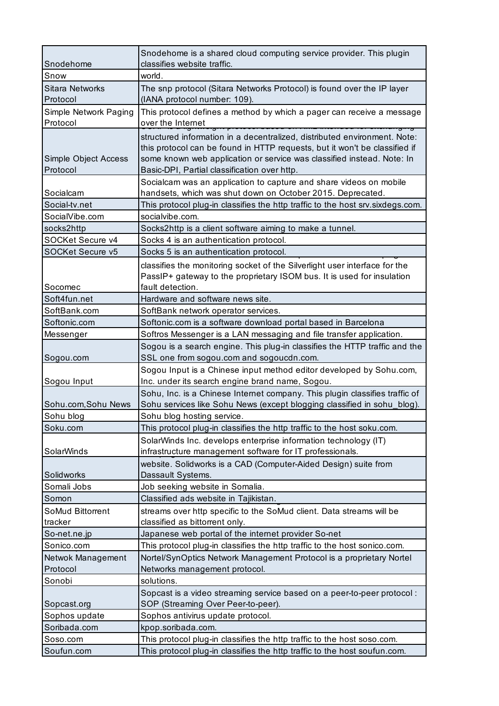| Snodehome                          | Snodehome is a shared cloud computing service provider. This plugin<br>classifies website traffic.                                                                                                                                                                                |
|------------------------------------|-----------------------------------------------------------------------------------------------------------------------------------------------------------------------------------------------------------------------------------------------------------------------------------|
| Snow                               | world.                                                                                                                                                                                                                                                                            |
| <b>Sitara Networks</b><br>Protocol | The snp protocol (Sitara Networks Protocol) is found over the IP layer<br>(IANA protocol number: 109).                                                                                                                                                                            |
| Simple Network Paging<br>Protocol  | This protocol defines a method by which a pager can receive a message<br>over the Internet<br>iotodoi badoa on Atmis intended for okonar                                                                                                                                          |
| Simple Object Access<br>Protocol   | structured information in a decentralized, distributed environment. Note:<br>this protocol can be found in HTTP requests, but it won't be classified if<br>some known web application or service was classified instead. Note: In<br>Basic-DPI, Partial classification over http. |
| Socialcam                          | Socialcam was an application to capture and share videos on mobile<br>handsets, which was shut down on October 2015. Deprecated.                                                                                                                                                  |
| Social-tv.net                      | This protocol plug-in classifies the http traffic to the host srv.sixdegs.com.                                                                                                                                                                                                    |
| SocialVibe.com                     | socialvibe.com.                                                                                                                                                                                                                                                                   |
| socks2http                         | Socks2http is a client software aiming to make a tunnel.                                                                                                                                                                                                                          |
| SOCKet Secure v4                   | Socks 4 is an authentication protocol.                                                                                                                                                                                                                                            |
| SOCKet Secure v5                   | Socks 5 is an authentication protocol.                                                                                                                                                                                                                                            |
| Socomec                            | classifies the monitoring socket of the Silverlight user interface for the<br>PassIP+ gateway to the proprietary ISOM bus. It is used for insulation<br>fault detection.                                                                                                          |
| Soft4fun.net                       | Hardware and software news site.                                                                                                                                                                                                                                                  |
| SoftBank.com                       | SoftBank network operator services.                                                                                                                                                                                                                                               |
| Softonic.com                       | Softonic.com is a software download portal based in Barcelona                                                                                                                                                                                                                     |
| Messenger                          | Softros Messenger is a LAN messaging and file transfer application.                                                                                                                                                                                                               |
| Sogou.com                          | Sogou is a search engine. This plug-in classifies the HTTP traffic and the<br>SSL one from sogou.com and sogoucdn.com.                                                                                                                                                            |
|                                    | Sogou Input is a Chinese input method editor developed by Sohu.com,                                                                                                                                                                                                               |
| Sogou Input                        | Inc. under its search engine brand name, Sogou.                                                                                                                                                                                                                                   |
| Sohu.com, Sohu News                | Sohu, Inc. is a Chinese Internet company. This plugin classifies traffic of<br>Sohu services like Sohu News (except blogging classified in sohu_blog).                                                                                                                            |
| Sohu blog                          | Sohu blog hosting service.                                                                                                                                                                                                                                                        |
| Soku.com                           | This protocol plug-in classifies the http traffic to the host soku.com.                                                                                                                                                                                                           |
| <b>SolarWinds</b>                  | SolarWinds Inc. develops enterprise information technology (IT)<br>infrastructure management software for IT professionals.                                                                                                                                                       |
| Solidworks                         | website. Solidworks is a CAD (Computer-Aided Design) suite from<br>Dassault Systems.                                                                                                                                                                                              |
| Somali Jobs                        | Job seeking website in Somalia.                                                                                                                                                                                                                                                   |
| Somon                              | Classified ads website in Tajikistan.                                                                                                                                                                                                                                             |
| SoMud Bittorrent<br>tracker        | streams over http specific to the SoMud client. Data streams will be<br>classified as bittorrent only.                                                                                                                                                                            |
| So-net.ne.jp                       | Japanese web portal of the internet provider So-net                                                                                                                                                                                                                               |
| Sonico.com                         | This protocol plug-in classifies the http traffic to the host sonico.com.                                                                                                                                                                                                         |
| Netwok Management                  | Nortel/SynOptics Network Management Protocol is a proprietary Nortel                                                                                                                                                                                                              |
| Protocol                           | Networks management protocol.                                                                                                                                                                                                                                                     |
| Sonobi                             | solutions.                                                                                                                                                                                                                                                                        |
| Sopcast.org                        | Sopcast is a video streaming service based on a peer-to-peer protocol :<br>SOP (Streaming Over Peer-to-peer).                                                                                                                                                                     |
| Sophos update                      | Sophos antivirus update protocol.                                                                                                                                                                                                                                                 |
| Soribada.com                       | kpop.soribada.com.                                                                                                                                                                                                                                                                |
| Soso.com                           | This protocol plug-in classifies the http traffic to the host soso.com.                                                                                                                                                                                                           |
| Soufun.com                         | This protocol plug-in classifies the http traffic to the host soufun.com.                                                                                                                                                                                                         |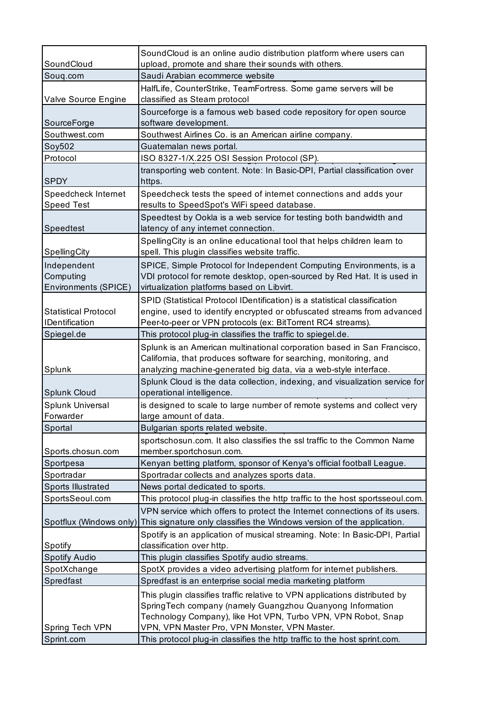|                             | SoundCloud is an online audio distribution platform where users can                                                                                  |
|-----------------------------|------------------------------------------------------------------------------------------------------------------------------------------------------|
| SoundCloud                  | upload, promote and share their sounds with others.                                                                                                  |
| Souq.com                    | Saudi Arabian ecommerce website                                                                                                                      |
|                             | HalfLife, CounterStrike, TeamFortress. Some game servers will be                                                                                     |
| Valve Source Engine         | classified as Steam protocol                                                                                                                         |
|                             | Sourceforge is a famous web based code repository for open source                                                                                    |
| SourceForge                 | software development.                                                                                                                                |
| Southwest.com               | Southwest Airlines Co. is an American airline company.                                                                                               |
| Soy502<br>Protocol          | Guatemalan news portal.                                                                                                                              |
|                             | ISO 8327-1/X.225 OSI Session Protocol (SP).                                                                                                          |
| <b>SPDY</b>                 | transporting web content. Note: In Basic-DPI, Partial classification over<br>https.                                                                  |
| Speedcheck Internet         | Speedcheck tests the speed of internet connections and adds your                                                                                     |
| <b>Speed Test</b>           | results to SpeedSpot's WiFi speed database.                                                                                                          |
| Speedtest                   | Speedtest by Ookla is a web service for testing both bandwidth and<br>latency of any internet connection.                                            |
|                             | Spelling City is an online educational tool that helps children learn to                                                                             |
| SpellingCity                | spell. This plugin classifies website traffic.                                                                                                       |
| Independent                 | SPICE, Simple Protocol for Independent Computing Environments, is a                                                                                  |
| Computing                   | VDI protocol for remote desktop, open-sourced by Red Hat. It is used in                                                                              |
| Environments (SPICE)        | virtualization platforms based on Libvirt.                                                                                                           |
|                             | SPID (Statistical Protocol IDentification) is a statistical classification                                                                           |
| <b>Statistical Protocol</b> | engine, used to identify encrypted or obfuscated streams from advanced                                                                               |
| <b>IDentification</b>       | Peer-to-peer or VPN protocols (ex: BitTorrent RC4 streams).                                                                                          |
| Spiegel.de                  | This protocol plug-in classifies the traffic to spiegel.de.                                                                                          |
|                             | Splunk is an American multinational corporation based in San Francisco,                                                                              |
|                             | California, that produces software for searching, monitoring, and                                                                                    |
| Splunk                      | analyzing machine-generated big data, via a web-style interface.                                                                                     |
| Splunk Cloud                | Splunk Cloud is the data collection, indexing, and visualization service for<br>operational intelligence.                                            |
| Splunk Universal            | is designed to scale to large number of remote systems and collect very                                                                              |
| Forwarder                   | large amount of data.                                                                                                                                |
| Sportal                     | Bulgarian sports related website.                                                                                                                    |
|                             | sportschosun.com. It also classifies the ssl traffic to the Common Name                                                                              |
| Sports.chosun.com           | member.sportchosun.com.                                                                                                                              |
| Sportpesa                   | Kenyan betting platform, sponsor of Kenya's official football League.                                                                                |
| Sportradar                  | Sportradar collects and analyzes sports data.                                                                                                        |
| Sports Illustrated          | News portal dedicated to sports.                                                                                                                     |
| SportsSeoul.com             | This protocol plug-in classifies the http traffic to the host sportsseoul.com.                                                                       |
| Spotflux (Windows only)     | VPN service which offers to protect the Internet connections of its users.<br>This signature only classifies the Windows version of the application. |
|                             | Spotify is an application of musical streaming. Note: In Basic-DPI, Partial                                                                          |
| Spotify                     | classification over http.                                                                                                                            |
| <b>Spotify Audio</b>        | This plugin classifies Spotify audio streams.                                                                                                        |
| SpotXchange                 | SpotX provides a video advertising platform for internet publishers.                                                                                 |
| Spredfast                   | Spredfast is an enterprise social media marketing platform                                                                                           |
|                             | This plugin classifies traffic relative to VPN applications distributed by                                                                           |
|                             | SpringTech company (namely Guangzhou Quanyong Information                                                                                            |
|                             | Technology Company), like Hot VPN, Turbo VPN, VPN Robot, Snap                                                                                        |
| Spring Tech VPN             | VPN, VPN Master Pro, VPN Monster, VPN Master.                                                                                                        |
| Sprint.com                  | This protocol plug-in classifies the http traffic to the host sprint.com.                                                                            |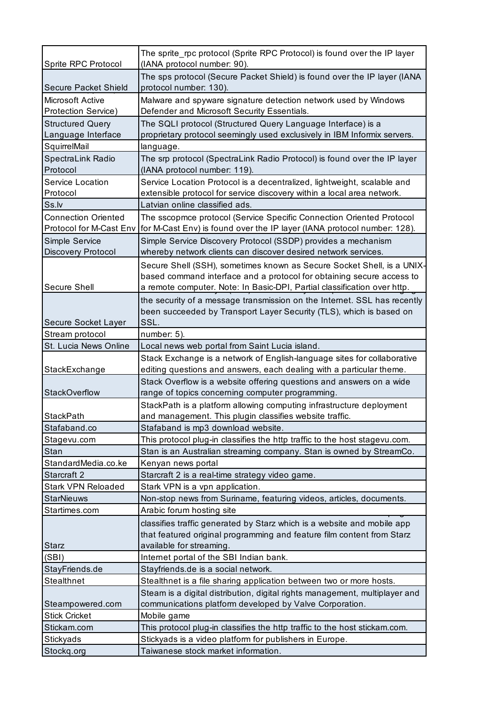|                                                       | The sprite_rpc protocol (Sprite RPC Protocol) is found over the IP layer                                                                                                                                                    |
|-------------------------------------------------------|-----------------------------------------------------------------------------------------------------------------------------------------------------------------------------------------------------------------------------|
| Sprite RPC Protocol                                   | (IANA protocol number: 90).                                                                                                                                                                                                 |
| <b>Secure Packet Shield</b>                           | The sps protocol (Secure Packet Shield) is found over the IP layer (IANA<br>protocol number: 130).                                                                                                                          |
| <b>Microsoft Active</b><br>Protection Service)        | Malware and spyware signature detection network used by Windows<br>Defender and Microsoft Security Essentials.                                                                                                              |
| <b>Structured Query</b><br>Language Interface         | The SQLI protocol (Structured Query Language Interface) is a<br>proprietary protocol seemingly used exclusively in IBM Informix servers.                                                                                    |
| SquirrelMail                                          | language.                                                                                                                                                                                                                   |
| SpectraLink Radio                                     | The srp protocol (SpectraLink Radio Protocol) is found over the IP layer                                                                                                                                                    |
| Protocol                                              | (IANA protocol number: 119).                                                                                                                                                                                                |
| Service Location                                      | Service Location Protocol is a decentralized, lightweight, scalable and                                                                                                                                                     |
| Protocol                                              | extensible protocol for service discovery within a local area network.                                                                                                                                                      |
| Ss.lv                                                 | Latvian online classified ads.                                                                                                                                                                                              |
| <b>Connection Oriented</b><br>Protocol for M-Cast Env | The sscopmce protocol (Service Specific Connection Oriented Protocol<br>for M-Cast Env) is found over the IP layer (IANA protocol number: 128).                                                                             |
| Simple Service                                        | Simple Service Discovery Protocol (SSDP) provides a mechanism                                                                                                                                                               |
| Discovery Protocol                                    | whereby network clients can discover desired network services.                                                                                                                                                              |
| Secure Shell                                          | Secure Shell (SSH), sometimes known as Secure Socket Shell, is a UNIX-<br>based command interface and a protocol for obtaining secure access to<br>a remote computer. Note: In Basic-DPI, Partial classification over http. |
|                                                       | the security of a message transmission on the Internet. SSL has recently                                                                                                                                                    |
|                                                       | been succeeded by Transport Layer Security (TLS), which is based on                                                                                                                                                         |
| Secure Socket Layer                                   | SSL.                                                                                                                                                                                                                        |
| Stream protocol                                       | number: 5).                                                                                                                                                                                                                 |
| St. Lucia News Online                                 | Local news web portal from Saint Lucia island.                                                                                                                                                                              |
|                                                       | Stack Exchange is a network of English-language sites for collaborative                                                                                                                                                     |
| StackExchange                                         | editing questions and answers, each dealing with a particular theme.                                                                                                                                                        |
| StackOverflow                                         | Stack Overflow is a website offering questions and answers on a wide<br>range of topics concerning computer programming.                                                                                                    |
|                                                       | StackPath is a platform allowing computing infrastructure deployment                                                                                                                                                        |
| <b>StackPath</b>                                      | and management. This plugin classifies website traffic.                                                                                                                                                                     |
| Stafaband.co                                          | Stafaband is mp3 download website.                                                                                                                                                                                          |
| Stagevu.com                                           | This protocol plug-in classifies the http traffic to the host stagevu.com.                                                                                                                                                  |
| Stan                                                  | Stan is an Australian streaming company. Stan is owned by StreamCo.                                                                                                                                                         |
| StandardMedia.co.ke                                   | Kenyan news portal                                                                                                                                                                                                          |
| Starcraft 2                                           | Starcraft 2 is a real-time strategy video game.                                                                                                                                                                             |
| <b>Stark VPN Reloaded</b>                             | Stark VPN is a vpn application.                                                                                                                                                                                             |
| <b>StarNieuws</b>                                     | Non-stop news from Suriname, featuring videos, articles, documents.                                                                                                                                                         |
| Startimes.com                                         | Arabic forum hosting site                                                                                                                                                                                                   |
|                                                       | classifies traffic generated by Starz which is a website and mobile app                                                                                                                                                     |
|                                                       | that featured original programming and feature film content from Starz                                                                                                                                                      |
| <b>Starz</b>                                          | available for streaming.                                                                                                                                                                                                    |
| (SBI)                                                 | Internet portal of the SBI Indian bank.                                                                                                                                                                                     |
| StayFriends.de                                        | Stayfriends.de is a social network.                                                                                                                                                                                         |
| Stealthnet                                            | Stealthnet is a file sharing application between two or more hosts.                                                                                                                                                         |
| Steampowered.com                                      | Steam is a digital distribution, digital rights management, multiplayer and<br>communications platform developed by Valve Corporation.                                                                                      |
| <b>Stick Cricket</b>                                  | Mobile game                                                                                                                                                                                                                 |
| Stickam.com                                           | This protocol plug-in classifies the http traffic to the host stickam.com.                                                                                                                                                  |
| <b>Stickyads</b>                                      | Stickyads is a video platform for publishers in Europe.                                                                                                                                                                     |
| Stockq.org                                            | Taiwanese stock market information.                                                                                                                                                                                         |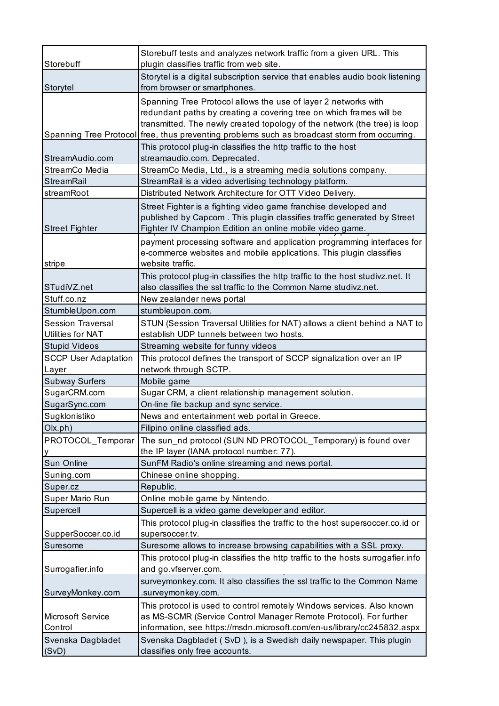|                                      | Storebuff tests and analyzes network traffic from a given URL. This                                                                                                                                                                                                                                                 |
|--------------------------------------|---------------------------------------------------------------------------------------------------------------------------------------------------------------------------------------------------------------------------------------------------------------------------------------------------------------------|
| Storebuff                            | plugin classifies traffic from web site.                                                                                                                                                                                                                                                                            |
|                                      | Storytel is a digital subscription service that enables audio book listening                                                                                                                                                                                                                                        |
| Storytel                             | from browser or smartphones.                                                                                                                                                                                                                                                                                        |
|                                      | Spanning Tree Protocol allows the use of layer 2 networks with<br>redundant paths by creating a covering tree on which frames will be<br>transmitted. The newly created topology of the network (the tree) is loop<br>Spanning Tree Protocol free, thus preventing problems such as broadcast storm from occurring. |
| StreamAudio.com                      | This protocol plug-in classifies the http traffic to the host<br>streamaudio.com. Deprecated.                                                                                                                                                                                                                       |
| StreamCo Media                       | StreamCo Media, Ltd., is a streaming media solutions company.                                                                                                                                                                                                                                                       |
| <b>StreamRail</b>                    | StreamRail is a video advertising technology platform.                                                                                                                                                                                                                                                              |
| streamRoot                           | Distributed Network Architecture for OTT Video Delivery.                                                                                                                                                                                                                                                            |
| <b>Street Fighter</b>                | Street Fighter is a fighting video game franchise developed and<br>published by Capcom. This plugin classifies traffic generated by Street<br>Fighter IV Champion Edition an online mobile video game.                                                                                                              |
| stripe                               | payment processing software and application programming interfaces for<br>e-commerce websites and mobile applications. This plugin classifies<br>website traffic.                                                                                                                                                   |
| STudiVZ.net                          | This protocol plug-in classifies the http traffic to the host studivz.net. It<br>also classifies the ssl traffic to the Common Name studivz.net.                                                                                                                                                                    |
| Stuff.co.nz                          | New zealander news portal                                                                                                                                                                                                                                                                                           |
| StumbleUpon.com                      | stumbleupon.com.                                                                                                                                                                                                                                                                                                    |
| <b>Session Traversal</b>             | STUN (Session Traversal Utilities for NAT) allows a client behind a NAT to                                                                                                                                                                                                                                          |
| Utilities for NAT                    | establish UDP tunnels between two hosts.                                                                                                                                                                                                                                                                            |
| <b>Stupid Videos</b>                 | Streaming website for funny videos                                                                                                                                                                                                                                                                                  |
| <b>SCCP User Adaptation</b><br>Layer | This protocol defines the transport of SCCP signalization over an IP<br>network through SCTP.                                                                                                                                                                                                                       |
| <b>Subway Surfers</b>                | Mobile game                                                                                                                                                                                                                                                                                                         |
| SugarCRM.com                         | Sugar CRM, a client relationship management solution.                                                                                                                                                                                                                                                               |
| SugarSync.com                        | On-line file backup and sync service.                                                                                                                                                                                                                                                                               |
| Sugklonistiko                        | News and entertainment web portal in Greece.                                                                                                                                                                                                                                                                        |
| Olx.ph)                              | Filipino online classified ads.                                                                                                                                                                                                                                                                                     |
| PROTOCOL_Temporar                    | The sun nd protocol (SUN ND PROTOCOL_Temporary) is found over<br>the IP layer (IANA protocol number: 77).                                                                                                                                                                                                           |
| Sun Online                           | SunFM Radio's online streaming and news portal.                                                                                                                                                                                                                                                                     |
| Suning.com                           | Chinese online shopping.                                                                                                                                                                                                                                                                                            |
| Super.cz                             | Republic.                                                                                                                                                                                                                                                                                                           |
| Super Mario Run                      | Online mobile game by Nintendo.                                                                                                                                                                                                                                                                                     |
| Supercell                            | Supercell is a video game developer and editor.                                                                                                                                                                                                                                                                     |
|                                      | This protocol plug-in classifies the traffic to the host supersoccer.co.id or                                                                                                                                                                                                                                       |
| SupperSoccer.co.id<br>Suresome       | supersoccer.tv.                                                                                                                                                                                                                                                                                                     |
|                                      | Suresome allows to increase browsing capabilities with a SSL proxy.                                                                                                                                                                                                                                                 |
| Surrogafier.info                     | This protocol plug-in classifies the http traffic to the hosts surrogafier.info<br>and go.vfserver.com.                                                                                                                                                                                                             |
| SurveyMonkey.com                     | surveymonkey.com. It also classifies the ssl traffic to the Common Name<br>surveymonkey.com.                                                                                                                                                                                                                        |
| Microsoft Service<br>Control         | This protocol is used to control remotely Windows services. Also known<br>as MS-SCMR (Service Control Manager Remote Protocol). For further<br>information, see https://msdn.microsoft.com/en-us/library/cc245832.aspx                                                                                              |
| Svenska Dagbladet<br>(SVD)           | Svenska Dagbladet (SvD), is a Swedish daily newspaper. This plugin<br>classifies only free accounts.                                                                                                                                                                                                                |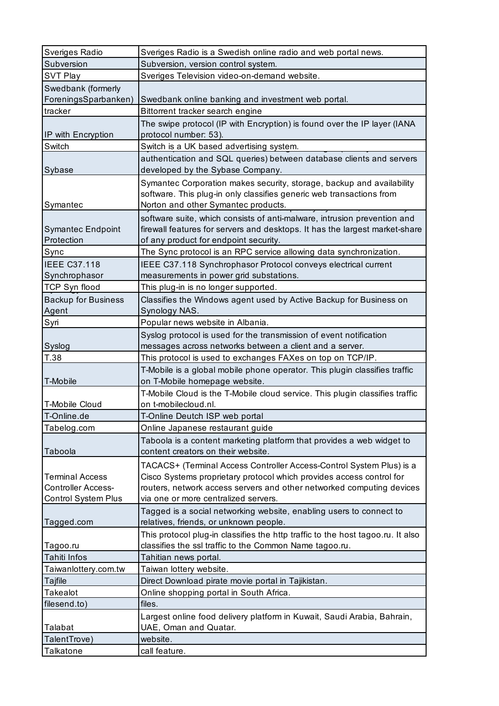| Sveriges Radio             | Sveriges Radio is a Swedish online radio and web portal news.                                                                                |
|----------------------------|----------------------------------------------------------------------------------------------------------------------------------------------|
| Subversion                 | Subversion, version control system.                                                                                                          |
| <b>SVT Play</b>            | Sveriges Television video-on-demand website.                                                                                                 |
| Swedbank (formerly         |                                                                                                                                              |
| ForeningsSparbanken)       | Swedbank online banking and investment web portal.                                                                                           |
| tracker                    | Bittorrent tracker search engine                                                                                                             |
|                            | The swipe protocol (IP with Encryption) is found over the IP layer (IANA                                                                     |
| IP with Encryption         | protocol number: 53).                                                                                                                        |
| Switch                     | Switch is a UK based advertising system.                                                                                                     |
|                            | authentication and SQL queries) between database clients and servers                                                                         |
| Sybase                     | developed by the Sybase Company.                                                                                                             |
|                            | Symantec Corporation makes security, storage, backup and availability                                                                        |
|                            | software. This plug-in only classifies generic web transactions from                                                                         |
| Symantec                   | Norton and other Symantec products.                                                                                                          |
|                            | software suite, which consists of anti-malware, intrusion prevention and                                                                     |
| <b>Symantec Endpoint</b>   | firewall features for servers and desktops. It has the largest market-share                                                                  |
| Protection                 | of any product for endpoint security.                                                                                                        |
| Sync                       | The Sync protocol is an RPC service allowing data synchronization.                                                                           |
| <b>IEEE C37.118</b>        | IEEE C37.118 Synchrophasor Protocol conveys electrical current                                                                               |
| Synchrophasor              | measurements in power grid substations.                                                                                                      |
| <b>TCP Syn flood</b>       | This plug-in is no longer supported.                                                                                                         |
| <b>Backup for Business</b> | Classifies the Windows agent used by Active Backup for Business on                                                                           |
| Agent                      | Synology NAS.                                                                                                                                |
| Syri                       | Popular news website in Albania.                                                                                                             |
|                            | Syslog protocol is used for the transmission of event notification                                                                           |
| Syslog                     | messages across networks between a client and a server.                                                                                      |
|                            |                                                                                                                                              |
| T.38                       | This protocol is used to exchanges FAXes on top on TCP/IP.                                                                                   |
|                            | T-Mobile is a global mobile phone operator. This plugin classifies traffic                                                                   |
| T-Mobile                   | on T-Mobile homepage website.                                                                                                                |
|                            | T-Mobile Cloud is the T-Mobile cloud service. This plugin classifies traffic                                                                 |
| <b>T-Mobile Cloud</b>      | on t-mobilecloud.nl.                                                                                                                         |
| T-Online.de                | T-Online Deutch ISP web portal                                                                                                               |
| Tabelog.com                | Online Japanese restaurant guide                                                                                                             |
|                            | Taboola is a content marketing platform that provides a web widget to                                                                        |
| Taboola                    | content creators on their website.                                                                                                           |
|                            |                                                                                                                                              |
| <b>Terminal Access</b>     | TACACS+ (Terminal Access Controller Access-Control System Plus) is a<br>Cisco Systems proprietary protocol which provides access control for |
| <b>Controller Access-</b>  | routers, network access servers and other networked computing devices                                                                        |
| Control System Plus        | via one or more centralized servers.                                                                                                         |
|                            | Tagged is a social networking website, enabling users to connect to                                                                          |
| Tagged.com                 | relatives, friends, or unknown people.                                                                                                       |
|                            | This protocol plug-in classifies the http traffic to the host tagoo.ru. It also                                                              |
| Tagoo.ru                   | classifies the ssl traffic to the Common Name tagoo.ru.                                                                                      |
| Tahiti Infos               | Tahitian news portal.                                                                                                                        |
| Taiwanlottery.com.tw       | Taiwan lottery website.                                                                                                                      |
| Tajfile                    | Direct Download pirate movie portal in Tajikistan.                                                                                           |
| <b>Takealot</b>            | Online shopping portal in South Africa.                                                                                                      |
| filesend.to)               | files.                                                                                                                                       |
|                            | Largest online food delivery platform in Kuwait, Saudi Arabia, Bahrain,                                                                      |
| Talabat                    | UAE, Oman and Quatar.                                                                                                                        |
| TalentTrove)               | website.                                                                                                                                     |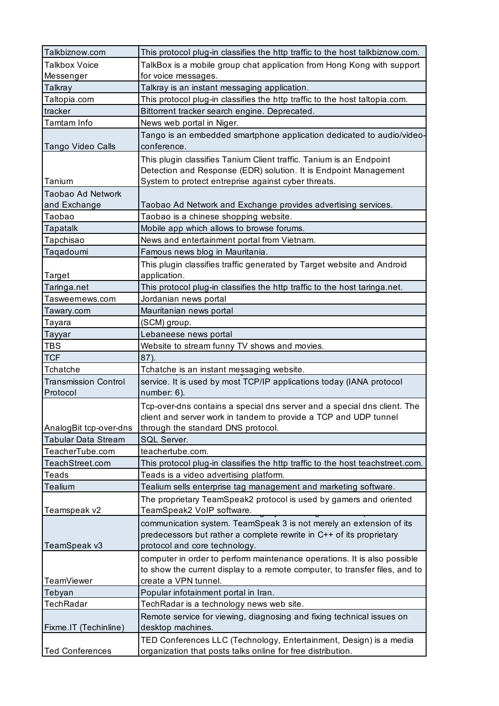| Talkbiznow.com                          | This protocol plug-in classifies the http traffic to the host talkbiznow.com.                                                                                                                  |
|-----------------------------------------|------------------------------------------------------------------------------------------------------------------------------------------------------------------------------------------------|
| <b>Talkbox Voice</b>                    | TalkBox is a mobile group chat application from Hong Kong with support                                                                                                                         |
| Messenger                               | for voice messages.                                                                                                                                                                            |
| Talkray                                 | Talkray is an instant messaging application.                                                                                                                                                   |
| Taltopia.com                            | This protocol plug-in classifies the http traffic to the host taltopia.com.                                                                                                                    |
| tracker                                 | Bittorrent tracker search engine. Deprecated.                                                                                                                                                  |
| Tamtam Info                             | News web portal in Niger.                                                                                                                                                                      |
| Tango Video Calls                       | Tango is an embedded smartphone application dedicated to audio/video-<br>conference.                                                                                                           |
| Tanium                                  | This plugin classifies Tanium Client traffic. Tanium is an Endpoint<br>Detection and Response (EDR) solution. It is Endpoint Management<br>System to protect entreprise against cyber threats. |
| Taobao Ad Network                       |                                                                                                                                                                                                |
| and Exchange                            | Taobao Ad Network and Exchange provides advertising services.                                                                                                                                  |
| Taobao                                  | Taobao is a chinese shopping website.                                                                                                                                                          |
| Tapatalk                                | Mobile app which allows to browse forums.                                                                                                                                                      |
|                                         |                                                                                                                                                                                                |
| Tapchisao<br>Taqadoumi                  | News and entertainment portal from Vietnam.                                                                                                                                                    |
|                                         | Famous news blog in Mauritania.                                                                                                                                                                |
| <b>Target</b>                           | This plugin classifies traffic generated by Target website and Android<br>application.                                                                                                         |
| Taringa.net                             | This protocol plug-in classifies the http traffic to the host taringa.net.                                                                                                                     |
| Tasweernews.com                         | Jordanian news portal                                                                                                                                                                          |
| Tawary.com                              | Mauritanian news portal                                                                                                                                                                        |
| Tayara                                  | (SCM) group.                                                                                                                                                                                   |
| Tayyar                                  | Lebaneese news portal                                                                                                                                                                          |
| TBS                                     | Website to stream funny TV shows and movies.                                                                                                                                                   |
| <b>TCF</b>                              | 87).                                                                                                                                                                                           |
| Tchatche                                | Tchatche is an instant messaging website.                                                                                                                                                      |
| <b>Transmission Control</b><br>Protocol | service. It is used by most TCP/IP applications today (IANA protocol<br>number: 6).                                                                                                            |
| AnalogBit tcp-over-dns                  | Tcp-over-dns contains a special dns server and a special dns client. The<br>client and server work in tandem to provide a TCP and UDP tunnel<br>through the standard DNS protocol.             |
| <b>Tabular Data Stream</b>              | SQL Server.                                                                                                                                                                                    |
| TeacherTube.com                         | teachertube.com.                                                                                                                                                                               |
| TeachStreet.com                         | This protocol plug-in classifies the http traffic to the host teachstreet.com.                                                                                                                 |
| Teads                                   | Teads is a video advertising platform.                                                                                                                                                         |
| Tealium                                 | Tealium sells enterprise tag management and marketing software.                                                                                                                                |
|                                         | The proprietary TeamSpeak2 protocol is used by gamers and oriented                                                                                                                             |
| Teamspeak v2                            | TeamSpeak2 VoIP software.                                                                                                                                                                      |
| TeamSpeak v3                            | communication system. TeamSpeak 3 is not merely an extension of its<br>predecessors but rather a complete rewrite in C++ of its proprietary<br>protocol and core technology.                   |
| TeamViewer                              | computer in order to perform maintenance operations. It is also possible<br>to show the current display to a remote computer, to transfer files, and to<br>create a VPN tunnel.                |
| Tebyan                                  | Popular infotainment portal in Iran.                                                                                                                                                           |
| <b>TechRadar</b>                        | TechRadar is a technology news web site.                                                                                                                                                       |
| Fixme.IT (Techinline)                   | Remote service for viewing, diagnosing and fixing technical issues on<br>desktop machines.                                                                                                     |
|                                         | TED Conferences LLC (Technology, Entertainment, Design) is a media                                                                                                                             |
| <b>Ted Conferences</b>                  | organization that posts talks online for free distribution.                                                                                                                                    |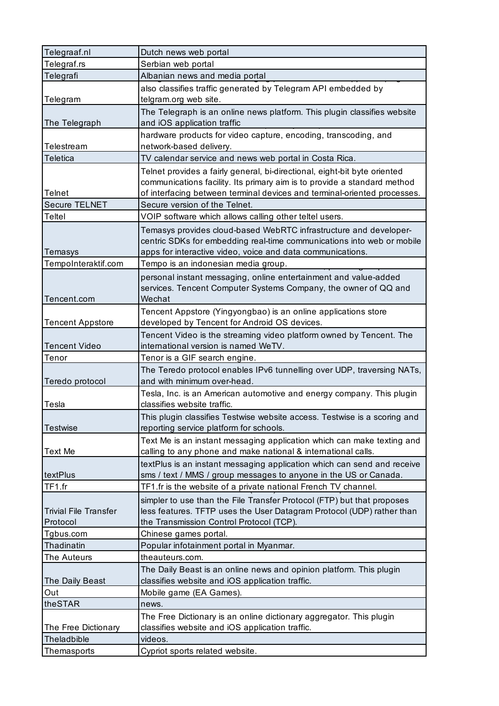| Telegraaf.nl                 | Dutch news web portal                                                     |
|------------------------------|---------------------------------------------------------------------------|
| Telegraf.rs                  | Serbian web portal                                                        |
| Telegrafi                    | Albanian news and media portal                                            |
|                              | also classifies traffic generated by Telegram API embedded by             |
| Telegram                     | telgram.org web site.                                                     |
|                              | The Telegraph is an online news platform. This plugin classifies website  |
| The Telegraph                | and iOS application traffic                                               |
|                              | hardware products for video capture, encoding, transcoding, and           |
| Telestream                   | network-based delivery.                                                   |
| <b>Teletica</b>              | TV calendar service and news web portal in Costa Rica.                    |
|                              | Telnet provides a fairly general, bi-directional, eight-bit byte oriented |
|                              | communications facility. Its primary aim is to provide a standard method  |
| Telnet                       | of interfacing between terminal devices and terminal-oriented processes.  |
| Secure TELNET                | Secure version of the Telnet.                                             |
| <b>Teltel</b>                | VOIP software which allows calling other teltel users.                    |
|                              | Temasys provides cloud-based WebRTC infrastructure and developer-         |
|                              | centric SDKs for embedding real-time communications into web or mobile    |
| Temasys                      | apps for interactive video, voice and data communications.                |
| TempoInteraktif.com          | Tempo is an indonesian media group.                                       |
|                              | personal instant messaging, online entertainment and value-added          |
|                              | services. Tencent Computer Systems Company, the owner of QQ and           |
| Tencent.com                  | Wechat                                                                    |
|                              | Tencent Appstore (Yingyongbao) is an online applications store            |
| <b>Tencent Appstore</b>      | developed by Tencent for Android OS devices.                              |
|                              | Tencent Video is the streaming video platform owned by Tencent. The       |
| <b>Tencent Video</b>         | international version is named WeTV.                                      |
|                              |                                                                           |
| Tenor                        | Tenor is a GIF search engine.                                             |
|                              | The Teredo protocol enables IPv6 tunnelling over UDP, traversing NATs,    |
| Teredo protocol              | and with minimum over-head.                                               |
|                              | Tesla, Inc. is an American automotive and energy company. This plugin     |
| Tesla                        | classifies website traffic.                                               |
|                              | This plugin classifies Testwise website access. Testwise is a scoring and |
| <b>Testwise</b>              | reporting service platform for schools.                                   |
|                              | Text Me is an instant messaging application which can make texting and    |
| <b>Text Me</b>               | calling to any phone and make national & international calls.             |
|                              | textPlus is an instant messaging application which can send and receive   |
| textPlus                     | sms / text / MMS / group messages to anyone in the US or Canada.          |
| TF1.fr                       | TF1.fr is the website of a private national French TV channel.            |
|                              | simpler to use than the File Transfer Protocol (FTP) but that proposes    |
| <b>Trivial File Transfer</b> | less features. TFTP uses the User Datagram Protocol (UDP) rather than     |
| Protocol                     | the Transmission Control Protocol (TCP).                                  |
| Tgbus.com                    | Chinese games portal.                                                     |
| Thadinatin                   | Popular infotainment portal in Myanmar.                                   |
| The Auteurs                  | theauteurs.com.                                                           |
|                              | The Daily Beast is an online news and opinion platform. This plugin       |
| The Daily Beast              | classifies website and iOS application traffic.                           |
| Out                          | Mobile game (EA Games).                                                   |
| theSTAR                      | news.                                                                     |
|                              | The Free Dictionary is an online dictionary aggregator. This plugin       |
| The Free Dictionary          | classifies website and iOS application traffic.                           |
| Theladbible<br>Themasports   | videos.<br>Cypriot sports related website.                                |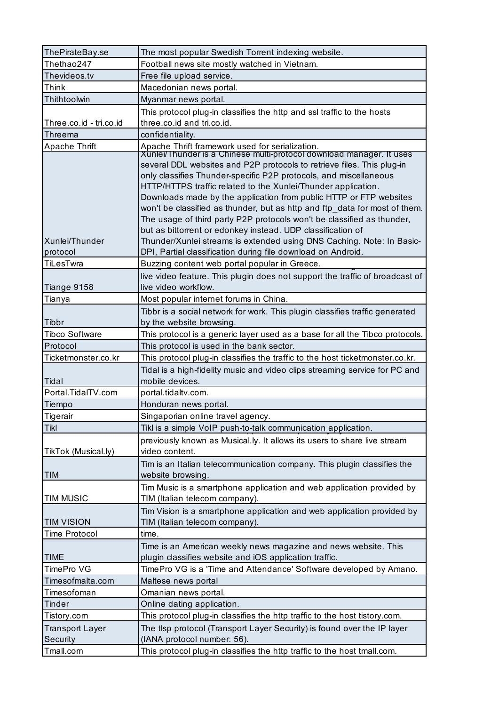| ThePirateBay.se         | The most popular Swedish Torrent indexing website.                                                                                 |
|-------------------------|------------------------------------------------------------------------------------------------------------------------------------|
| Thethao247              | Football news site mostly watched in Vietnam.                                                                                      |
| Thevideos.tv            | Free file upload service.                                                                                                          |
| Think                   | Macedonian news portal.                                                                                                            |
| Thithtoolwin            | Myanmar news portal.                                                                                                               |
|                         | This protocol plug-in classifies the http and ssl traffic to the hosts                                                             |
| Three.co.id - tri.co.id | three.co.id and tri.co.id.                                                                                                         |
| Threema                 | confidentiality.                                                                                                                   |
| Apache Thrift           | Apache Thrift framework used for serialization.<br>Xunlei/Thunder is a Chinese multi-protocol download manager. It uses            |
|                         |                                                                                                                                    |
|                         | several DDL websites and P2P protocols to retrieve files. This plug-in                                                             |
|                         | only classifies Thunder-specific P2P protocols, and miscellaneous<br>HTTP/HTTPS traffic related to the Xunlei/Thunder application. |
|                         | Downloads made by the application from public HTTP or FTP websites                                                                 |
|                         | won't be classified as thunder, but as http and ftp_data for most of them.                                                         |
|                         | The usage of third party P2P protocols won't be classified as thunder,                                                             |
|                         | but as bittorrent or edonkey instead. UDP classification of                                                                        |
| Xunlei/Thunder          | Thunder/Xunlei streams is extended using DNS Caching. Note: In Basic-                                                              |
| protocol                | DPI, Partial classification during file download on Android.                                                                       |
| <b>TiLesTwra</b>        | Buzzing content web portal popular in Greece.                                                                                      |
|                         | live video feature. This plugin does not support the traffic of broadcast of                                                       |
| Tiange 9158             | live video workflow.                                                                                                               |
| Tianya                  | Most popular internet forums in China.                                                                                             |
|                         | Tibbr is a social network for work. This plugin classifies traffic generated                                                       |
| Tibbr                   | by the website browsing.                                                                                                           |
| <b>Tibco Software</b>   | This protocol is a generic layer used as a base for all the Tibco protocols.                                                       |
| Protocol                | This protocol is used in the bank sector.                                                                                          |
| Ticketmonster.co.kr     | This protocol plug-in classifies the traffic to the host ticketmonster.co.kr.                                                      |
|                         |                                                                                                                                    |
|                         | Tidal is a high-fidelity music and video clips streaming service for PC and                                                        |
| Tidal                   | mobile devices.                                                                                                                    |
| Portal.TidalTV.com      | portal.tidaltv.com.                                                                                                                |
| Tiempo                  | Honduran news portal.                                                                                                              |
| Tigerair                | Singaporian online travel agency.                                                                                                  |
| <b>Tikl</b>             | Tikl is a simple VoIP push-to-talk communication application.                                                                      |
|                         | previously known as Musical.ly. It allows its users to share live stream                                                           |
| TikTok (Musical.ly)     | video content.                                                                                                                     |
|                         | Tim is an Italian telecommunication company. This plugin classifies the                                                            |
| <b>TIM</b>              | website browsing.                                                                                                                  |
|                         | Tim Music is a smartphone application and web application provided by                                                              |
| <b>TIM MUSIC</b>        | TIM (Italian telecom company).                                                                                                     |
|                         | Tim Vision is a smartphone application and web application provided by                                                             |
| <b>TIM VISION</b>       | TIM (Italian telecom company).                                                                                                     |
| <b>Time Protocol</b>    | time.                                                                                                                              |
|                         | Time is an American weekly news magazine and news website. This                                                                    |
| <b>TIME</b>             | plugin classifies website and iOS application traffic.                                                                             |
| TimePro VG              | TimePro VG is a 'Time and Attendance' Software developed by Amano.                                                                 |
| Timesofmalta.com        | Maltese news portal                                                                                                                |
| Timesofoman             | Omanian news portal.                                                                                                               |
| <b>Tinder</b>           | Online dating application.                                                                                                         |
| Tistory.com             | This protocol plug-in classifies the http traffic to the host tistory.com.                                                         |
| <b>Transport Layer</b>  | The tisp protocol (Transport Layer Security) is found over the IP layer                                                            |
| Security<br>Tmall.com   | (IANA protocol number: 56).<br>This protocol plug-in classifies the http traffic to the host tmall.com.                            |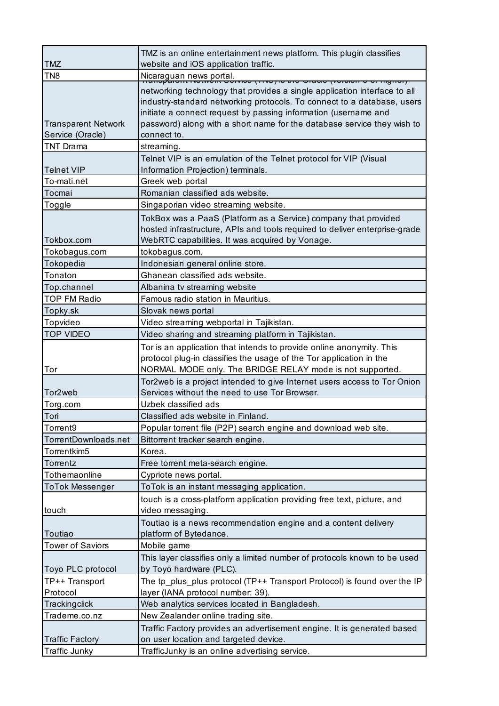|                                                | TMZ is an online entertainment news platform. This plugin classifies                                                                                                                                                                                                                                              |
|------------------------------------------------|-------------------------------------------------------------------------------------------------------------------------------------------------------------------------------------------------------------------------------------------------------------------------------------------------------------------|
| <b>TMZ</b>                                     | website and iOS application traffic.                                                                                                                                                                                                                                                                              |
| TN <sub>8</sub>                                | Nicaraguan news portal.<br><del>ן וטוופהדוס ט הוסוטוסיק טוסמוט פון טאזון טטוז</del>                                                                                                                                                                                                                               |
| <b>Transparent Network</b><br>Service (Oracle) | networking technology that provides a single application interface to all<br>industry-standard networking protocols. To connect to a database, users<br>initiate a connect request by passing information (username and<br>password) along with a short name for the database service they wish to<br>connect to. |
| <b>TNT Drama</b>                               | streaming.                                                                                                                                                                                                                                                                                                        |
| <b>Telnet VIP</b>                              | Telnet VIP is an emulation of the Telnet protocol for VIP (Visual<br>Information Projection) terminals.                                                                                                                                                                                                           |
| To-mati.net                                    | Greek web portal                                                                                                                                                                                                                                                                                                  |
| Tocmai                                         | Romanian classified ads website.                                                                                                                                                                                                                                                                                  |
| Toggle                                         | Singaporian video streaming website.                                                                                                                                                                                                                                                                              |
| Tokbox.com                                     | TokBox was a PaaS (Platform as a Service) company that provided<br>hosted infrastructure, APIs and tools required to deliver enterprise-grade<br>WebRTC capabilities. It was acquired by Vonage.                                                                                                                  |
| Tokobagus.com                                  | tokobagus.com.                                                                                                                                                                                                                                                                                                    |
| Tokopedia                                      | Indonesian general online store.                                                                                                                                                                                                                                                                                  |
| Tonaton                                        | Ghanean classified ads website.                                                                                                                                                                                                                                                                                   |
| Top.channel                                    | Albanina tv streaming website                                                                                                                                                                                                                                                                                     |
| <b>TOP FM Radio</b>                            | Famous radio station in Mauritius.                                                                                                                                                                                                                                                                                |
| Topky.sk                                       | Slovak news portal                                                                                                                                                                                                                                                                                                |
| Topvideo                                       | Video streaming webportal in Tajikistan.                                                                                                                                                                                                                                                                          |
| <b>TOP VIDEO</b>                               | Video sharing and streaming platform in Tajikistan.                                                                                                                                                                                                                                                               |
| Tor                                            | Tor is an application that intends to provide online anonymity. This<br>protocol plug-in classifies the usage of the Tor application in the<br>NORMAL MODE only. The BRIDGE RELAY mode is not supported.                                                                                                          |
| Tor <sub>2</sub> web                           | Tor2web is a project intended to give Internet users access to Tor Onion<br>Services without the need to use Tor Browser.                                                                                                                                                                                         |
| Torg.com                                       | Uzbek classified ads                                                                                                                                                                                                                                                                                              |
| Tori                                           | Classified ads website in Finland.                                                                                                                                                                                                                                                                                |
| Torrent9                                       | Popular torrent file (P2P) search engine and download web site.                                                                                                                                                                                                                                                   |
| TorrentDownloads.net                           | Bittorrent tracker search engine.                                                                                                                                                                                                                                                                                 |
| Torrentkim5                                    | Korea.                                                                                                                                                                                                                                                                                                            |
| Torrentz                                       | Free torrent meta-search engine.                                                                                                                                                                                                                                                                                  |
| Tothemaonline                                  | Cypriote news portal.                                                                                                                                                                                                                                                                                             |
| <b>ToTok Messenger</b>                         | ToTok is an instant messaging application.                                                                                                                                                                                                                                                                        |
|                                                | touch is a cross-platform application providing free text, picture, and                                                                                                                                                                                                                                           |
| touch                                          | video messaging.                                                                                                                                                                                                                                                                                                  |
| Toutiao                                        | Toutiao is a news recommendation engine and a content delivery<br>platform of Bytedance.                                                                                                                                                                                                                          |
| <b>Tower of Saviors</b>                        | Mobile game                                                                                                                                                                                                                                                                                                       |
| Toyo PLC protocol                              | This layer classifies only a limited number of protocols known to be used<br>by Toyo hardware (PLC).                                                                                                                                                                                                              |
| TP++ Transport                                 | The tp_plus_plus protocol (TP++ Transport Protocol) is found over the IP                                                                                                                                                                                                                                          |
| Protocol                                       | layer (IANA protocol number: 39).                                                                                                                                                                                                                                                                                 |
| Trackingclick                                  | Web analytics services located in Bangladesh.                                                                                                                                                                                                                                                                     |
| Trademe.co.nz                                  | New Zealander online trading site.                                                                                                                                                                                                                                                                                |
|                                                | Traffic Factory provides an advertisement engine. It is generated based<br>on user location and targeted device.                                                                                                                                                                                                  |
| <b>Traffic Factory</b><br><b>Traffic Junky</b> | TrafficJunky is an online advertising service.                                                                                                                                                                                                                                                                    |
|                                                |                                                                                                                                                                                                                                                                                                                   |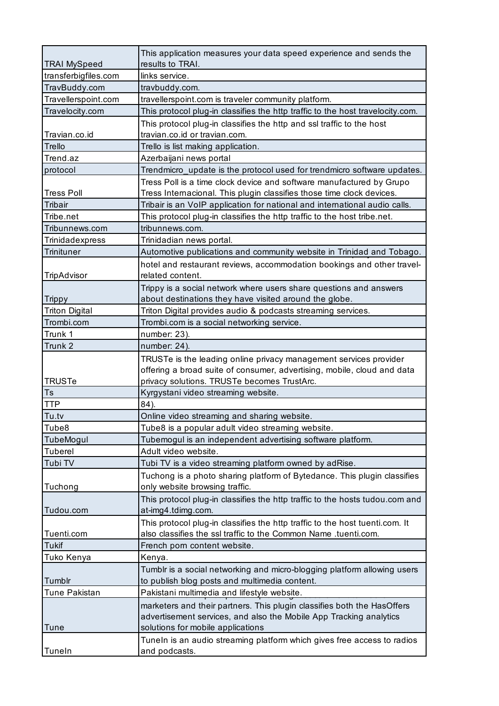| <b>TRAI MySpeed</b>   | This application measures your data speed experience and sends the<br>results to TRAI.                  |
|-----------------------|---------------------------------------------------------------------------------------------------------|
| transferbigfiles.com  | links service.                                                                                          |
| TravBuddy.com         | travbuddy.com.                                                                                          |
| Travellerspoint.com   | travellerspoint.com is traveler community platform.                                                     |
| Travelocity.com       | This protocol plug-in classifies the http traffic to the host travelocity.com.                          |
|                       | This protocol plug-in classifies the http and ssl traffic to the host                                   |
| Travian.co.id         | travian.co.id or travian.com.                                                                           |
| Trello                | Trello is list making application.                                                                      |
| Trend.az              | Azerbaijani news portal                                                                                 |
| protocol              | Trendmicro_update is the protocol used for trendmicro software updates.                                 |
|                       | Tress Poll is a time clock device and software manufactured by Grupo                                    |
| <b>Tress Poll</b>     | Tress Internacional. This plugin classifies those time clock devices.                                   |
| Tribair               | Tribair is an VoIP application for national and international audio calls.                              |
| Tribe.net             | This protocol plug-in classifies the http traffic to the host tribe.net.                                |
| Tribunnews.com        | tribunnews.com.                                                                                         |
| Trinidadexpress       | Trinidadian news portal.                                                                                |
| Trinituner            | Automotive publications and community website in Trinidad and Tobago.                                   |
|                       | hotel and restaurant reviews, accommodation bookings and other travel-                                  |
| TripAdvisor           | related content.                                                                                        |
|                       | Trippy is a social network where users share questions and answers                                      |
| <b>Trippy</b>         | about destinations they have visited around the globe.                                                  |
| <b>Triton Digital</b> | Triton Digital provides audio & podcasts streaming services.                                            |
| Trombi.com            | Trombi.com is a social networking service.                                                              |
| Trunk 1               | number: 23).                                                                                            |
| Trunk 2               | number: 24).                                                                                            |
|                       | TRUSTe is the leading online privacy management services provider                                       |
|                       | offering a broad suite of consumer, advertising, mobile, cloud and data                                 |
| <b>TRUSTe</b>         | privacy solutions. TRUSTe becomes TrustArc.                                                             |
| Ts                    | Kyrgystani video streaming website.                                                                     |
| <b>TTP</b>            | 84).                                                                                                    |
| Tu.tv                 | Online video streaming and sharing website.                                                             |
| Tube8                 | Tube8 is a popular adult video streaming website.                                                       |
| TubeMogul             | Tubemogul is an independent advertising software platform.                                              |
| <b>Tuberel</b>        | Adult video website.                                                                                    |
| Tubi TV               | Tubi TV is a video streaming platform owned by adRise.                                                  |
|                       | Tuchong is a photo sharing platform of Bytedance. This plugin classifies                                |
| Tuchong               | only website browsing traffic.                                                                          |
|                       | This protocol plug-in classifies the http traffic to the hosts tudou.com and                            |
| Tudou.com             | at-img4.tdimg.com.                                                                                      |
|                       | This protocol plug-in classifies the http traffic to the host tuenti.com. It                            |
| Tuenti.com            | also classifies the ssl traffic to the Common Name .tuenti.com.                                         |
| Tukif                 | French porn content website.                                                                            |
| Tuko Kenya            | Kenya.                                                                                                  |
|                       | Tumblr is a social networking and micro-blogging platform allowing users                                |
| Tumblr                | to publish blog posts and multimedia content.                                                           |
| <b>Tune Pakistan</b>  | Pakistani multimedia and lifestyle website.                                                             |
|                       | marketers and their partners. This plugin classifies both the HasOffers                                 |
| <b>Tune</b>           | advertisement services, and also the Mobile App Tracking analytics<br>solutions for mobile applications |
|                       | TuneIn is an audio streaming platform which gives free access to radios                                 |
| Tuneln                | and podcasts.                                                                                           |
|                       |                                                                                                         |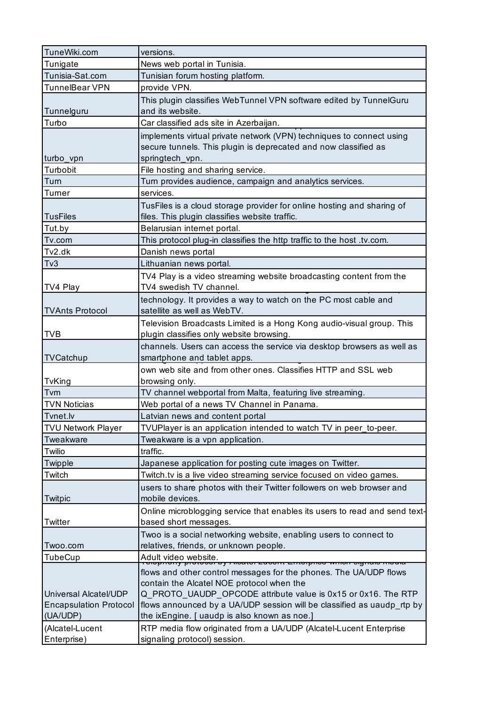| TuneWiki.com                  | versions.                                                                                                         |
|-------------------------------|-------------------------------------------------------------------------------------------------------------------|
| Tunigate                      | News web portal in Tunisia.                                                                                       |
| Tunisia-Sat.com               | Tunisian forum hosting platform.                                                                                  |
| TunnelBear VPN                | provide VPN.                                                                                                      |
|                               | This plugin classifies WebTunnel VPN software edited by TunnelGuru                                                |
| Tunnelguru                    | and its website.                                                                                                  |
| Turbo                         | Car classified ads site in Azerbaijan.                                                                            |
|                               | implements virtual private network (VPN) techniques to connect using                                              |
|                               | secure tunnels. This plugin is deprecated and now classified as                                                   |
| turbo_vpn                     | springtech_vpn.                                                                                                   |
| Turbobit                      | File hosting and sharing service.                                                                                 |
| Turn                          | Turn provides audience, campaign and analytics services.                                                          |
| Turner                        | services.                                                                                                         |
|                               | TusFiles is a cloud storage provider for online hosting and sharing of                                            |
| <b>TusFiles</b>               | files. This plugin classifies website traffic.                                                                    |
| Tut.by                        | Belarusian internet portal.                                                                                       |
| Tv.com                        | This protocol plug-in classifies the http traffic to the host .tv.com.                                            |
| Tv2.dk                        | Danish news portal                                                                                                |
| T <sub>V</sub> 3              | Lithuanian news portal.                                                                                           |
|                               | TV4 Play is a video streaming website broadcasting content from the                                               |
| TV4 Play                      | TV4 swedish TV channel.                                                                                           |
|                               | technology. It provides a way to watch on the PC most cable and                                                   |
| <b>TVAnts Protocol</b>        | satellite as well as WebTV.                                                                                       |
|                               |                                                                                                                   |
| <b>TVB</b>                    | Television Broadcasts Limited is a Hong Kong audio-visual group. This<br>plugin classifies only website browsing. |
|                               |                                                                                                                   |
|                               | channels. Users can access the service via desktop browsers as well as                                            |
| TVCatchup                     | smartphone and tablet apps.                                                                                       |
|                               | own web site and from other ones. Classifies HTTP and SSL web                                                     |
| TvKing                        | browsing only.                                                                                                    |
| Tvm                           | TV channel webportal from Malta, featuring live streaming.                                                        |
| <b>TVN Noticias</b>           | Web portal of a news TV Channel in Panama.                                                                        |
| Tvnet.lv                      | Latvian news and content portal                                                                                   |
| <b>TVU Network Player</b>     | TVUPlayer is an application intended to watch TV in peer to-peer.                                                 |
| Tweakware                     | Tweakware is a vpn application.                                                                                   |
| Twilio                        | traffic.                                                                                                          |
| Twipple                       | Japanese application for posting cute images on Twitter.                                                          |
| Twitch                        | Twitch.tv is a live video streaming service focused on video games.                                               |
|                               | users to share photos with their Twitter followers on web browser and                                             |
| Twitpic                       | mobile devices.                                                                                                   |
|                               | Online microblogging service that enables its users to read and send text-                                        |
| Twitter                       | based short messages.                                                                                             |
|                               | Twoo is a social networking website, enabling users to connect to                                                 |
| Twoo.com                      | relatives, friends, or unknown people.                                                                            |
| TubeCup                       | Adult video website.<br>הס.<br>א <del>מין אוויסונטו בעסטווג בוונטוףווסט אווווטוו טו</del> פוזעוס וווטעומ          |
|                               | flows and other control messages for the phones. The UA/UDP flows                                                 |
|                               | contain the Alcatel NOE protocol when the                                                                         |
| Universal Alcatel/UDP         | Q_PROTO_UAUDP_OPCODE attribute value is 0x15 or 0x16. The RTP                                                     |
| <b>Encapsulation Protocol</b> | flows announced by a UA/UDP session will be classified as uaudp_rtp by                                            |
| (UA/UDP)                      | the ixEngine. [ uaudp is also known as noe.]                                                                      |
| (Alcatel-Lucent               | RTP media flow originated from a UA/UDP (Alcatel-Lucent Enterprise                                                |
| Enterprise)                   | signaling protocol) session.                                                                                      |
|                               |                                                                                                                   |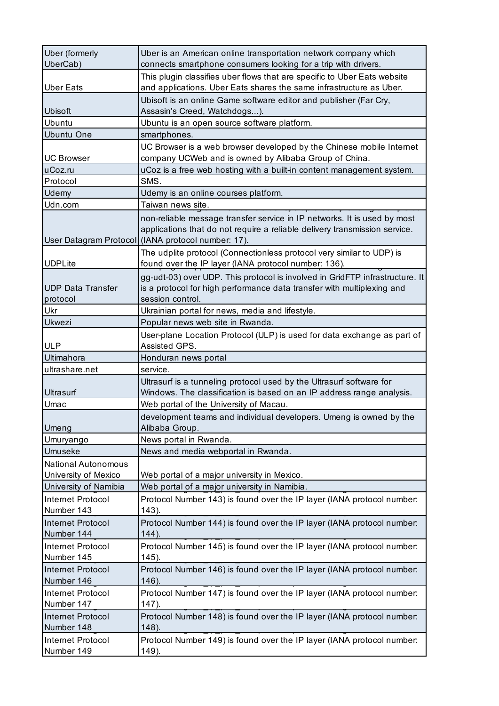| <b>Uber</b> (formerly<br>UberCab)                  | Uber is an American online transportation network company which<br>connects smartphone consumers looking for a trip with drivers.                                                                            |
|----------------------------------------------------|--------------------------------------------------------------------------------------------------------------------------------------------------------------------------------------------------------------|
| <b>Uber Eats</b>                                   | This plugin classifies uber flows that are specific to Uber Eats website<br>and applications. Uber Eats shares the same infrastructure as Uber.                                                              |
| Ubisoft                                            | Ubisoft is an online Game software editor and publisher (Far Cry,<br>Assasin's Creed, Watchdogs).                                                                                                            |
| Ubuntu                                             | Ubuntu is an open source software platform.                                                                                                                                                                  |
| <b>Ubuntu One</b>                                  | smartphones.                                                                                                                                                                                                 |
| <b>UC Browser</b>                                  | UC Browser is a web browser developed by the Chinese mobile Internet<br>company UCWeb and is owned by Alibaba Group of China.                                                                                |
| uCoz.ru                                            | uCoz is a free web hosting with a built-in content management system.                                                                                                                                        |
| Protocol                                           | SMS.                                                                                                                                                                                                         |
| Udemy                                              | Udemy is an online courses platform.                                                                                                                                                                         |
| Udn.com                                            | Taiwan news site.                                                                                                                                                                                            |
|                                                    | non-reliable message transfer service in IP networks. It is used by most<br>applications that do not require a reliable delivery transmission service.<br>User Datagram Protocol (IANA protocol number: 17). |
| <b>UDPLite</b>                                     | The udplite protocol (Connectionless protocol very similar to UDP) is<br>found over the IP layer (IANA protocol number: 136).                                                                                |
| <b>UDP Data Transfer</b><br>protocol               | gg-udt-03) over UDP. This protocol is involved in GridFTP infrastructure. It<br>is a protocol for high performance data transfer with multiplexing and<br>session control.                                   |
| Ukr                                                | Ukrainian portal for news, media and lifestyle.                                                                                                                                                              |
| Ukwezi                                             | Popular news web site in Rwanda.                                                                                                                                                                             |
| <b>ULP</b>                                         | User-plane Location Protocol (ULP) is used for data exchange as part of<br>Assisted GPS.                                                                                                                     |
| Ultimahora                                         | Honduran news portal                                                                                                                                                                                         |
| ultrashare.net                                     | service.                                                                                                                                                                                                     |
| Ultrasurf                                          | Ultrasurf is a tunneling protocol used by the Ultrasurf software for<br>Windows. The classification is based on an IP address range analysis.                                                                |
| Umac                                               | Web portal of the University of Macau.                                                                                                                                                                       |
| Umeng                                              | development teams and individual developers. Umeng is owned by the<br>Alibaba Group.                                                                                                                         |
| Umuryango                                          | News portal in Rwanda.                                                                                                                                                                                       |
| Umuseke                                            | News and media webportal in Rwanda.                                                                                                                                                                          |
| <b>National Autonomous</b><br>University of Mexico | Web portal of a major university in Mexico.                                                                                                                                                                  |
| University of Namibia                              | Web portal of a major university in Namibia.                                                                                                                                                                 |
| Internet Protocol<br>Number 143                    | Protocol Number 143) is found over the IP layer (IANA protocol number:<br>$143$ ).                                                                                                                           |
| <b>Internet Protocol</b><br>Number 144             | Protocol Number 144) is found over the IP layer (IANA protocol number:<br>144).                                                                                                                              |
| Internet Protocol<br>Number 145                    | Protocol Number 145) is found over the IP layer (IANA protocol number:<br>$145$ ).                                                                                                                           |
| <b>Internet Protocol</b><br>Number 146             | Protocol Number 146) is found over the IP layer (IANA protocol number:<br>146).                                                                                                                              |
| Internet Protocol<br>Number 147                    | Protocol Number 147) is found over the IP layer (IANA protocol number:<br>147).                                                                                                                              |
| Internet Protocol<br>Number 148                    | Protocol Number 148) is found over the IP layer (IANA protocol number:<br>148).                                                                                                                              |
| Internet Protocol<br>Number 149                    | Protocol Number 149) is found over the IP layer (IANA protocol number:<br>149).                                                                                                                              |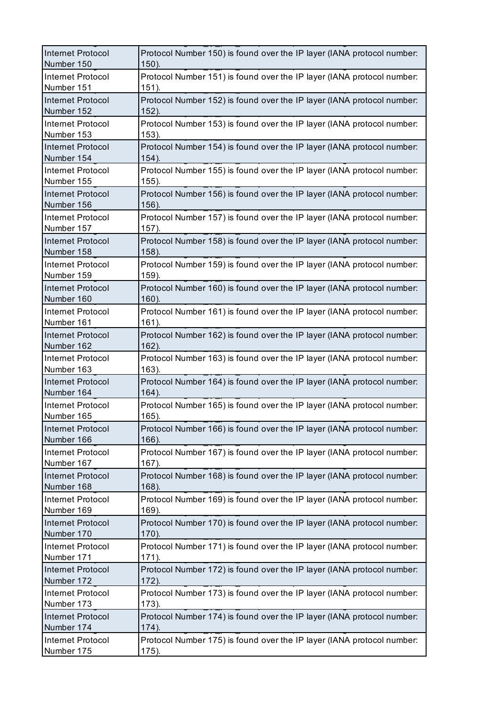| Internet Protocol        | Protocol Number 150) is found over the IP layer (IANA protocol number: |
|--------------------------|------------------------------------------------------------------------|
| Number 150               | $150$ ).                                                               |
| Internet Protocol        | Protocol Number 151) is found over the IP layer (IANA protocol number: |
| Number 151               | $151$ ).                                                               |
| <b>Internet Protocol</b> | Protocol Number 152) is found over the IP layer (IANA protocol number: |
| Number 152               | 152).                                                                  |
| Internet Protocol        | Protocol Number 153) is found over the IP layer (IANA protocol number: |
| Number 153               | 153).                                                                  |
| Internet Protocol        | Protocol Number 154) is found over the IP layer (IANA protocol number: |
| Number 154               | $154$ ).                                                               |
| Internet Protocol        | Protocol Number 155) is found over the IP layer (IANA protocol number: |
| Number 155               | $155$ ).                                                               |
| Internet Protocol        | Protocol Number 156) is found over the IP layer (IANA protocol number: |
| Number 156               | 156).                                                                  |
| Internet Protocol        | Protocol Number 157) is found over the IP layer (IANA protocol number: |
| Number 157               | 157).                                                                  |
| <b>Internet Protocol</b> | Protocol Number 158) is found over the IP layer (IANA protocol number: |
| Number 158               | 158).                                                                  |
| Internet Protocol        | Protocol Number 159) is found over the IP layer (IANA protocol number: |
| Number 159               | 159).                                                                  |
| Internet Protocol        | Protocol Number 160) is found over the IP layer (IANA protocol number: |
| Number 160               | $160$ ).                                                               |
| Internet Protocol        | Protocol Number 161) is found over the IP layer (IANA protocol number: |
| Number 161               | $161$ ).                                                               |
| Internet Protocol        | Protocol Number 162) is found over the IP layer (IANA protocol number: |
| Number 162               | 162).                                                                  |
| Internet Protocol        | Protocol Number 163) is found over the IP layer (IANA protocol number: |
| Number 163               | $163$ ).                                                               |
| <b>Internet Protocol</b> | Protocol Number 164) is found over the IP layer (IANA protocol number: |
| Number 164               | 164).                                                                  |
| Internet Protocol        | Protocol Number 165) is found over the IP layer (IANA protocol number: |
| Number 165               | 165).                                                                  |
| <b>Internet Protocol</b> | Protocol Number 166) is found over the IP layer (IANA protocol number: |
| Number 166               | $166$ ).                                                               |
| Internet Protocol        | Protocol Number 167) is found over the IP layer (IANA protocol number: |
| Number 167               | 167).                                                                  |
| <b>Internet Protocol</b> | Protocol Number 168) is found over the IP layer (IANA protocol number: |
| Number 168               | 168).                                                                  |
| Internet Protocol        | Protocol Number 169) is found over the IP layer (IANA protocol number: |
| Number 169               | $169$ ).                                                               |
| <b>Internet Protocol</b> | Protocol Number 170) is found over the IP layer (IANA protocol number: |
| Number 170               | 170).                                                                  |
| Internet Protocol        | Protocol Number 171) is found over the IP layer (IANA protocol number: |
| Number 171               | $171$ ).                                                               |
| Internet Protocol        | Protocol Number 172) is found over the IP layer (IANA protocol number: |
| Number 172               | $172$ ).                                                               |
| Internet Protocol        | Protocol Number 173) is found over the IP layer (IANA protocol number: |
| Number 173               | 173).                                                                  |
| <b>Internet Protocol</b> | Protocol Number 174) is found over the IP layer (IANA protocol number: |
| Number 174               | 174).                                                                  |
| Internet Protocol        | Protocol Number 175) is found over the IP layer (IANA protocol number: |
| Number 175               | 175).                                                                  |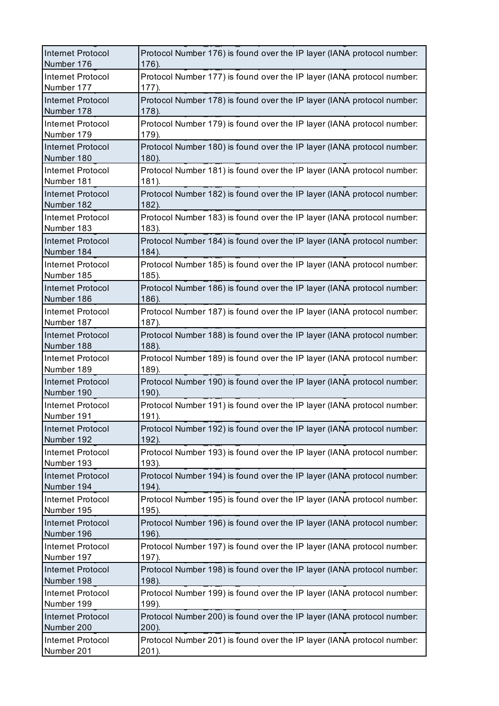| Internet Protocol        | Protocol Number 176) is found over the IP layer (IANA protocol number: |
|--------------------------|------------------------------------------------------------------------|
| Number 176               | 176).                                                                  |
| Internet Protocol        | Protocol Number 177) is found over the IP layer (IANA protocol number: |
| Number 177               | 177).                                                                  |
| <b>Internet Protocol</b> | Protocol Number 178) is found over the IP layer (IANA protocol number: |
| Number 178               | 178).                                                                  |
| <b>Internet Protocol</b> | Protocol Number 179) is found over the IP layer (IANA protocol number: |
| Number 179               | 179).                                                                  |
| Internet Protocol        | Protocol Number 180) is found over the IP layer (IANA protocol number: |
| Number 180               | $180$ ).                                                               |
| Internet Protocol        | Protocol Number 181) is found over the IP layer (IANA protocol number: |
| Number 181               | 181).                                                                  |
| Internet Protocol        | Protocol Number 182) is found over the IP layer (IANA protocol number: |
| Number 182               | 182).                                                                  |
| <b>Internet Protocol</b> | Protocol Number 183) is found over the IP layer (IANA protocol number: |
| Number 183               | 183).                                                                  |
| Internet Protocol        | Protocol Number 184) is found over the IP layer (IANA protocol number: |
| Number 184               | 184).                                                                  |
| Internet Protocol        | Protocol Number 185) is found over the IP layer (IANA protocol number: |
| Number 185               | 185).                                                                  |
| Internet Protocol        | Protocol Number 186) is found over the IP layer (IANA protocol number: |
| Number 186               | 186).                                                                  |
| Internet Protocol        | Protocol Number 187) is found over the IP layer (IANA protocol number: |
| Number 187               | 187).                                                                  |
| Internet Protocol        | Protocol Number 188) is found over the IP layer (IANA protocol number: |
| Number 188               | 188).                                                                  |
| Internet Protocol        | Protocol Number 189) is found over the IP layer (IANA protocol number: |
| Number 189               | 189).                                                                  |
| Internet Protocol        | Protocol Number 190) is found over the IP layer (IANA protocol number: |
| Number 190               | 190).                                                                  |
| Internet Protocol        | Protocol Number 191) is found over the IP layer (IANA protocol number: |
| Number 191               | 191).                                                                  |
| <b>Internet Protocol</b> | Protocol Number 192) is found over the IP layer (IANA protocol number: |
| Number 192               | 192).                                                                  |
| Internet Protocol        | Protocol Number 193) is found over the IP layer (IANA protocol number: |
| Number 193               | 193).                                                                  |
| <b>Internet Protocol</b> | Protocol Number 194) is found over the IP layer (IANA protocol number: |
| Number 194               | 194).                                                                  |
| Internet Protocol        | Protocol Number 195) is found over the IP layer (IANA protocol number: |
| Number 195               | $195$ ).                                                               |
| <b>Internet Protocol</b> | Protocol Number 196) is found over the IP layer (IANA protocol number: |
| Number 196               | 196).                                                                  |
| Internet Protocol        | Protocol Number 197) is found over the IP layer (IANA protocol number: |
| Number 197               | 197).                                                                  |
| <b>Internet Protocol</b> | Protocol Number 198) is found over the IP layer (IANA protocol number: |
| Number 198               | 198).                                                                  |
| Internet Protocol        | Protocol Number 199) is found over the IP layer (IANA protocol number: |
| Number 199               | 199).                                                                  |
| <b>Internet Protocol</b> | Protocol Number 200) is found over the IP layer (IANA protocol number: |
| Number 200               | 200).                                                                  |
| Internet Protocol        | Protocol Number 201) is found over the IP layer (IANA protocol number: |
| Number 201               | 201).                                                                  |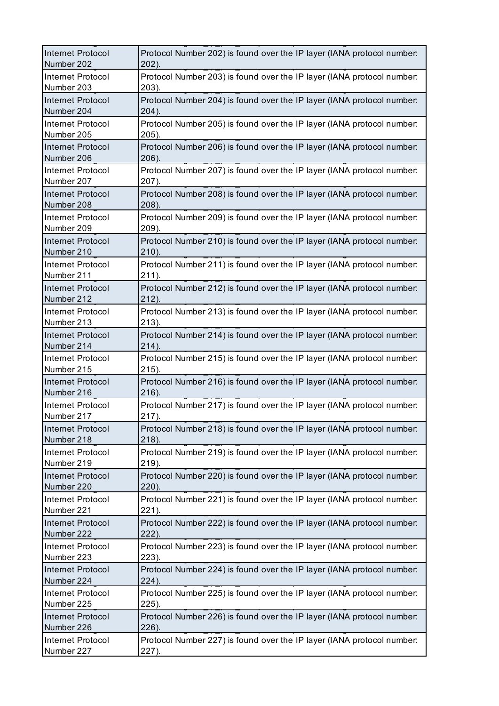| <b>Internet Protocol</b> | Protocol Number 202) is found over the IP layer (IANA protocol number: |
|--------------------------|------------------------------------------------------------------------|
| Number 202               | 202).                                                                  |
| Internet Protocol        | Protocol Number 203) is found over the IP layer (IANA protocol number: |
| Number 203               | 203).                                                                  |
| <b>Internet Protocol</b> | Protocol Number 204) is found over the IP layer (IANA protocol number: |
| Number 204               | 204).                                                                  |
| <b>Internet Protocol</b> | Protocol Number 205) is found over the IP layer (IANA protocol number: |
| Number 205               | 205).                                                                  |
| <b>Internet Protocol</b> | Protocol Number 206) is found over the IP layer (IANA protocol number: |
| Number 206               | 206).                                                                  |
| Internet Protocol        | Protocol Number 207) is found over the IP layer (IANA protocol number: |
| Number 207               | 207).                                                                  |
| Internet Protocol        | Protocol Number 208) is found over the IP layer (IANA protocol number: |
| Number 208               | 208).                                                                  |
| Internet Protocol        | Protocol Number 209) is found over the IP layer (IANA protocol number: |
| Number 209               | 209).                                                                  |
| <b>Internet Protocol</b> | Protocol Number 210) is found over the IP layer (IANA protocol number: |
| Number 210               | 210).                                                                  |
| Internet Protocol        | Protocol Number 211) is found over the IP layer (IANA protocol number: |
| Number 211               | 211).                                                                  |
| Internet Protocol        | Protocol Number 212) is found over the IP layer (IANA protocol number: |
| Number 212               | 212).                                                                  |
| Internet Protocol        | Protocol Number 213) is found over the IP layer (IANA protocol number: |
| Number 213               | 213).                                                                  |
| Internet Protocol        | Protocol Number 214) is found over the IP layer (IANA protocol number: |
| Number 214               | 214).                                                                  |
| Internet Protocol        | Protocol Number 215) is found over the IP layer (IANA protocol number: |
| Number 215               | $215$ ).                                                               |
| Internet Protocol        | Protocol Number 216) is found over the IP layer (IANA protocol number: |
| Number 216               | 216).                                                                  |
| Internet Protocol        | Protocol Number 217) is found over the IP layer (IANA protocol number: |
| Number 217               | 217).                                                                  |
| <b>Internet Protocol</b> | Protocol Number 218) is found over the IP layer (IANA protocol number: |
| Number 218               | 218).                                                                  |
| Internet Protocol        | Protocol Number 219) is found over the IP layer (IANA protocol number: |
| Number 219               | 219).                                                                  |
| Internet Protocol        | Protocol Number 220) is found over the IP layer (IANA protocol number: |
| Number 220               | 220).                                                                  |
| Internet Protocol        | Protocol Number 221) is found over the IP layer (IANA protocol number: |
| Number 221               | 221).                                                                  |
| <b>Internet Protocol</b> | Protocol Number 222) is found over the IP layer (IANA protocol number: |
| Number 222               | 222).                                                                  |
| Internet Protocol        | Protocol Number 223) is found over the IP layer (IANA protocol number: |
| Number 223               | 223).                                                                  |
| <b>Internet Protocol</b> | Protocol Number 224) is found over the IP layer (IANA protocol number: |
| Number 224               | 224).                                                                  |
| Internet Protocol        | Protocol Number 225) is found over the IP layer (IANA protocol number: |
| Number 225               | 225).                                                                  |
| <b>Internet Protocol</b> | Protocol Number 226) is found over the IP layer (IANA protocol number: |
| Number 226               | 226).                                                                  |
| Internet Protocol        | Protocol Number 227) is found over the IP layer (IANA protocol number: |
| Number 227               | 227).                                                                  |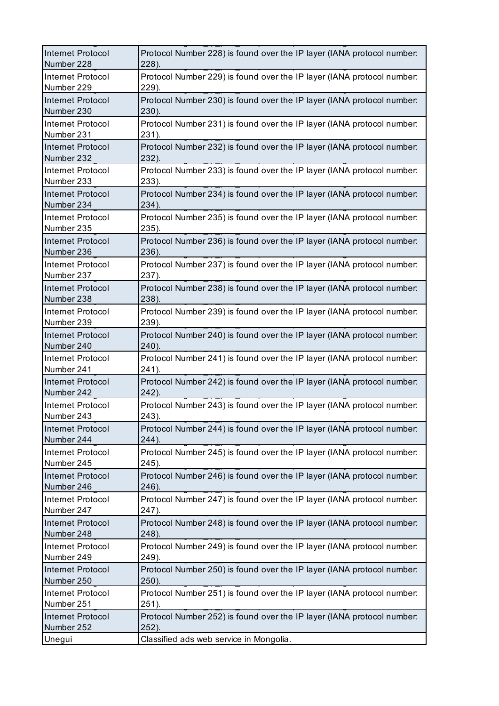| Internet Protocol        | Protocol Number 228) is found over the IP layer (IANA protocol number: |
|--------------------------|------------------------------------------------------------------------|
| Number 228               | 228).                                                                  |
| Internet Protocol        | Protocol Number 229) is found over the IP layer (IANA protocol number: |
| Number 229               | 229).                                                                  |
| <b>Internet Protocol</b> | Protocol Number 230) is found over the IP layer (IANA protocol number: |
| Number 230               | 230).                                                                  |
| <b>Internet Protocol</b> | Protocol Number 231) is found over the IP layer (IANA protocol number: |
| Number 231               | 231).                                                                  |
| Internet Protocol        | Protocol Number 232) is found over the IP layer (IANA protocol number: |
| Number 232               | 232).                                                                  |
| Internet Protocol        | Protocol Number 233) is found over the IP layer (IANA protocol number: |
| Number 233               | 233).                                                                  |
| Internet Protocol        | Protocol Number 234) is found over the IP layer (IANA protocol number: |
| Number 234               | 234).                                                                  |
| Internet Protocol        | Protocol Number 235) is found over the IP layer (IANA protocol number: |
| Number 235               | 235).                                                                  |
| <b>Internet Protocol</b> | Protocol Number 236) is found over the IP layer (IANA protocol number: |
| Number 236               | 236).                                                                  |
| Internet Protocol        | Protocol Number 237) is found over the IP layer (IANA protocol number: |
| Number 237               | 237).                                                                  |
| Internet Protocol        | Protocol Number 238) is found over the IP layer (IANA protocol number: |
| Number 238               | 238).                                                                  |
| Internet Protocol        | Protocol Number 239) is found over the IP layer (IANA protocol number: |
| Number 239               | 239).                                                                  |
| <b>Internet Protocol</b> | Protocol Number 240) is found over the IP layer (IANA protocol number: |
| Number 240               | 240).                                                                  |
| Internet Protocol        | Protocol Number 241) is found over the IP layer (IANA protocol number: |
| Number 241               | 241).                                                                  |
| <b>Internet Protocol</b> | Protocol Number 242) is found over the IP layer (IANA protocol number: |
| Number 242               | 242).                                                                  |
| Internet Protocol        | Protocol Number 243) is found over the IP layer (IANA protocol number: |
| Number 243               | 243).                                                                  |
| <b>Internet Protocol</b> | Protocol Number 244) is found over the IP layer (IANA protocol number: |
| Number 244               | 244).                                                                  |
| Internet Protocol        | Protocol Number 245) is found over the IP layer (IANA protocol number: |
| Number 245               | 245).                                                                  |
| <b>Internet Protocol</b> | Protocol Number 246) is found over the IP layer (IANA protocol number: |
| Number 246               | 246).                                                                  |
| Internet Protocol        | Protocol Number 247) is found over the IP layer (IANA protocol number: |
| Number 247               | 247).                                                                  |
| <b>Internet Protocol</b> | Protocol Number 248) is found over the IP layer (IANA protocol number: |
| Number 248               | 248).                                                                  |
| Internet Protocol        | Protocol Number 249) is found over the IP layer (IANA protocol number: |
| Number 249               | 249).                                                                  |
| <b>Internet Protocol</b> | Protocol Number 250) is found over the IP layer (IANA protocol number: |
| Number 250               | 250).                                                                  |
| Internet Protocol        | Protocol Number 251) is found over the IP layer (IANA protocol number: |
| Number 251               | 251).                                                                  |
| <b>Internet Protocol</b> | Protocol Number 252) is found over the IP layer (IANA protocol number: |
| Number 252               | 252).                                                                  |
| Unegui                   | Classified ads web service in Mongolia.                                |
|                          |                                                                        |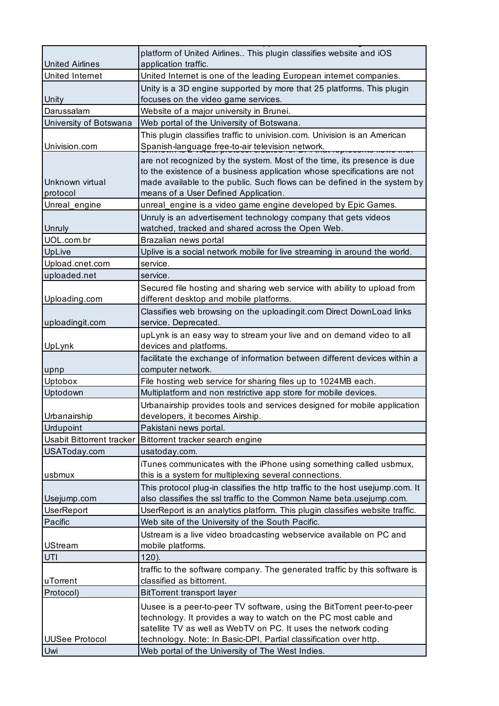|                           | platform of United Airlines This plugin classifies website and iOS                                                  |
|---------------------------|---------------------------------------------------------------------------------------------------------------------|
| <b>United Airlines</b>    | application traffic.                                                                                                |
| United Internet           | United Internet is one of the leading European internet companies.                                                  |
|                           | Unity is a 3D engine supported by more that 25 platforms. This plugin                                               |
| Unity                     | focuses on the video game services.                                                                                 |
| Darussalam                | Website of a major university in Brunei.                                                                            |
| University of Botswana    | Web portal of the University of Botswana.                                                                           |
|                           | This plugin classifies traffic to univision.com. Univision is an American                                           |
| Univision.com             | Spanish-language free-to-air television network.                                                                    |
|                           | are not recognized by the system. Most of the time, its presence is due                                             |
|                           | to the existence of a business application whose specifications are not                                             |
| Unknown virtual           | made available to the public. Such flows can be defined in the system by                                            |
| protocol                  | means of a User Defined Application.                                                                                |
| Unreal_engine             | unreal_engine is a video game engine developed by Epic Games.                                                       |
|                           | Unruly is an advertisement technology company that gets videos                                                      |
| Unruly<br>UOL.com.br      | watched, tracked and shared across the Open Web.                                                                    |
| UpLive                    | Brazalian news portal<br>Uplive is a social network mobile for live streaming in around the world.                  |
| Upload.cnet.com           | service.                                                                                                            |
| uploaded.net              | service.                                                                                                            |
|                           |                                                                                                                     |
| Uploading.com             | Secured file hosting and sharing web service with ability to upload from<br>different desktop and mobile platforms. |
|                           | Classifies web browsing on the uploadingit.com Direct DownLoad links                                                |
| uploadingit.com           | service. Deprecated.                                                                                                |
|                           | upLynk is an easy way to stream your live and on demand video to all                                                |
| UpLynk                    | devices and platforms.                                                                                              |
|                           | facilitate the exchange of information between different devices within a                                           |
| upnp                      | computer network.                                                                                                   |
| Uptobox                   | File hosting web service for sharing files up to 1024MB each.                                                       |
| Uptodown                  | Multiplatform and non restrictive app store for mobile devices.                                                     |
|                           | Urbanairship provides tools and services designed for mobile application                                            |
| Urbanairship              | developers, it becomes Airship.                                                                                     |
| Urdupoint                 | Pakistani news portal.                                                                                              |
| Usabit Bittorrent tracker | Bittorrent tracker search engine                                                                                    |
| USAToday.com              | usatoday.com.                                                                                                       |
|                           | iTunes communicates with the iPhone using something called usbmux,                                                  |
| usbmux                    | this is a system for multiplexing several connections.                                                              |
|                           | This protocol plug-in classifies the http traffic to the host usejump.com. It                                       |
| Usejump.com               | also classifies the ssl traffic to the Common Name beta.usejump.com.                                                |
| UserReport                | UserReport is an analytics platform. This plugin classifies website traffic.                                        |
| Pacific                   | Web site of the University of the South Pacific.                                                                    |
|                           | Ustream is a live video broadcasting webservice available on PC and                                                 |
| <b>UStream</b>            | mobile platforms.                                                                                                   |
| UTI                       | $120$ ).                                                                                                            |
|                           | traffic to the software company. The generated traffic by this software is                                          |
| uTorrent                  | classified as bittorrent.                                                                                           |
| Protocol)                 | <b>BitTorrent transport layer</b>                                                                                   |
|                           | Uusee is a peer-to-peer TV software, using the BitTorrent peer-to-peer                                              |
|                           | technology. It provides a way to watch on the PC most cable and                                                     |
|                           | satellite TV as well as WebTV on PC. It uses the network coding                                                     |
| <b>UUSee Protocol</b>     | technology. Note: In Basic-DPI, Partial classification over http.                                                   |
| Uwi                       | Web portal of the University of The West Indies.                                                                    |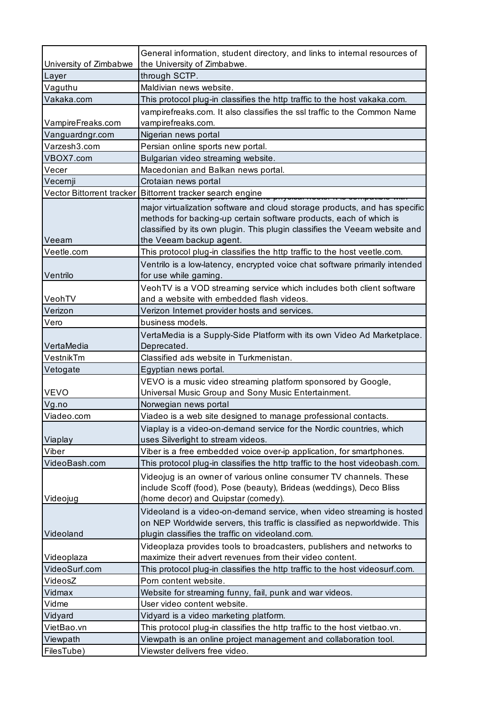|                        | General information, student directory, and links to internal resources of                                                                                                                                                     |
|------------------------|--------------------------------------------------------------------------------------------------------------------------------------------------------------------------------------------------------------------------------|
| University of Zimbabwe | the University of Zimbabwe.                                                                                                                                                                                                    |
| Layer                  | through SCTP.                                                                                                                                                                                                                  |
| Vaguthu                | Maldivian news website.                                                                                                                                                                                                        |
| Vakaka.com             | This protocol plug-in classifies the http traffic to the host vakaka.com.                                                                                                                                                      |
| VampireFreaks.com      | vampirefreaks.com. It also classifies the ssl traffic to the Common Name<br>vampirefreaks.com.                                                                                                                                 |
| Vanguardngr.com        | Nigerian news portal                                                                                                                                                                                                           |
| Varzesh3.com           | Persian online sports new portal.                                                                                                                                                                                              |
| VBOX7.com              | Bulgarian video streaming website.                                                                                                                                                                                             |
| Vecer                  | Macedonian and Balkan news portal.                                                                                                                                                                                             |
|                        | Crotaian news portal                                                                                                                                                                                                           |
| Vecernji               |                                                                                                                                                                                                                                |
|                        | Vector Bittorrent tracker   Bittorrent tracker search engine                                                                                                                                                                   |
| Veeam                  | major virtualization software and cloud storage products, and has specific<br>methods for backing-up certain software products, each of which is<br>classified by its own plugin. This plugin classifies the Veeam website and |
| Veetle.com             | the Veeam backup agent.                                                                                                                                                                                                        |
|                        | This protocol plug-in classifies the http traffic to the host veetle.com.                                                                                                                                                      |
| Ventrilo               | Ventrilo is a low-latency, encrypted voice chat software primarily intended<br>for use while gaming.                                                                                                                           |
| VeohTV                 | VeohTV is a VOD streaming service which includes both client software<br>and a website with embedded flash videos.                                                                                                             |
| Verizon                | Verizon Internet provider hosts and services.                                                                                                                                                                                  |
| Vero                   | business models.                                                                                                                                                                                                               |
|                        |                                                                                                                                                                                                                                |
| VertaMedia             | VertaMedia is a Supply-Side Platform with its own Video Ad Marketplace.<br>Deprecated.                                                                                                                                         |
|                        |                                                                                                                                                                                                                                |
| VestnikTm              | Classified ads website in Turkmenistan.                                                                                                                                                                                        |
|                        |                                                                                                                                                                                                                                |
| Vetogate               | Egyptian news portal.<br>VEVO is a music video streaming platform sponsored by Google,                                                                                                                                         |
| <b>VEVO</b>            | Universal Music Group and Sony Music Entertainment.                                                                                                                                                                            |
| Vg.no                  | Norwegian news portal                                                                                                                                                                                                          |
| Viadeo.com             | Viadeo is a web site designed to manage professional contacts.                                                                                                                                                                 |
|                        | Viaplay is a video-on-demand service for the Nordic countries, which                                                                                                                                                           |
| Viaplay                | uses Silverlight to stream videos.                                                                                                                                                                                             |
| Viber<br>VideoBash.com | Viber is a free embedded voice over-ip application, for smartphones.                                                                                                                                                           |
|                        | This protocol plug-in classifies the http traffic to the host videobash.com.<br>Videojug is an owner of various online consumer TV channels. These<br>include Scoff (food), Pose (beauty), Brideas (weddings), Deco Bliss      |
| Videojug               | (home decor) and Quipstar (comedy).                                                                                                                                                                                            |
| Videoland              | Videoland is a video-on-demand service, when video streaming is hosted<br>on NEP Worldwide servers, this traffic is classified as nepworldwide. This<br>plugin classifies the traffic on videoland.com.                        |
|                        | Videoplaza provides tools to broadcasters, publishers and networks to                                                                                                                                                          |
| Videoplaza             | maximize their advert revenues from their video content.                                                                                                                                                                       |
| VideoSurf.com          | This protocol plug-in classifies the http traffic to the host videosurf.com.                                                                                                                                                   |
| VideosZ                | Porn content website.                                                                                                                                                                                                          |
| Vidmax                 | Website for streaming funny, fail, punk and war videos.                                                                                                                                                                        |
| Vidme                  | User video content website.                                                                                                                                                                                                    |
| Vidyard                | Vidyard is a video marketing platform.                                                                                                                                                                                         |
| VietBao.vn             | This protocol plug-in classifies the http traffic to the host vietbao.vn.                                                                                                                                                      |
| Viewpath<br>FilesTube) | Viewpath is an online project management and collaboration tool.<br>Viewster delivers free video.                                                                                                                              |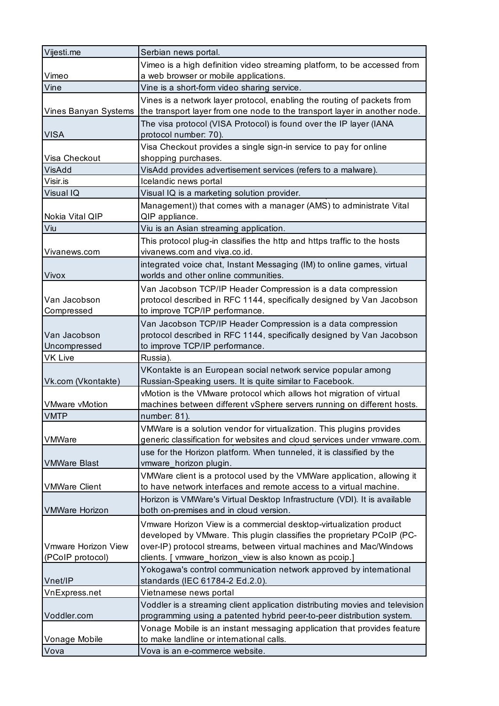| Vijesti.me                                                              | Serbian news portal.                                                                                                                                                                                                                                                                                                     |
|-------------------------------------------------------------------------|--------------------------------------------------------------------------------------------------------------------------------------------------------------------------------------------------------------------------------------------------------------------------------------------------------------------------|
|                                                                         | Vimeo is a high definition video streaming platform, to be accessed from                                                                                                                                                                                                                                                 |
| Vimeo                                                                   | a web browser or mobile applications.                                                                                                                                                                                                                                                                                    |
| Vine                                                                    | Vine is a short-form video sharing service.                                                                                                                                                                                                                                                                              |
| Vines Banyan Systems                                                    | Vines is a network layer protocol, enabling the routing of packets from<br>the transport layer from one node to the transport layer in another node.                                                                                                                                                                     |
| <b>VISA</b>                                                             | The visa protocol (VISA Protocol) is found over the IP layer (IANA<br>protocol number: 70).                                                                                                                                                                                                                              |
| Visa Checkout                                                           | Visa Checkout provides a single sign-in service to pay for online<br>shopping purchases.                                                                                                                                                                                                                                 |
| VisAdd                                                                  | VisAdd provides advertisement services (refers to a malware).                                                                                                                                                                                                                                                            |
| Visir.is                                                                | Icelandic news portal                                                                                                                                                                                                                                                                                                    |
| Visual IQ                                                               | Visual IQ is a marketing solution provider.                                                                                                                                                                                                                                                                              |
| Nokia Vital QIP                                                         | Management)) that comes with a manager (AMS) to administrate Vital<br>QIP appliance.                                                                                                                                                                                                                                     |
| Viu                                                                     | Viu is an Asian streaming application.                                                                                                                                                                                                                                                                                   |
| Vivanews.com                                                            | This protocol plug-in classifies the http and https traffic to the hosts<br>vivanews.com and viva.co.id.                                                                                                                                                                                                                 |
| Vivox                                                                   | integrated voice chat, Instant Messaging (IM) to online games, virtual<br>worlds and other online communities.                                                                                                                                                                                                           |
| Van Jacobson<br>Compressed                                              | Van Jacobson TCP/IP Header Compression is a data compression<br>protocol described in RFC 1144, specifically designed by Van Jacobson<br>to improve TCP/IP performance.                                                                                                                                                  |
| Van Jacobson<br>Uncompressed                                            | Van Jacobson TCP/IP Header Compression is a data compression<br>protocol described in RFC 1144, specifically designed by Van Jacobson<br>to improve TCP/IP performance.                                                                                                                                                  |
| VK Live                                                                 | Russia).                                                                                                                                                                                                                                                                                                                 |
| Vk.com (Vkontakte)                                                      | VKontakte is an European social network service popular among<br>Russian-Speaking users. It is quite similar to Facebook.                                                                                                                                                                                                |
|                                                                         |                                                                                                                                                                                                                                                                                                                          |
|                                                                         | vMotion is the VMware protocol which allows hot migration of virtual                                                                                                                                                                                                                                                     |
| <b>VMware vMotion</b>                                                   | machines between different vSphere servers running on different hosts.                                                                                                                                                                                                                                                   |
| <b>VMTP</b><br><b>VMWare</b>                                            | number: 81).<br>VMWare is a solution vendor for virtualization. This plugins provides<br>generic classification for websites and cloud services under vmware.com.                                                                                                                                                        |
| <b>VMWare Blast</b>                                                     | use for the Horizon platform. When tunneled, it is classified by the<br>vmware_horizon plugin.                                                                                                                                                                                                                           |
|                                                                         | VMWare client is a protocol used by the VMWare application, allowing it                                                                                                                                                                                                                                                  |
| <b>VMWare Client</b>                                                    | to have network interfaces and remote access to a virtual machine.<br>Horizon is VMWare's Virtual Desktop Infrastructure (VDI). It is available                                                                                                                                                                          |
| <b>VMWare Horizon</b><br><b>Vmware Horizon View</b><br>(PCoIP protocol) | both on-premises and in cloud version.<br>Vmware Horizon View is a commercial desktop-virtualization product<br>developed by VMware. This plugin classifies the proprietary PCoIP (PC-<br>over-IP) protocol streams, between virtual machines and Mac/Windows<br>clients. [ vmware_horizon_view is also known as pcoip.] |
| Vnet/IP                                                                 | Yokogawa's control communication network approved by international<br>standards (IEC 61784-2 Ed.2.0).                                                                                                                                                                                                                    |
| VnExpress.net                                                           | Vietnamese news portal                                                                                                                                                                                                                                                                                                   |
| Voddler.com                                                             | Voddler is a streaming client application distributing movies and television<br>programming using a patented hybrid peer-to-peer distribution system.                                                                                                                                                                    |
| Vonage Mobile                                                           | Vonage Mobile is an instant messaging application that provides feature<br>to make landline or international calls.                                                                                                                                                                                                      |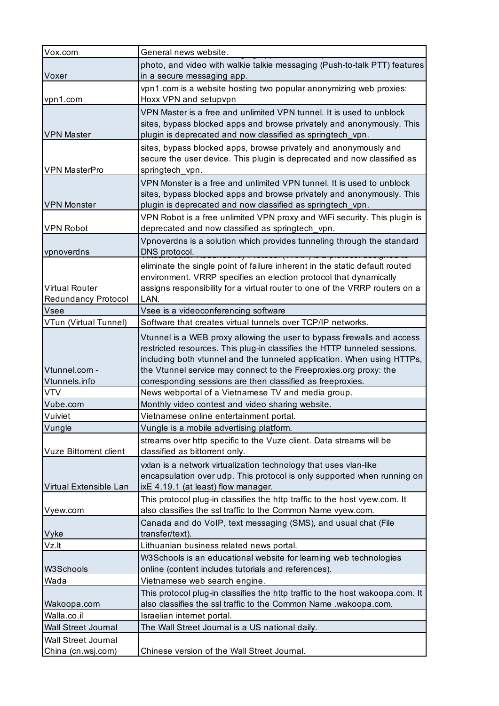| Vox.com                       | General news website.                                                                                                                          |
|-------------------------------|------------------------------------------------------------------------------------------------------------------------------------------------|
|                               | photo, and video with walkie talkie messaging (Push-to-talk PTT) features                                                                      |
| Voxer                         | in a secure messaging app.                                                                                                                     |
|                               | vpn1.com is a website hosting two popular anonymizing web proxies:                                                                             |
| vpn1.com                      | Hoxx VPN and setupvpn                                                                                                                          |
|                               | VPN Master is a free and unlimited VPN tunnel. It is used to unblock                                                                           |
|                               | sites, bypass blocked apps and browse privately and anonymously. This                                                                          |
| <b>VPN Master</b>             | plugin is deprecated and now classified as springtech_vpn.                                                                                     |
|                               | sites, bypass blocked apps, browse privately and anonymously and                                                                               |
| <b>VPN MasterPro</b>          | secure the user device. This plugin is deprecated and now classified as                                                                        |
|                               | springtech_vpn.                                                                                                                                |
|                               | VPN Monster is a free and unlimited VPN tunnel. It is used to unblock<br>sites, bypass blocked apps and browse privately and anonymously. This |
| <b>VPN Monster</b>            | plugin is deprecated and now classified as springtech_vpn.                                                                                     |
|                               | VPN Robot is a free unlimited VPN proxy and WiFi security. This plugin is                                                                      |
| <b>VPN Robot</b>              | deprecated and now classified as springtech_vpn.                                                                                               |
|                               | Vpnoverdns is a solution which provides tunneling through the standard                                                                         |
| vpnoverdns                    | DNS protocol.<br><del>unoj i totopor (ira a 710 u protopor upolg</del>                                                                         |
|                               | eliminate the single point of failure inherent in the static default routed                                                                    |
|                               | environment. VRRP specifies an election protocol that dynamically                                                                              |
| <b>Virtual Router</b>         | assigns responsibility for a virtual router to one of the VRRP routers on a                                                                    |
| <b>Redundancy Protocol</b>    | LAN.                                                                                                                                           |
| Vsee                          | Vsee is a videoconferencing software                                                                                                           |
| VTun (Virtual Tunnel)         | Software that creates virtual tunnels over TCP/IP networks.                                                                                    |
|                               | Vtunnel is a WEB proxy allowing the user to bypass firewalls and access                                                                        |
|                               | restricted resources. This plug-in classifies the HTTP tunneled sessions,                                                                      |
|                               | including both vtunnel and the tunneled application. When using HTTPs,                                                                         |
| Vtunnel.com -                 | the Vtunnel service may connect to the Freeproxies.org proxy: the                                                                              |
| Vtunnels.info                 | corresponding sessions are then classified as freeproxies.                                                                                     |
| <b>VTV</b>                    | News webportal of a Vietnamese TV and media group.                                                                                             |
| Vube.com<br>Vuiviet           | Monthly video contest and video sharing website.                                                                                               |
| Vungle                        | Vietnamese online entertainment portal.<br>Vungle is a mobile advertising platform.                                                            |
|                               | streams over http specific to the Vuze client. Data streams will be                                                                            |
| <b>Vuze Bittorrent client</b> | classified as bittorrent only.                                                                                                                 |
|                               | vxlan is a network virtualization technology that uses vlan-like                                                                               |
|                               | encapsulation over udp. This protocol is only supported when running on                                                                        |
| Virtual Extensible Lan        | ixE 4.19.1 (at least) flow manager.                                                                                                            |
|                               | This protocol plug-in classifies the http traffic to the host vyew.com. It                                                                     |
| Vyew.com                      | also classifies the ssl traffic to the Common Name vyew.com.                                                                                   |
|                               | Canada and do VoIP, text messaging (SMS), and usual chat (File                                                                                 |
| Vyke                          | transfer/text).                                                                                                                                |
| Vz.It                         | Lithuanian business related news portal.                                                                                                       |
|                               | W3Schools is an educational website for learning web technologies                                                                              |
| W3Schools                     | online (content includes tutorials and references).                                                                                            |
| Wada                          | Vietnamese web search engine.                                                                                                                  |
|                               | This protocol plug-in classifies the http traffic to the host wakoopa.com. It                                                                  |
| Wakoopa.com                   | also classifies the ssl traffic to the Common Name .wakoopa.com.                                                                               |
| Walla.co.il                   | Israelian internet portal.                                                                                                                     |
| Wall Street Journal           | The Wall Street Journal is a US national daily.                                                                                                |
| Wall Street Journal           |                                                                                                                                                |
| China (cn.wsj.com)            | Chinese version of the Wall Street Journal.                                                                                                    |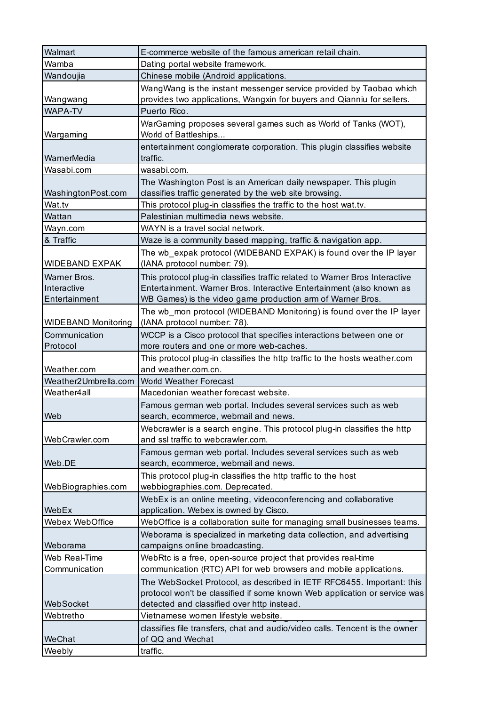| Walmart                    | E-commerce website of the famous american retail chain.                                                                   |
|----------------------------|---------------------------------------------------------------------------------------------------------------------------|
| Wamba                      | Dating portal website framework.                                                                                          |
| Wandoujia                  | Chinese mobile (Android applications.                                                                                     |
|                            | WangWang is the instant messenger service provided by Taobao which                                                        |
| Wangwang                   | provides two applications, Wangxin for buyers and Qianniu for sellers.                                                    |
| <b>WAPA-TV</b>             | Puerto Rico.                                                                                                              |
| Wargaming                  | WarGaming proposes several games such as World of Tanks (WOT),<br>World of Battleships                                    |
| WarnerMedia                | entertainment conglomerate corporation. This plugin classifies website<br>traffic.                                        |
| Wasabi.com                 | wasabi.com.                                                                                                               |
| WashingtonPost.com         | The Washington Post is an American daily newspaper. This plugin<br>classifies traffic generated by the web site browsing. |
| Wat.tv                     | This protocol plug-in classifies the traffic to the host wat.tv.                                                          |
| Wattan                     | Palestinian multimedia news website.                                                                                      |
| Wayn.com                   | WAYN is a travel social network.                                                                                          |
| & Traffic                  | Waze is a community based mapping, traffic & navigation app.                                                              |
| <b>WIDEBAND EXPAK</b>      | The wb_expak protocol (WIDEBAND EXPAK) is found over the IP layer<br>(IANA protocol number: 79).                          |
| Warner Bros.               | This protocol plug-in classifies traffic related to Warner Bros Interactive                                               |
| Interactive                | Entertainment. Warner Bros. Interactive Entertainment (also known as                                                      |
| Entertainment              | WB Games) is the video game production arm of Warner Bros.                                                                |
| <b>WIDEBAND Monitoring</b> | The wb_mon protocol (WIDEBAND Monitoring) is found over the IP layer<br>(IANA protocol number: 78).                       |
| Communication              | WCCP is a Cisco protocol that specifies interactions between one or                                                       |
| Protocol                   | more routers and one or more web-caches.                                                                                  |
| Weather.com                | This protocol plug-in classifies the http traffic to the hosts weather.com<br>and weather.com.cn.                         |
| Weather2Umbrella.com       | <b>World Weather Forecast</b>                                                                                             |
| Weather4all                | Macedonian weather forecast website.                                                                                      |
| Web                        | Famous german web portal. Includes several services such as web<br>search, ecommerce, webmail and news.                   |
| WebCrawler.com             | Webcrawler is a search engine. This protocol plug-in classifies the http<br>and ssl traffic to webcrawler.com.            |
| Web.DE                     | Famous german web portal. Includes several services such as web                                                           |
|                            |                                                                                                                           |
|                            | search, ecommerce, webmail and news.<br>This protocol plug-in classifies the http traffic to the host                     |
| WebBiographies.com         | webbiographies.com. Deprecated.                                                                                           |
|                            | WebEx is an online meeting, videoconferencing and collaborative                                                           |
| WebEx                      | application. Webex is owned by Cisco.                                                                                     |
| Webex WebOffice            | WebOffice is a collaboration suite for managing small businesses teams.                                                   |
| Weborama                   | Weborama is specialized in marketing data collection, and advertising<br>campaigns online broadcasting.                   |
| Web Real-Time              | WebRtc is a free, open-source project that provides real-time                                                             |
| Communication              | communication (RTC) API for web browsers and mobile applications.                                                         |
|                            | The WebSocket Protocol, as described in IETF RFC6455. Important: this                                                     |
|                            | protocol won't be classified if some known Web application or service was                                                 |
| WebSocket                  | detected and classified over http instead.                                                                                |
| Webtretho                  | Vietnamese women lifestyle website.                                                                                       |
| WeChat                     | classifies file transfers, chat and audio/video calls. Tencent is the owner<br>of QQ and Wechat<br>traffic.               |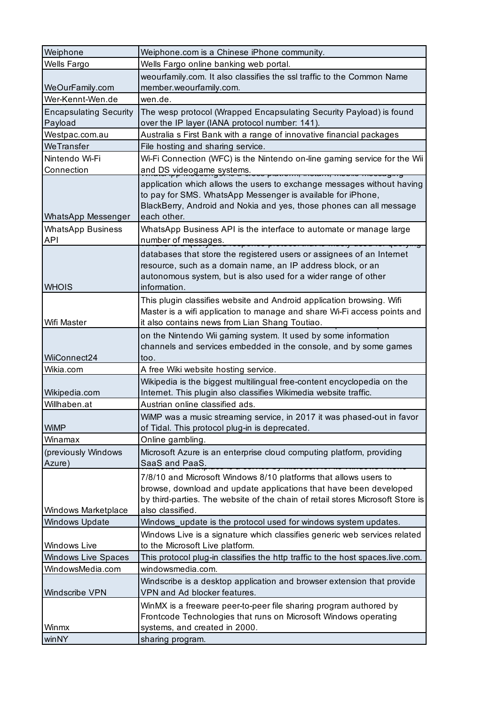| Weiphone                                 | Weiphone.com is a Chinese iPhone community.                                                                                                                                                                                                 |
|------------------------------------------|---------------------------------------------------------------------------------------------------------------------------------------------------------------------------------------------------------------------------------------------|
| Wells Fargo                              | Wells Fargo online banking web portal.                                                                                                                                                                                                      |
|                                          | weourfamily.com. It also classifies the ssl traffic to the Common Name                                                                                                                                                                      |
| WeOurFamily.com                          | member.weourfamily.com.                                                                                                                                                                                                                     |
| Wer-Kennt-Wen.de                         | wen.de.                                                                                                                                                                                                                                     |
| <b>Encapsulating Security</b><br>Payload | The wesp protocol (Wrapped Encapsulating Security Payload) is found<br>over the IP layer (IANA protocol number: 141).                                                                                                                       |
| Westpac.com.au                           | Australia s First Bank with a range of innovative financial packages                                                                                                                                                                        |
| WeTransfer                               | File hosting and sharing service.                                                                                                                                                                                                           |
| Nintendo Wi-Fi<br>Connection             | Wi-Fi Connection (WFC) is the Nintendo on-line gaming service for the Wii<br>and DS videogame systems.                                                                                                                                      |
| <b>WhatsApp Messenger</b>                | application which allows the users to exchange messages without having<br>to pay for SMS. WhatsApp Messenger is available for iPhone,<br>BlackBerry, Android and Nokia and yes, those phones can all message<br>each other.                 |
| <b>WhatsApp Business</b><br><b>API</b>   | WhatsApp Business API is the interface to automate or manage large<br>number of messages.<br><del>.</del>                                                                                                                                   |
| <b>WHOIS</b>                             | databases that store the registered users or assignees of an Internet<br>resource, such as a domain name, an IP address block, or an<br>autonomous system, but is also used for a wider range of other<br>information.                      |
| Wifi Master                              | This plugin classifies website and Android application browsing. Wifi<br>Master is a wifi application to manage and share Wi-Fi access points and<br>it also contains news from Lian Shang Toutiao.                                         |
| WiiConnect24                             | on the Nintendo Wii gaming system. It used by some information<br>channels and services embedded in the console, and by some games<br>too.                                                                                                  |
| Wikia.com                                | A free Wiki website hosting service.                                                                                                                                                                                                        |
| Wikipedia.com                            | Wikipedia is the biggest multilingual free-content encyclopedia on the<br>Internet. This plugin also classifies Wikimedia website traffic.                                                                                                  |
| Willhaben.at                             | Austrian online classified ads.                                                                                                                                                                                                             |
| <b>WiMP</b>                              | WiMP was a music streaming service, in 2017 it was phased-out in favor<br>of Tidal. This protocol plug-in is deprecated.                                                                                                                    |
| Winamax                                  | Online gambling.                                                                                                                                                                                                                            |
| (previously Windows<br>Azure)            | Microsoft Azure is an enterprise cloud computing platform, providing<br>SaaS and PaaS.                                                                                                                                                      |
| <b>Windows Marketplace</b>               | 7/8/10 and Microsoft Windows 8/10 platforms that allows users to<br>browse, download and update applications that have been developed<br>by third-parties. The website of the chain of retail stores Microsoft Store is<br>also classified. |
| <b>Windows Update</b>                    | Windows_update is the protocol used for windows system updates.                                                                                                                                                                             |
| Windows Live                             | Windows Live is a signature which classifies generic web services related<br>to the Microsoft Live platform.                                                                                                                                |
| <b>Windows Live Spaces</b>               | This protocol plug-in classifies the http traffic to the host spaces.live.com.                                                                                                                                                              |
| WindowsMedia.com                         | windowsmedia.com.                                                                                                                                                                                                                           |
| Windscribe VPN                           | Windscribe is a desktop application and browser extension that provide<br>VPN and Ad blocker features.                                                                                                                                      |
| Winmx                                    | WinMX is a freeware peer-to-peer file sharing program authored by<br>Frontcode Technologies that runs on Microsoft Windows operating<br>systems, and created in 2000.                                                                       |
| winNY                                    | sharing program.                                                                                                                                                                                                                            |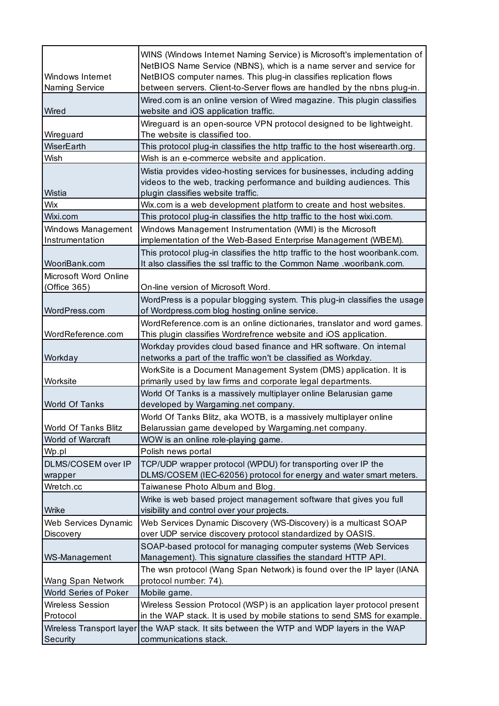| Windows Internet<br>Naming Service | WINS (Windows Internet Naming Service) is Microsoft's implementation of<br>NetBIOS Name Service (NBNS), which is a name server and service for<br>NetBIOS computer names. This plug-in classifies replication flows<br>between servers. Client-to-Server flows are handled by the nbns plug-in. |
|------------------------------------|-------------------------------------------------------------------------------------------------------------------------------------------------------------------------------------------------------------------------------------------------------------------------------------------------|
| Wired                              | Wired.com is an online version of Wired magazine. This plugin classifies<br>website and iOS application traffic.                                                                                                                                                                                |
| Wireguard                          | Wireguard is an open-source VPN protocol designed to be lightweight.<br>The website is classified too.                                                                                                                                                                                          |
| WiserEarth                         | This protocol plug-in classifies the http traffic to the host wiserearth.org.                                                                                                                                                                                                                   |
| Wish                               | Wish is an e-commerce website and application.                                                                                                                                                                                                                                                  |
| Wistia                             | Wistia provides video-hosting services for businesses, including adding<br>videos to the web, tracking performance and building audiences. This<br>plugin classifies website traffic.                                                                                                           |
| Wix                                | Wix.com is a web development platform to create and host websites.                                                                                                                                                                                                                              |
| Wixi.com                           | This protocol plug-in classifies the http traffic to the host wixi.com.                                                                                                                                                                                                                         |
| Windows Management                 | Windows Management Instrumentation (WMI) is the Microsoft                                                                                                                                                                                                                                       |
| Instrumentation                    | implementation of the Web-Based Enterprise Management (WBEM).                                                                                                                                                                                                                                   |
|                                    | This protocol plug-in classifies the http traffic to the host wooribank.com.                                                                                                                                                                                                                    |
| WooriBank.com                      | It also classifies the ssl traffic to the Common Name .wooribank.com.                                                                                                                                                                                                                           |
| Microsoft Word Online              |                                                                                                                                                                                                                                                                                                 |
| (Office 365)                       | On-line version of Microsoft Word.                                                                                                                                                                                                                                                              |
|                                    | WordPress is a popular blogging system. This plug-in classifies the usage                                                                                                                                                                                                                       |
| WordPress.com                      | of Wordpress.com blog hosting online service.                                                                                                                                                                                                                                                   |
|                                    | WordReference.com is an online dictionaries, translator and word games.                                                                                                                                                                                                                         |
| WordReference.com                  | This plugin classifies Wordrefrence website and iOS application.                                                                                                                                                                                                                                |
|                                    | Workday provides cloud based finance and HR software. On internal                                                                                                                                                                                                                               |
| Workday                            | networks a part of the traffic won't be classified as Workday.                                                                                                                                                                                                                                  |
|                                    | WorkSite is a Document Management System (DMS) application. It is                                                                                                                                                                                                                               |
| Worksite                           | primarily used by law firms and corporate legal departments.                                                                                                                                                                                                                                    |
|                                    | World Of Tanks is a massively multiplayer online Belarusian game                                                                                                                                                                                                                                |
| <b>World Of Tanks</b>              | developed by Wargaming.net company.                                                                                                                                                                                                                                                             |
|                                    | World Of Tanks Blitz, aka WOTB, is a massively multiplayer online                                                                                                                                                                                                                               |
| World Of Tanks Blitz               | Belarussian game developed by Wargaming.net company.                                                                                                                                                                                                                                            |
| World of Warcraft                  | WOW is an online role-playing game.                                                                                                                                                                                                                                                             |
| Wp.pl                              | Polish news portal                                                                                                                                                                                                                                                                              |
| DLMS/COSEM over IP                 | TCP/UDP wrapper protocol (WPDU) for transporting over IP the                                                                                                                                                                                                                                    |
| wrapper                            | DLMS/COSEM (IEC-62056) protocol for energy and water smart meters.                                                                                                                                                                                                                              |
| Wretch.cc                          | Taiwanese Photo Album and Blog.                                                                                                                                                                                                                                                                 |
|                                    | Wrike is web based project management software that gives you full                                                                                                                                                                                                                              |
| Wrike                              | visibility and control over your projects.                                                                                                                                                                                                                                                      |
| <b>Web Services Dynamic</b>        | Web Services Dynamic Discovery (WS-Discovery) is a multicast SOAP                                                                                                                                                                                                                               |
| Discovery                          | over UDP service discovery protocol standardized by OASIS.                                                                                                                                                                                                                                      |
|                                    | SOAP-based protocol for managing computer systems (Web Services                                                                                                                                                                                                                                 |
| WS-Management                      | Management). This signature classifies the standard HTTP API.                                                                                                                                                                                                                                   |
|                                    | The wsn protocol (Wang Span Network) is found over the IP layer (IANA                                                                                                                                                                                                                           |
| Wang Span Network                  | protocol number: 74).                                                                                                                                                                                                                                                                           |
| World Series of Poker              | Mobile game.                                                                                                                                                                                                                                                                                    |
| <b>Wireless Session</b>            | Wireless Session Protocol (WSP) is an application layer protocol present                                                                                                                                                                                                                        |
| Protocol                           | in the WAP stack. It is used by mobile stations to send SMS for example.                                                                                                                                                                                                                        |
|                                    | Wireless Transport layer the WAP stack. It sits between the WTP and WDP layers in the WAP                                                                                                                                                                                                       |
| Security                           | communications stack.                                                                                                                                                                                                                                                                           |
|                                    |                                                                                                                                                                                                                                                                                                 |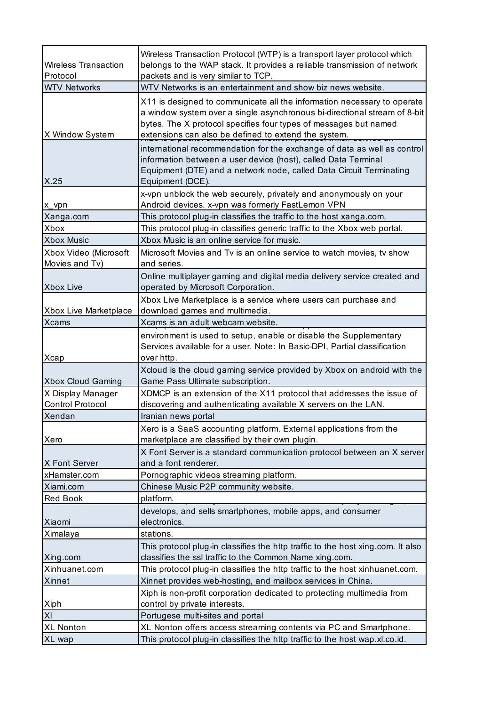| <b>Wireless Transaction</b><br>Protocol      | Wireless Transaction Protocol (WTP) is a transport layer protocol which<br>belongs to the WAP stack. It provides a reliable transmission of network<br>packets and is very similar to TCP.                                                                                       |
|----------------------------------------------|----------------------------------------------------------------------------------------------------------------------------------------------------------------------------------------------------------------------------------------------------------------------------------|
| <b>WTV Networks</b>                          | WTV Networks is an entertainment and show biz news website.                                                                                                                                                                                                                      |
| X Window System                              | X11 is designed to communicate all the information necessary to operate<br>a window system over a single asynchronous bi-directional stream of 8-bit<br>bytes. The X protocol specifies four types of messages but named<br>extensions can also be defined to extend the system. |
| X.25                                         | international recommendation for the exchange of data as well as control<br>information between a user device (host), called Data Terminal<br>Equipment (DTE) and a network node, called Data Circuit Terminating<br>Equipment (DCE).                                            |
| x_vpn                                        | x-vpn unblock the web securely, privately and anonymously on your<br>Android devices. x-vpn was formerly FastLemon VPN                                                                                                                                                           |
| Xanga.com                                    | This protocol plug-in classifies the traffic to the host xanga.com.                                                                                                                                                                                                              |
| Xbox                                         | This protocol plug-in classifies generic traffic to the Xbox web portal.                                                                                                                                                                                                         |
| <b>Xbox Music</b>                            | Xbox Music is an online service for music.                                                                                                                                                                                                                                       |
| Xbox Video (Microsoft<br>Movies and Tv)      | Microsoft Movies and Tv is an online service to watch movies, tv show<br>and series.                                                                                                                                                                                             |
| Xbox Live                                    | Online multiplayer gaming and digital media delivery service created and<br>operated by Microsoft Corporation.                                                                                                                                                                   |
| Xbox Live Marketplace                        | Xbox Live Marketplace is a service where users can purchase and<br>download games and multimedia.                                                                                                                                                                                |
| <b>Xcams</b>                                 | Xcams is an adult webcam website.                                                                                                                                                                                                                                                |
| Xcap                                         | environment is used to setup, enable or disable the Supplementary<br>Services available for a user. Note: In Basic-DPI, Partial classification<br>over http.                                                                                                                     |
| <b>Xbox Cloud Gaming</b>                     | Xcloud is the cloud gaming service provided by Xbox on android with the<br>Game Pass Ultimate subscription.                                                                                                                                                                      |
| X Display Manager<br><b>Control Protocol</b> | XDMCP is an extension of the X11 protocol that addresses the issue of<br>discovering and authenticating available X servers on the LAN.                                                                                                                                          |
| Xendan                                       | Iranian news portal                                                                                                                                                                                                                                                              |
| Xero                                         | Xero is a SaaS accounting platform. External applications from the<br>marketplace are classified by their own plugin.                                                                                                                                                            |
| X Font Server                                | X Font Server is a standard communication protocol between an X server<br>and a font renderer.                                                                                                                                                                                   |
| xHamster.com                                 | Pornographic videos streaming platform.                                                                                                                                                                                                                                          |
| Xiami.com                                    | Chinese Music P2P community website.                                                                                                                                                                                                                                             |
| Red Book                                     | platform.                                                                                                                                                                                                                                                                        |
| Xiaomi                                       | develops, and sells smartphones, mobile apps, and consumer<br>electronics.                                                                                                                                                                                                       |
| Ximalaya                                     | stations.                                                                                                                                                                                                                                                                        |
| Xing.com                                     | This protocol plug-in classifies the http traffic to the host xing.com. It also<br>classifies the ssl traffic to the Common Name xing.com.                                                                                                                                       |
| Xinhuanet.com                                | This protocol plug-in classifies the http traffic to the host xinhuanet.com.                                                                                                                                                                                                     |
| Xinnet                                       | Xinnet provides web-hosting, and mailbox services in China.                                                                                                                                                                                                                      |
| Xiph                                         | Xiph is non-profit corporation dedicated to protecting multimedia from<br>control by private interests.                                                                                                                                                                          |
| XI                                           | Portugese multi-sites and portal                                                                                                                                                                                                                                                 |
| <b>XL Nonton</b>                             | XL Nonton offers access streaming contents via PC and Smartphone.                                                                                                                                                                                                                |
| XL wap                                       | This protocol plug-in classifies the http traffic to the host wap.xl.co.id.                                                                                                                                                                                                      |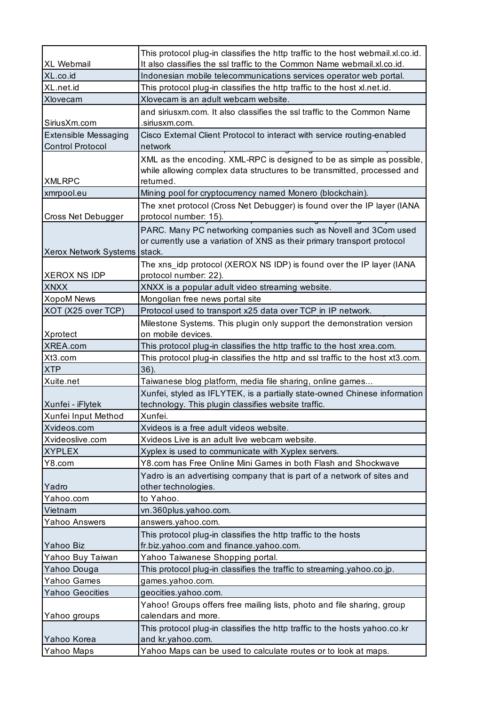|                              | This protocol plug-in classifies the http traffic to the host webmail.xl.co.id.     |
|------------------------------|-------------------------------------------------------------------------------------|
| <b>XL Webmail</b>            | It also classifies the ssl traffic to the Common Name webmail.xl.co.id.             |
| XL.co.id                     | Indonesian mobile telecommunications services operator web portal.                  |
| XL.net.id                    | This protocol plug-in classifies the http traffic to the host xl.net.id.            |
| Xlovecam                     | Xlovecam is an adult webcam website.                                                |
|                              | and siriusxm.com. It also classifies the ssl traffic to the Common Name             |
| SiriusXm.com                 | .siriusxm.com.                                                                      |
| <b>Extensible Messaging</b>  | Cisco External Client Protocol to interact with service routing-enabled             |
| <b>Control Protocol</b>      | network                                                                             |
|                              | XML as the encoding. XML-RPC is designed to be as simple as possible,               |
|                              | while allowing complex data structures to be transmitted, processed and             |
| <b>XMLRPC</b>                | returned.                                                                           |
| xmrpool.eu                   | Mining pool for cryptocurrency named Monero (blockchain).                           |
|                              | The xnet protocol (Cross Net Debugger) is found over the IP layer (IANA             |
| Cross Net Debugger           | protocol number: 15).                                                               |
|                              | PARC. Many PC networking companies such as Novell and 3Com used                     |
|                              | or currently use a variation of XNS as their primary transport protocol             |
| Xerox Network Systems stack. |                                                                                     |
|                              | The xns_idp protocol (XEROX NS IDP) is found over the IP layer (IANA                |
| <b>XEROX NS IDP</b>          | protocol number: 22).                                                               |
| <b>XNXX</b>                  | XNXX is a popular adult video streaming website.                                    |
| <b>XopoM News</b>            | Mongolian free news portal site                                                     |
| XOT (X25 over TCP)           | Protocol used to transport x25 data over TCP in IP network.                         |
|                              | Milestone Systems. This plugin only support the demonstration version               |
| Xprotect                     | on mobile devices.                                                                  |
| XREA.com                     | This protocol plug-in classifies the http traffic to the host xrea.com.             |
| Xt3.com                      | This protocol plug-in classifies the http and ssl traffic to the host xt3.com.      |
| <b>XTP</b>                   | 36).                                                                                |
| Xuite.net                    | Taiwanese blog platform, media file sharing, online games                           |
|                              | Xunfei, styled as IFLYTEK, is a partially state-owned Chinese information           |
| Xunfei - iFlytek             | technology. This plugin classifies website traffic.                                 |
| Xunfei Input Method          | Xunfei.                                                                             |
| Xvideos.com                  | Xvideos is a free adult videos website.                                             |
| Xvideoslive.com              | Xvideos Live is an adult live webcam website.                                       |
| <b>XYPLEX</b>                | Xyplex is used to communicate with Xyplex servers.                                  |
| Y8.com                       | Y8.com has Free Online Mini Games in both Flash and Shockwave                       |
|                              | Yadro is an advertising company that is part of a network of sites and              |
| Yadro                        | other technologies.                                                                 |
| Yahoo.com                    | to Yahoo.                                                                           |
| Vietnam                      | vn.360plus.yahoo.com.                                                               |
| Yahoo Answers                | answers.yahoo.com.                                                                  |
|                              | This protocol plug-in classifies the http traffic to the hosts                      |
| Yahoo Biz                    | fr.biz.yahoo.com and finance.yahoo.com.                                             |
| Yahoo Buy Taiwan             | Yahoo Taiwanese Shopping portal.                                                    |
| Yahoo Douga                  | This protocol plug-in classifies the traffic to streaming yahoo.co.jp.              |
| Yahoo Games                  | games.yahoo.com.                                                                    |
| <b>Yahoo Geocities</b>       | geocities.yahoo.com.                                                                |
|                              |                                                                                     |
|                              | Yahoo! Groups offers free mailing lists, photo and file sharing, group              |
| Yahoo groups                 | calendars and more.                                                                 |
|                              | This protocol plug-in classifies the http traffic to the hosts yahoo.co.kr          |
| Yahoo Korea<br>Yahoo Maps    | and kr.yahoo.com.<br>Yahoo Maps can be used to calculate routes or to look at maps. |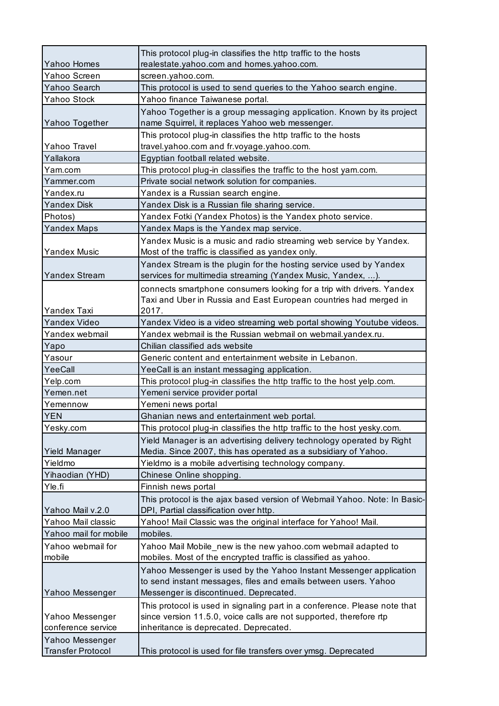|                          | This protocol plug-in classifies the http traffic to the hosts            |
|--------------------------|---------------------------------------------------------------------------|
| Yahoo Homes              | realestate.yahoo.com and homes.yahoo.com.                                 |
| Yahoo Screen             | screen.yahoo.com.                                                         |
| Yahoo Search             | This protocol is used to send queries to the Yahoo search engine.         |
| Yahoo Stock              | Yahoo finance Taiwanese portal.                                           |
|                          | Yahoo Together is a group messaging application. Known by its project     |
| Yahoo Together           | name Squirrel, it replaces Yahoo web messenger.                           |
|                          | This protocol plug-in classifies the http traffic to the hosts            |
| Yahoo Travel             | travel.yahoo.com and fr.voyage.yahoo.com.                                 |
| Yallakora                | Egyptian football related website.                                        |
| Yam.com                  | This protocol plug-in classifies the traffic to the host yam.com.         |
| Yammer.com               | Private social network solution for companies.                            |
| Yandex.ru                | Yandex is a Russian search engine.                                        |
| <b>Yandex Disk</b>       | Yandex Disk is a Russian file sharing service.                            |
| Photos)                  | Yandex Fotki (Yandex Photos) is the Yandex photo service.                 |
| <b>Yandex Maps</b>       | Yandex Maps is the Yandex map service.                                    |
|                          | Yandex Music is a music and radio streaming web service by Yandex.        |
| <b>Yandex Music</b>      | Most of the traffic is classified as yandex only.                         |
|                          | Yandex Stream is the plugin for the hosting service used by Yandex        |
| Yandex Stream            | services for multimedia streaming (Yandex Music, Yandex, ).               |
|                          | connects smartphone consumers looking for a trip with drivers. Yandex     |
|                          | Taxi and Uber in Russia and East European countries had merged in         |
| Yandex Taxi              | 2017.                                                                     |
| <b>Yandex Video</b>      | Yandex Video is a video streaming web portal showing Youtube videos.      |
| Yandex webmail           | Yandex webmail is the Russian webmail on webmail.yandex.ru.               |
| Yapo                     | Chilian classified ads website                                            |
| Yasour                   | Generic content and entertainment website in Lebanon.                     |
| YeeCall                  | YeeCall is an instant messaging application.                              |
| Yelp.com                 | This protocol plug-in classifies the http traffic to the host yelp.com.   |
| Yemen.net                | Yemeni service provider portal                                            |
| Yemennow                 | Yemeni news portal                                                        |
| <b>YEN</b>               | Ghanian news and entertainment web portal.                                |
| Yesky.com                | This protocol plug-in classifies the http traffic to the host yesky.com.  |
|                          | Yield Manager is an advertising delivery technology operated by Right     |
| Yield Manager            | Media. Since 2007, this has operated as a subsidiary of Yahoo.            |
| Yieldmo                  | Yieldmo is a mobile advertising technology company.                       |
| Yihaodian (YHD)          | Chinese Online shopping.                                                  |
| Yle.fi                   | Finnish news portal                                                       |
|                          | This protocol is the ajax based version of Webmail Yahoo. Note: In Basic- |
| Yahoo Mail v.2.0         | DPI, Partial classification over http.                                    |
| Yahoo Mail classic       | Yahoo! Mail Classic was the original interface for Yahoo! Mail.           |
| Yahoo mail for mobile    | mobiles.                                                                  |
| Yahoo webmail for        | Yahoo Mail Mobile_new is the new yahoo.com webmail adapted to             |
| mobile                   | mobiles. Most of the encrypted traffic is classified as yahoo.            |
|                          | Yahoo Messenger is used by the Yahoo Instant Messenger application        |
|                          | to send instant messages, files and emails between users. Yahoo           |
| Yahoo Messenger          | Messenger is discontinued. Deprecated.                                    |
|                          | This protocol is used in signaling part in a conference. Please note that |
| Yahoo Messenger          | since version 11.5.0, voice calls are not supported, therefore rtp        |
| conference service       | inheritance is deprecated. Deprecated.                                    |
| Yahoo Messenger          |                                                                           |
| <b>Transfer Protocol</b> | This protocol is used for file transfers over ymsg. Deprecated            |
|                          |                                                                           |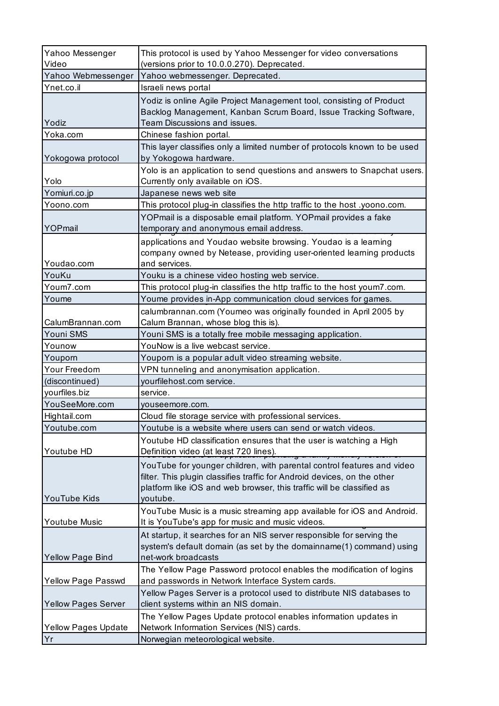| Yahoo Messenger<br>Video   | This protocol is used by Yahoo Messenger for video conversations<br>(versions prior to 10.0.0.270). Deprecated.                                                                                                                         |
|----------------------------|-----------------------------------------------------------------------------------------------------------------------------------------------------------------------------------------------------------------------------------------|
| Yahoo Webmessenger         | Yahoo webmessenger. Deprecated.                                                                                                                                                                                                         |
| Ynet.co.il                 | Israeli news portal                                                                                                                                                                                                                     |
| Yodiz                      | Yodiz is online Agile Project Management tool, consisting of Product<br>Backlog Management, Kanban Scrum Board, Issue Tracking Software,<br>Team Discussions and issues.                                                                |
| Yoka.com                   | Chinese fashion portal.                                                                                                                                                                                                                 |
| Yokogowa protocol          | This layer classifies only a limited number of protocols known to be used<br>by Yokogowa hardware.                                                                                                                                      |
| Yolo                       | Yolo is an application to send questions and answers to Snapchat users.<br>Currently only available on iOS.                                                                                                                             |
| Yomiuri.co.jp              | Japanese news web site                                                                                                                                                                                                                  |
| Yoono.com                  | This protocol plug-in classifies the http traffic to the host .yoono.com.                                                                                                                                                               |
| YOPmail                    | YOPmail is a disposable email platform. YOPmail provides a fake<br>temporary and anonymous email address.                                                                                                                               |
| Youdao.com                 | applications and Youdao website browsing. Youdao is a learning<br>company owned by Netease, providing user-oriented learning products<br>and services.                                                                                  |
| YouKu                      | Youku is a chinese video hosting web service.                                                                                                                                                                                           |
| Youm7.com                  | This protocol plug-in classifies the http traffic to the host youm7.com.                                                                                                                                                                |
| Youme                      | Youme provides in-App communication cloud services for games.                                                                                                                                                                           |
|                            | calumbrannan.com (Youmeo was originally founded in April 2005 by                                                                                                                                                                        |
| CalumBrannan.com           | Calum Brannan, whose blog this is).                                                                                                                                                                                                     |
| Youni SMS                  | Youni SMS is a totally free mobile messaging application.                                                                                                                                                                               |
| Younow                     | YouNow is a live webcast service.                                                                                                                                                                                                       |
| Youporn                    | Youporn is a popular adult video streaming website.                                                                                                                                                                                     |
| Your Freedom               | VPN tunneling and anonymisation application.                                                                                                                                                                                            |
| (discontinued)             | yourfilehost.com service.                                                                                                                                                                                                               |
| yourfiles.biz              | service.                                                                                                                                                                                                                                |
| YouSeeMore.com             | youseemore.com.                                                                                                                                                                                                                         |
| Hightail.com               | Cloud file storage service with professional services.                                                                                                                                                                                  |
| Youtube.com                | Youtube is a website where users can send or watch videos.                                                                                                                                                                              |
|                            | Youtube HD classification ensures that the user is watching a High                                                                                                                                                                      |
| Youtube HD                 | Definition video (at least 720 lines).                                                                                                                                                                                                  |
| YouTube Kids               | YouTube for younger children, with parental control features and video<br>filter. This plugin classifies traffic for Android devices, on the other<br>platform like iOS and web browser, this traffic will be classified as<br>youtube. |
| Youtube Music              | YouTube Music is a music streaming app available for iOS and Android.<br>It is YouTube's app for music and music videos.                                                                                                                |
| Yellow Page Bind           | At startup, it searches for an NIS server responsible for serving the<br>system's default domain (as set by the domainname(1) command) using<br>net-work broadcasts                                                                     |
| Yellow Page Passwd         | The Yellow Page Password protocol enables the modification of logins<br>and passwords in Network Interface System cards.                                                                                                                |
| <b>Yellow Pages Server</b> | Yellow Pages Server is a protocol used to distribute NIS databases to<br>client systems within an NIS domain.                                                                                                                           |
| <b>Yellow Pages Update</b> | The Yellow Pages Update protocol enables information updates in<br>Network Information Services (NIS) cards.                                                                                                                            |
| Yr                         | Norwegian meteorological website.                                                                                                                                                                                                       |
|                            |                                                                                                                                                                                                                                         |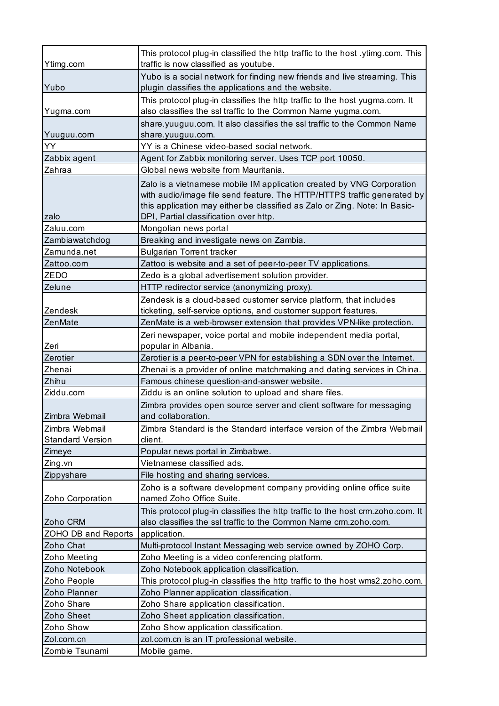| Ytimg.com                                 | This protocol plug-in classified the http traffic to the host .ytimg.com. This<br>traffic is now classified as youtube.                                                                                                                                                  |
|-------------------------------------------|--------------------------------------------------------------------------------------------------------------------------------------------------------------------------------------------------------------------------------------------------------------------------|
| Yubo                                      | Yubo is a social network for finding new friends and live streaming. This<br>plugin classifies the applications and the website.                                                                                                                                         |
| Yugma.com                                 | This protocol plug-in classifies the http traffic to the host yugma.com. It<br>also classifies the ssl traffic to the Common Name yugma.com.                                                                                                                             |
| Yuuguu.com                                | share.yuuguu.com. It also classifies the ssl traffic to the Common Name<br>share.yuuguu.com.                                                                                                                                                                             |
| YY                                        | YY is a Chinese video-based social network.                                                                                                                                                                                                                              |
| Zabbix agent                              | Agent for Zabbix monitoring server. Uses TCP port 10050.                                                                                                                                                                                                                 |
| Zahraa                                    | Global news website from Mauritania.                                                                                                                                                                                                                                     |
| zalo                                      | Zalo is a vietnamese mobile IM application created by VNG Corporation<br>with audio/image file send feature. The HTTP/HTTPS traffic generated by<br>this application may either be classified as Zalo or Zing. Note: In Basic-<br>DPI, Partial classification over http. |
| Zaluu.com                                 | Mongolian news portal                                                                                                                                                                                                                                                    |
| Zambiawatchdog                            | Breaking and investigate news on Zambia.                                                                                                                                                                                                                                 |
| Zamunda.net                               | <b>Bulgarian Torrent tracker</b>                                                                                                                                                                                                                                         |
| Zattoo.com                                | Zattoo is website and a set of peer-to-peer TV applications.                                                                                                                                                                                                             |
| ZEDO                                      | Zedo is a global advertisement solution provider.                                                                                                                                                                                                                        |
| Zelune                                    | HTTP redirector service (anonymizing proxy).                                                                                                                                                                                                                             |
| Zendesk                                   | Zendesk is a cloud-based customer service platform, that includes<br>ticketing, self-service options, and customer support features.                                                                                                                                     |
| ZenMate                                   | ZenMate is a web-browser extension that provides VPN-like protection.                                                                                                                                                                                                    |
|                                           | Zeri newspaper, voice portal and mobile independent media portal,                                                                                                                                                                                                        |
| Zeri                                      | popular in Albania.                                                                                                                                                                                                                                                      |
| Zerotier                                  | Zerotier is a peer-to-peer VPN for establishing a SDN over the Internet.                                                                                                                                                                                                 |
| Zhenai                                    | Zhenai is a provider of online matchmaking and dating services in China.                                                                                                                                                                                                 |
| Zhihu                                     | Famous chinese question-and-answer website.                                                                                                                                                                                                                              |
| Ziddu.com                                 | Ziddu is an online solution to upload and share files.                                                                                                                                                                                                                   |
| Zimbra Webmail                            | Zimbra provides open source server and client software for messaging<br>and collaboration.                                                                                                                                                                               |
| Zimbra Webmail<br><b>Standard Version</b> | Zimbra Standard is the Standard interface version of the Zimbra Webmail<br>client.                                                                                                                                                                                       |
| Zimeye                                    | Popular news portal in Zimbabwe.                                                                                                                                                                                                                                         |
| Zing.vn                                   | Vietnamese classified ads.                                                                                                                                                                                                                                               |
| Zippyshare                                | File hosting and sharing services.                                                                                                                                                                                                                                       |
| Zoho Corporation                          | Zoho is a software development company providing online office suite<br>named Zoho Office Suite.                                                                                                                                                                         |
| Zoho CRM                                  | This protocol plug-in classifies the http traffic to the host crm.zoho.com. It<br>also classifies the ssl traffic to the Common Name crm.zoho.com.                                                                                                                       |
| ZOHO DB and Reports                       | application.                                                                                                                                                                                                                                                             |
| Zoho Chat                                 | Multi-protocol Instant Messaging web service owned by ZOHO Corp.                                                                                                                                                                                                         |
| Zoho Meeting                              | Zoho Meeting is a video conferencing platform.                                                                                                                                                                                                                           |
| Zoho Notebook                             | Zoho Notebook application classification.                                                                                                                                                                                                                                |
| Zoho People                               | This protocol plug-in classifies the http traffic to the host wms2.zoho.com.                                                                                                                                                                                             |
| Zoho Planner                              | Zoho Planner application classification.                                                                                                                                                                                                                                 |
| Zoho Share                                | Zoho Share application classification.                                                                                                                                                                                                                                   |
| Zoho Sheet                                | Zoho Sheet application classification.                                                                                                                                                                                                                                   |
| Zoho Show                                 | Zoho Show application classification.                                                                                                                                                                                                                                    |
| Zol.com.cn                                | zol.com.cn is an IT professional website.                                                                                                                                                                                                                                |
| Zombie Tsunami                            | Mobile game.                                                                                                                                                                                                                                                             |